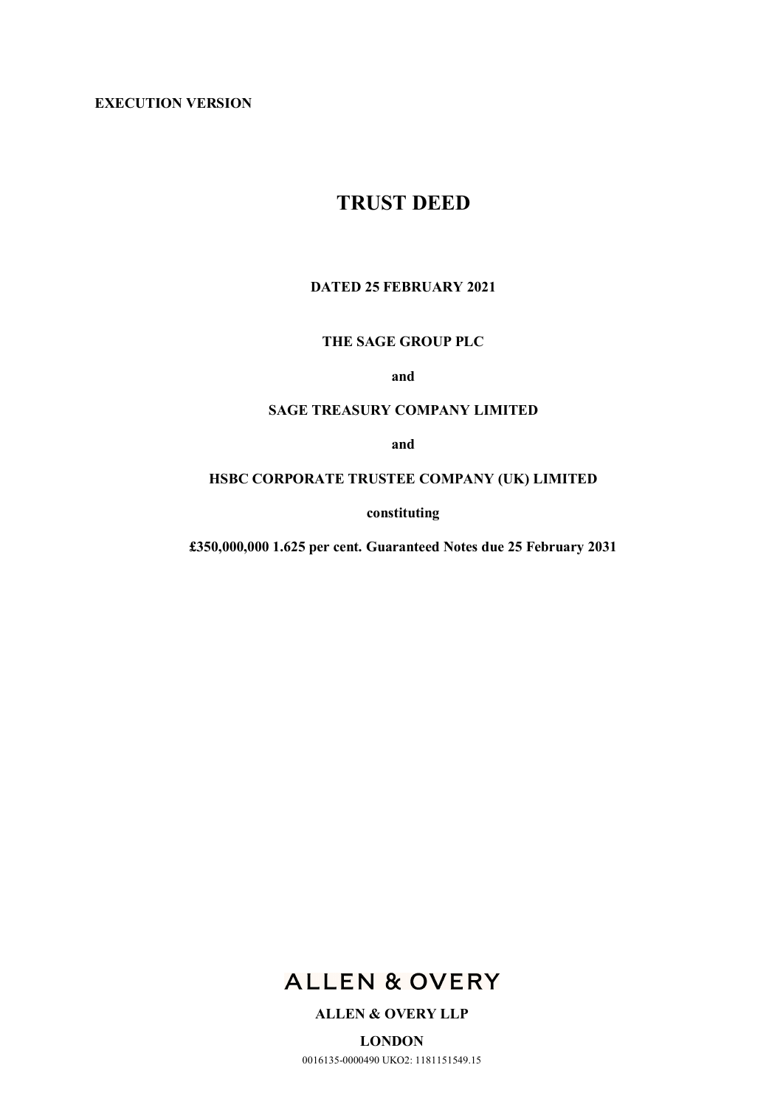**EXECUTION VERSION**

# **TRUST DEED**

# **DATED 25 FEBRUARY 2021**

# **THE SAGE GROUP PLC**

**and**

# **SAGE TREASURY COMPANY LIMITED**

**and**

# **HSBC CORPORATE TRUSTEE COMPANY (UK) LIMITED**

**constituting**

**£350,000,000 1.625 per cent. Guaranteed Notes due 25 February 2031**



# **ALLEN & OVERY LLP**

**LONDON** 0016135-0000490 UKO2: 1181151549.15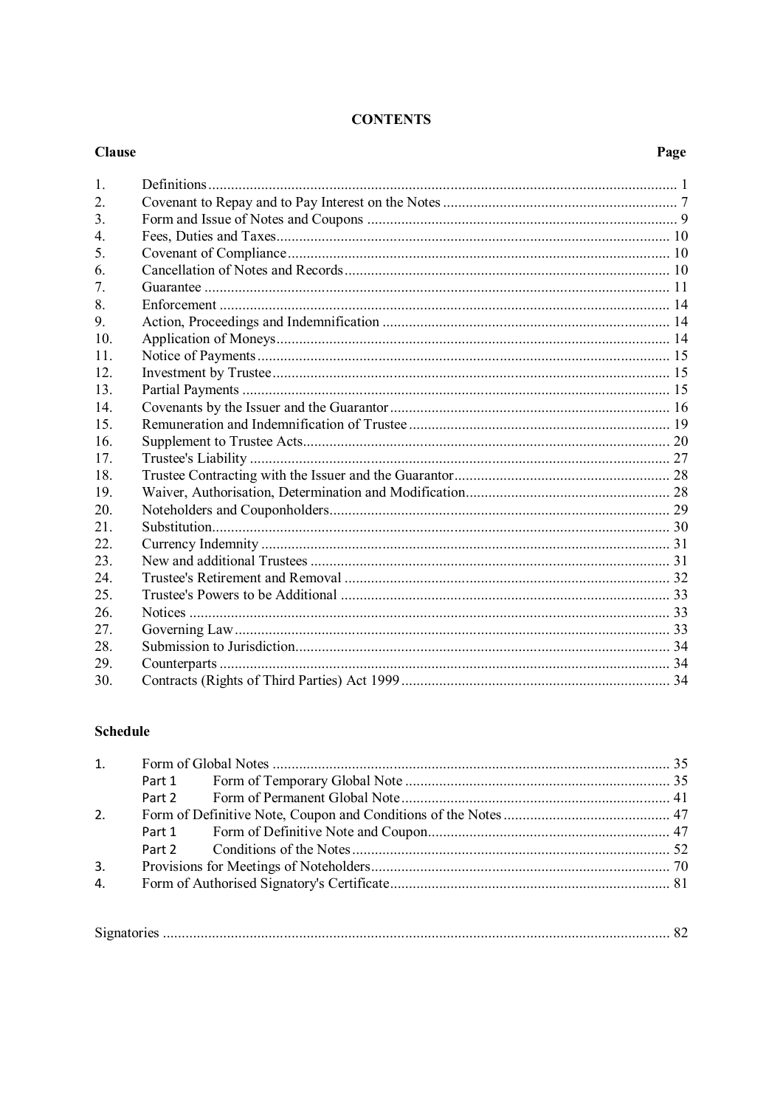# **CONTENTS**

#### **Clause**

# Page

| $\mathbf{1}$     |  |
|------------------|--|
| 2.               |  |
| 3.               |  |
| $\overline{4}$ . |  |
| 5                |  |
| 6.               |  |
| 7.               |  |
| 8.               |  |
| 9                |  |
| 10 <sub>l</sub>  |  |
| 11               |  |
| 12.              |  |
| 13.              |  |
| 14               |  |
| 15.              |  |
| 16.              |  |
| 17.              |  |
| 18.              |  |
| 19.              |  |
| 20.              |  |
| 21               |  |
| 22.              |  |
| 23.              |  |
| 24               |  |
| 25.              |  |
| 26.              |  |
| 27.              |  |
| 28.              |  |
| 29.              |  |
| 30.              |  |

# **Schedule**

|    | Part 1 |  |  |
|----|--------|--|--|
|    |        |  |  |
| 2. |        |  |  |
|    |        |  |  |
|    |        |  |  |
| 3. |        |  |  |
| 4. |        |  |  |
|    |        |  |  |

| $\sim$ |
|--------|
|--------|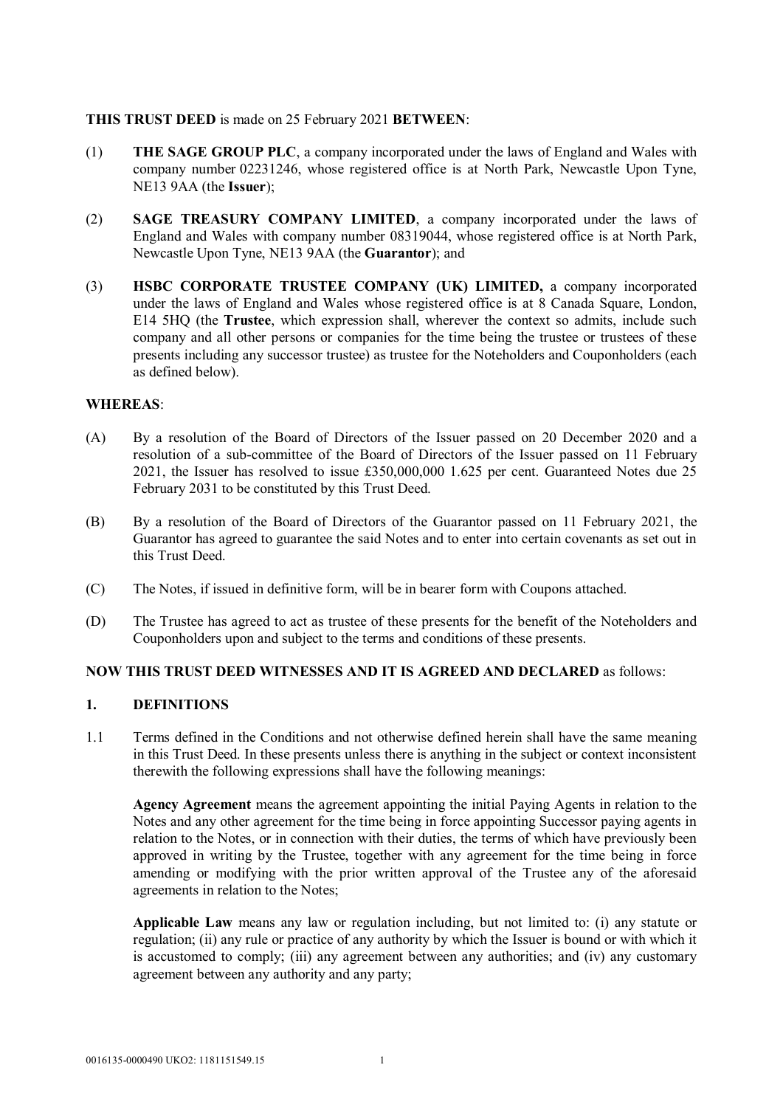# **THIS TRUST DEED** is made on 25 February 2021 **BETWEEN**:

- (1) **THE SAGE GROUP PLC**, a company incorporated under the laws of England and Wales with company number 02231246, whose registered office is at North Park, Newcastle Upon Tyne, NE13 9AA (the **Issuer**);
- (2) **SAGE TREASURY COMPANY LIMITED**, a company incorporated under the laws of England and Wales with company number 08319044, whose registered office is at North Park, Newcastle Upon Tyne, NE13 9AA (the **Guarantor**); and
- (3) **HSBC CORPORATE TRUSTEE COMPANY (UK) LIMITED,** a company incorporated under the laws of England and Wales whose registered office is at 8 Canada Square, London, E14 5HQ (the **Trustee**, which expression shall, wherever the context so admits, include such company and all other persons or companies for the time being the trustee or trustees of these presents including any successor trustee) as trustee for the Noteholders and Couponholders (each as defined below).

#### **WHEREAS**:

- (A) By a resolution of the Board of Directors of the Issuer passed on 20 December 2020 and a resolution of a sub-committee of the Board of Directors of the Issuer passed on 11 February 2021, the Issuer has resolved to issue £350,000,000 1.625 per cent. Guaranteed Notes due 25 February 2031 to be constituted by this Trust Deed.
- (B) By a resolution of the Board of Directors of the Guarantor passed on 11 February 2021, the Guarantor has agreed to guarantee the said Notes and to enter into certain covenants as set out in this Trust Deed.
- (C) The Notes, if issued in definitive form, will be in bearer form with Coupons attached.
- (D) The Trustee has agreed to act as trustee of these presents for the benefit of the Noteholders and Couponholders upon and subject to the terms and conditions of these presents.

#### **NOW THIS TRUST DEED WITNESSES AND IT IS AGREED AND DECLARED** as follows:

#### **1. DEFINITIONS**

1.1 Terms defined in the Conditions and not otherwise defined herein shall have the same meaning in this Trust Deed. In these presents unless there is anything in the subject or context inconsistent therewith the following expressions shall have the following meanings:

**Agency Agreement** means the agreement appointing the initial Paying Agents in relation to the Notes and any other agreement for the time being in force appointing Successor paying agents in relation to the Notes, or in connection with their duties, the terms of which have previously been approved in writing by the Trustee, together with any agreement for the time being in force amending or modifying with the prior written approval of the Trustee any of the aforesaid agreements in relation to the Notes;

**Applicable Law** means any law or regulation including, but not limited to: (i) any statute or regulation; (ii) any rule or practice of any authority by which the Issuer is bound or with which it is accustomed to comply; (iii) any agreement between any authorities; and (iv) any customary agreement between any authority and any party;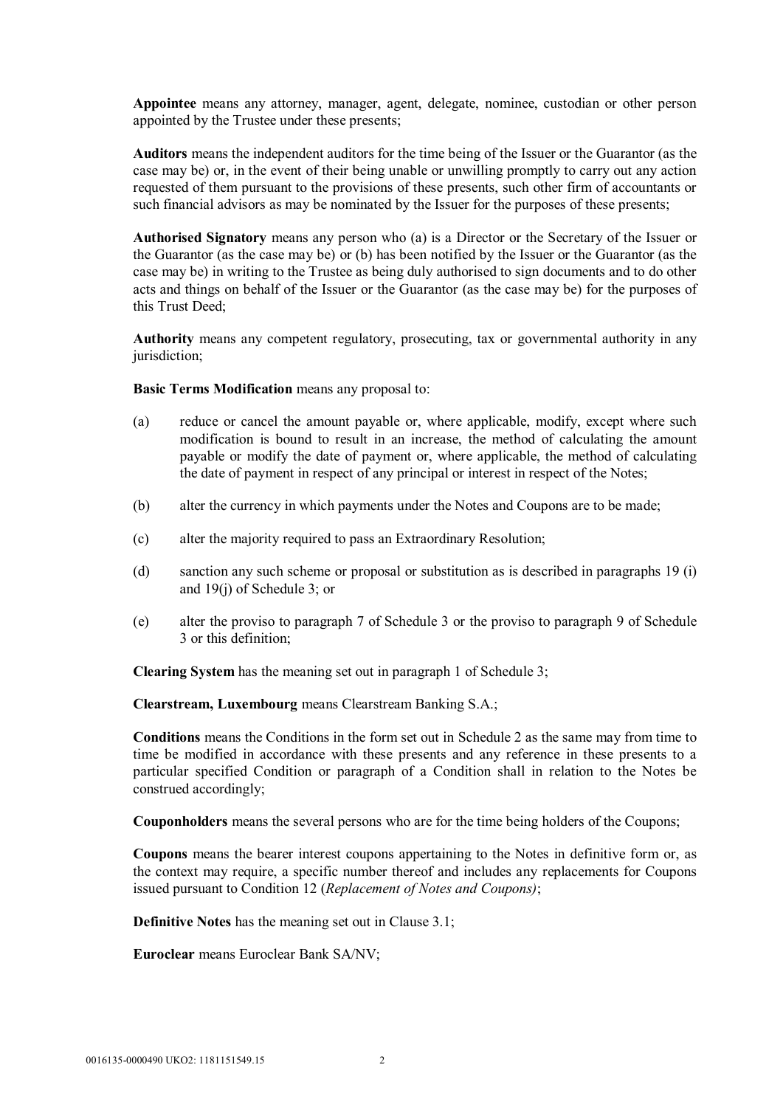**Appointee** means any attorney, manager, agent, delegate, nominee, custodian or other person appointed by the Trustee under these presents;

**Auditors** means the independent auditors for the time being of the Issuer or the Guarantor (as the case may be) or, in the event of their being unable or unwilling promptly to carry out any action requested of them pursuant to the provisions of these presents, such other firm of accountants or such financial advisors as may be nominated by the Issuer for the purposes of these presents;

**Authorised Signatory** means any person who (a) is a Director or the Secretary of the Issuer or the Guarantor (as the case may be) or (b) has been notified by the Issuer or the Guarantor (as the case may be) in writing to the Trustee as being duly authorised to sign documents and to do other acts and things on behalf of the Issuer or the Guarantor (as the case may be) for the purposes of this Trust Deed;

**Authority** means any competent regulatory, prosecuting, tax or governmental authority in any jurisdiction;

**Basic Terms Modification** means any proposal to:

- (a) reduce or cancel the amount payable or, where applicable, modify, except where such modification is bound to result in an increase, the method of calculating the amount payable or modify the date of payment or, where applicable, the method of calculating the date of payment in respect of any principal or interest in respect of the Notes;
- (b) alter the currency in which payments under the Notes and Coupons are to be made;
- (c) alter the majority required to pass an Extraordinary Resolution;
- (d) sanction any such scheme or proposal or substitution as is described in paragraphs 19 (i) and 19(j) of Schedule 3; or
- (e) alter the proviso to paragraph 7 of Schedule 3 or the proviso to paragraph 9 of Schedule 3 or this definition;

**Clearing System** has the meaning set out in paragraph 1 of Schedule 3;

**Clearstream, Luxembourg** means Clearstream Banking S.A.;

**Conditions** means the Conditions in the form set out in Schedule 2 as the same may from time to time be modified in accordance with these presents and any reference in these presents to a particular specified Condition or paragraph of a Condition shall in relation to the Notes be construed accordingly;

**Couponholders** means the several persons who are for the time being holders of the Coupons;

**Coupons** means the bearer interest coupons appertaining to the Notes in definitive form or, as the context may require, a specific number thereof and includes any replacements for Coupons issued pursuant to Condition 12 (*Replacement of Notes and Coupons)*;

**Definitive Notes** has the meaning set out in Clause 3.1;

**Euroclear** means Euroclear Bank SA/NV;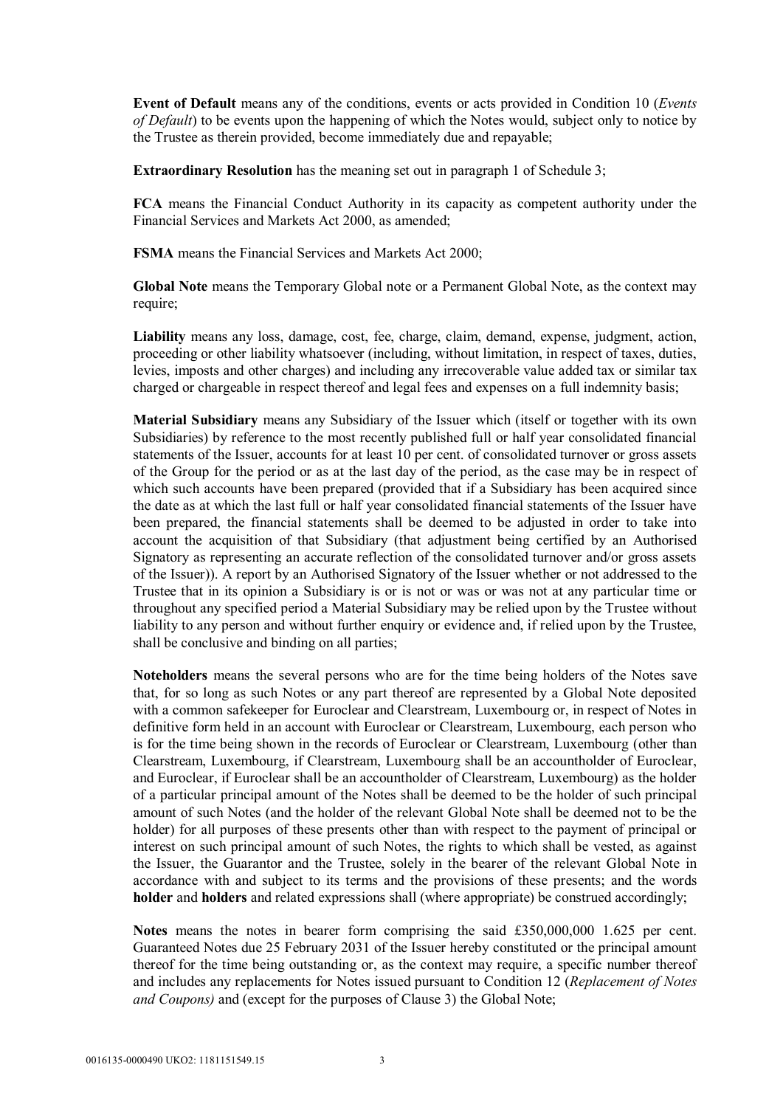**Event of Default** means any of the conditions, events or acts provided in Condition 10 (*Events of Default*) to be events upon the happening of which the Notes would, subject only to notice by the Trustee as therein provided, become immediately due and repayable;

**Extraordinary Resolution** has the meaning set out in paragraph 1 of Schedule 3;

**FCA** means the Financial Conduct Authority in its capacity as competent authority under the Financial Services and Markets Act 2000, as amended;

**FSMA** means the Financial Services and Markets Act 2000;

**Global Note** means the Temporary Global note or a Permanent Global Note, as the context may require;

**Liability** means any loss, damage, cost, fee, charge, claim, demand, expense, judgment, action, proceeding or other liability whatsoever (including, without limitation, in respect of taxes, duties, levies, imposts and other charges) and including any irrecoverable value added tax or similar tax charged or chargeable in respect thereof and legal fees and expenses on a full indemnity basis;

**Material Subsidiary** means any Subsidiary of the Issuer which (itself or together with its own Subsidiaries) by reference to the most recently published full or half year consolidated financial statements of the Issuer, accounts for at least 10 per cent. of consolidated turnover or gross assets of the Group for the period or as at the last day of the period, as the case may be in respect of which such accounts have been prepared (provided that if a Subsidiary has been acquired since the date as at which the last full or half year consolidated financial statements of the Issuer have been prepared, the financial statements shall be deemed to be adjusted in order to take into account the acquisition of that Subsidiary (that adjustment being certified by an Authorised Signatory as representing an accurate reflection of the consolidated turnover and/or gross assets of the Issuer)). A report by an Authorised Signatory of the Issuer whether or not addressed to the Trustee that in its opinion a Subsidiary is or is not or was or was not at any particular time or throughout any specified period a Material Subsidiary may be relied upon by the Trustee without liability to any person and without further enquiry or evidence and, if relied upon by the Trustee, shall be conclusive and binding on all parties;

**Noteholders** means the several persons who are for the time being holders of the Notes save that, for so long as such Notes or any part thereof are represented by a Global Note deposited with a common safekeeper for Euroclear and Clearstream, Luxembourg or, in respect of Notes in definitive form held in an account with Euroclear or Clearstream, Luxembourg, each person who is for the time being shown in the records of Euroclear or Clearstream, Luxembourg (other than Clearstream, Luxembourg, if Clearstream, Luxembourg shall be an accountholder of Euroclear, and Euroclear, if Euroclear shall be an accountholder of Clearstream, Luxembourg) as the holder of a particular principal amount of the Notes shall be deemed to be the holder of such principal amount of such Notes (and the holder of the relevant Global Note shall be deemed not to be the holder) for all purposes of these presents other than with respect to the payment of principal or interest on such principal amount of such Notes, the rights to which shall be vested, as against the Issuer, the Guarantor and the Trustee, solely in the bearer of the relevant Global Note in accordance with and subject to its terms and the provisions of these presents; and the words **holder** and **holders** and related expressions shall (where appropriate) be construed accordingly;

**Notes** means the notes in bearer form comprising the said £350,000,000 1.625 per cent. Guaranteed Notes due 25 February 2031 of the Issuer hereby constituted or the principal amount thereof for the time being outstanding or, as the context may require, a specific number thereof and includes any replacements for Notes issued pursuant to Condition 12 (*Replacement of Notes and Coupons)* and (except for the purposes of Clause 3) the Global Note;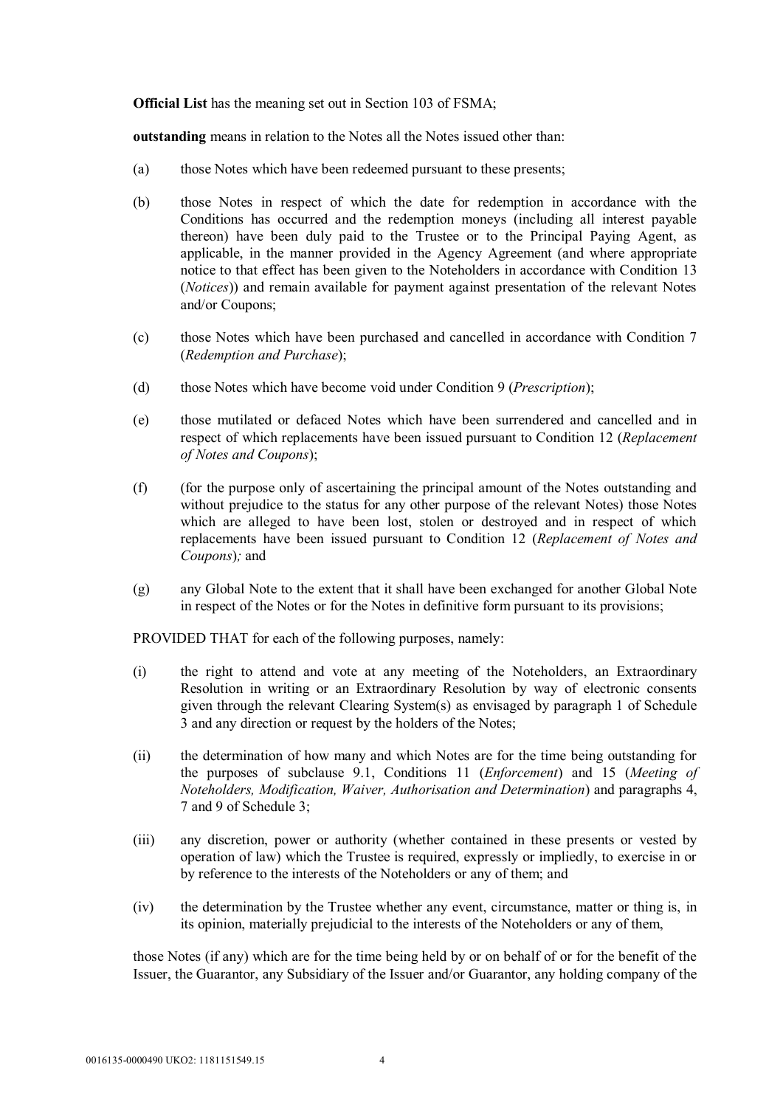**Official List** has the meaning set out in Section 103 of FSMA;

**outstanding** means in relation to the Notes all the Notes issued other than:

- (a) those Notes which have been redeemed pursuant to these presents;
- (b) those Notes in respect of which the date for redemption in accordance with the Conditions has occurred and the redemption moneys (including all interest payable thereon) have been duly paid to the Trustee or to the Principal Paying Agent, as applicable, in the manner provided in the Agency Agreement (and where appropriate notice to that effect has been given to the Noteholders in accordance with Condition 13 (*Notices*)) and remain available for payment against presentation of the relevant Notes and/or Coupons;
- (c) those Notes which have been purchased and cancelled in accordance with Condition 7 (*Redemption and Purchase*);
- (d) those Notes which have become void under Condition 9 (*Prescription*);
- (e) those mutilated or defaced Notes which have been surrendered and cancelled and in respect of which replacements have been issued pursuant to Condition 12 (*Replacement of Notes and Coupons*);
- (f) (for the purpose only of ascertaining the principal amount of the Notes outstanding and without prejudice to the status for any other purpose of the relevant Notes) those Notes which are alleged to have been lost, stolen or destroyed and in respect of which replacements have been issued pursuant to Condition 12 (*Replacement of Notes and Coupons*)*;* and
- (g) any Global Note to the extent that it shall have been exchanged for another Global Note in respect of the Notes or for the Notes in definitive form pursuant to its provisions;

PROVIDED THAT for each of the following purposes, namely:

- (i) the right to attend and vote at any meeting of the Noteholders, an Extraordinary Resolution in writing or an Extraordinary Resolution by way of electronic consents given through the relevant Clearing System(s) as envisaged by paragraph 1 of Schedule 3 and any direction or request by the holders of the Notes;
- (ii) the determination of how many and which Notes are for the time being outstanding for the purposes of subclause 9.1, Conditions 11 (*Enforcement*) and 15 (*Meeting of Noteholders, Modification, Waiver, Authorisation and Determination*) and paragraphs 4, 7 and 9 of Schedule 3;
- (iii) any discretion, power or authority (whether contained in these presents or vested by operation of law) which the Trustee is required, expressly or impliedly, to exercise in or by reference to the interests of the Noteholders or any of them; and
- (iv) the determination by the Trustee whether any event, circumstance, matter or thing is, in its opinion, materially prejudicial to the interests of the Noteholders or any of them,

those Notes (if any) which are for the time being held by or on behalf of or for the benefit of the Issuer, the Guarantor, any Subsidiary of the Issuer and/or Guarantor, any holding company of the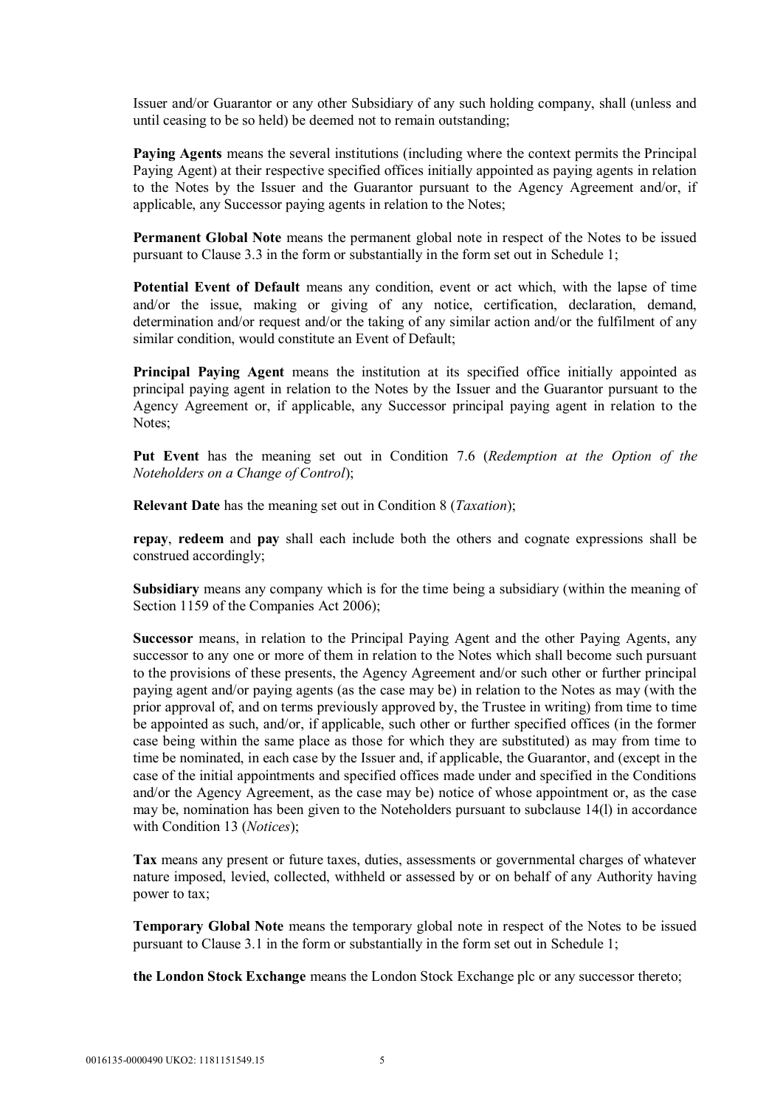Issuer and/or Guarantor or any other Subsidiary of any such holding company, shall (unless and until ceasing to be so held) be deemed not to remain outstanding;

**Paying Agents** means the several institutions (including where the context permits the Principal Paying Agent) at their respective specified offices initially appointed as paying agents in relation to the Notes by the Issuer and the Guarantor pursuant to the Agency Agreement and/or, if applicable, any Successor paying agents in relation to the Notes;

**Permanent Global Note** means the permanent global note in respect of the Notes to be issued pursuant to Clause 3.3 in the form or substantially in the form set out in Schedule 1;

**Potential Event of Default** means any condition, event or act which, with the lapse of time and/or the issue, making or giving of any notice, certification, declaration, demand, determination and/or request and/or the taking of any similar action and/or the fulfilment of any similar condition, would constitute an Event of Default;

**Principal Paying Agent** means the institution at its specified office initially appointed as principal paying agent in relation to the Notes by the Issuer and the Guarantor pursuant to the Agency Agreement or, if applicable, any Successor principal paying agent in relation to the Notes;

**Put Event** has the meaning set out in Condition 7.6 (*Redemption at the Option of the Noteholders on a Change of Control*);

**Relevant Date** has the meaning set out in Condition 8 (*Taxation*);

**repay**, **redeem** and **pay** shall each include both the others and cognate expressions shall be construed accordingly;

**Subsidiary** means any company which is for the time being a subsidiary (within the meaning of Section 1159 of the Companies Act 2006);

**Successor** means, in relation to the Principal Paying Agent and the other Paying Agents, any successor to any one or more of them in relation to the Notes which shall become such pursuant to the provisions of these presents, the Agency Agreement and/or such other or further principal paying agent and/or paying agents (as the case may be) in relation to the Notes as may (with the prior approval of, and on terms previously approved by, the Trustee in writing) from time to time be appointed as such, and/or, if applicable, such other or further specified offices (in the former case being within the same place as those for which they are substituted) as may from time to time be nominated, in each case by the Issuer and, if applicable, the Guarantor, and (except in the case of the initial appointments and specified offices made under and specified in the Conditions and/or the Agency Agreement, as the case may be) notice of whose appointment or, as the case may be, nomination has been given to the Noteholders pursuant to subclause 14(l) in accordance with Condition 13 (*Notices*);

**Tax** means any present or future taxes, duties, assessments or governmental charges of whatever nature imposed, levied, collected, withheld or assessed by or on behalf of any Authority having power to tax;

**Temporary Global Note** means the temporary global note in respect of the Notes to be issued pursuant to Clause 3.1 in the form or substantially in the form set out in Schedule 1;

**the London Stock Exchange** means the London Stock Exchange plc or any successor thereto;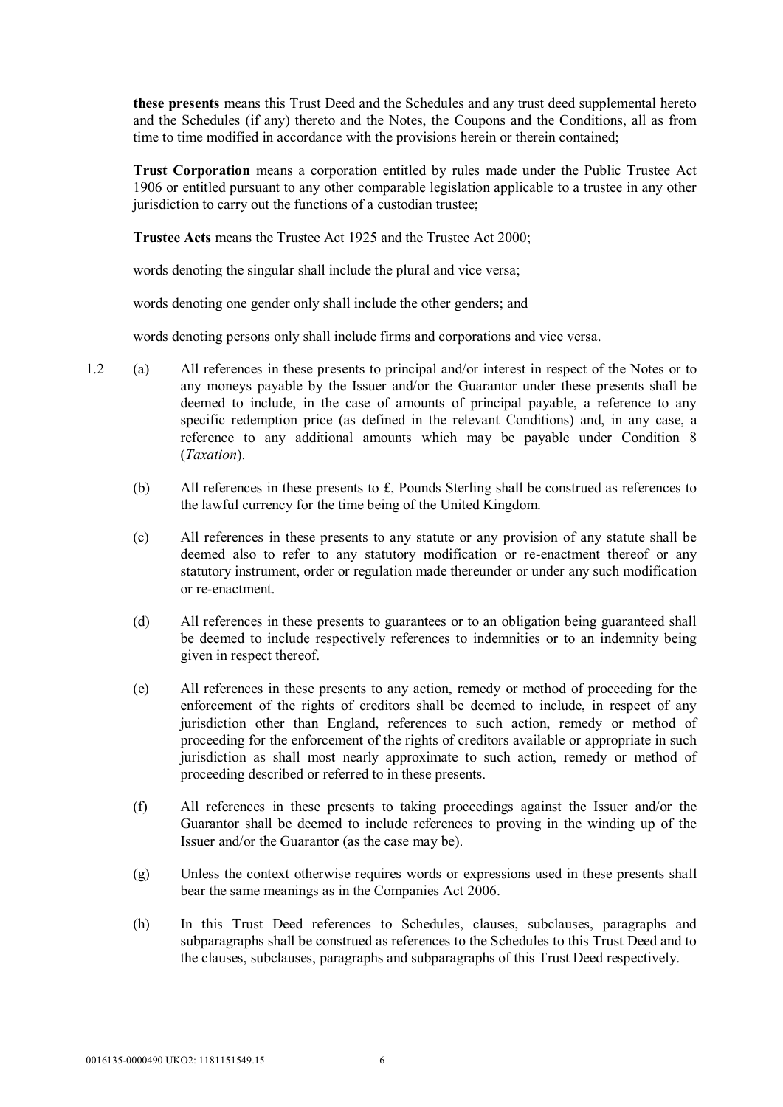**these presents** means this Trust Deed and the Schedules and any trust deed supplemental hereto and the Schedules (if any) thereto and the Notes, the Coupons and the Conditions, all as from time to time modified in accordance with the provisions herein or therein contained;

**Trust Corporation** means a corporation entitled by rules made under the Public Trustee Act 1906 or entitled pursuant to any other comparable legislation applicable to a trustee in any other jurisdiction to carry out the functions of a custodian trustee;

**Trustee Acts** means the Trustee Act 1925 and the Trustee Act 2000;

words denoting the singular shall include the plural and vice versa;

words denoting one gender only shall include the other genders; and

words denoting persons only shall include firms and corporations and vice versa.

- 1.2 (a) All references in these presents to principal and/or interest in respect of the Notes or to any moneys payable by the Issuer and/or the Guarantor under these presents shall be deemed to include, in the case of amounts of principal payable, a reference to any specific redemption price (as defined in the relevant Conditions) and, in any case, a reference to any additional amounts which may be payable under Condition 8 (*Taxation*).
	- (b) All references in these presents to £, Pounds Sterling shall be construed as references to the lawful currency for the time being of the United Kingdom.
	- (c) All references in these presents to any statute or any provision of any statute shall be deemed also to refer to any statutory modification or re-enactment thereof or any statutory instrument, order or regulation made thereunder or under any such modification or re-enactment.
	- (d) All references in these presents to guarantees or to an obligation being guaranteed shall be deemed to include respectively references to indemnities or to an indemnity being given in respect thereof.
	- (e) All references in these presents to any action, remedy or method of proceeding for the enforcement of the rights of creditors shall be deemed to include, in respect of any jurisdiction other than England, references to such action, remedy or method of proceeding for the enforcement of the rights of creditors available or appropriate in such jurisdiction as shall most nearly approximate to such action, remedy or method of proceeding described or referred to in these presents.
	- (f) All references in these presents to taking proceedings against the Issuer and/or the Guarantor shall be deemed to include references to proving in the winding up of the Issuer and/or the Guarantor (as the case may be).
	- (g) Unless the context otherwise requires words or expressions used in these presents shall bear the same meanings as in the Companies Act 2006.
	- (h) In this Trust Deed references to Schedules, clauses, subclauses, paragraphs and subparagraphs shall be construed as references to the Schedules to this Trust Deed and to the clauses, subclauses, paragraphs and subparagraphs of this Trust Deed respectively.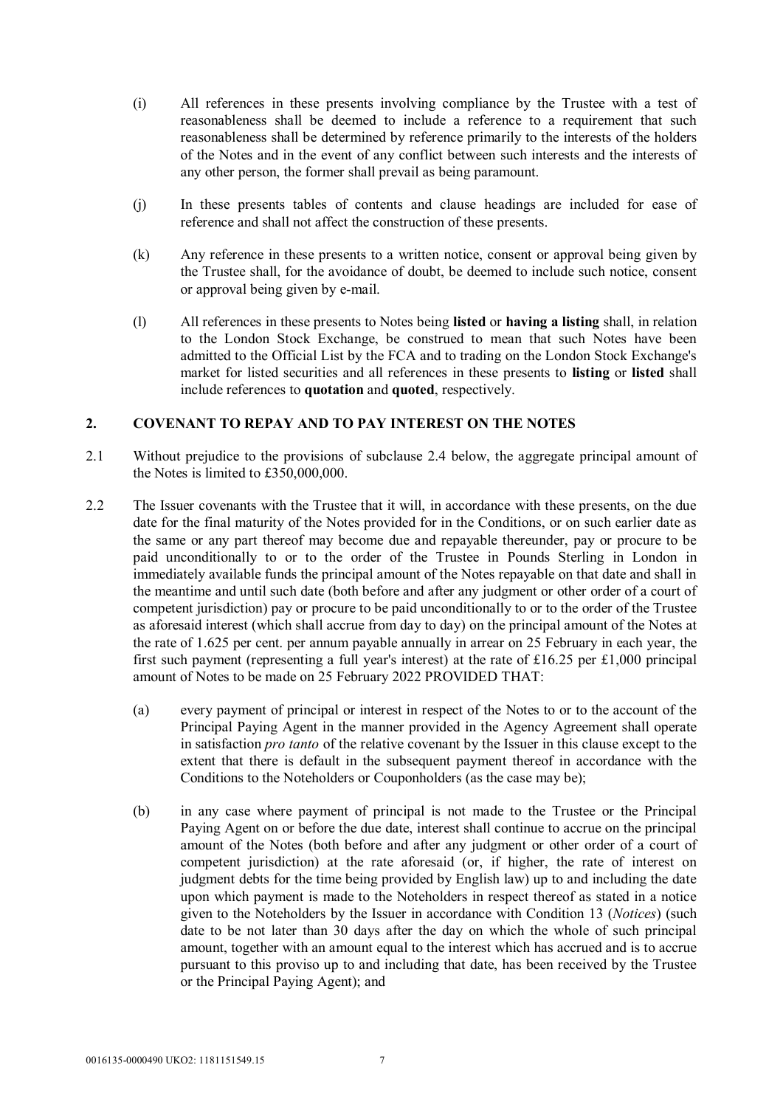- (i) All references in these presents involving compliance by the Trustee with a test of reasonableness shall be deemed to include a reference to a requirement that such reasonableness shall be determined by reference primarily to the interests of the holders of the Notes and in the event of any conflict between such interests and the interests of any other person, the former shall prevail as being paramount.
- (j) In these presents tables of contents and clause headings are included for ease of reference and shall not affect the construction of these presents.
- (k) Any reference in these presents to a written notice, consent or approval being given by the Trustee shall, for the avoidance of doubt, be deemed to include such notice, consent or approval being given by e-mail.
- (l) All references in these presents to Notes being **listed** or **having a listing** shall, in relation to the London Stock Exchange, be construed to mean that such Notes have been admitted to the Official List by the FCA and to trading on the London Stock Exchange's market for listed securities and all references in these presents to **listing** or **listed** shall include references to **quotation** and **quoted**, respectively.

# **2. COVENANT TO REPAY AND TO PAY INTEREST ON THE NOTES**

- 2.1 Without prejudice to the provisions of subclause 2.4 below, the aggregate principal amount of the Notes is limited to £350,000,000.
- 2.2 The Issuer covenants with the Trustee that it will, in accordance with these presents, on the due date for the final maturity of the Notes provided for in the Conditions, or on such earlier date as the same or any part thereof may become due and repayable thereunder, pay or procure to be paid unconditionally to or to the order of the Trustee in Pounds Sterling in London in immediately available funds the principal amount of the Notes repayable on that date and shall in the meantime and until such date (both before and after any judgment or other order of a court of competent jurisdiction) pay or procure to be paid unconditionally to or to the order of the Trustee as aforesaid interest (which shall accrue from day to day) on the principal amount of the Notes at the rate of 1.625 per cent. per annum payable annually in arrear on 25 February in each year, the first such payment (representing a full year's interest) at the rate of £16.25 per £1,000 principal amount of Notes to be made on 25 February 2022 PROVIDED THAT:
	- (a) every payment of principal or interest in respect of the Notes to or to the account of the Principal Paying Agent in the manner provided in the Agency Agreement shall operate in satisfaction *pro tanto* of the relative covenant by the Issuer in this clause except to the extent that there is default in the subsequent payment thereof in accordance with the Conditions to the Noteholders or Couponholders (as the case may be);
	- (b) in any case where payment of principal is not made to the Trustee or the Principal Paying Agent on or before the due date, interest shall continue to accrue on the principal amount of the Notes (both before and after any judgment or other order of a court of competent jurisdiction) at the rate aforesaid (or, if higher, the rate of interest on judgment debts for the time being provided by English law) up to and including the date upon which payment is made to the Noteholders in respect thereof as stated in a notice given to the Noteholders by the Issuer in accordance with Condition 13 (*Notices*) (such date to be not later than 30 days after the day on which the whole of such principal amount, together with an amount equal to the interest which has accrued and is to accrue pursuant to this proviso up to and including that date, has been received by the Trustee or the Principal Paying Agent); and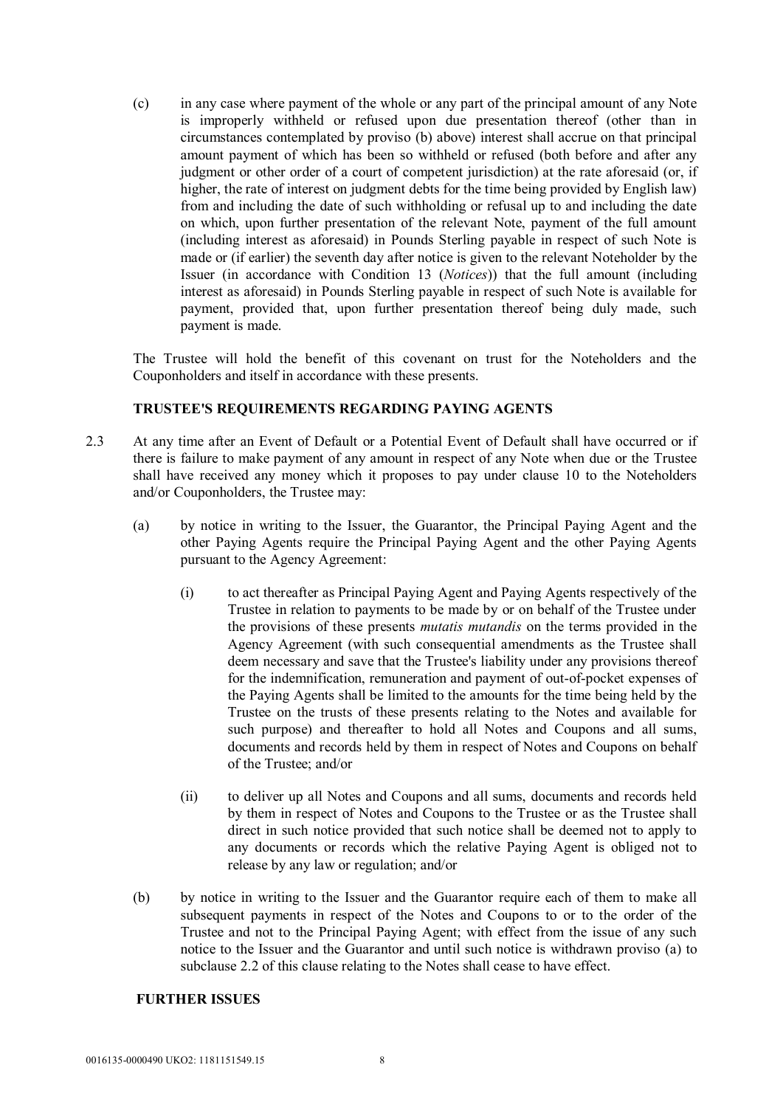(c) in any case where payment of the whole or any part of the principal amount of any Note is improperly withheld or refused upon due presentation thereof (other than in circumstances contemplated by proviso (b) above) interest shall accrue on that principal amount payment of which has been so withheld or refused (both before and after any judgment or other order of a court of competent jurisdiction) at the rate aforesaid (or, if higher, the rate of interest on judgment debts for the time being provided by English law) from and including the date of such withholding or refusal up to and including the date on which, upon further presentation of the relevant Note, payment of the full amount (including interest as aforesaid) in Pounds Sterling payable in respect of such Note is made or (if earlier) the seventh day after notice is given to the relevant Noteholder by the Issuer (in accordance with Condition 13 (*Notices*)) that the full amount (including interest as aforesaid) in Pounds Sterling payable in respect of such Note is available for payment, provided that, upon further presentation thereof being duly made, such payment is made.

The Trustee will hold the benefit of this covenant on trust for the Noteholders and the Couponholders and itself in accordance with these presents.

# **TRUSTEE'S REQUIREMENTS REGARDING PAYING AGENTS**

- 2.3 At any time after an Event of Default or a Potential Event of Default shall have occurred or if there is failure to make payment of any amount in respect of any Note when due or the Trustee shall have received any money which it proposes to pay under clause 10 to the Noteholders and/or Couponholders, the Trustee may:
	- (a) by notice in writing to the Issuer, the Guarantor, the Principal Paying Agent and the other Paying Agents require the Principal Paying Agent and the other Paying Agents pursuant to the Agency Agreement:
		- (i) to act thereafter as Principal Paying Agent and Paying Agents respectively of the Trustee in relation to payments to be made by or on behalf of the Trustee under the provisions of these presents *mutatis mutandis* on the terms provided in the Agency Agreement (with such consequential amendments as the Trustee shall deem necessary and save that the Trustee's liability under any provisions thereof for the indemnification, remuneration and payment of out-of-pocket expenses of the Paying Agents shall be limited to the amounts for the time being held by the Trustee on the trusts of these presents relating to the Notes and available for such purpose) and thereafter to hold all Notes and Coupons and all sums, documents and records held by them in respect of Notes and Coupons on behalf of the Trustee; and/or
		- (ii) to deliver up all Notes and Coupons and all sums, documents and records held by them in respect of Notes and Coupons to the Trustee or as the Trustee shall direct in such notice provided that such notice shall be deemed not to apply to any documents or records which the relative Paying Agent is obliged not to release by any law or regulation; and/or
	- (b) by notice in writing to the Issuer and the Guarantor require each of them to make all subsequent payments in respect of the Notes and Coupons to or to the order of the Trustee and not to the Principal Paying Agent; with effect from the issue of any such notice to the Issuer and the Guarantor and until such notice is withdrawn proviso (a) to subclause 2.2 of this clause relating to the Notes shall cease to have effect.

#### **FURTHER ISSUES**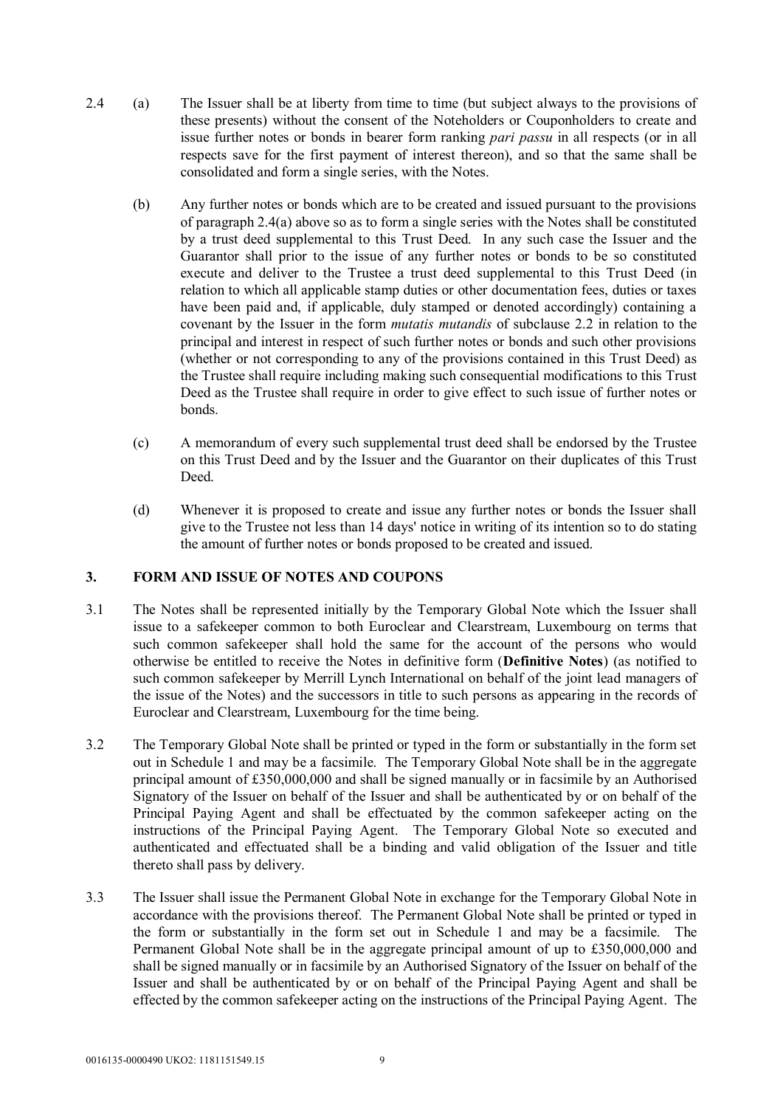- 2.4 (a) The Issuer shall be at liberty from time to time (but subject always to the provisions of these presents) without the consent of the Noteholders or Couponholders to create and issue further notes or bonds in bearer form ranking *pari passu* in all respects (or in all respects save for the first payment of interest thereon), and so that the same shall be consolidated and form a single series, with the Notes.
	- (b) Any further notes or bonds which are to be created and issued pursuant to the provisions of paragraph 2.4(a) above so as to form a single series with the Notes shall be constituted by a trust deed supplemental to this Trust Deed. In any such case the Issuer and the Guarantor shall prior to the issue of any further notes or bonds to be so constituted execute and deliver to the Trustee a trust deed supplemental to this Trust Deed (in relation to which all applicable stamp duties or other documentation fees, duties or taxes have been paid and, if applicable, duly stamped or denoted accordingly) containing a covenant by the Issuer in the form *mutatis mutandis* of subclause 2.2 in relation to the principal and interest in respect of such further notes or bonds and such other provisions (whether or not corresponding to any of the provisions contained in this Trust Deed) as the Trustee shall require including making such consequential modifications to this Trust Deed as the Trustee shall require in order to give effect to such issue of further notes or bonds.
	- (c) A memorandum of every such supplemental trust deed shall be endorsed by the Trustee on this Trust Deed and by the Issuer and the Guarantor on their duplicates of this Trust Deed.
	- (d) Whenever it is proposed to create and issue any further notes or bonds the Issuer shall give to the Trustee not less than 14 days' notice in writing of its intention so to do stating the amount of further notes or bonds proposed to be created and issued.

# **3. FORM AND ISSUE OF NOTES AND COUPONS**

- 3.1 The Notes shall be represented initially by the Temporary Global Note which the Issuer shall issue to a safekeeper common to both Euroclear and Clearstream, Luxembourg on terms that such common safekeeper shall hold the same for the account of the persons who would otherwise be entitled to receive the Notes in definitive form (**Definitive Notes**) (as notified to such common safekeeper by Merrill Lynch International on behalf of the joint lead managers of the issue of the Notes) and the successors in title to such persons as appearing in the records of Euroclear and Clearstream, Luxembourg for the time being.
- 3.2 The Temporary Global Note shall be printed or typed in the form or substantially in the form set out in Schedule 1 and may be a facsimile. The Temporary Global Note shall be in the aggregate principal amount of £350,000,000 and shall be signed manually or in facsimile by an Authorised Signatory of the Issuer on behalf of the Issuer and shall be authenticated by or on behalf of the Principal Paying Agent and shall be effectuated by the common safekeeper acting on the instructions of the Principal Paying Agent. The Temporary Global Note so executed and authenticated and effectuated shall be a binding and valid obligation of the Issuer and title thereto shall pass by delivery.
- 3.3 The Issuer shall issue the Permanent Global Note in exchange for the Temporary Global Note in accordance with the provisions thereof. The Permanent Global Note shall be printed or typed in the form or substantially in the form set out in Schedule 1 and may be a facsimile. The Permanent Global Note shall be in the aggregate principal amount of up to £350,000,000 and shall be signed manually or in facsimile by an Authorised Signatory of the Issuer on behalf of the Issuer and shall be authenticated by or on behalf of the Principal Paying Agent and shall be effected by the common safekeeper acting on the instructions of the Principal Paying Agent. The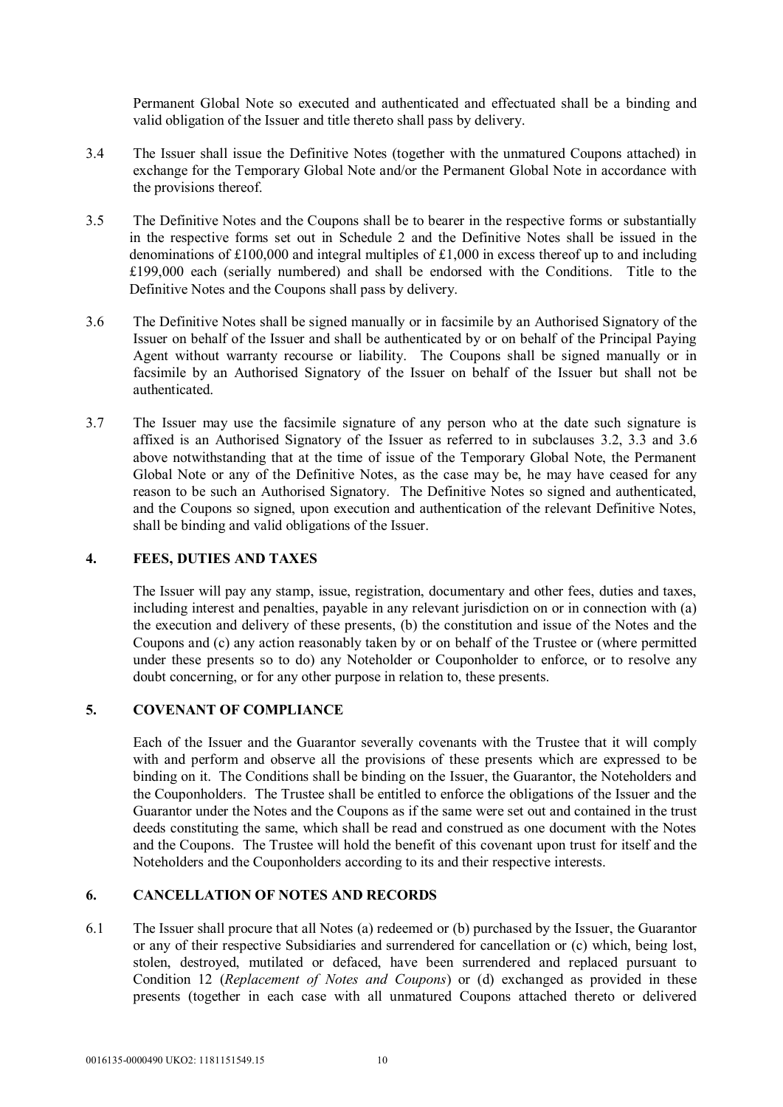Permanent Global Note so executed and authenticated and effectuated shall be a binding and valid obligation of the Issuer and title thereto shall pass by delivery.

- 3.4 The Issuer shall issue the Definitive Notes (together with the unmatured Coupons attached) in exchange for the Temporary Global Note and/or the Permanent Global Note in accordance with the provisions thereof.
- 3.5 The Definitive Notes and the Coupons shall be to bearer in the respective forms or substantially in the respective forms set out in Schedule 2 and the Definitive Notes shall be issued in the denominations of £100,000 and integral multiples of £1,000 in excess thereof up to and including £199,000 each (serially numbered) and shall be endorsed with the Conditions. Title to the Definitive Notes and the Coupons shall pass by delivery.
- 3.6 The Definitive Notes shall be signed manually or in facsimile by an Authorised Signatory of the Issuer on behalf of the Issuer and shall be authenticated by or on behalf of the Principal Paying Agent without warranty recourse or liability. The Coupons shall be signed manually or in facsimile by an Authorised Signatory of the Issuer on behalf of the Issuer but shall not be authenticated.
- 3.7 The Issuer may use the facsimile signature of any person who at the date such signature is affixed is an Authorised Signatory of the Issuer as referred to in subclauses 3.2, 3.3 and 3.6 above notwithstanding that at the time of issue of the Temporary Global Note, the Permanent Global Note or any of the Definitive Notes, as the case may be, he may have ceased for any reason to be such an Authorised Signatory. The Definitive Notes so signed and authenticated, and the Coupons so signed, upon execution and authentication of the relevant Definitive Notes, shall be binding and valid obligations of the Issuer.

# **4. FEES, DUTIES AND TAXES**

The Issuer will pay any stamp, issue, registration, documentary and other fees, duties and taxes, including interest and penalties, payable in any relevant jurisdiction on or in connection with (a) the execution and delivery of these presents, (b) the constitution and issue of the Notes and the Coupons and (c) any action reasonably taken by or on behalf of the Trustee or (where permitted under these presents so to do) any Noteholder or Couponholder to enforce, or to resolve any doubt concerning, or for any other purpose in relation to, these presents.

#### **5. COVENANT OF COMPLIANCE**

Each of the Issuer and the Guarantor severally covenants with the Trustee that it will comply with and perform and observe all the provisions of these presents which are expressed to be binding on it. The Conditions shall be binding on the Issuer, the Guarantor, the Noteholders and the Couponholders. The Trustee shall be entitled to enforce the obligations of the Issuer and the Guarantor under the Notes and the Coupons as if the same were set out and contained in the trust deeds constituting the same, which shall be read and construed as one document with the Notes and the Coupons. The Trustee will hold the benefit of this covenant upon trust for itself and the Noteholders and the Couponholders according to its and their respective interests.

# **6. CANCELLATION OF NOTES AND RECORDS**

6.1 The Issuer shall procure that all Notes (a) redeemed or (b) purchased by the Issuer, the Guarantor or any of their respective Subsidiaries and surrendered for cancellation or (c) which, being lost, stolen, destroyed, mutilated or defaced, have been surrendered and replaced pursuant to Condition 12 (*Replacement of Notes and Coupons*) or (d) exchanged as provided in these presents (together in each case with all unmatured Coupons attached thereto or delivered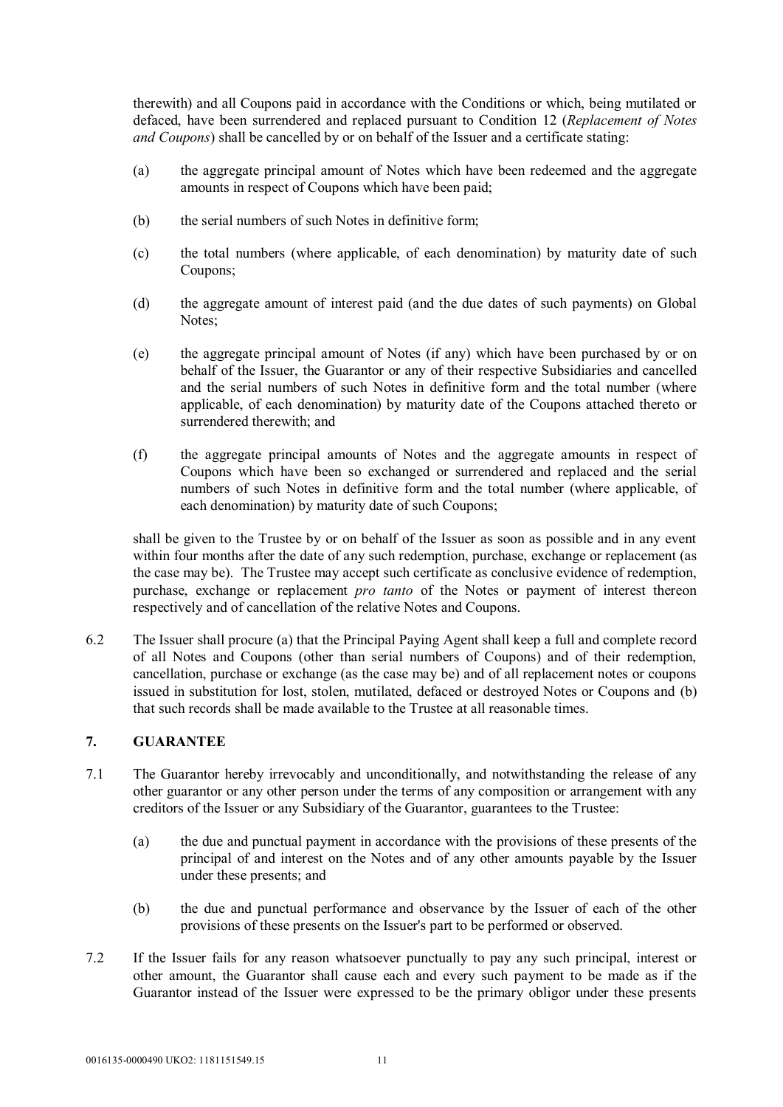therewith) and all Coupons paid in accordance with the Conditions or which, being mutilated or defaced, have been surrendered and replaced pursuant to Condition 12 (*Replacement of Notes and Coupons*) shall be cancelled by or on behalf of the Issuer and a certificate stating:

- (a) the aggregate principal amount of Notes which have been redeemed and the aggregate amounts in respect of Coupons which have been paid;
- (b) the serial numbers of such Notes in definitive form;
- (c) the total numbers (where applicable, of each denomination) by maturity date of such Coupons;
- (d) the aggregate amount of interest paid (and the due dates of such payments) on Global Notes;
- (e) the aggregate principal amount of Notes (if any) which have been purchased by or on behalf of the Issuer, the Guarantor or any of their respective Subsidiaries and cancelled and the serial numbers of such Notes in definitive form and the total number (where applicable, of each denomination) by maturity date of the Coupons attached thereto or surrendered therewith; and
- (f) the aggregate principal amounts of Notes and the aggregate amounts in respect of Coupons which have been so exchanged or surrendered and replaced and the serial numbers of such Notes in definitive form and the total number (where applicable, of each denomination) by maturity date of such Coupons;

shall be given to the Trustee by or on behalf of the Issuer as soon as possible and in any event within four months after the date of any such redemption, purchase, exchange or replacement (as the case may be). The Trustee may accept such certificate as conclusive evidence of redemption, purchase, exchange or replacement *pro tanto* of the Notes or payment of interest thereon respectively and of cancellation of the relative Notes and Coupons.

6.2 The Issuer shall procure (a) that the Principal Paying Agent shall keep a full and complete record of all Notes and Coupons (other than serial numbers of Coupons) and of their redemption, cancellation, purchase or exchange (as the case may be) and of all replacement notes or coupons issued in substitution for lost, stolen, mutilated, defaced or destroyed Notes or Coupons and (b) that such records shall be made available to the Trustee at all reasonable times.

# **7. GUARANTEE**

- 7.1 The Guarantor hereby irrevocably and unconditionally, and notwithstanding the release of any other guarantor or any other person under the terms of any composition or arrangement with any creditors of the Issuer or any Subsidiary of the Guarantor, guarantees to the Trustee:
	- (a) the due and punctual payment in accordance with the provisions of these presents of the principal of and interest on the Notes and of any other amounts payable by the Issuer under these presents; and
	- (b) the due and punctual performance and observance by the Issuer of each of the other provisions of these presents on the Issuer's part to be performed or observed.
- 7.2 If the Issuer fails for any reason whatsoever punctually to pay any such principal, interest or other amount, the Guarantor shall cause each and every such payment to be made as if the Guarantor instead of the Issuer were expressed to be the primary obligor under these presents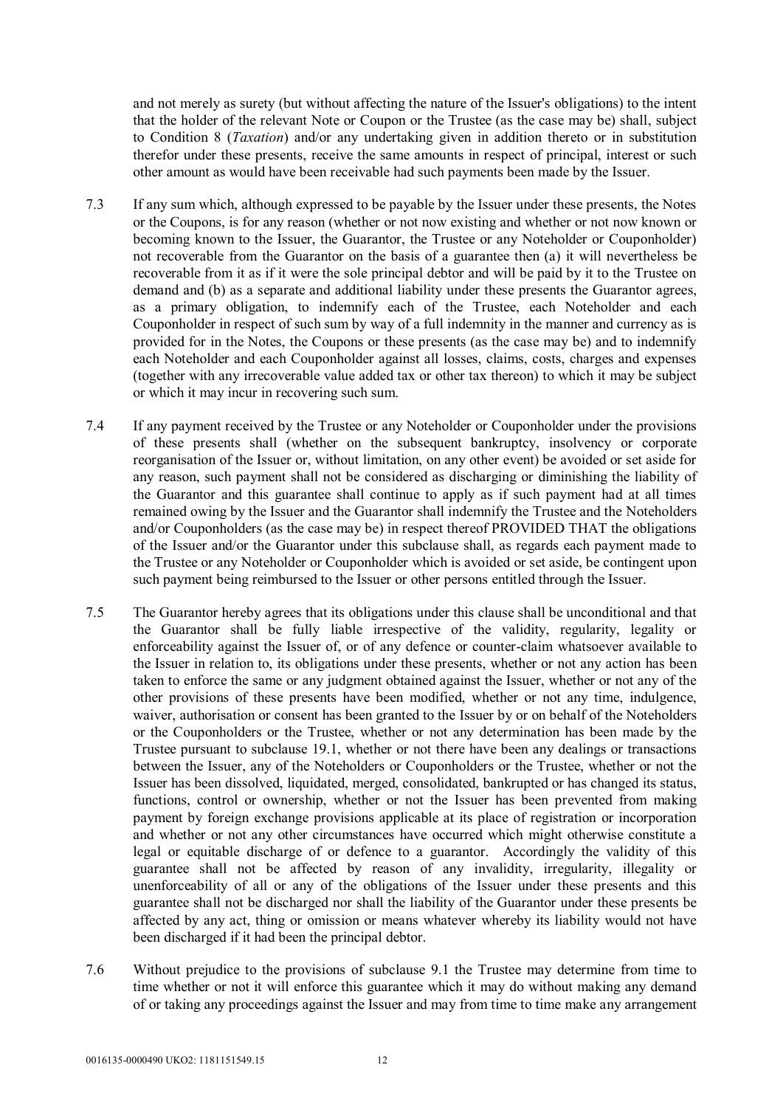and not merely as surety (but without affecting the nature of the Issuer's obligations) to the intent that the holder of the relevant Note or Coupon or the Trustee (as the case may be) shall, subject to Condition 8 (*Taxation*) and/or any undertaking given in addition thereto or in substitution therefor under these presents, receive the same amounts in respect of principal, interest or such other amount as would have been receivable had such payments been made by the Issuer.

- 7.3 If any sum which, although expressed to be payable by the Issuer under these presents, the Notes or the Coupons, is for any reason (whether or not now existing and whether or not now known or becoming known to the Issuer, the Guarantor, the Trustee or any Noteholder or Couponholder) not recoverable from the Guarantor on the basis of a guarantee then (a) it will nevertheless be recoverable from it as if it were the sole principal debtor and will be paid by it to the Trustee on demand and (b) as a separate and additional liability under these presents the Guarantor agrees, as a primary obligation, to indemnify each of the Trustee, each Noteholder and each Couponholder in respect of such sum by way of a full indemnity in the manner and currency as is provided for in the Notes, the Coupons or these presents (as the case may be) and to indemnify each Noteholder and each Couponholder against all losses, claims, costs, charges and expenses (together with any irrecoverable value added tax or other tax thereon) to which it may be subject or which it may incur in recovering such sum.
- 7.4 If any payment received by the Trustee or any Noteholder or Couponholder under the provisions of these presents shall (whether on the subsequent bankruptcy, insolvency or corporate reorganisation of the Issuer or, without limitation, on any other event) be avoided or set aside for any reason, such payment shall not be considered as discharging or diminishing the liability of the Guarantor and this guarantee shall continue to apply as if such payment had at all times remained owing by the Issuer and the Guarantor shall indemnify the Trustee and the Noteholders and/or Couponholders (as the case may be) in respect thereof PROVIDED THAT the obligations of the Issuer and/or the Guarantor under this subclause shall, as regards each payment made to the Trustee or any Noteholder or Couponholder which is avoided or set aside, be contingent upon such payment being reimbursed to the Issuer or other persons entitled through the Issuer.
- 7.5 The Guarantor hereby agrees that its obligations under this clause shall be unconditional and that the Guarantor shall be fully liable irrespective of the validity, regularity, legality or enforceability against the Issuer of, or of any defence or counter-claim whatsoever available to the Issuer in relation to, its obligations under these presents, whether or not any action has been taken to enforce the same or any judgment obtained against the Issuer, whether or not any of the other provisions of these presents have been modified, whether or not any time, indulgence, waiver, authorisation or consent has been granted to the Issuer by or on behalf of the Noteholders or the Couponholders or the Trustee, whether or not any determination has been made by the Trustee pursuant to subclause 19.1, whether or not there have been any dealings or transactions between the Issuer, any of the Noteholders or Couponholders or the Trustee, whether or not the Issuer has been dissolved, liquidated, merged, consolidated, bankrupted or has changed its status, functions, control or ownership, whether or not the Issuer has been prevented from making payment by foreign exchange provisions applicable at its place of registration or incorporation and whether or not any other circumstances have occurred which might otherwise constitute a legal or equitable discharge of or defence to a guarantor. Accordingly the validity of this guarantee shall not be affected by reason of any invalidity, irregularity, illegality or unenforceability of all or any of the obligations of the Issuer under these presents and this guarantee shall not be discharged nor shall the liability of the Guarantor under these presents be affected by any act, thing or omission or means whatever whereby its liability would not have been discharged if it had been the principal debtor.
- 7.6 Without prejudice to the provisions of subclause 9.1 the Trustee may determine from time to time whether or not it will enforce this guarantee which it may do without making any demand of or taking any proceedings against the Issuer and may from time to time make any arrangement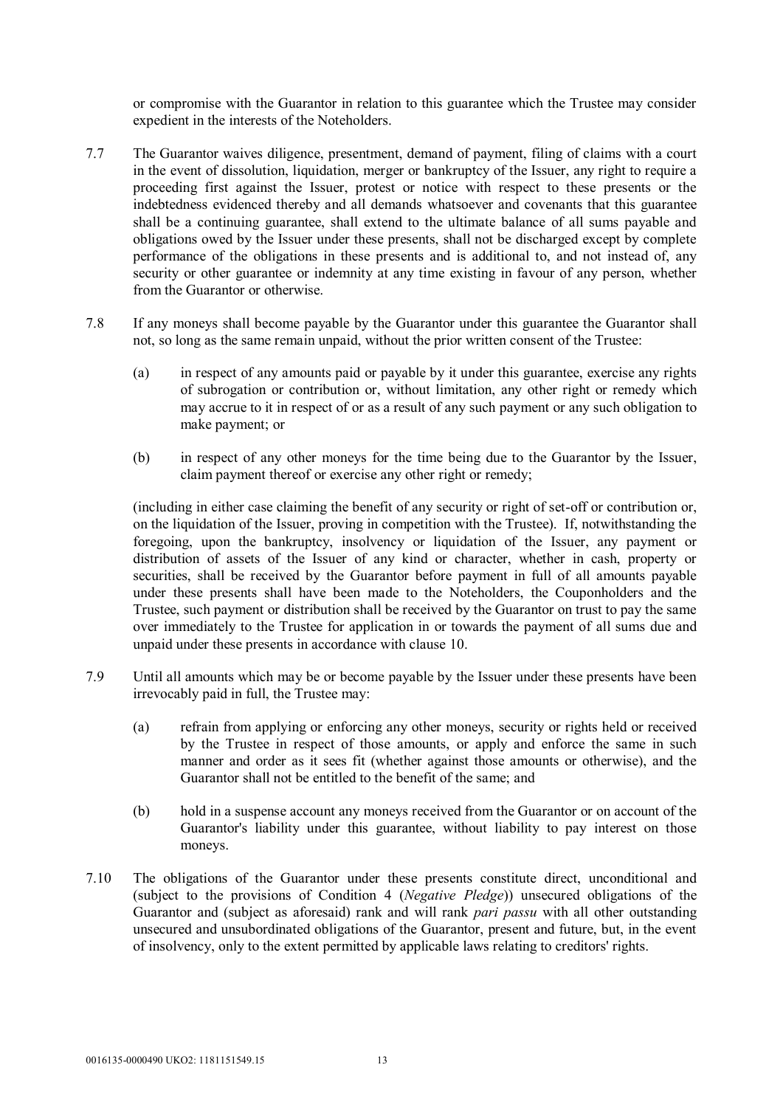or compromise with the Guarantor in relation to this guarantee which the Trustee may consider expedient in the interests of the Noteholders.

- 7.7 The Guarantor waives diligence, presentment, demand of payment, filing of claims with a court in the event of dissolution, liquidation, merger or bankruptcy of the Issuer, any right to require a proceeding first against the Issuer, protest or notice with respect to these presents or the indebtedness evidenced thereby and all demands whatsoever and covenants that this guarantee shall be a continuing guarantee, shall extend to the ultimate balance of all sums payable and obligations owed by the Issuer under these presents, shall not be discharged except by complete performance of the obligations in these presents and is additional to, and not instead of, any security or other guarantee or indemnity at any time existing in favour of any person, whether from the Guarantor or otherwise.
- 7.8 If any moneys shall become payable by the Guarantor under this guarantee the Guarantor shall not, so long as the same remain unpaid, without the prior written consent of the Trustee:
	- (a) in respect of any amounts paid or payable by it under this guarantee, exercise any rights of subrogation or contribution or, without limitation, any other right or remedy which may accrue to it in respect of or as a result of any such payment or any such obligation to make payment; or
	- (b) in respect of any other moneys for the time being due to the Guarantor by the Issuer, claim payment thereof or exercise any other right or remedy;

(including in either case claiming the benefit of any security or right of set-off or contribution or, on the liquidation of the Issuer, proving in competition with the Trustee). If, notwithstanding the foregoing, upon the bankruptcy, insolvency or liquidation of the Issuer, any payment or distribution of assets of the Issuer of any kind or character, whether in cash, property or securities, shall be received by the Guarantor before payment in full of all amounts payable under these presents shall have been made to the Noteholders, the Couponholders and the Trustee, such payment or distribution shall be received by the Guarantor on trust to pay the same over immediately to the Trustee for application in or towards the payment of all sums due and unpaid under these presents in accordance with clause 10.

- 7.9 Until all amounts which may be or become payable by the Issuer under these presents have been irrevocably paid in full, the Trustee may:
	- (a) refrain from applying or enforcing any other moneys, security or rights held or received by the Trustee in respect of those amounts, or apply and enforce the same in such manner and order as it sees fit (whether against those amounts or otherwise), and the Guarantor shall not be entitled to the benefit of the same; and
	- (b) hold in a suspense account any moneys received from the Guarantor or on account of the Guarantor's liability under this guarantee, without liability to pay interest on those moneys.
- 7.10 The obligations of the Guarantor under these presents constitute direct, unconditional and (subject to the provisions of Condition 4 (*Negative Pledge*)) unsecured obligations of the Guarantor and (subject as aforesaid) rank and will rank *pari passu* with all other outstanding unsecured and unsubordinated obligations of the Guarantor, present and future, but, in the event of insolvency, only to the extent permitted by applicable laws relating to creditors' rights.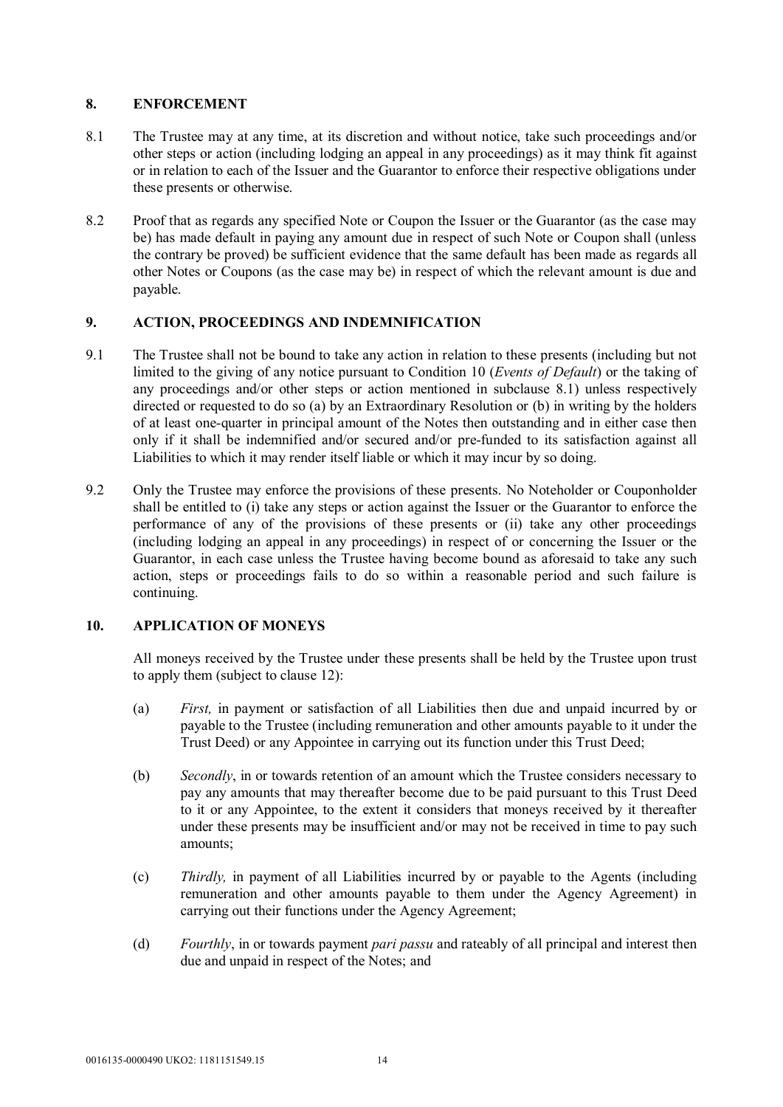# **8. ENFORCEMENT**

- 8.1 The Trustee may at any time, at its discretion and without notice, take such proceedings and/or other steps or action (including lodging an appeal in any proceedings) as it may think fit against or in relation to each of the Issuer and the Guarantor to enforce their respective obligations under these presents or otherwise.
- 8.2 Proof that as regards any specified Note or Coupon the Issuer or the Guarantor (as the case may be) has made default in paying any amount due in respect of such Note or Coupon shall (unless the contrary be proved) be sufficient evidence that the same default has been made as regards all other Notes or Coupons (as the case may be) in respect of which the relevant amount is due and payable.

# **9. ACTION, PROCEEDINGS AND INDEMNIFICATION**

- 9.1 The Trustee shall not be bound to take any action in relation to these presents (including but not limited to the giving of any notice pursuant to Condition 10 (*Events of Default*) or the taking of any proceedings and/or other steps or action mentioned in subclause 8.1) unless respectively directed or requested to do so (a) by an Extraordinary Resolution or (b) in writing by the holders of at least one-quarter in principal amount of the Notes then outstanding and in either case then only if it shall be indemnified and/or secured and/or pre-funded to its satisfaction against all Liabilities to which it may render itself liable or which it may incur by so doing.
- 9.2 Only the Trustee may enforce the provisions of these presents. No Noteholder or Couponholder shall be entitled to (i) take any steps or action against the Issuer or the Guarantor to enforce the performance of any of the provisions of these presents or (ii) take any other proceedings (including lodging an appeal in any proceedings) in respect of or concerning the Issuer or the Guarantor, in each case unless the Trustee having become bound as aforesaid to take any such action, steps or proceedings fails to do so within a reasonable period and such failure is continuing.

# **10. APPLICATION OF MONEYS**

All moneys received by the Trustee under these presents shall be held by the Trustee upon trust to apply them (subject to clause 12):

- (a) *First,* in payment or satisfaction of all Liabilities then due and unpaid incurred by or payable to the Trustee (including remuneration and other amounts payable to it under the Trust Deed) or any Appointee in carrying out its function under this Trust Deed;
- (b) *Secondly*, in or towards retention of an amount which the Trustee considers necessary to pay any amounts that may thereafter become due to be paid pursuant to this Trust Deed to it or any Appointee, to the extent it considers that moneys received by it thereafter under these presents may be insufficient and/or may not be received in time to pay such amounts;
- (c) *Thirdly,* in payment of all Liabilities incurred by or payable to the Agents (including remuneration and other amounts payable to them under the Agency Agreement) in carrying out their functions under the Agency Agreement;
- (d) *Fourthly*, in or towards payment *pari passu* and rateably of all principal and interest then due and unpaid in respect of the Notes; and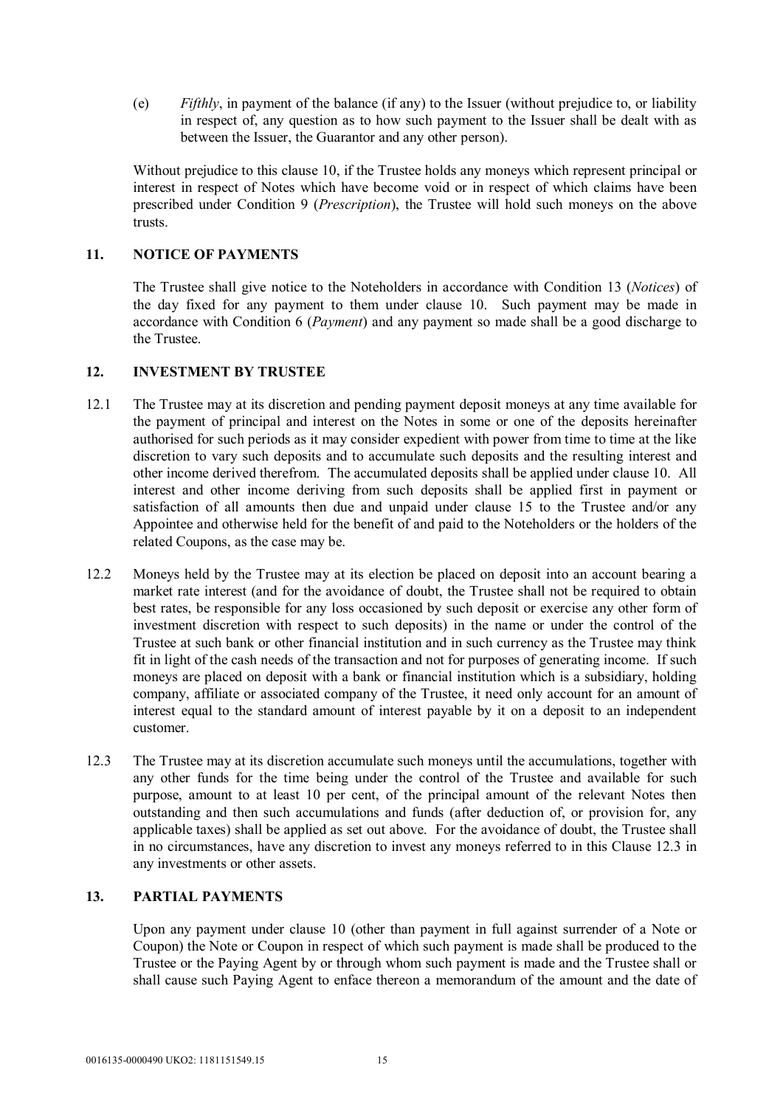(e) *Fifthly*, in payment of the balance (if any) to the Issuer (without prejudice to, or liability in respect of, any question as to how such payment to the Issuer shall be dealt with as between the Issuer, the Guarantor and any other person).

Without prejudice to this clause 10, if the Trustee holds any moneys which represent principal or interest in respect of Notes which have become void or in respect of which claims have been prescribed under Condition 9 (*Prescription*), the Trustee will hold such moneys on the above trusts.

# **11. NOTICE OF PAYMENTS**

The Trustee shall give notice to the Noteholders in accordance with Condition 13 (*Notices*) of the day fixed for any payment to them under clause 10. Such payment may be made in accordance with Condition 6 (*Payment*) and any payment so made shall be a good discharge to the Trustee.

#### **12. INVESTMENT BY TRUSTEE**

- 12.1 The Trustee may at its discretion and pending payment deposit moneys at any time available for the payment of principal and interest on the Notes in some or one of the deposits hereinafter authorised for such periods as it may consider expedient with power from time to time at the like discretion to vary such deposits and to accumulate such deposits and the resulting interest and other income derived therefrom. The accumulated deposits shall be applied under clause 10. All interest and other income deriving from such deposits shall be applied first in payment or satisfaction of all amounts then due and unpaid under clause 15 to the Trustee and/or any Appointee and otherwise held for the benefit of and paid to the Noteholders or the holders of the related Coupons, as the case may be.
- 12.2 Moneys held by the Trustee may at its election be placed on deposit into an account bearing a market rate interest (and for the avoidance of doubt, the Trustee shall not be required to obtain best rates, be responsible for any loss occasioned by such deposit or exercise any other form of investment discretion with respect to such deposits) in the name or under the control of the Trustee at such bank or other financial institution and in such currency as the Trustee may think fit in light of the cash needs of the transaction and not for purposes of generating income. If such moneys are placed on deposit with a bank or financial institution which is a subsidiary, holding company, affiliate or associated company of the Trustee, it need only account for an amount of interest equal to the standard amount of interest payable by it on a deposit to an independent customer.
- 12.3 The Trustee may at its discretion accumulate such moneys until the accumulations, together with any other funds for the time being under the control of the Trustee and available for such purpose, amount to at least 10 per cent, of the principal amount of the relevant Notes then outstanding and then such accumulations and funds (after deduction of, or provision for, any applicable taxes) shall be applied as set out above. For the avoidance of doubt, the Trustee shall in no circumstances, have any discretion to invest any moneys referred to in this Clause 12.3 in any investments or other assets.

# **13. PARTIAL PAYMENTS**

Upon any payment under clause 10 (other than payment in full against surrender of a Note or Coupon) the Note or Coupon in respect of which such payment is made shall be produced to the Trustee or the Paying Agent by or through whom such payment is made and the Trustee shall or shall cause such Paying Agent to enface thereon a memorandum of the amount and the date of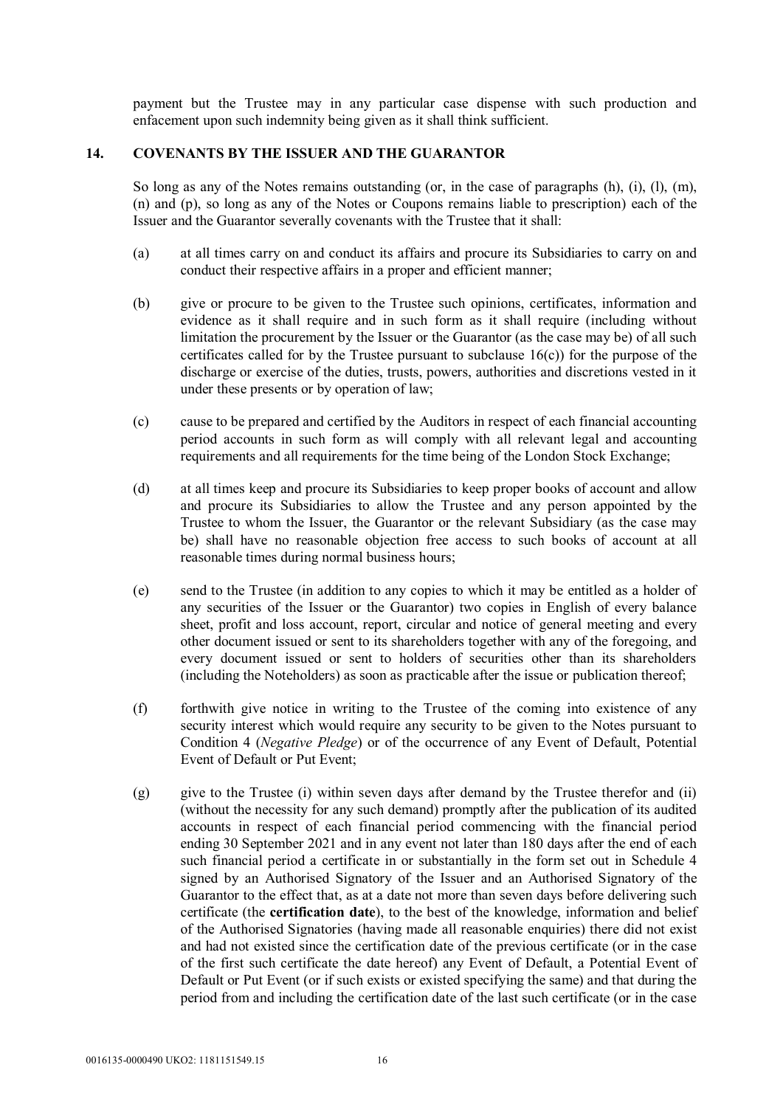payment but the Trustee may in any particular case dispense with such production and enfacement upon such indemnity being given as it shall think sufficient.

# **14. COVENANTS BY THE ISSUER AND THE GUARANTOR**

So long as any of the Notes remains outstanding (or, in the case of paragraphs (h), (i), (l), (m), (n) and (p), so long as any of the Notes or Coupons remains liable to prescription) each of the Issuer and the Guarantor severally covenants with the Trustee that it shall:

- (a) at all times carry on and conduct its affairs and procure its Subsidiaries to carry on and conduct their respective affairs in a proper and efficient manner;
- (b) give or procure to be given to the Trustee such opinions, certificates, information and evidence as it shall require and in such form as it shall require (including without limitation the procurement by the Issuer or the Guarantor (as the case may be) of all such certificates called for by the Trustee pursuant to subclause 16(c)) for the purpose of the discharge or exercise of the duties, trusts, powers, authorities and discretions vested in it under these presents or by operation of law;
- (c) cause to be prepared and certified by the Auditors in respect of each financial accounting period accounts in such form as will comply with all relevant legal and accounting requirements and all requirements for the time being of the London Stock Exchange;
- (d) at all times keep and procure its Subsidiaries to keep proper books of account and allow and procure its Subsidiaries to allow the Trustee and any person appointed by the Trustee to whom the Issuer, the Guarantor or the relevant Subsidiary (as the case may be) shall have no reasonable objection free access to such books of account at all reasonable times during normal business hours;
- (e) send to the Trustee (in addition to any copies to which it may be entitled as a holder of any securities of the Issuer or the Guarantor) two copies in English of every balance sheet, profit and loss account, report, circular and notice of general meeting and every other document issued or sent to its shareholders together with any of the foregoing, and every document issued or sent to holders of securities other than its shareholders (including the Noteholders) as soon as practicable after the issue or publication thereof;
- (f) forthwith give notice in writing to the Trustee of the coming into existence of any security interest which would require any security to be given to the Notes pursuant to Condition 4 (*Negative Pledge*) or of the occurrence of any Event of Default, Potential Event of Default or Put Event;
- (g) give to the Trustee (i) within seven days after demand by the Trustee therefor and (ii) (without the necessity for any such demand) promptly after the publication of its audited accounts in respect of each financial period commencing with the financial period ending 30 September 2021 and in any event not later than 180 days after the end of each such financial period a certificate in or substantially in the form set out in Schedule 4 signed by an Authorised Signatory of the Issuer and an Authorised Signatory of the Guarantor to the effect that, as at a date not more than seven days before delivering such certificate (the **certification date**), to the best of the knowledge, information and belief of the Authorised Signatories (having made all reasonable enquiries) there did not exist and had not existed since the certification date of the previous certificate (or in the case of the first such certificate the date hereof) any Event of Default, a Potential Event of Default or Put Event (or if such exists or existed specifying the same) and that during the period from and including the certification date of the last such certificate (or in the case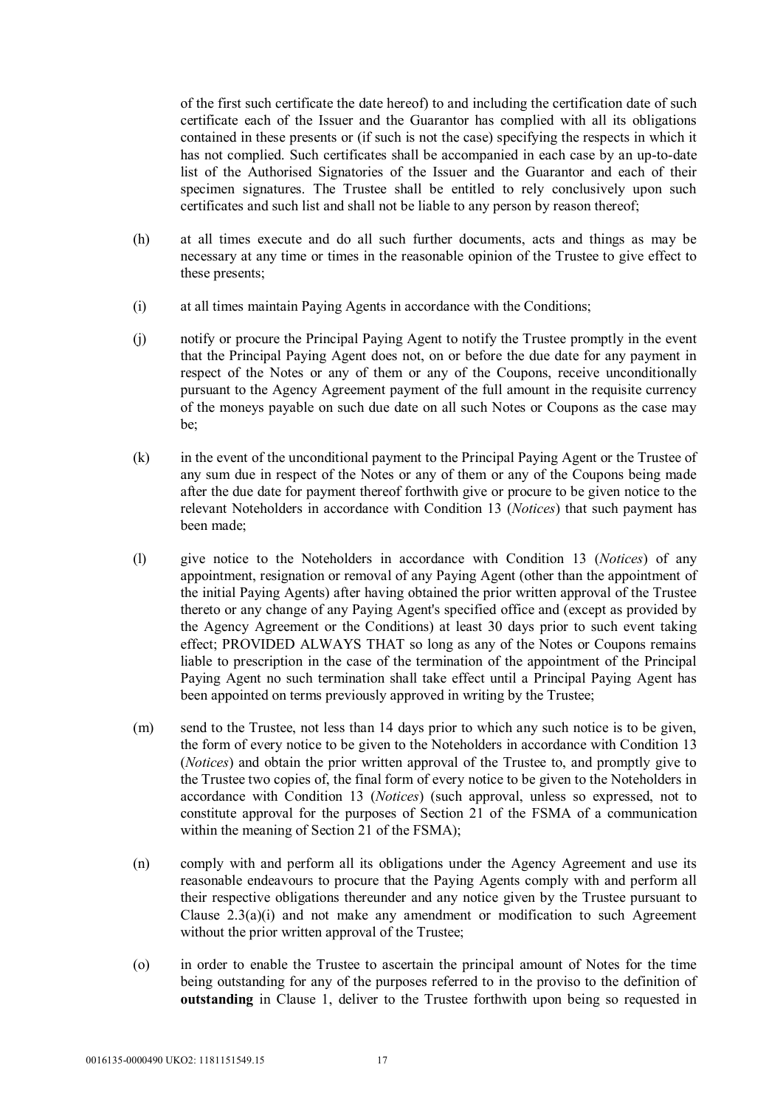of the first such certificate the date hereof) to and including the certification date of such certificate each of the Issuer and the Guarantor has complied with all its obligations contained in these presents or (if such is not the case) specifying the respects in which it has not complied. Such certificates shall be accompanied in each case by an up-to-date list of the Authorised Signatories of the Issuer and the Guarantor and each of their specimen signatures. The Trustee shall be entitled to rely conclusively upon such certificates and such list and shall not be liable to any person by reason thereof;

- (h) at all times execute and do all such further documents, acts and things as may be necessary at any time or times in the reasonable opinion of the Trustee to give effect to these presents;
- (i) at all times maintain Paying Agents in accordance with the Conditions;
- (j) notify or procure the Principal Paying Agent to notify the Trustee promptly in the event that the Principal Paying Agent does not, on or before the due date for any payment in respect of the Notes or any of them or any of the Coupons, receive unconditionally pursuant to the Agency Agreement payment of the full amount in the requisite currency of the moneys payable on such due date on all such Notes or Coupons as the case may be;
- (k) in the event of the unconditional payment to the Principal Paying Agent or the Trustee of any sum due in respect of the Notes or any of them or any of the Coupons being made after the due date for payment thereof forthwith give or procure to be given notice to the relevant Noteholders in accordance with Condition 13 (*Notices*) that such payment has been made;
- (l) give notice to the Noteholders in accordance with Condition 13 (*Notices*) of any appointment, resignation or removal of any Paying Agent (other than the appointment of the initial Paying Agents) after having obtained the prior written approval of the Trustee thereto or any change of any Paying Agent's specified office and (except as provided by the Agency Agreement or the Conditions) at least 30 days prior to such event taking effect; PROVIDED ALWAYS THAT so long as any of the Notes or Coupons remains liable to prescription in the case of the termination of the appointment of the Principal Paying Agent no such termination shall take effect until a Principal Paying Agent has been appointed on terms previously approved in writing by the Trustee;
- (m) send to the Trustee, not less than 14 days prior to which any such notice is to be given, the form of every notice to be given to the Noteholders in accordance with Condition 13 (*Notices*) and obtain the prior written approval of the Trustee to, and promptly give to the Trustee two copies of, the final form of every notice to be given to the Noteholders in accordance with Condition 13 (*Notices*) (such approval, unless so expressed, not to constitute approval for the purposes of Section 21 of the FSMA of a communication within the meaning of Section 21 of the FSMA);
- (n) comply with and perform all its obligations under the Agency Agreement and use its reasonable endeavours to procure that the Paying Agents comply with and perform all their respective obligations thereunder and any notice given by the Trustee pursuant to Clause 2.3(a)(i) and not make any amendment or modification to such Agreement without the prior written approval of the Trustee;
- (o) in order to enable the Trustee to ascertain the principal amount of Notes for the time being outstanding for any of the purposes referred to in the proviso to the definition of **outstanding** in Clause 1, deliver to the Trustee forthwith upon being so requested in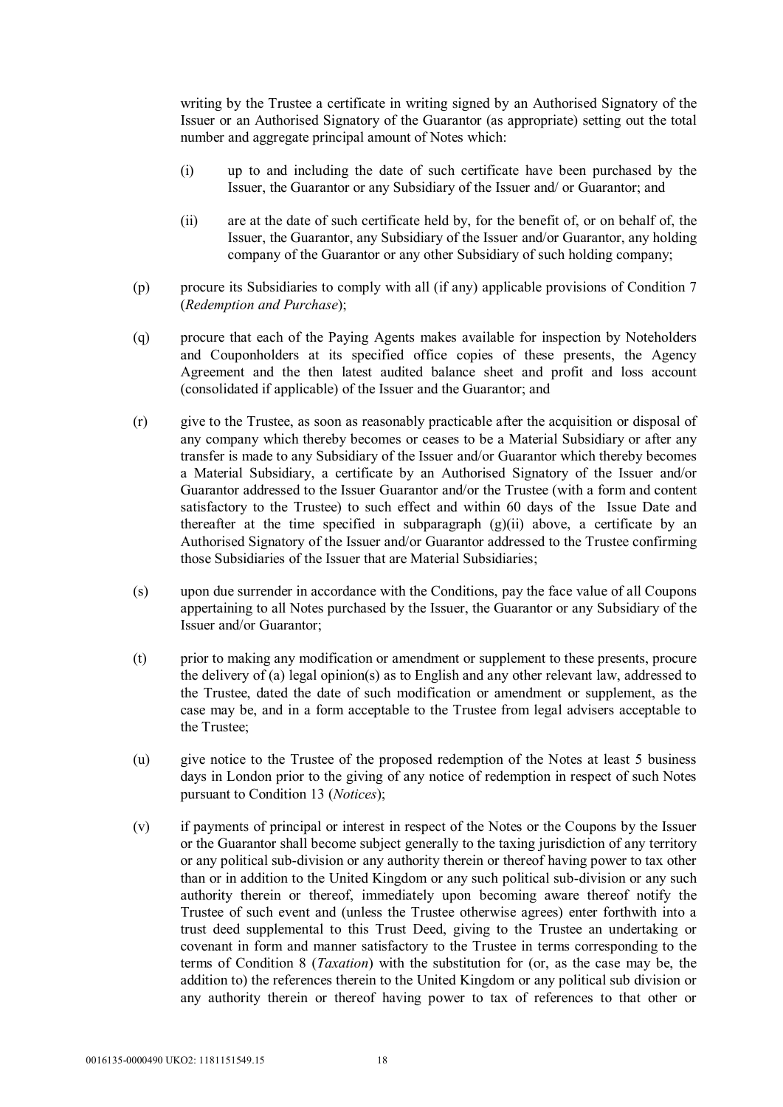writing by the Trustee a certificate in writing signed by an Authorised Signatory of the Issuer or an Authorised Signatory of the Guarantor (as appropriate) setting out the total number and aggregate principal amount of Notes which:

- (i) up to and including the date of such certificate have been purchased by the Issuer, the Guarantor or any Subsidiary of the Issuer and/ or Guarantor; and
- (ii) are at the date of such certificate held by, for the benefit of, or on behalf of, the Issuer, the Guarantor, any Subsidiary of the Issuer and/or Guarantor, any holding company of the Guarantor or any other Subsidiary of such holding company;
- (p) procure its Subsidiaries to comply with all (if any) applicable provisions of Condition 7 (*Redemption and Purchase*);
- (q) procure that each of the Paying Agents makes available for inspection by Noteholders and Couponholders at its specified office copies of these presents, the Agency Agreement and the then latest audited balance sheet and profit and loss account (consolidated if applicable) of the Issuer and the Guarantor; and
- (r) give to the Trustee, as soon as reasonably practicable after the acquisition or disposal of any company which thereby becomes or ceases to be a Material Subsidiary or after any transfer is made to any Subsidiary of the Issuer and/or Guarantor which thereby becomes a Material Subsidiary, a certificate by an Authorised Signatory of the Issuer and/or Guarantor addressed to the Issuer Guarantor and/or the Trustee (with a form and content satisfactory to the Trustee) to such effect and within 60 days of the Issue Date and thereafter at the time specified in subparagraph  $(g)(ii)$  above, a certificate by an Authorised Signatory of the Issuer and/or Guarantor addressed to the Trustee confirming those Subsidiaries of the Issuer that are Material Subsidiaries;
- (s) upon due surrender in accordance with the Conditions, pay the face value of all Coupons appertaining to all Notes purchased by the Issuer, the Guarantor or any Subsidiary of the Issuer and/or Guarantor;
- (t) prior to making any modification or amendment or supplement to these presents, procure the delivery of (a) legal opinion(s) as to English and any other relevant law, addressed to the Trustee, dated the date of such modification or amendment or supplement, as the case may be, and in a form acceptable to the Trustee from legal advisers acceptable to the Trustee;
- (u) give notice to the Trustee of the proposed redemption of the Notes at least 5 business days in London prior to the giving of any notice of redemption in respect of such Notes pursuant to Condition 13 (*Notices*);
- (v) if payments of principal or interest in respect of the Notes or the Coupons by the Issuer or the Guarantor shall become subject generally to the taxing jurisdiction of any territory or any political sub-division or any authority therein or thereof having power to tax other than or in addition to the United Kingdom or any such political sub-division or any such authority therein or thereof, immediately upon becoming aware thereof notify the Trustee of such event and (unless the Trustee otherwise agrees) enter forthwith into a trust deed supplemental to this Trust Deed, giving to the Trustee an undertaking or covenant in form and manner satisfactory to the Trustee in terms corresponding to the terms of Condition 8 (*Taxation*) with the substitution for (or, as the case may be, the addition to) the references therein to the United Kingdom or any political sub division or any authority therein or thereof having power to tax of references to that other or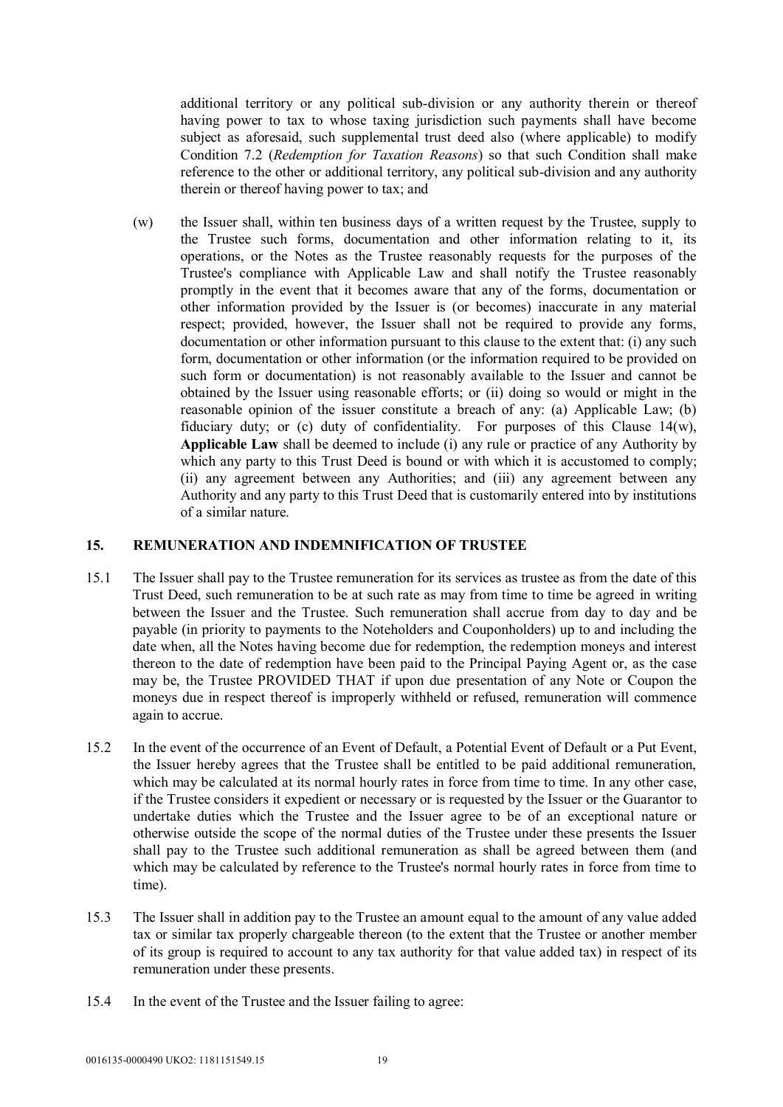additional territory or any political sub-division or any authority therein or thereof having power to tax to whose taxing jurisdiction such payments shall have become subject as aforesaid, such supplemental trust deed also (where applicable) to modify Condition 7.2 (*Redemption for Taxation Reasons*) so that such Condition shall make reference to the other or additional territory, any political sub-division and any authority therein or thereof having power to tax; and

(w) the Issuer shall, within ten business days of a written request by the Trustee, supply to the Trustee such forms, documentation and other information relating to it, its operations, or the Notes as the Trustee reasonably requests for the purposes of the Trustee's compliance with Applicable Law and shall notify the Trustee reasonably promptly in the event that it becomes aware that any of the forms, documentation or other information provided by the Issuer is (or becomes) inaccurate in any material respect; provided, however, the Issuer shall not be required to provide any forms, documentation or other information pursuant to this clause to the extent that: (i) any such form, documentation or other information (or the information required to be provided on such form or documentation) is not reasonably available to the Issuer and cannot be obtained by the Issuer using reasonable efforts; or (ii) doing so would or might in the reasonable opinion of the issuer constitute a breach of any: (a) Applicable Law; (b) fiduciary duty; or (c) duty of confidentiality. For purposes of this Clause 14(w), **Applicable Law** shall be deemed to include (i) any rule or practice of any Authority by which any party to this Trust Deed is bound or with which it is accustomed to comply; (ii) any agreement between any Authorities; and (iii) any agreement between any Authority and any party to this Trust Deed that is customarily entered into by institutions of a similar nature.

#### **15. REMUNERATION AND INDEMNIFICATION OF TRUSTEE**

- 15.1 The Issuer shall pay to the Trustee remuneration for its services as trustee as from the date of this Trust Deed, such remuneration to be at such rate as may from time to time be agreed in writing between the Issuer and the Trustee. Such remuneration shall accrue from day to day and be payable (in priority to payments to the Noteholders and Couponholders) up to and including the date when, all the Notes having become due for redemption, the redemption moneys and interest thereon to the date of redemption have been paid to the Principal Paying Agent or, as the case may be, the Trustee PROVIDED THAT if upon due presentation of any Note or Coupon the moneys due in respect thereof is improperly withheld or refused, remuneration will commence again to accrue.
- 15.2 In the event of the occurrence of an Event of Default, a Potential Event of Default or a Put Event, the Issuer hereby agrees that the Trustee shall be entitled to be paid additional remuneration, which may be calculated at its normal hourly rates in force from time to time. In any other case, if the Trustee considers it expedient or necessary or is requested by the Issuer or the Guarantor to undertake duties which the Trustee and the Issuer agree to be of an exceptional nature or otherwise outside the scope of the normal duties of the Trustee under these presents the Issuer shall pay to the Trustee such additional remuneration as shall be agreed between them (and which may be calculated by reference to the Trustee's normal hourly rates in force from time to time).
- 15.3 The Issuer shall in addition pay to the Trustee an amount equal to the amount of any value added tax or similar tax properly chargeable thereon (to the extent that the Trustee or another member of its group is required to account to any tax authority for that value added tax) in respect of its remuneration under these presents.
- 15.4 In the event of the Trustee and the Issuer failing to agree: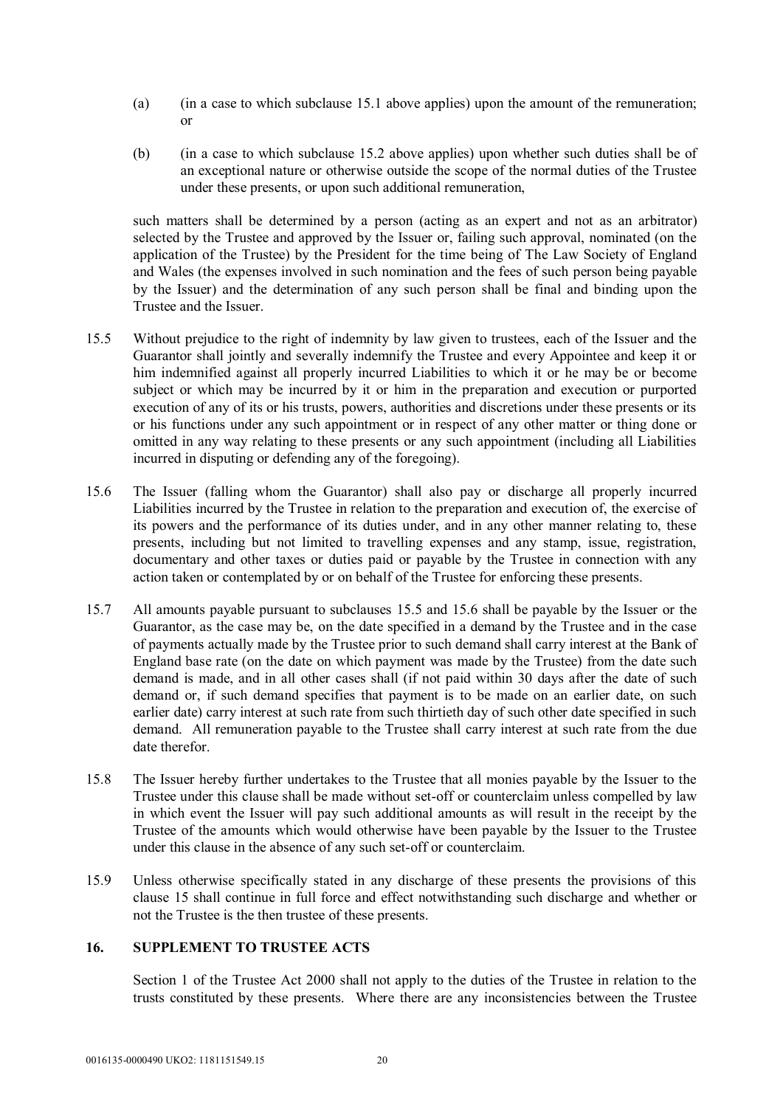- (a) (in a case to which subclause 15.1 above applies) upon the amount of the remuneration; or
- (b) (in a case to which subclause 15.2 above applies) upon whether such duties shall be of an exceptional nature or otherwise outside the scope of the normal duties of the Trustee under these presents, or upon such additional remuneration,

such matters shall be determined by a person (acting as an expert and not as an arbitrator) selected by the Trustee and approved by the Issuer or, failing such approval, nominated (on the application of the Trustee) by the President for the time being of The Law Society of England and Wales (the expenses involved in such nomination and the fees of such person being payable by the Issuer) and the determination of any such person shall be final and binding upon the Trustee and the Issuer.

- 15.5 Without prejudice to the right of indemnity by law given to trustees, each of the Issuer and the Guarantor shall jointly and severally indemnify the Trustee and every Appointee and keep it or him indemnified against all properly incurred Liabilities to which it or he may be or become subject or which may be incurred by it or him in the preparation and execution or purported execution of any of its or his trusts, powers, authorities and discretions under these presents or its or his functions under any such appointment or in respect of any other matter or thing done or omitted in any way relating to these presents or any such appointment (including all Liabilities incurred in disputing or defending any of the foregoing).
- 15.6 The Issuer (falling whom the Guarantor) shall also pay or discharge all properly incurred Liabilities incurred by the Trustee in relation to the preparation and execution of, the exercise of its powers and the performance of its duties under, and in any other manner relating to, these presents, including but not limited to travelling expenses and any stamp, issue, registration, documentary and other taxes or duties paid or payable by the Trustee in connection with any action taken or contemplated by or on behalf of the Trustee for enforcing these presents.
- 15.7 All amounts payable pursuant to subclauses 15.5 and 15.6 shall be payable by the Issuer or the Guarantor, as the case may be, on the date specified in a demand by the Trustee and in the case of payments actually made by the Trustee prior to such demand shall carry interest at the Bank of England base rate (on the date on which payment was made by the Trustee) from the date such demand is made, and in all other cases shall (if not paid within 30 days after the date of such demand or, if such demand specifies that payment is to be made on an earlier date, on such earlier date) carry interest at such rate from such thirtieth day of such other date specified in such demand. All remuneration payable to the Trustee shall carry interest at such rate from the due date therefor.
- 15.8 The Issuer hereby further undertakes to the Trustee that all monies payable by the Issuer to the Trustee under this clause shall be made without set-off or counterclaim unless compelled by law in which event the Issuer will pay such additional amounts as will result in the receipt by the Trustee of the amounts which would otherwise have been payable by the Issuer to the Trustee under this clause in the absence of any such set-off or counterclaim.
- 15.9 Unless otherwise specifically stated in any discharge of these presents the provisions of this clause 15 shall continue in full force and effect notwithstanding such discharge and whether or not the Trustee is the then trustee of these presents.

# **16. SUPPLEMENT TO TRUSTEE ACTS**

Section 1 of the Trustee Act 2000 shall not apply to the duties of the Trustee in relation to the trusts constituted by these presents. Where there are any inconsistencies between the Trustee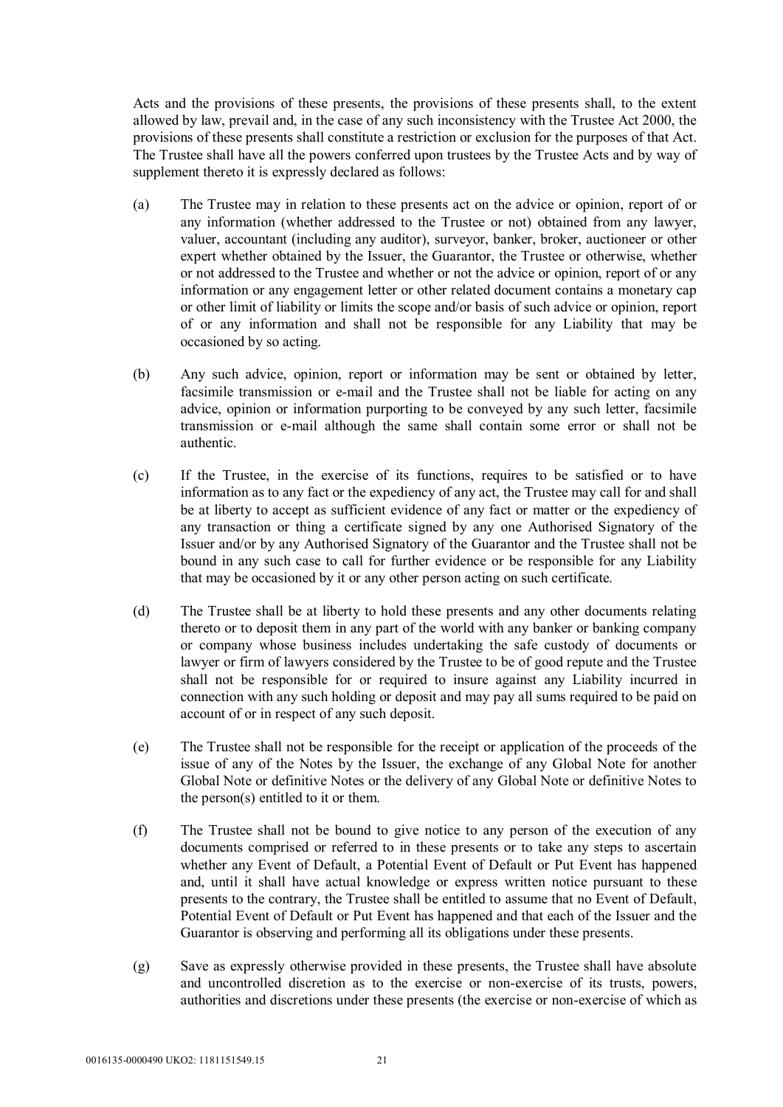Acts and the provisions of these presents, the provisions of these presents shall, to the extent allowed by law, prevail and, in the case of any such inconsistency with the Trustee Act 2000, the provisions of these presents shall constitute a restriction or exclusion for the purposes of that Act. The Trustee shall have all the powers conferred upon trustees by the Trustee Acts and by way of supplement thereto it is expressly declared as follows:

- (a) The Trustee may in relation to these presents act on the advice or opinion, report of or any information (whether addressed to the Trustee or not) obtained from any lawyer, valuer, accountant (including any auditor), surveyor, banker, broker, auctioneer or other expert whether obtained by the Issuer, the Guarantor, the Trustee or otherwise, whether or not addressed to the Trustee and whether or not the advice or opinion, report of or any information or any engagement letter or other related document contains a monetary cap or other limit of liability or limits the scope and/or basis of such advice or opinion, report of or any information and shall not be responsible for any Liability that may be occasioned by so acting.
- (b) Any such advice, opinion, report or information may be sent or obtained by letter, facsimile transmission or e-mail and the Trustee shall not be liable for acting on any advice, opinion or information purporting to be conveyed by any such letter, facsimile transmission or e-mail although the same shall contain some error or shall not be authentic.
- (c) If the Trustee, in the exercise of its functions, requires to be satisfied or to have information as to any fact or the expediency of any act, the Trustee may call for and shall be at liberty to accept as sufficient evidence of any fact or matter or the expediency of any transaction or thing a certificate signed by any one Authorised Signatory of the Issuer and/or by any Authorised Signatory of the Guarantor and the Trustee shall not be bound in any such case to call for further evidence or be responsible for any Liability that may be occasioned by it or any other person acting on such certificate.
- (d) The Trustee shall be at liberty to hold these presents and any other documents relating thereto or to deposit them in any part of the world with any banker or banking company or company whose business includes undertaking the safe custody of documents or lawyer or firm of lawyers considered by the Trustee to be of good repute and the Trustee shall not be responsible for or required to insure against any Liability incurred in connection with any such holding or deposit and may pay all sums required to be paid on account of or in respect of any such deposit.
- (e) The Trustee shall not be responsible for the receipt or application of the proceeds of the issue of any of the Notes by the Issuer, the exchange of any Global Note for another Global Note or definitive Notes or the delivery of any Global Note or definitive Notes to the person(s) entitled to it or them.
- (f) The Trustee shall not be bound to give notice to any person of the execution of any documents comprised or referred to in these presents or to take any steps to ascertain whether any Event of Default, a Potential Event of Default or Put Event has happened and, until it shall have actual knowledge or express written notice pursuant to these presents to the contrary, the Trustee shall be entitled to assume that no Event of Default, Potential Event of Default or Put Event has happened and that each of the Issuer and the Guarantor is observing and performing all its obligations under these presents.
- (g) Save as expressly otherwise provided in these presents, the Trustee shall have absolute and uncontrolled discretion as to the exercise or non-exercise of its trusts, powers, authorities and discretions under these presents (the exercise or non-exercise of which as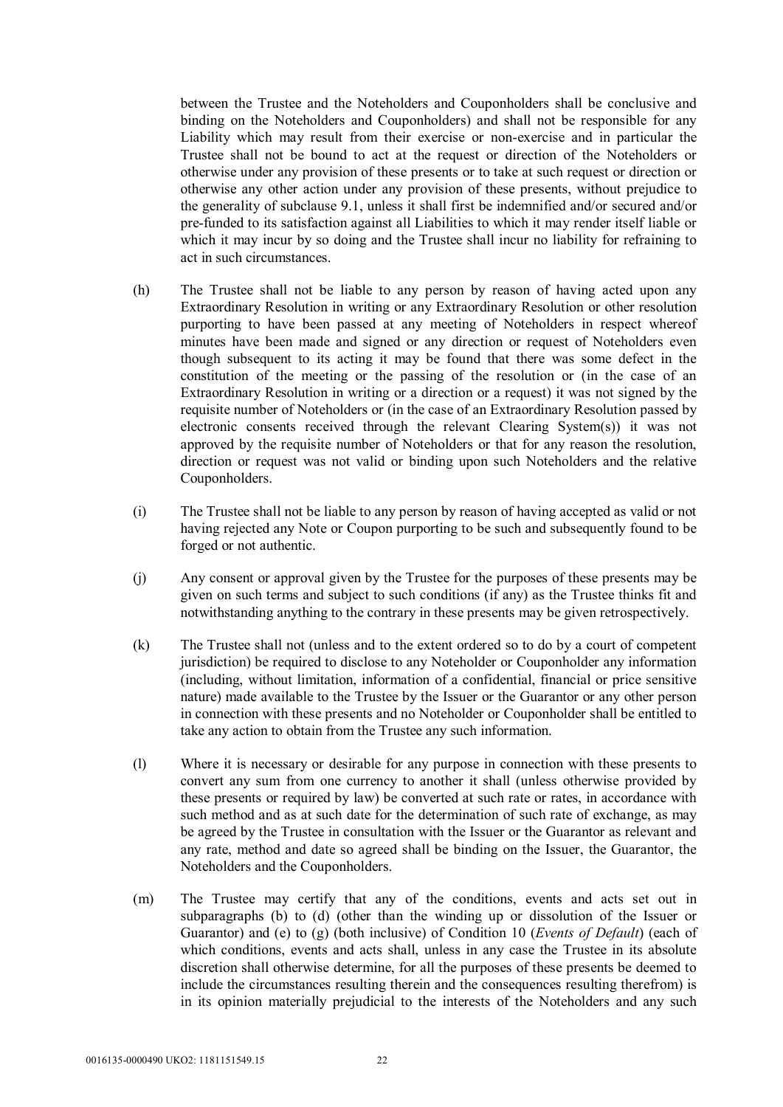between the Trustee and the Noteholders and Couponholders shall be conclusive and binding on the Noteholders and Couponholders) and shall not be responsible for any Liability which may result from their exercise or non-exercise and in particular the Trustee shall not be bound to act at the request or direction of the Noteholders or otherwise under any provision of these presents or to take at such request or direction or otherwise any other action under any provision of these presents, without prejudice to the generality of subclause 9.1, unless it shall first be indemnified and/or secured and/or pre-funded to its satisfaction against all Liabilities to which it may render itself liable or which it may incur by so doing and the Trustee shall incur no liability for refraining to act in such circumstances.

- (h) The Trustee shall not be liable to any person by reason of having acted upon any Extraordinary Resolution in writing or any Extraordinary Resolution or other resolution purporting to have been passed at any meeting of Noteholders in respect whereof minutes have been made and signed or any direction or request of Noteholders even though subsequent to its acting it may be found that there was some defect in the constitution of the meeting or the passing of the resolution or (in the case of an Extraordinary Resolution in writing or a direction or a request) it was not signed by the requisite number of Noteholders or (in the case of an Extraordinary Resolution passed by electronic consents received through the relevant Clearing System(s)) it was not approved by the requisite number of Noteholders or that for any reason the resolution, direction or request was not valid or binding upon such Noteholders and the relative Couponholders.
- (i) The Trustee shall not be liable to any person by reason of having accepted as valid or not having rejected any Note or Coupon purporting to be such and subsequently found to be forged or not authentic.
- (j) Any consent or approval given by the Trustee for the purposes of these presents may be given on such terms and subject to such conditions (if any) as the Trustee thinks fit and notwithstanding anything to the contrary in these presents may be given retrospectively.
- (k) The Trustee shall not (unless and to the extent ordered so to do by a court of competent jurisdiction) be required to disclose to any Noteholder or Couponholder any information (including, without limitation, information of a confidential, financial or price sensitive nature) made available to the Trustee by the Issuer or the Guarantor or any other person in connection with these presents and no Noteholder or Couponholder shall be entitled to take any action to obtain from the Trustee any such information.
- (l) Where it is necessary or desirable for any purpose in connection with these presents to convert any sum from one currency to another it shall (unless otherwise provided by these presents or required by law) be converted at such rate or rates, in accordance with such method and as at such date for the determination of such rate of exchange, as may be agreed by the Trustee in consultation with the Issuer or the Guarantor as relevant and any rate, method and date so agreed shall be binding on the Issuer, the Guarantor, the Noteholders and the Couponholders.
- (m) The Trustee may certify that any of the conditions, events and acts set out in subparagraphs (b) to (d) (other than the winding up or dissolution of the Issuer or Guarantor) and (e) to (g) (both inclusive) of Condition 10 (*Events of Default*) (each of which conditions, events and acts shall, unless in any case the Trustee in its absolute discretion shall otherwise determine, for all the purposes of these presents be deemed to include the circumstances resulting therein and the consequences resulting therefrom) is in its opinion materially prejudicial to the interests of the Noteholders and any such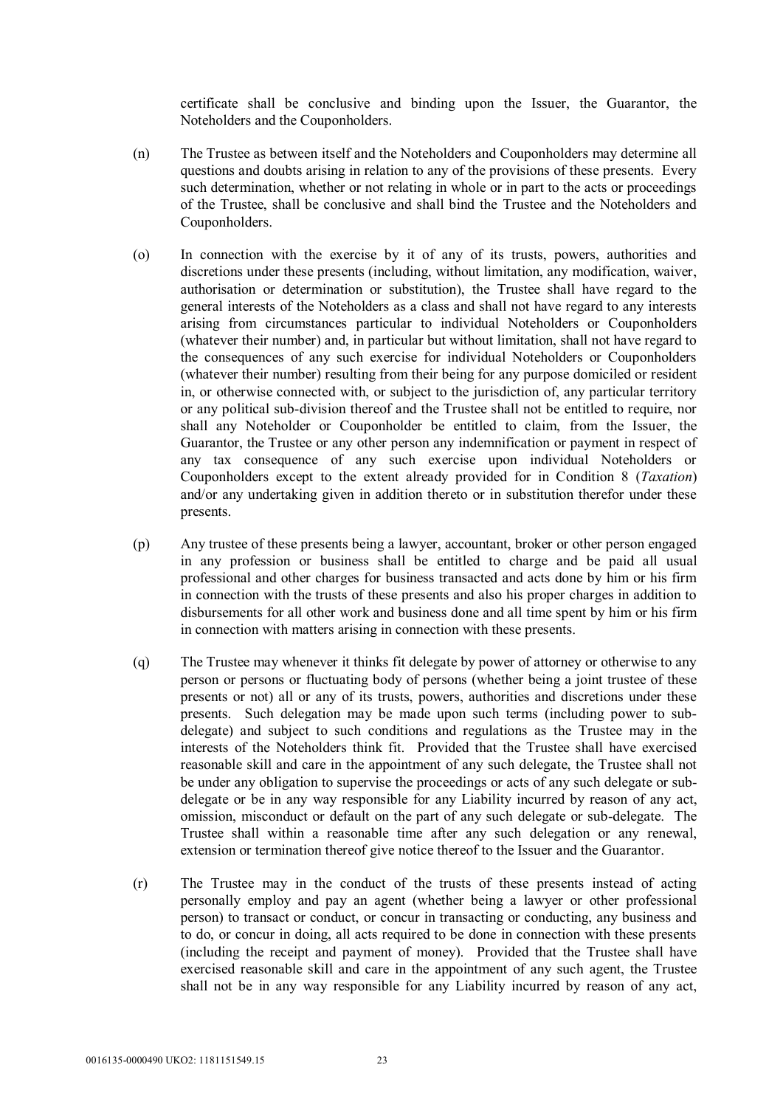certificate shall be conclusive and binding upon the Issuer, the Guarantor, the Noteholders and the Couponholders.

- (n) The Trustee as between itself and the Noteholders and Couponholders may determine all questions and doubts arising in relation to any of the provisions of these presents. Every such determination, whether or not relating in whole or in part to the acts or proceedings of the Trustee, shall be conclusive and shall bind the Trustee and the Noteholders and Couponholders.
- (o) In connection with the exercise by it of any of its trusts, powers, authorities and discretions under these presents (including, without limitation, any modification, waiver, authorisation or determination or substitution), the Trustee shall have regard to the general interests of the Noteholders as a class and shall not have regard to any interests arising from circumstances particular to individual Noteholders or Couponholders (whatever their number) and, in particular but without limitation, shall not have regard to the consequences of any such exercise for individual Noteholders or Couponholders (whatever their number) resulting from their being for any purpose domiciled or resident in, or otherwise connected with, or subject to the jurisdiction of, any particular territory or any political sub-division thereof and the Trustee shall not be entitled to require, nor shall any Noteholder or Couponholder be entitled to claim, from the Issuer, the Guarantor, the Trustee or any other person any indemnification or payment in respect of any tax consequence of any such exercise upon individual Noteholders or Couponholders except to the extent already provided for in Condition 8 (*Taxation*) and/or any undertaking given in addition thereto or in substitution therefor under these presents.
- (p) Any trustee of these presents being a lawyer, accountant, broker or other person engaged in any profession or business shall be entitled to charge and be paid all usual professional and other charges for business transacted and acts done by him or his firm in connection with the trusts of these presents and also his proper charges in addition to disbursements for all other work and business done and all time spent by him or his firm in connection with matters arising in connection with these presents.
- (q) The Trustee may whenever it thinks fit delegate by power of attorney or otherwise to any person or persons or fluctuating body of persons (whether being a joint trustee of these presents or not) all or any of its trusts, powers, authorities and discretions under these presents. Such delegation may be made upon such terms (including power to subdelegate) and subject to such conditions and regulations as the Trustee may in the interests of the Noteholders think fit. Provided that the Trustee shall have exercised reasonable skill and care in the appointment of any such delegate, the Trustee shall not be under any obligation to supervise the proceedings or acts of any such delegate or subdelegate or be in any way responsible for any Liability incurred by reason of any act, omission, misconduct or default on the part of any such delegate or sub-delegate. The Trustee shall within a reasonable time after any such delegation or any renewal, extension or termination thereof give notice thereof to the Issuer and the Guarantor.
- (r) The Trustee may in the conduct of the trusts of these presents instead of acting personally employ and pay an agent (whether being a lawyer or other professional person) to transact or conduct, or concur in transacting or conducting, any business and to do, or concur in doing, all acts required to be done in connection with these presents (including the receipt and payment of money). Provided that the Trustee shall have exercised reasonable skill and care in the appointment of any such agent, the Trustee shall not be in any way responsible for any Liability incurred by reason of any act,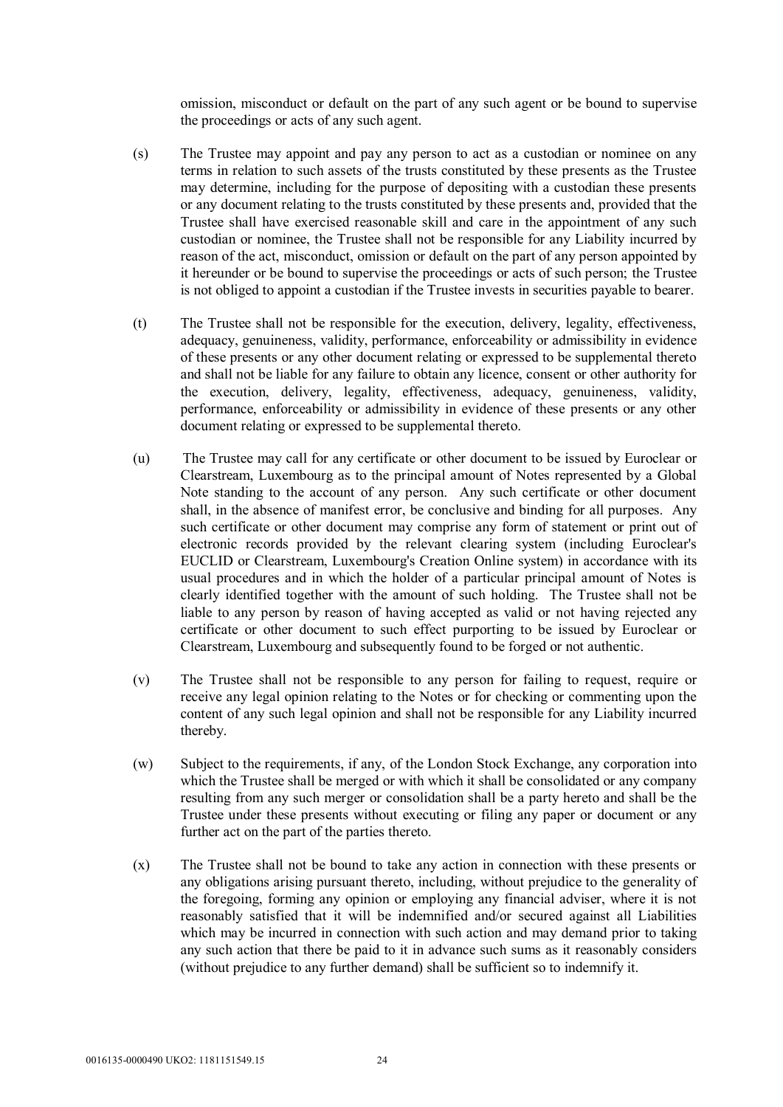omission, misconduct or default on the part of any such agent or be bound to supervise the proceedings or acts of any such agent.

- (s) The Trustee may appoint and pay any person to act as a custodian or nominee on any terms in relation to such assets of the trusts constituted by these presents as the Trustee may determine, including for the purpose of depositing with a custodian these presents or any document relating to the trusts constituted by these presents and, provided that the Trustee shall have exercised reasonable skill and care in the appointment of any such custodian or nominee, the Trustee shall not be responsible for any Liability incurred by reason of the act, misconduct, omission or default on the part of any person appointed by it hereunder or be bound to supervise the proceedings or acts of such person; the Trustee is not obliged to appoint a custodian if the Trustee invests in securities payable to bearer.
- (t) The Trustee shall not be responsible for the execution, delivery, legality, effectiveness, adequacy, genuineness, validity, performance, enforceability or admissibility in evidence of these presents or any other document relating or expressed to be supplemental thereto and shall not be liable for any failure to obtain any licence, consent or other authority for the execution, delivery, legality, effectiveness, adequacy, genuineness, validity, performance, enforceability or admissibility in evidence of these presents or any other document relating or expressed to be supplemental thereto.
- (u) The Trustee may call for any certificate or other document to be issued by Euroclear or Clearstream, Luxembourg as to the principal amount of Notes represented by a Global Note standing to the account of any person. Any such certificate or other document shall, in the absence of manifest error, be conclusive and binding for all purposes. Any such certificate or other document may comprise any form of statement or print out of electronic records provided by the relevant clearing system (including Euroclear's EUCLID or Clearstream, Luxembourg's Creation Online system) in accordance with its usual procedures and in which the holder of a particular principal amount of Notes is clearly identified together with the amount of such holding. The Trustee shall not be liable to any person by reason of having accepted as valid or not having rejected any certificate or other document to such effect purporting to be issued by Euroclear or Clearstream, Luxembourg and subsequently found to be forged or not authentic.
- (v) The Trustee shall not be responsible to any person for failing to request, require or receive any legal opinion relating to the Notes or for checking or commenting upon the content of any such legal opinion and shall not be responsible for any Liability incurred thereby.
- (w) Subject to the requirements, if any, of the London Stock Exchange, any corporation into which the Trustee shall be merged or with which it shall be consolidated or any company resulting from any such merger or consolidation shall be a party hereto and shall be the Trustee under these presents without executing or filing any paper or document or any further act on the part of the parties thereto.
- (x) The Trustee shall not be bound to take any action in connection with these presents or any obligations arising pursuant thereto, including, without prejudice to the generality of the foregoing, forming any opinion or employing any financial adviser, where it is not reasonably satisfied that it will be indemnified and/or secured against all Liabilities which may be incurred in connection with such action and may demand prior to taking any such action that there be paid to it in advance such sums as it reasonably considers (without prejudice to any further demand) shall be sufficient so to indemnify it.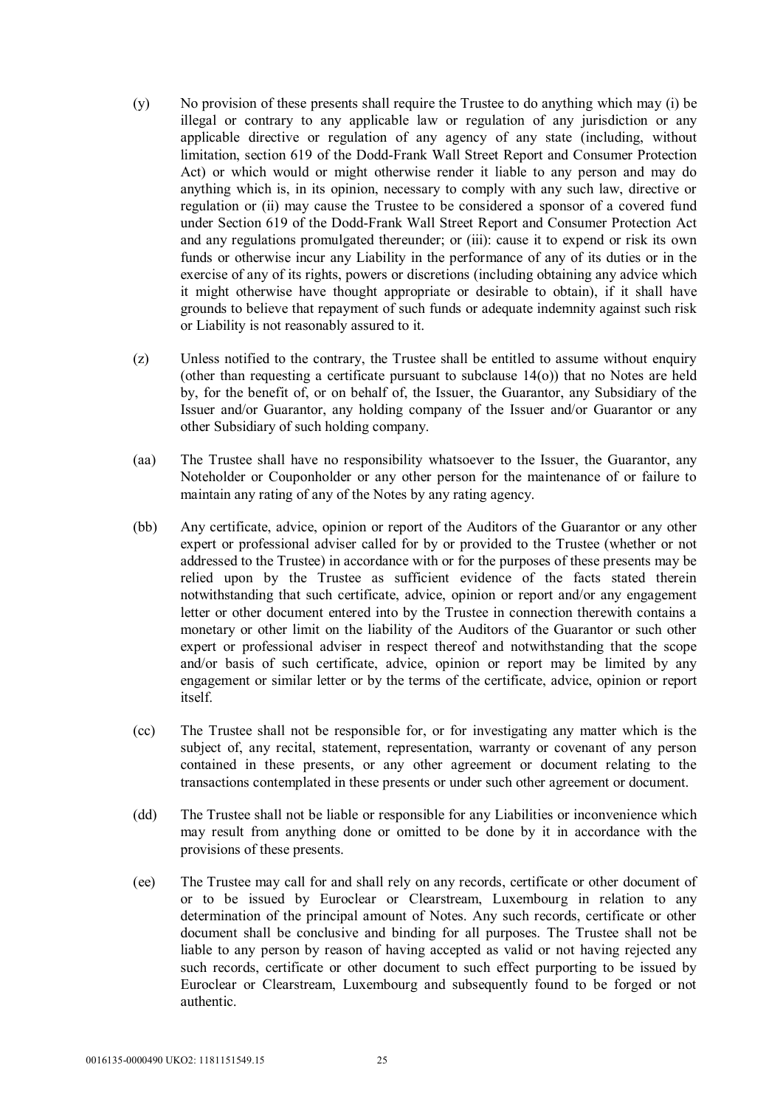- (y) No provision of these presents shall require the Trustee to do anything which may (i) be illegal or contrary to any applicable law or regulation of any jurisdiction or any applicable directive or regulation of any agency of any state (including, without limitation, section 619 of the Dodd-Frank Wall Street Report and Consumer Protection Act) or which would or might otherwise render it liable to any person and may do anything which is, in its opinion, necessary to comply with any such law, directive or regulation or (ii) may cause the Trustee to be considered a sponsor of a covered fund under Section 619 of the Dodd-Frank Wall Street Report and Consumer Protection Act and any regulations promulgated thereunder; or (iii): cause it to expend or risk its own funds or otherwise incur any Liability in the performance of any of its duties or in the exercise of any of its rights, powers or discretions (including obtaining any advice which it might otherwise have thought appropriate or desirable to obtain), if it shall have grounds to believe that repayment of such funds or adequate indemnity against such risk or Liability is not reasonably assured to it.
- (z) Unless notified to the contrary, the Trustee shall be entitled to assume without enquiry (other than requesting a certificate pursuant to subclause 14(o)) that no Notes are held by, for the benefit of, or on behalf of, the Issuer, the Guarantor, any Subsidiary of the Issuer and/or Guarantor, any holding company of the Issuer and/or Guarantor or any other Subsidiary of such holding company.
- (aa) The Trustee shall have no responsibility whatsoever to the Issuer, the Guarantor, any Noteholder or Couponholder or any other person for the maintenance of or failure to maintain any rating of any of the Notes by any rating agency.
- (bb) Any certificate, advice, opinion or report of the Auditors of the Guarantor or any other expert or professional adviser called for by or provided to the Trustee (whether or not addressed to the Trustee) in accordance with or for the purposes of these presents may be relied upon by the Trustee as sufficient evidence of the facts stated therein notwithstanding that such certificate, advice, opinion or report and/or any engagement letter or other document entered into by the Trustee in connection therewith contains a monetary or other limit on the liability of the Auditors of the Guarantor or such other expert or professional adviser in respect thereof and notwithstanding that the scope and/or basis of such certificate, advice, opinion or report may be limited by any engagement or similar letter or by the terms of the certificate, advice, opinion or report itself.
- (cc) The Trustee shall not be responsible for, or for investigating any matter which is the subject of, any recital, statement, representation, warranty or covenant of any person contained in these presents, or any other agreement or document relating to the transactions contemplated in these presents or under such other agreement or document.
- (dd) The Trustee shall not be liable or responsible for any Liabilities or inconvenience which may result from anything done or omitted to be done by it in accordance with the provisions of these presents.
- (ee) The Trustee may call for and shall rely on any records, certificate or other document of or to be issued by Euroclear or Clearstream, Luxembourg in relation to any determination of the principal amount of Notes. Any such records, certificate or other document shall be conclusive and binding for all purposes. The Trustee shall not be liable to any person by reason of having accepted as valid or not having rejected any such records, certificate or other document to such effect purporting to be issued by Euroclear or Clearstream, Luxembourg and subsequently found to be forged or not authentic.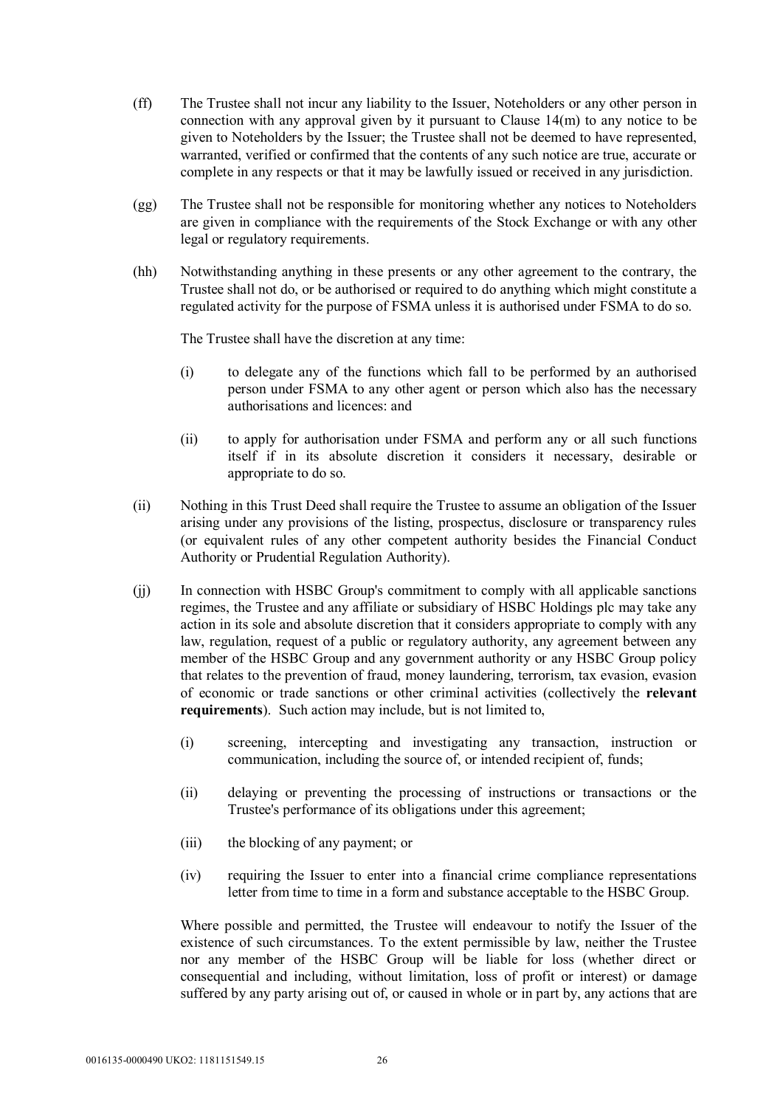- (ff) The Trustee shall not incur any liability to the Issuer, Noteholders or any other person in connection with any approval given by it pursuant to Clause 14(m) to any notice to be given to Noteholders by the Issuer; the Trustee shall not be deemed to have represented, warranted, verified or confirmed that the contents of any such notice are true, accurate or complete in any respects or that it may be lawfully issued or received in any jurisdiction.
- (gg) The Trustee shall not be responsible for monitoring whether any notices to Noteholders are given in compliance with the requirements of the Stock Exchange or with any other legal or regulatory requirements.
- (hh) Notwithstanding anything in these presents or any other agreement to the contrary, the Trustee shall not do, or be authorised or required to do anything which might constitute a regulated activity for the purpose of FSMA unless it is authorised under FSMA to do so.

The Trustee shall have the discretion at any time:

- (i) to delegate any of the functions which fall to be performed by an authorised person under FSMA to any other agent or person which also has the necessary authorisations and licences: and
- (ii) to apply for authorisation under FSMA and perform any or all such functions itself if in its absolute discretion it considers it necessary, desirable or appropriate to do so.
- (ii) Nothing in this Trust Deed shall require the Trustee to assume an obligation of the Issuer arising under any provisions of the listing, prospectus, disclosure or transparency rules (or equivalent rules of any other competent authority besides the Financial Conduct Authority or Prudential Regulation Authority).
- (jj) In connection with HSBC Group's commitment to comply with all applicable sanctions regimes, the Trustee and any affiliate or subsidiary of HSBC Holdings plc may take any action in its sole and absolute discretion that it considers appropriate to comply with any law, regulation, request of a public or regulatory authority, any agreement between any member of the HSBC Group and any government authority or any HSBC Group policy that relates to the prevention of fraud, money laundering, terrorism, tax evasion, evasion of economic or trade sanctions or other criminal activities (collectively the **relevant requirements**). Such action may include, but is not limited to,
	- (i) screening, intercepting and investigating any transaction, instruction or communication, including the source of, or intended recipient of, funds;
	- (ii) delaying or preventing the processing of instructions or transactions or the Trustee's performance of its obligations under this agreement;
	- (iii) the blocking of any payment; or
	- (iv) requiring the Issuer to enter into a financial crime compliance representations letter from time to time in a form and substance acceptable to the HSBC Group.

Where possible and permitted, the Trustee will endeavour to notify the Issuer of the existence of such circumstances. To the extent permissible by law, neither the Trustee nor any member of the HSBC Group will be liable for loss (whether direct or consequential and including, without limitation, loss of profit or interest) or damage suffered by any party arising out of, or caused in whole or in part by, any actions that are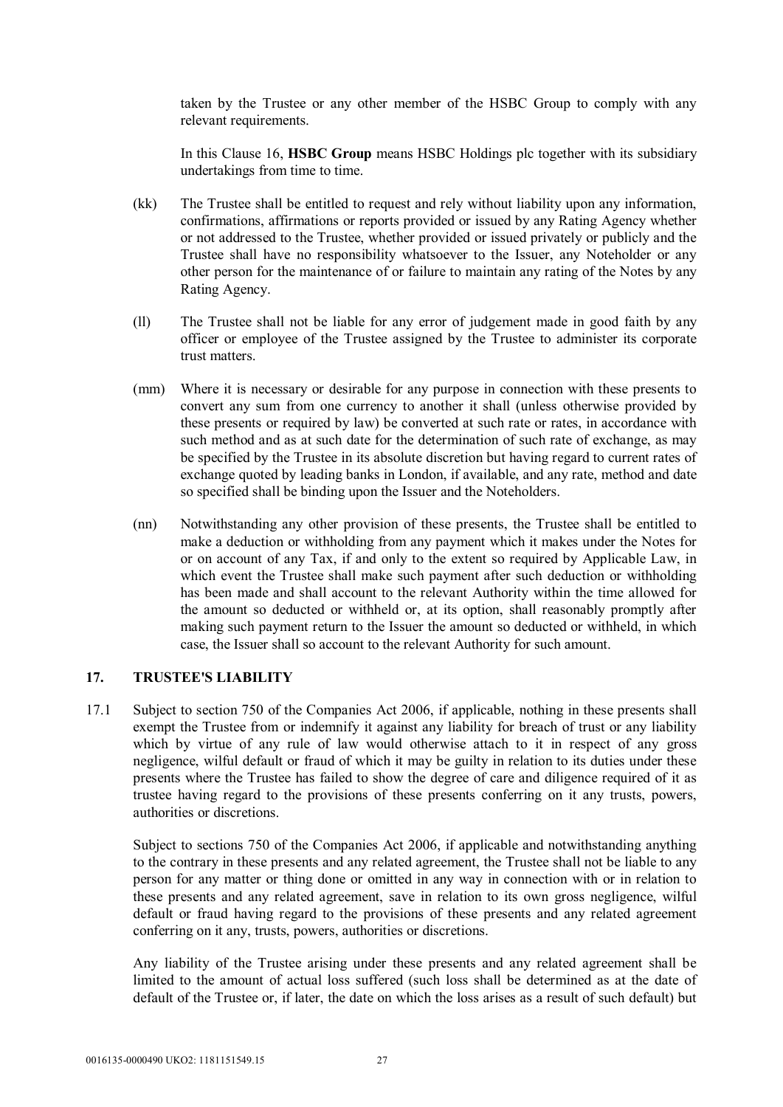taken by the Trustee or any other member of the HSBC Group to comply with any relevant requirements.

In this Clause 16, **HSBC Group** means HSBC Holdings plc together with its subsidiary undertakings from time to time.

- (kk) The Trustee shall be entitled to request and rely without liability upon any information, confirmations, affirmations or reports provided or issued by any Rating Agency whether or not addressed to the Trustee, whether provided or issued privately or publicly and the Trustee shall have no responsibility whatsoever to the Issuer, any Noteholder or any other person for the maintenance of or failure to maintain any rating of the Notes by any Rating Agency.
- (ll) The Trustee shall not be liable for any error of judgement made in good faith by any officer or employee of the Trustee assigned by the Trustee to administer its corporate trust matters.
- (mm) Where it is necessary or desirable for any purpose in connection with these presents to convert any sum from one currency to another it shall (unless otherwise provided by these presents or required by law) be converted at such rate or rates, in accordance with such method and as at such date for the determination of such rate of exchange, as may be specified by the Trustee in its absolute discretion but having regard to current rates of exchange quoted by leading banks in London, if available, and any rate, method and date so specified shall be binding upon the Issuer and the Noteholders.
- (nn) Notwithstanding any other provision of these presents, the Trustee shall be entitled to make a deduction or withholding from any payment which it makes under the Notes for or on account of any Tax, if and only to the extent so required by Applicable Law, in which event the Trustee shall make such payment after such deduction or withholding has been made and shall account to the relevant Authority within the time allowed for the amount so deducted or withheld or, at its option, shall reasonably promptly after making such payment return to the Issuer the amount so deducted or withheld, in which case, the Issuer shall so account to the relevant Authority for such amount.

#### **17. TRUSTEE'S LIABILITY**

17.1 Subject to section 750 of the Companies Act 2006, if applicable, nothing in these presents shall exempt the Trustee from or indemnify it against any liability for breach of trust or any liability which by virtue of any rule of law would otherwise attach to it in respect of any gross negligence, wilful default or fraud of which it may be guilty in relation to its duties under these presents where the Trustee has failed to show the degree of care and diligence required of it as trustee having regard to the provisions of these presents conferring on it any trusts, powers, authorities or discretions.

Subject to sections 750 of the Companies Act 2006, if applicable and notwithstanding anything to the contrary in these presents and any related agreement, the Trustee shall not be liable to any person for any matter or thing done or omitted in any way in connection with or in relation to these presents and any related agreement, save in relation to its own gross negligence, wilful default or fraud having regard to the provisions of these presents and any related agreement conferring on it any, trusts, powers, authorities or discretions.

Any liability of the Trustee arising under these presents and any related agreement shall be limited to the amount of actual loss suffered (such loss shall be determined as at the date of default of the Trustee or, if later, the date on which the loss arises as a result of such default) but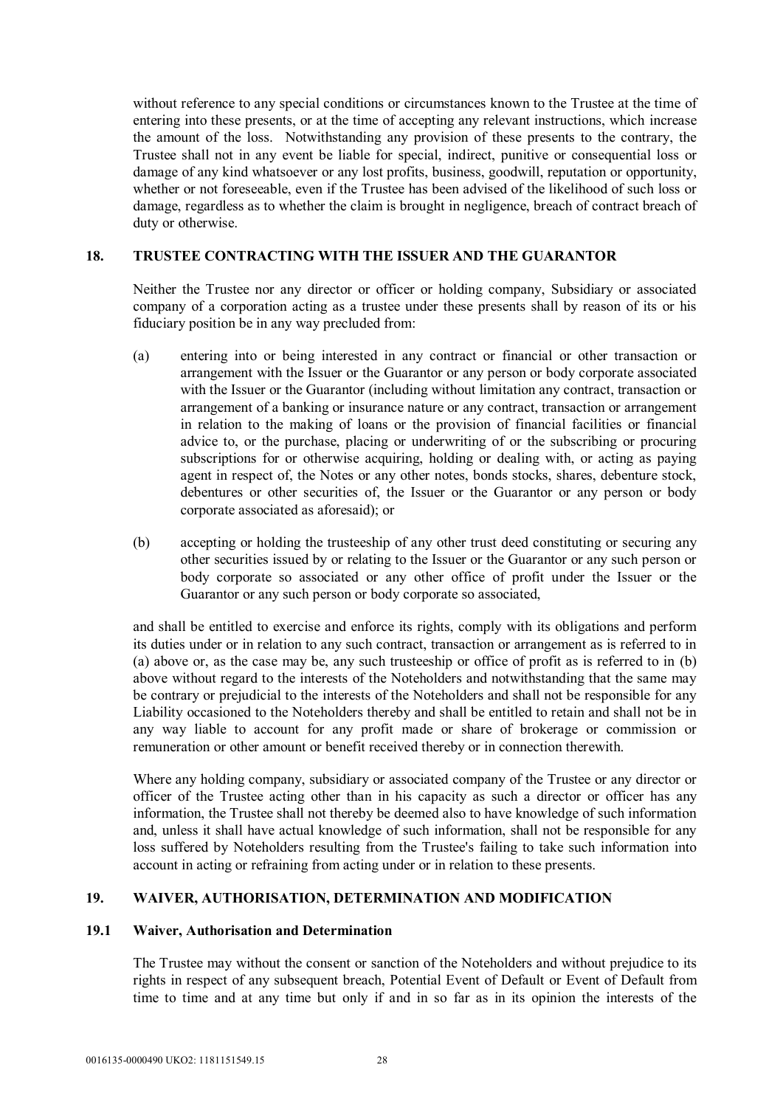without reference to any special conditions or circumstances known to the Trustee at the time of entering into these presents, or at the time of accepting any relevant instructions, which increase the amount of the loss. Notwithstanding any provision of these presents to the contrary, the Trustee shall not in any event be liable for special, indirect, punitive or consequential loss or damage of any kind whatsoever or any lost profits, business, goodwill, reputation or opportunity, whether or not foreseeable, even if the Trustee has been advised of the likelihood of such loss or damage, regardless as to whether the claim is brought in negligence, breach of contract breach of duty or otherwise.

#### **18. TRUSTEE CONTRACTING WITH THE ISSUER AND THE GUARANTOR**

Neither the Trustee nor any director or officer or holding company, Subsidiary or associated company of a corporation acting as a trustee under these presents shall by reason of its or his fiduciary position be in any way precluded from:

- (a) entering into or being interested in any contract or financial or other transaction or arrangement with the Issuer or the Guarantor or any person or body corporate associated with the Issuer or the Guarantor (including without limitation any contract, transaction or arrangement of a banking or insurance nature or any contract, transaction or arrangement in relation to the making of loans or the provision of financial facilities or financial advice to, or the purchase, placing or underwriting of or the subscribing or procuring subscriptions for or otherwise acquiring, holding or dealing with, or acting as paying agent in respect of, the Notes or any other notes, bonds stocks, shares, debenture stock, debentures or other securities of, the Issuer or the Guarantor or any person or body corporate associated as aforesaid); or
- (b) accepting or holding the trusteeship of any other trust deed constituting or securing any other securities issued by or relating to the Issuer or the Guarantor or any such person or body corporate so associated or any other office of profit under the Issuer or the Guarantor or any such person or body corporate so associated,

and shall be entitled to exercise and enforce its rights, comply with its obligations and perform its duties under or in relation to any such contract, transaction or arrangement as is referred to in (a) above or, as the case may be, any such trusteeship or office of profit as is referred to in (b) above without regard to the interests of the Noteholders and notwithstanding that the same may be contrary or prejudicial to the interests of the Noteholders and shall not be responsible for any Liability occasioned to the Noteholders thereby and shall be entitled to retain and shall not be in any way liable to account for any profit made or share of brokerage or commission or remuneration or other amount or benefit received thereby or in connection therewith.

Where any holding company, subsidiary or associated company of the Trustee or any director or officer of the Trustee acting other than in his capacity as such a director or officer has any information, the Trustee shall not thereby be deemed also to have knowledge of such information and, unless it shall have actual knowledge of such information, shall not be responsible for any loss suffered by Noteholders resulting from the Trustee's failing to take such information into account in acting or refraining from acting under or in relation to these presents.

## **19. WAIVER, AUTHORISATION, DETERMINATION AND MODIFICATION**

#### **19.1 Waiver, Authorisation and Determination**

The Trustee may without the consent or sanction of the Noteholders and without prejudice to its rights in respect of any subsequent breach, Potential Event of Default or Event of Default from time to time and at any time but only if and in so far as in its opinion the interests of the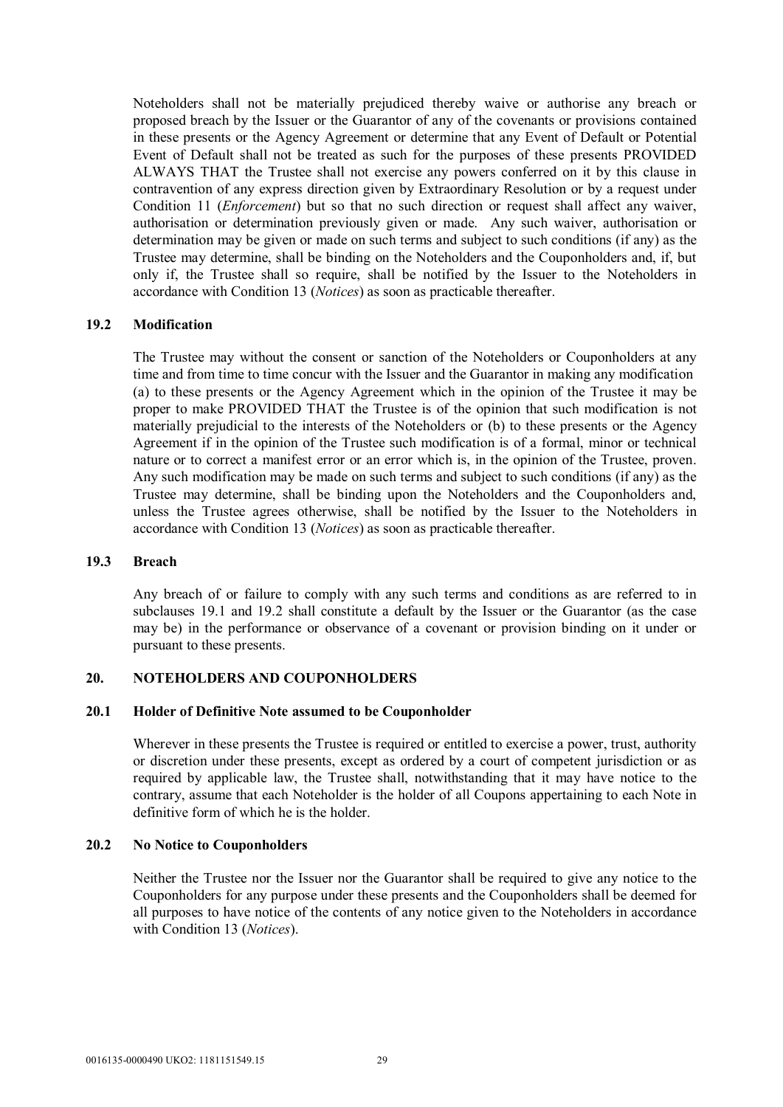Noteholders shall not be materially prejudiced thereby waive or authorise any breach or proposed breach by the Issuer or the Guarantor of any of the covenants or provisions contained in these presents or the Agency Agreement or determine that any Event of Default or Potential Event of Default shall not be treated as such for the purposes of these presents PROVIDED ALWAYS THAT the Trustee shall not exercise any powers conferred on it by this clause in contravention of any express direction given by Extraordinary Resolution or by a request under Condition 11 (*Enforcement*) but so that no such direction or request shall affect any waiver, authorisation or determination previously given or made. Any such waiver, authorisation or determination may be given or made on such terms and subject to such conditions (if any) as the Trustee may determine, shall be binding on the Noteholders and the Couponholders and, if, but only if, the Trustee shall so require, shall be notified by the Issuer to the Noteholders in accordance with Condition 13 (*Notices*) as soon as practicable thereafter.

#### **19.2 Modification**

The Trustee may without the consent or sanction of the Noteholders or Couponholders at any time and from time to time concur with the Issuer and the Guarantor in making any modification (a) to these presents or the Agency Agreement which in the opinion of the Trustee it may be proper to make PROVIDED THAT the Trustee is of the opinion that such modification is not materially prejudicial to the interests of the Noteholders or (b) to these presents or the Agency Agreement if in the opinion of the Trustee such modification is of a formal, minor or technical nature or to correct a manifest error or an error which is, in the opinion of the Trustee, proven. Any such modification may be made on such terms and subject to such conditions (if any) as the Trustee may determine, shall be binding upon the Noteholders and the Couponholders and, unless the Trustee agrees otherwise, shall be notified by the Issuer to the Noteholders in accordance with Condition 13 (*Notices*) as soon as practicable thereafter.

#### **19.3 Breach**

Any breach of or failure to comply with any such terms and conditions as are referred to in subclauses 19.1 and 19.2 shall constitute a default by the Issuer or the Guarantor (as the case may be) in the performance or observance of a covenant or provision binding on it under or pursuant to these presents.

#### **20. NOTEHOLDERS AND COUPONHOLDERS**

#### **20.1 Holder of Definitive Note assumed to be Couponholder**

Wherever in these presents the Trustee is required or entitled to exercise a power, trust, authority or discretion under these presents, except as ordered by a court of competent jurisdiction or as required by applicable law, the Trustee shall, notwithstanding that it may have notice to the contrary, assume that each Noteholder is the holder of all Coupons appertaining to each Note in definitive form of which he is the holder.

#### **20.2 No Notice to Couponholders**

Neither the Trustee nor the Issuer nor the Guarantor shall be required to give any notice to the Couponholders for any purpose under these presents and the Couponholders shall be deemed for all purposes to have notice of the contents of any notice given to the Noteholders in accordance with Condition 13 (*Notices*).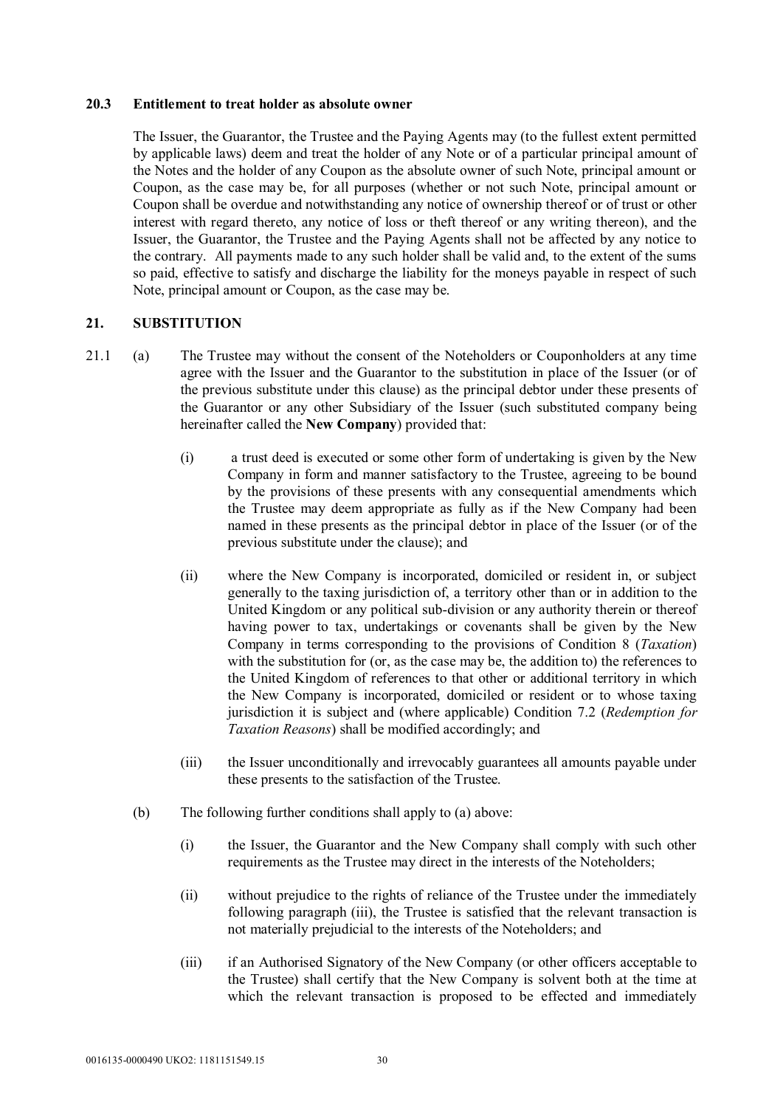#### **20.3 Entitlement to treat holder as absolute owner**

The Issuer, the Guarantor, the Trustee and the Paying Agents may (to the fullest extent permitted by applicable laws) deem and treat the holder of any Note or of a particular principal amount of the Notes and the holder of any Coupon as the absolute owner of such Note, principal amount or Coupon, as the case may be, for all purposes (whether or not such Note, principal amount or Coupon shall be overdue and notwithstanding any notice of ownership thereof or of trust or other interest with regard thereto, any notice of loss or theft thereof or any writing thereon), and the Issuer, the Guarantor, the Trustee and the Paying Agents shall not be affected by any notice to the contrary. All payments made to any such holder shall be valid and, to the extent of the sums so paid, effective to satisfy and discharge the liability for the moneys payable in respect of such Note, principal amount or Coupon, as the case may be.

# **21. SUBSTITUTION**

- 21.1 (a) The Trustee may without the consent of the Noteholders or Couponholders at any time agree with the Issuer and the Guarantor to the substitution in place of the Issuer (or of the previous substitute under this clause) as the principal debtor under these presents of the Guarantor or any other Subsidiary of the Issuer (such substituted company being hereinafter called the **New Company**) provided that:
	- (i) a trust deed is executed or some other form of undertaking is given by the New Company in form and manner satisfactory to the Trustee, agreeing to be bound by the provisions of these presents with any consequential amendments which the Trustee may deem appropriate as fully as if the New Company had been named in these presents as the principal debtor in place of the Issuer (or of the previous substitute under the clause); and
	- (ii) where the New Company is incorporated, domiciled or resident in, or subject generally to the taxing jurisdiction of, a territory other than or in addition to the United Kingdom or any political sub-division or any authority therein or thereof having power to tax, undertakings or covenants shall be given by the New Company in terms corresponding to the provisions of Condition 8 (*Taxation*) with the substitution for (or, as the case may be, the addition to) the references to the United Kingdom of references to that other or additional territory in which the New Company is incorporated, domiciled or resident or to whose taxing jurisdiction it is subject and (where applicable) Condition 7.2 (*Redemption for Taxation Reasons*) shall be modified accordingly; and
	- (iii) the Issuer unconditionally and irrevocably guarantees all amounts payable under these presents to the satisfaction of the Trustee.
	- (b) The following further conditions shall apply to (a) above:
		- (i) the Issuer, the Guarantor and the New Company shall comply with such other requirements as the Trustee may direct in the interests of the Noteholders;
		- (ii) without prejudice to the rights of reliance of the Trustee under the immediately following paragraph (iii), the Trustee is satisfied that the relevant transaction is not materially prejudicial to the interests of the Noteholders; and
		- (iii) if an Authorised Signatory of the New Company (or other officers acceptable to the Trustee) shall certify that the New Company is solvent both at the time at which the relevant transaction is proposed to be effected and immediately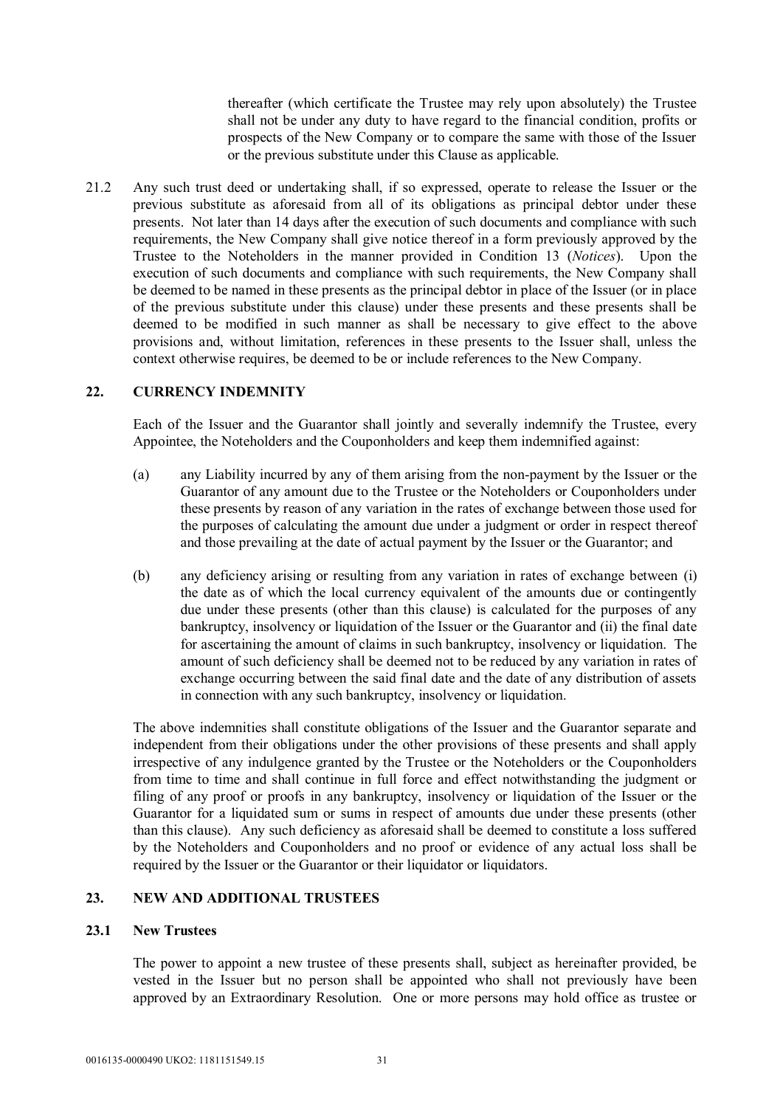thereafter (which certificate the Trustee may rely upon absolutely) the Trustee shall not be under any duty to have regard to the financial condition, profits or prospects of the New Company or to compare the same with those of the Issuer or the previous substitute under this Clause as applicable.

21.2 Any such trust deed or undertaking shall, if so expressed, operate to release the Issuer or the previous substitute as aforesaid from all of its obligations as principal debtor under these presents. Not later than 14 days after the execution of such documents and compliance with such requirements, the New Company shall give notice thereof in a form previously approved by the Trustee to the Noteholders in the manner provided in Condition 13 (*Notices*). Upon the execution of such documents and compliance with such requirements, the New Company shall be deemed to be named in these presents as the principal debtor in place of the Issuer (or in place of the previous substitute under this clause) under these presents and these presents shall be deemed to be modified in such manner as shall be necessary to give effect to the above provisions and, without limitation, references in these presents to the Issuer shall, unless the context otherwise requires, be deemed to be or include references to the New Company.

# **22. CURRENCY INDEMNITY**

Each of the Issuer and the Guarantor shall jointly and severally indemnify the Trustee, every Appointee, the Noteholders and the Couponholders and keep them indemnified against:

- (a) any Liability incurred by any of them arising from the non-payment by the Issuer or the Guarantor of any amount due to the Trustee or the Noteholders or Couponholders under these presents by reason of any variation in the rates of exchange between those used for the purposes of calculating the amount due under a judgment or order in respect thereof and those prevailing at the date of actual payment by the Issuer or the Guarantor; and
- (b) any deficiency arising or resulting from any variation in rates of exchange between (i) the date as of which the local currency equivalent of the amounts due or contingently due under these presents (other than this clause) is calculated for the purposes of any bankruptcy, insolvency or liquidation of the Issuer or the Guarantor and (ii) the final date for ascertaining the amount of claims in such bankruptcy, insolvency or liquidation. The amount of such deficiency shall be deemed not to be reduced by any variation in rates of exchange occurring between the said final date and the date of any distribution of assets in connection with any such bankruptcy, insolvency or liquidation.

The above indemnities shall constitute obligations of the Issuer and the Guarantor separate and independent from their obligations under the other provisions of these presents and shall apply irrespective of any indulgence granted by the Trustee or the Noteholders or the Couponholders from time to time and shall continue in full force and effect notwithstanding the judgment or filing of any proof or proofs in any bankruptcy, insolvency or liquidation of the Issuer or the Guarantor for a liquidated sum or sums in respect of amounts due under these presents (other than this clause). Any such deficiency as aforesaid shall be deemed to constitute a loss suffered by the Noteholders and Couponholders and no proof or evidence of any actual loss shall be required by the Issuer or the Guarantor or their liquidator or liquidators.

# **23. NEW AND ADDITIONAL TRUSTEES**

#### **23.1 New Trustees**

The power to appoint a new trustee of these presents shall, subject as hereinafter provided, be vested in the Issuer but no person shall be appointed who shall not previously have been approved by an Extraordinary Resolution. One or more persons may hold office as trustee or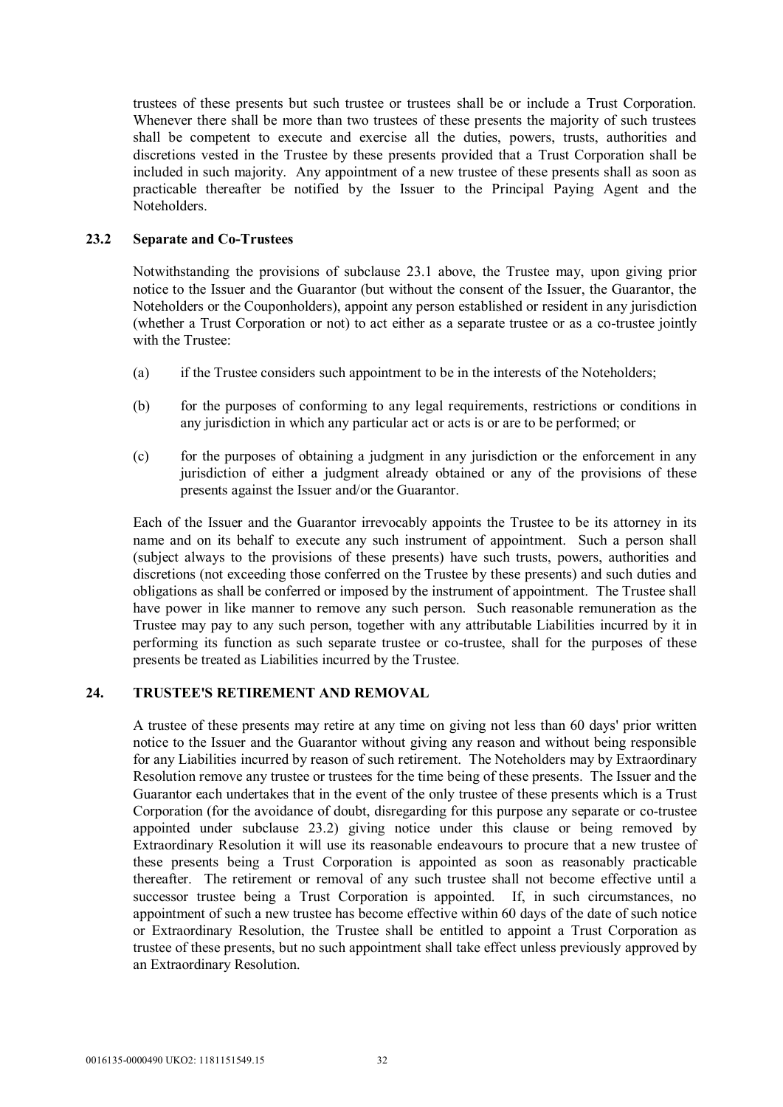trustees of these presents but such trustee or trustees shall be or include a Trust Corporation. Whenever there shall be more than two trustees of these presents the majority of such trustees shall be competent to execute and exercise all the duties, powers, trusts, authorities and discretions vested in the Trustee by these presents provided that a Trust Corporation shall be included in such majority. Any appointment of a new trustee of these presents shall as soon as practicable thereafter be notified by the Issuer to the Principal Paying Agent and the Noteholders.

# **23.2 Separate and Co-Trustees**

Notwithstanding the provisions of subclause 23.1 above, the Trustee may, upon giving prior notice to the Issuer and the Guarantor (but without the consent of the Issuer, the Guarantor, the Noteholders or the Couponholders), appoint any person established or resident in any jurisdiction (whether a Trust Corporation or not) to act either as a separate trustee or as a co-trustee jointly with the Trustee:

- (a) if the Trustee considers such appointment to be in the interests of the Noteholders;
- (b) for the purposes of conforming to any legal requirements, restrictions or conditions in any jurisdiction in which any particular act or acts is or are to be performed; or
- (c) for the purposes of obtaining a judgment in any jurisdiction or the enforcement in any jurisdiction of either a judgment already obtained or any of the provisions of these presents against the Issuer and/or the Guarantor.

Each of the Issuer and the Guarantor irrevocably appoints the Trustee to be its attorney in its name and on its behalf to execute any such instrument of appointment. Such a person shall (subject always to the provisions of these presents) have such trusts, powers, authorities and discretions (not exceeding those conferred on the Trustee by these presents) and such duties and obligations as shall be conferred or imposed by the instrument of appointment. The Trustee shall have power in like manner to remove any such person. Such reasonable remuneration as the Trustee may pay to any such person, together with any attributable Liabilities incurred by it in performing its function as such separate trustee or co-trustee, shall for the purposes of these presents be treated as Liabilities incurred by the Trustee.

#### **24. TRUSTEE'S RETIREMENT AND REMOVAL**

A trustee of these presents may retire at any time on giving not less than 60 days' prior written notice to the Issuer and the Guarantor without giving any reason and without being responsible for any Liabilities incurred by reason of such retirement. The Noteholders may by Extraordinary Resolution remove any trustee or trustees for the time being of these presents. The Issuer and the Guarantor each undertakes that in the event of the only trustee of these presents which is a Trust Corporation (for the avoidance of doubt, disregarding for this purpose any separate or co-trustee appointed under subclause 23.2) giving notice under this clause or being removed by Extraordinary Resolution it will use its reasonable endeavours to procure that a new trustee of these presents being a Trust Corporation is appointed as soon as reasonably practicable thereafter. The retirement or removal of any such trustee shall not become effective until a successor trustee being a Trust Corporation is appointed. If, in such circumstances, no appointment of such a new trustee has become effective within 60 days of the date of such notice or Extraordinary Resolution, the Trustee shall be entitled to appoint a Trust Corporation as trustee of these presents, but no such appointment shall take effect unless previously approved by an Extraordinary Resolution.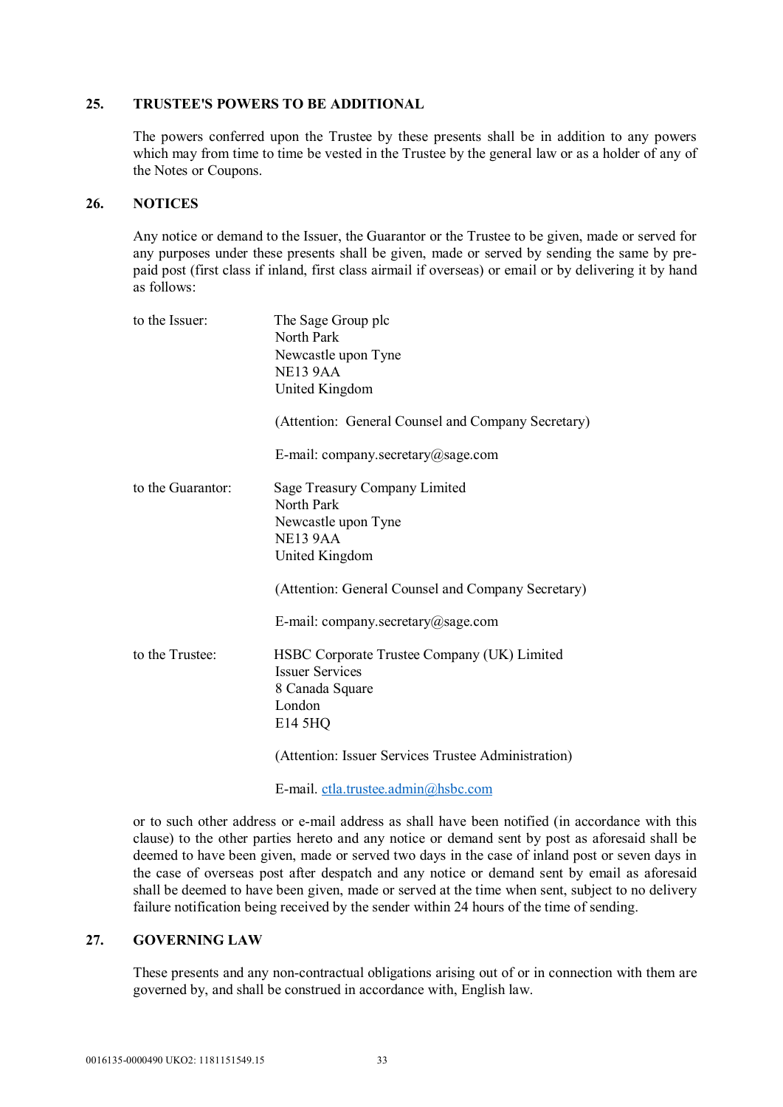#### **25. TRUSTEE'S POWERS TO BE ADDITIONAL**

The powers conferred upon the Trustee by these presents shall be in addition to any powers which may from time to time be vested in the Trustee by the general law or as a holder of any of the Notes or Coupons.

#### **26. NOTICES**

Any notice or demand to the Issuer, the Guarantor or the Trustee to be given, made or served for any purposes under these presents shall be given, made or served by sending the same by prepaid post (first class if inland, first class airmail if overseas) or email or by delivering it by hand as follows:

| to the Issuer:    | The Sage Group plc<br>North Park<br>Newcastle upon Tyne<br>NE13 9AA<br>United Kingdom                         |
|-------------------|---------------------------------------------------------------------------------------------------------------|
|                   | (Attention: General Counsel and Company Secretary)                                                            |
|                   | E-mail: company.secretary@sage.com                                                                            |
| to the Guarantor: | Sage Treasury Company Limited<br>North Park<br>Newcastle upon Tyne<br><b>NE13 9AA</b><br>United Kingdom       |
|                   | (Attention: General Counsel and Company Secretary)<br>E-mail: company.secretary@sage.com                      |
| to the Trustee:   | HSBC Corporate Trustee Company (UK) Limited<br><b>Issuer Services</b><br>8 Canada Square<br>London<br>E14 5HQ |
|                   | (Attention: Issuer Services Trustee Administration)                                                           |

E-mail. ctla.trustee.admin@hsbc.com

or to such other address or e-mail address as shall have been notified (in accordance with this clause) to the other parties hereto and any notice or demand sent by post as aforesaid shall be deemed to have been given, made or served two days in the case of inland post or seven days in the case of overseas post after despatch and any notice or demand sent by email as aforesaid shall be deemed to have been given, made or served at the time when sent, subject to no delivery failure notification being received by the sender within 24 hours of the time of sending.

# **27. GOVERNING LAW**

These presents and any non-contractual obligations arising out of or in connection with them are governed by, and shall be construed in accordance with, English law.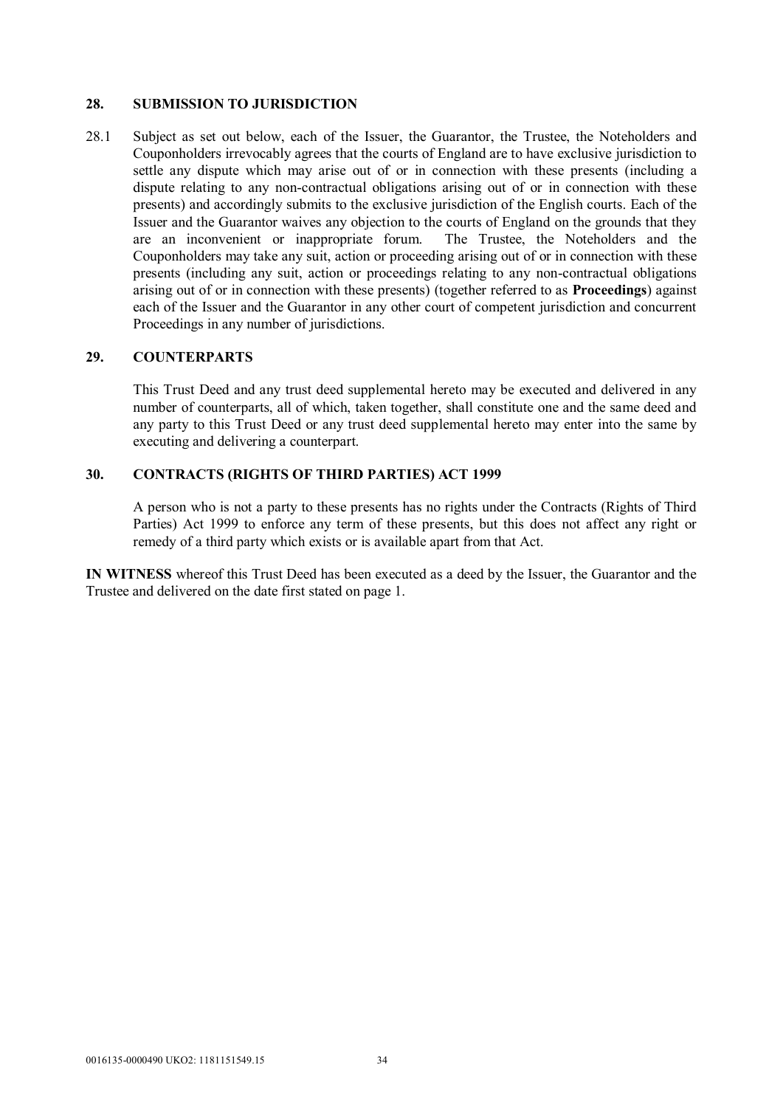#### **28. SUBMISSION TO JURISDICTION**

28.1 Subject as set out below, each of the Issuer, the Guarantor, the Trustee, the Noteholders and Couponholders irrevocably agrees that the courts of England are to have exclusive jurisdiction to settle any dispute which may arise out of or in connection with these presents (including a dispute relating to any non-contractual obligations arising out of or in connection with these presents) and accordingly submits to the exclusive jurisdiction of the English courts. Each of the Issuer and the Guarantor waives any objection to the courts of England on the grounds that they are an inconvenient or inappropriate forum. The Trustee, the Noteholders and the Couponholders may take any suit, action or proceeding arising out of or in connection with these presents (including any suit, action or proceedings relating to any non-contractual obligations arising out of or in connection with these presents) (together referred to as **Proceedings**) against each of the Issuer and the Guarantor in any other court of competent jurisdiction and concurrent Proceedings in any number of jurisdictions.

#### **29. COUNTERPARTS**

This Trust Deed and any trust deed supplemental hereto may be executed and delivered in any number of counterparts, all of which, taken together, shall constitute one and the same deed and any party to this Trust Deed or any trust deed supplemental hereto may enter into the same by executing and delivering a counterpart.

#### **30. CONTRACTS (RIGHTS OF THIRD PARTIES) ACT 1999**

A person who is not a party to these presents has no rights under the Contracts (Rights of Third Parties) Act 1999 to enforce any term of these presents, but this does not affect any right or remedy of a third party which exists or is available apart from that Act.

**IN WITNESS** whereof this Trust Deed has been executed as a deed by the Issuer, the Guarantor and the Trustee and delivered on the date first stated on page 1.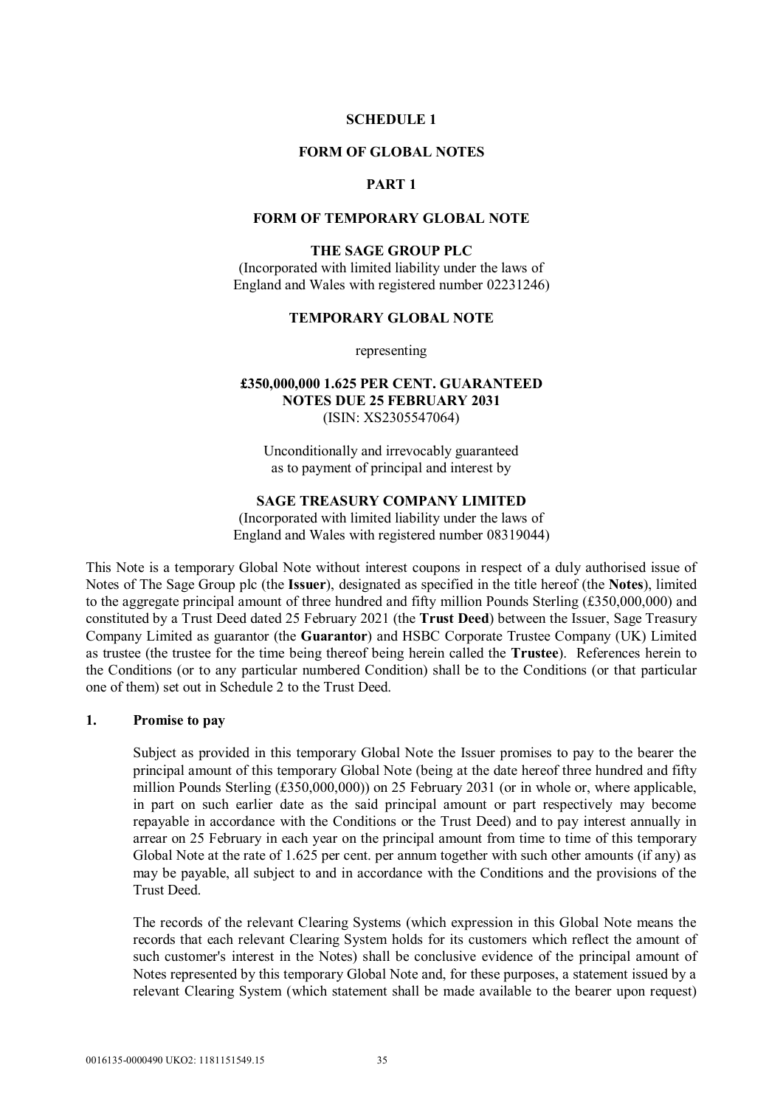### **SCHEDULE 1**

#### **FORM OF GLOBAL NOTES**

## **PART 1**

#### **FORM OF TEMPORARY GLOBAL NOTE**

#### **THE SAGE GROUP PLC**

(Incorporated with limited liability under the laws of England and Wales with registered number 02231246)

#### **TEMPORARY GLOBAL NOTE**

representing

## **£350,000,000 1.625 PER CENT. GUARANTEED NOTES DUE 25 FEBRUARY 2031** (ISIN: XS2305547064)

Unconditionally and irrevocably guaranteed as to payment of principal and interest by

#### **SAGE TREASURY COMPANY LIMITED**

(Incorporated with limited liability under the laws of England and Wales with registered number 08319044)

This Note is a temporary Global Note without interest coupons in respect of a duly authorised issue of Notes of The Sage Group plc (the **Issuer**), designated as specified in the title hereof (the **Notes**), limited to the aggregate principal amount of three hundred and fifty million Pounds Sterling (£350,000,000) and constituted by a Trust Deed dated 25 February 2021 (the **Trust Deed**) between the Issuer, Sage Treasury Company Limited as guarantor (the **Guarantor**) and HSBC Corporate Trustee Company (UK) Limited as trustee (the trustee for the time being thereof being herein called the **Trustee**). References herein to the Conditions (or to any particular numbered Condition) shall be to the Conditions (or that particular one of them) set out in Schedule 2 to the Trust Deed.

### **1. Promise to pay**

Subject as provided in this temporary Global Note the Issuer promises to pay to the bearer the principal amount of this temporary Global Note (being at the date hereof three hundred and fifty million Pounds Sterling (£350,000,000)) on 25 February 2031 (or in whole or, where applicable, in part on such earlier date as the said principal amount or part respectively may become repayable in accordance with the Conditions or the Trust Deed) and to pay interest annually in arrear on 25 February in each year on the principal amount from time to time of this temporary Global Note at the rate of 1.625 per cent. per annum together with such other amounts (if any) as may be payable, all subject to and in accordance with the Conditions and the provisions of the Trust Deed.

The records of the relevant Clearing Systems (which expression in this Global Note means the records that each relevant Clearing System holds for its customers which reflect the amount of such customer's interest in the Notes) shall be conclusive evidence of the principal amount of Notes represented by this temporary Global Note and, for these purposes, a statement issued by a relevant Clearing System (which statement shall be made available to the bearer upon request)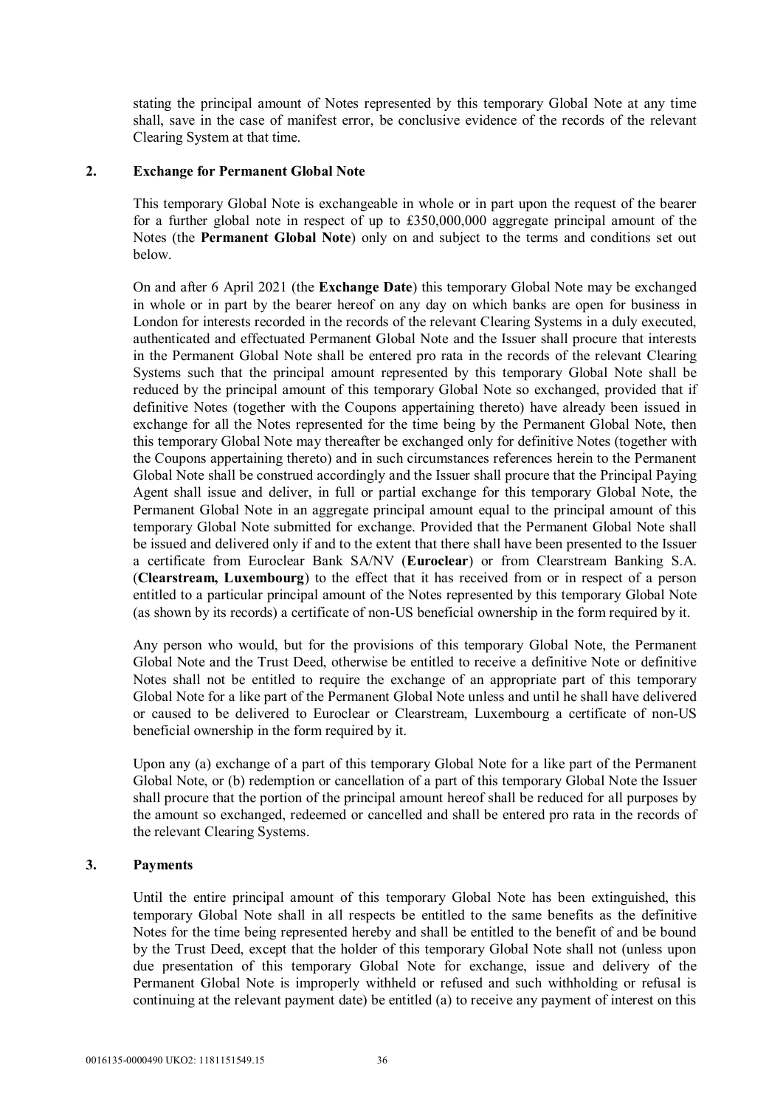stating the principal amount of Notes represented by this temporary Global Note at any time shall, save in the case of manifest error, be conclusive evidence of the records of the relevant Clearing System at that time.

## **2. Exchange for Permanent Global Note**

This temporary Global Note is exchangeable in whole or in part upon the request of the bearer for a further global note in respect of up to £350,000,000 aggregate principal amount of the Notes (the **Permanent Global Note**) only on and subject to the terms and conditions set out below.

On and after 6 April 2021 (the **Exchange Date**) this temporary Global Note may be exchanged in whole or in part by the bearer hereof on any day on which banks are open for business in London for interests recorded in the records of the relevant Clearing Systems in a duly executed, authenticated and effectuated Permanent Global Note and the Issuer shall procure that interests in the Permanent Global Note shall be entered pro rata in the records of the relevant Clearing Systems such that the principal amount represented by this temporary Global Note shall be reduced by the principal amount of this temporary Global Note so exchanged, provided that if definitive Notes (together with the Coupons appertaining thereto) have already been issued in exchange for all the Notes represented for the time being by the Permanent Global Note, then this temporary Global Note may thereafter be exchanged only for definitive Notes (together with the Coupons appertaining thereto) and in such circumstances references herein to the Permanent Global Note shall be construed accordingly and the Issuer shall procure that the Principal Paying Agent shall issue and deliver, in full or partial exchange for this temporary Global Note, the Permanent Global Note in an aggregate principal amount equal to the principal amount of this temporary Global Note submitted for exchange. Provided that the Permanent Global Note shall be issued and delivered only if and to the extent that there shall have been presented to the Issuer a certificate from Euroclear Bank SA/NV (**Euroclear**) or from Clearstream Banking S.A. (**Clearstream, Luxembourg**) to the effect that it has received from or in respect of a person entitled to a particular principal amount of the Notes represented by this temporary Global Note (as shown by its records) a certificate of non-US beneficial ownership in the form required by it.

Any person who would, but for the provisions of this temporary Global Note, the Permanent Global Note and the Trust Deed, otherwise be entitled to receive a definitive Note or definitive Notes shall not be entitled to require the exchange of an appropriate part of this temporary Global Note for a like part of the Permanent Global Note unless and until he shall have delivered or caused to be delivered to Euroclear or Clearstream, Luxembourg a certificate of non-US beneficial ownership in the form required by it.

Upon any (a) exchange of a part of this temporary Global Note for a like part of the Permanent Global Note, or (b) redemption or cancellation of a part of this temporary Global Note the Issuer shall procure that the portion of the principal amount hereof shall be reduced for all purposes by the amount so exchanged, redeemed or cancelled and shall be entered pro rata in the records of the relevant Clearing Systems.

## **3. Payments**

Until the entire principal amount of this temporary Global Note has been extinguished, this temporary Global Note shall in all respects be entitled to the same benefits as the definitive Notes for the time being represented hereby and shall be entitled to the benefit of and be bound by the Trust Deed, except that the holder of this temporary Global Note shall not (unless upon due presentation of this temporary Global Note for exchange, issue and delivery of the Permanent Global Note is improperly withheld or refused and such withholding or refusal is continuing at the relevant payment date) be entitled (a) to receive any payment of interest on this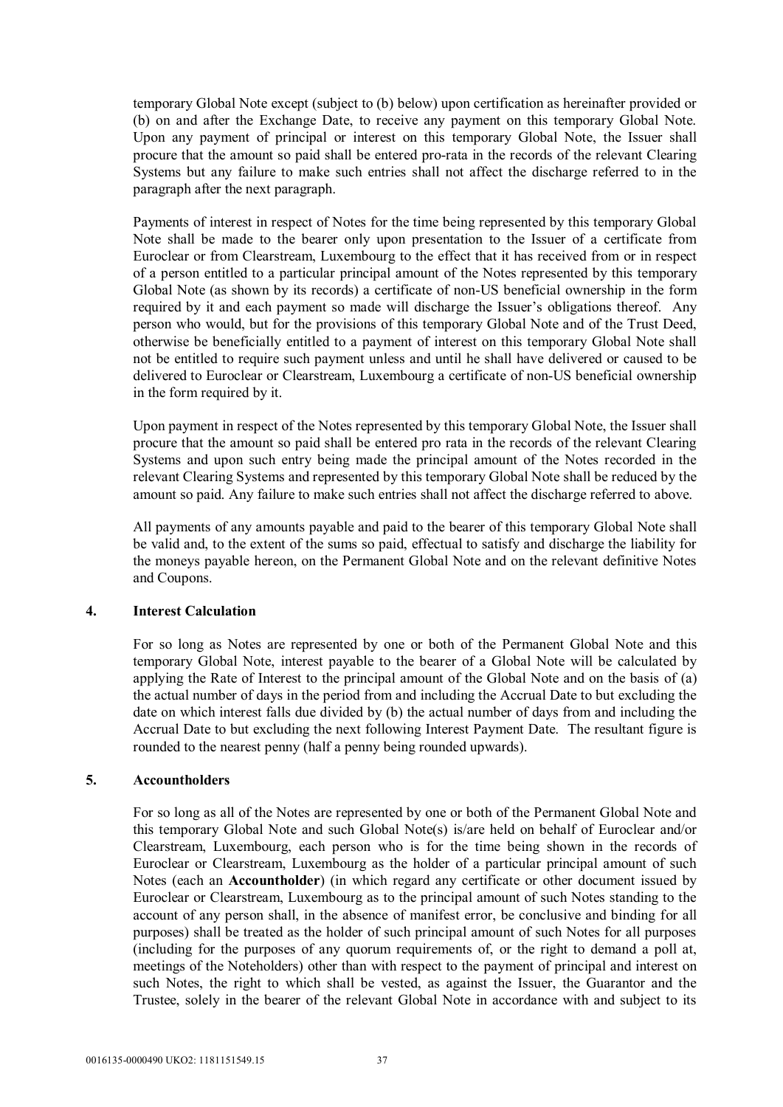temporary Global Note except (subject to (b) below) upon certification as hereinafter provided or (b) on and after the Exchange Date, to receive any payment on this temporary Global Note. Upon any payment of principal or interest on this temporary Global Note, the Issuer shall procure that the amount so paid shall be entered pro-rata in the records of the relevant Clearing Systems but any failure to make such entries shall not affect the discharge referred to in the paragraph after the next paragraph.

Payments of interest in respect of Notes for the time being represented by this temporary Global Note shall be made to the bearer only upon presentation to the Issuer of a certificate from Euroclear or from Clearstream, Luxembourg to the effect that it has received from or in respect of a person entitled to a particular principal amount of the Notes represented by this temporary Global Note (as shown by its records) a certificate of non-US beneficial ownership in the form required by it and each payment so made will discharge the Issuer's obligations thereof. Any person who would, but for the provisions of this temporary Global Note and of the Trust Deed, otherwise be beneficially entitled to a payment of interest on this temporary Global Note shall not be entitled to require such payment unless and until he shall have delivered or caused to be delivered to Euroclear or Clearstream, Luxembourg a certificate of non-US beneficial ownership in the form required by it.

Upon payment in respect of the Notes represented by this temporary Global Note, the Issuer shall procure that the amount so paid shall be entered pro rata in the records of the relevant Clearing Systems and upon such entry being made the principal amount of the Notes recorded in the relevant Clearing Systems and represented by this temporary Global Note shall be reduced by the amount so paid. Any failure to make such entries shall not affect the discharge referred to above.

All payments of any amounts payable and paid to the bearer of this temporary Global Note shall be valid and, to the extent of the sums so paid, effectual to satisfy and discharge the liability for the moneys payable hereon, on the Permanent Global Note and on the relevant definitive Notes and Coupons.

## **4. Interest Calculation**

For so long as Notes are represented by one or both of the Permanent Global Note and this temporary Global Note, interest payable to the bearer of a Global Note will be calculated by applying the Rate of Interest to the principal amount of the Global Note and on the basis of (a) the actual number of days in the period from and including the Accrual Date to but excluding the date on which interest falls due divided by (b) the actual number of days from and including the Accrual Date to but excluding the next following Interest Payment Date. The resultant figure is rounded to the nearest penny (half a penny being rounded upwards).

## **5. Accountholders**

For so long as all of the Notes are represented by one or both of the Permanent Global Note and this temporary Global Note and such Global Note(s) is/are held on behalf of Euroclear and/or Clearstream, Luxembourg, each person who is for the time being shown in the records of Euroclear or Clearstream, Luxembourg as the holder of a particular principal amount of such Notes (each an **Accountholder**) (in which regard any certificate or other document issued by Euroclear or Clearstream, Luxembourg as to the principal amount of such Notes standing to the account of any person shall, in the absence of manifest error, be conclusive and binding for all purposes) shall be treated as the holder of such principal amount of such Notes for all purposes (including for the purposes of any quorum requirements of, or the right to demand a poll at, meetings of the Noteholders) other than with respect to the payment of principal and interest on such Notes, the right to which shall be vested, as against the Issuer, the Guarantor and the Trustee, solely in the bearer of the relevant Global Note in accordance with and subject to its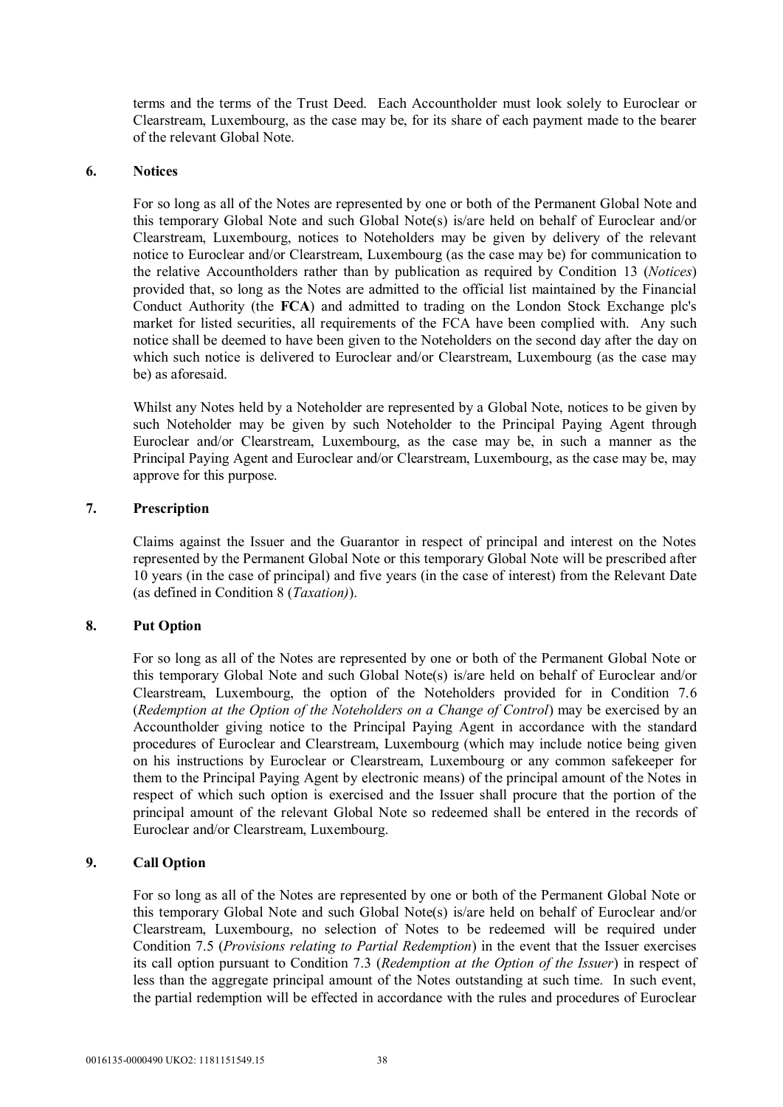terms and the terms of the Trust Deed. Each Accountholder must look solely to Euroclear or Clearstream, Luxembourg, as the case may be, for its share of each payment made to the bearer of the relevant Global Note.

## **6. Notices**

For so long as all of the Notes are represented by one or both of the Permanent Global Note and this temporary Global Note and such Global Note(s) is/are held on behalf of Euroclear and/or Clearstream, Luxembourg, notices to Noteholders may be given by delivery of the relevant notice to Euroclear and/or Clearstream, Luxembourg (as the case may be) for communication to the relative Accountholders rather than by publication as required by Condition 13 (*Notices*) provided that, so long as the Notes are admitted to the official list maintained by the Financial Conduct Authority (the **FCA**) and admitted to trading on the London Stock Exchange plc's market for listed securities, all requirements of the FCA have been complied with. Any such notice shall be deemed to have been given to the Noteholders on the second day after the day on which such notice is delivered to Euroclear and/or Clearstream, Luxembourg (as the case may be) as aforesaid.

Whilst any Notes held by a Noteholder are represented by a Global Note, notices to be given by such Noteholder may be given by such Noteholder to the Principal Paying Agent through Euroclear and/or Clearstream, Luxembourg, as the case may be, in such a manner as the Principal Paying Agent and Euroclear and/or Clearstream, Luxembourg, as the case may be, may approve for this purpose.

## **7. Prescription**

Claims against the Issuer and the Guarantor in respect of principal and interest on the Notes represented by the Permanent Global Note or this temporary Global Note will be prescribed after 10 years (in the case of principal) and five years (in the case of interest) from the Relevant Date (as defined in Condition 8 (*Taxation)*).

## **8. Put Option**

For so long as all of the Notes are represented by one or both of the Permanent Global Note or this temporary Global Note and such Global Note(s) is/are held on behalf of Euroclear and/or Clearstream, Luxembourg, the option of the Noteholders provided for in Condition 7.6 (*Redemption at the Option of the Noteholders on a Change of Control*) may be exercised by an Accountholder giving notice to the Principal Paying Agent in accordance with the standard procedures of Euroclear and Clearstream, Luxembourg (which may include notice being given on his instructions by Euroclear or Clearstream, Luxembourg or any common safekeeper for them to the Principal Paying Agent by electronic means) of the principal amount of the Notes in respect of which such option is exercised and the Issuer shall procure that the portion of the principal amount of the relevant Global Note so redeemed shall be entered in the records of Euroclear and/or Clearstream, Luxembourg.

## **9. Call Option**

For so long as all of the Notes are represented by one or both of the Permanent Global Note or this temporary Global Note and such Global Note(s) is/are held on behalf of Euroclear and/or Clearstream, Luxembourg, no selection of Notes to be redeemed will be required under Condition 7.5 (*Provisions relating to Partial Redemption*) in the event that the Issuer exercises its call option pursuant to Condition 7.3 (*Redemption at the Option of the Issuer*) in respect of less than the aggregate principal amount of the Notes outstanding at such time. In such event, the partial redemption will be effected in accordance with the rules and procedures of Euroclear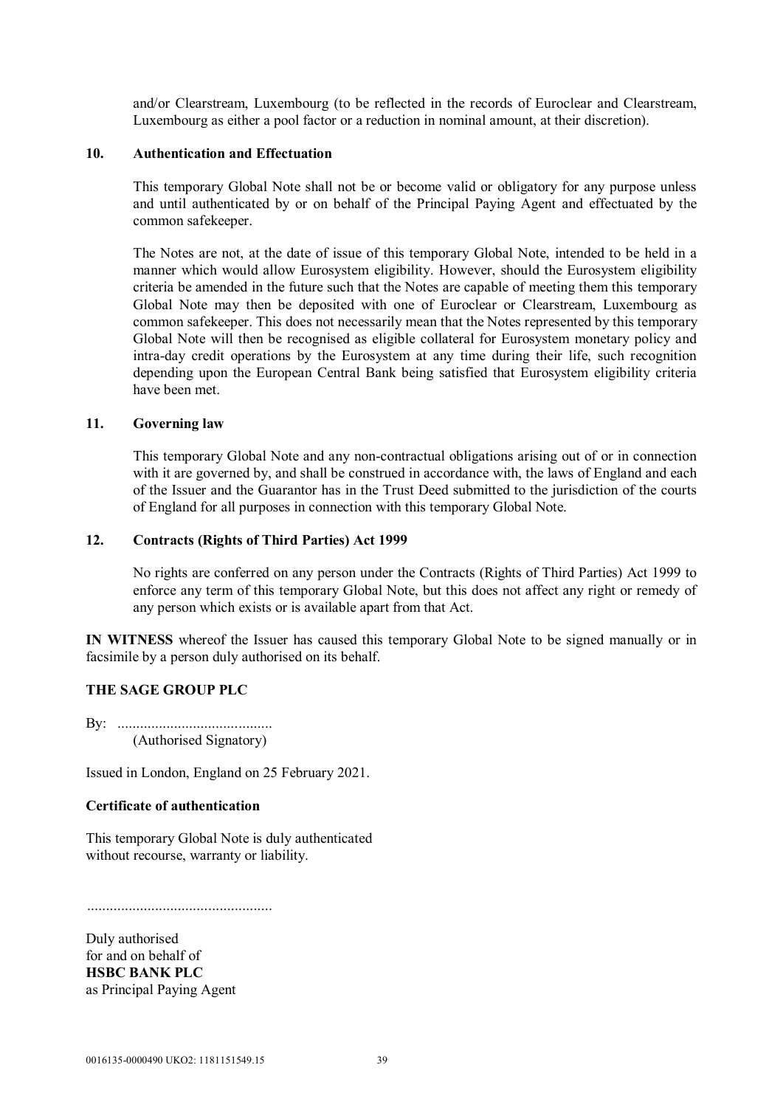and/or Clearstream, Luxembourg (to be reflected in the records of Euroclear and Clearstream, Luxembourg as either a pool factor or a reduction in nominal amount, at their discretion).

### **10. Authentication and Effectuation**

This temporary Global Note shall not be or become valid or obligatory for any purpose unless and until authenticated by or on behalf of the Principal Paying Agent and effectuated by the common safekeeper.

The Notes are not, at the date of issue of this temporary Global Note, intended to be held in a manner which would allow Eurosystem eligibility. However, should the Eurosystem eligibility criteria be amended in the future such that the Notes are capable of meeting them this temporary Global Note may then be deposited with one of Euroclear or Clearstream, Luxembourg as common safekeeper. This does not necessarily mean that the Notes represented by this temporary Global Note will then be recognised as eligible collateral for Eurosystem monetary policy and intra-day credit operations by the Eurosystem at any time during their life, such recognition depending upon the European Central Bank being satisfied that Eurosystem eligibility criteria have been met.

### **11. Governing law**

This temporary Global Note and any non-contractual obligations arising out of or in connection with it are governed by, and shall be construed in accordance with, the laws of England and each of the Issuer and the Guarantor has in the Trust Deed submitted to the jurisdiction of the courts of England for all purposes in connection with this temporary Global Note.

#### **12. Contracts (Rights of Third Parties) Act 1999**

No rights are conferred on any person under the Contracts (Rights of Third Parties) Act 1999 to enforce any term of this temporary Global Note, but this does not affect any right or remedy of any person which exists or is available apart from that Act.

**IN WITNESS** whereof the Issuer has caused this temporary Global Note to be signed manually or in facsimile by a person duly authorised on its behalf.

## **THE SAGE GROUP PLC**

By: ......................................... (Authorised Signatory)

Issued in London, England on 25 February 2021.

## **Certificate of authentication**

This temporary Global Note is duly authenticated without recourse, warranty or liability.

.................................................

Duly authorised for and on behalf of **HSBC BANK PLC** as Principal Paying Agent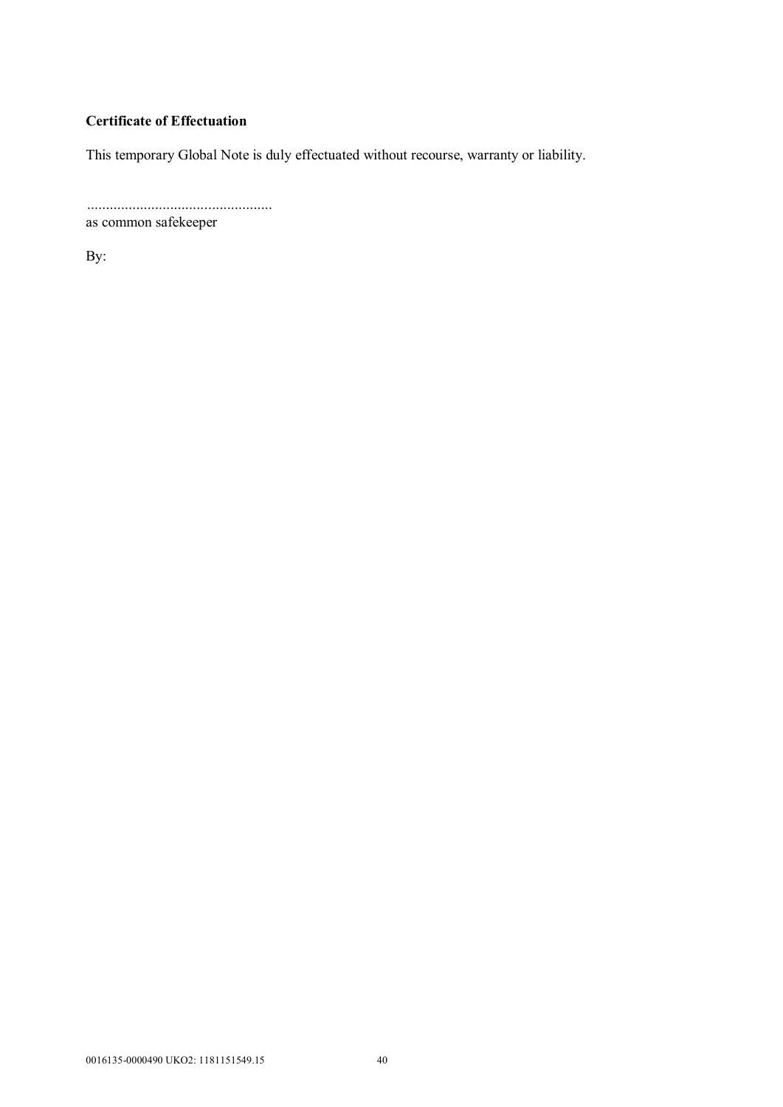# **Certificate of Effectuation**

This temporary Global Note is duly effectuated without recourse, warranty or liability.

................................................. as common safekeeper

By: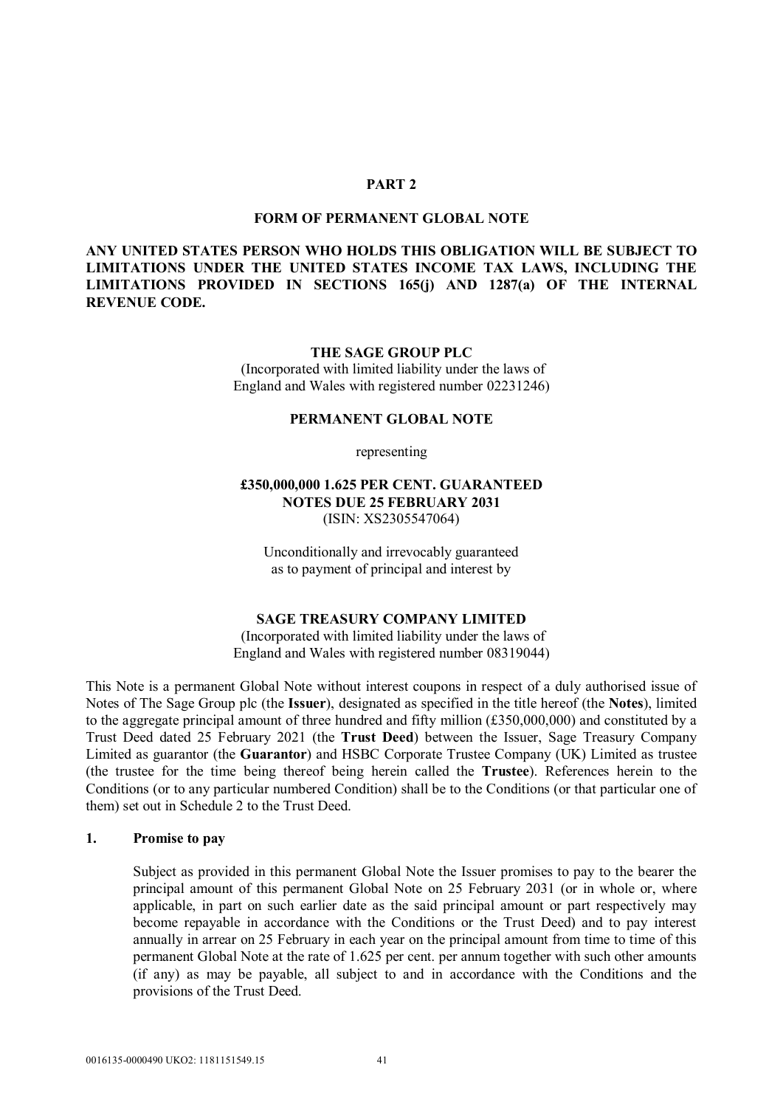#### **PART 2**

#### **FORM OF PERMANENT GLOBAL NOTE**

## **ANY UNITED STATES PERSON WHO HOLDS THIS OBLIGATION WILL BE SUBJECT TO LIMITATIONS UNDER THE UNITED STATES INCOME TAX LAWS, INCLUDING THE LIMITATIONS PROVIDED IN SECTIONS 165(j) AND 1287(a) OF THE INTERNAL REVENUE CODE.**

#### **THE SAGE GROUP PLC**

(Incorporated with limited liability under the laws of England and Wales with registered number 02231246)

#### **PERMANENT GLOBAL NOTE**

representing

### **£350,000,000 1.625 PER CENT. GUARANTEED NOTES DUE 25 FEBRUARY 2031** (ISIN: XS2305547064)

Unconditionally and irrevocably guaranteed as to payment of principal and interest by

### **SAGE TREASURY COMPANY LIMITED**

(Incorporated with limited liability under the laws of England and Wales with registered number 08319044)

This Note is a permanent Global Note without interest coupons in respect of a duly authorised issue of Notes of The Sage Group plc (the **Issuer**), designated as specified in the title hereof (the **Notes**), limited to the aggregate principal amount of three hundred and fifty million (£350,000,000) and constituted by a Trust Deed dated 25 February 2021 (the **Trust Deed**) between the Issuer, Sage Treasury Company Limited as guarantor (the **Guarantor**) and HSBC Corporate Trustee Company (UK) Limited as trustee (the trustee for the time being thereof being herein called the **Trustee**). References herein to the Conditions (or to any particular numbered Condition) shall be to the Conditions (or that particular one of them) set out in Schedule 2 to the Trust Deed.

#### **1. Promise to pay**

Subject as provided in this permanent Global Note the Issuer promises to pay to the bearer the principal amount of this permanent Global Note on 25 February 2031 (or in whole or, where applicable, in part on such earlier date as the said principal amount or part respectively may become repayable in accordance with the Conditions or the Trust Deed) and to pay interest annually in arrear on 25 February in each year on the principal amount from time to time of this permanent Global Note at the rate of 1.625 per cent. per annum together with such other amounts (if any) as may be payable, all subject to and in accordance with the Conditions and the provisions of the Trust Deed.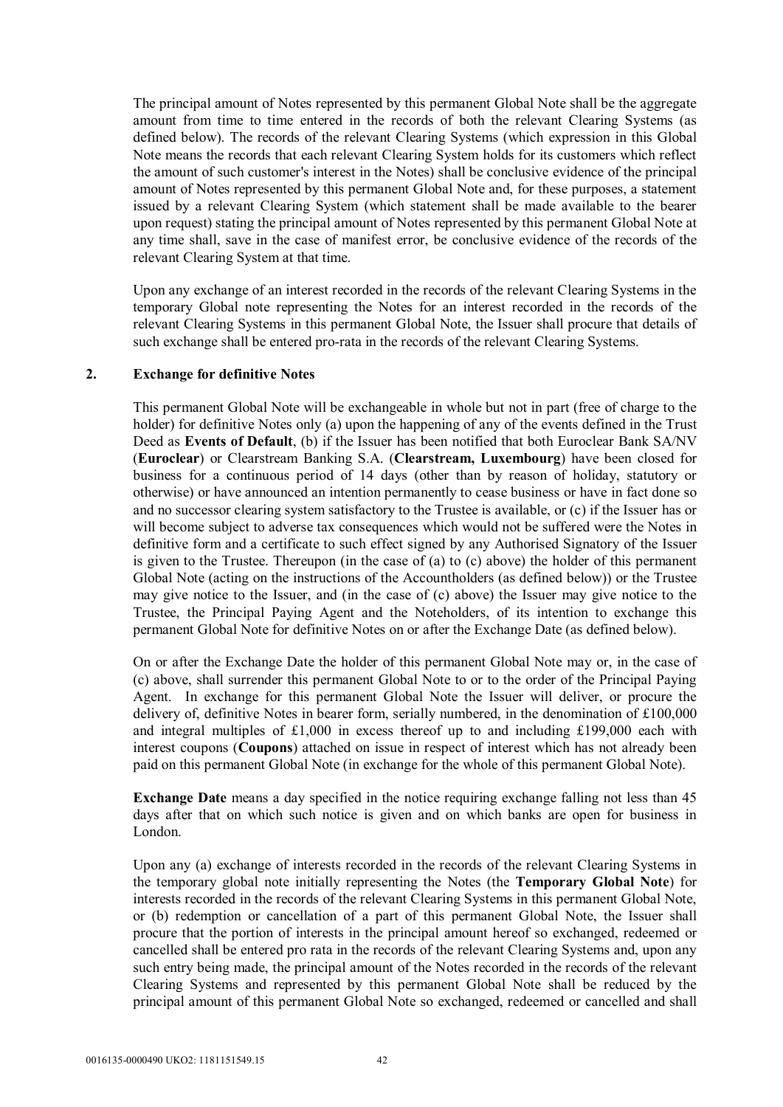The principal amount of Notes represented by this permanent Global Note shall be the aggregate amount from time to time entered in the records of both the relevant Clearing Systems (as defined below). The records of the relevant Clearing Systems (which expression in this Global Note means the records that each relevant Clearing System holds for its customers which reflect the amount of such customer's interest in the Notes) shall be conclusive evidence of the principal amount of Notes represented by this permanent Global Note and, for these purposes, a statement issued by a relevant Clearing System (which statement shall be made available to the bearer upon request) stating the principal amount of Notes represented by this permanent Global Note at any time shall, save in the case of manifest error, be conclusive evidence of the records of the relevant Clearing System at that time.

Upon any exchange of an interest recorded in the records of the relevant Clearing Systems in the temporary Global note representing the Notes for an interest recorded in the records of the relevant Clearing Systems in this permanent Global Note, the Issuer shall procure that details of such exchange shall be entered pro-rata in the records of the relevant Clearing Systems.

#### **2. Exchange for definitive Notes**

This permanent Global Note will be exchangeable in whole but not in part (free of charge to the holder) for definitive Notes only (a) upon the happening of any of the events defined in the Trust Deed as **Events of Default**, (b) if the Issuer has been notified that both Euroclear Bank SA/NV (**Euroclear**) or Clearstream Banking S.A. (**Clearstream, Luxembourg**) have been closed for business for a continuous period of 14 days (other than by reason of holiday, statutory or otherwise) or have announced an intention permanently to cease business or have in fact done so and no successor clearing system satisfactory to the Trustee is available, or (c) if the Issuer has or will become subject to adverse tax consequences which would not be suffered were the Notes in definitive form and a certificate to such effect signed by any Authorised Signatory of the Issuer is given to the Trustee. Thereupon (in the case of (a) to (c) above) the holder of this permanent Global Note (acting on the instructions of the Accountholders (as defined below)) or the Trustee may give notice to the Issuer, and (in the case of (c) above) the Issuer may give notice to the Trustee, the Principal Paying Agent and the Noteholders, of its intention to exchange this permanent Global Note for definitive Notes on or after the Exchange Date (as defined below).

On or after the Exchange Date the holder of this permanent Global Note may or, in the case of (c) above, shall surrender this permanent Global Note to or to the order of the Principal Paying Agent. In exchange for this permanent Global Note the Issuer will deliver, or procure the delivery of, definitive Notes in bearer form, serially numbered, in the denomination of £100,000 and integral multiples of £1,000 in excess thereof up to and including £199,000 each with interest coupons (**Coupons**) attached on issue in respect of interest which has not already been paid on this permanent Global Note (in exchange for the whole of this permanent Global Note).

**Exchange Date** means a day specified in the notice requiring exchange falling not less than 45 days after that on which such notice is given and on which banks are open for business in London.

Upon any (a) exchange of interests recorded in the records of the relevant Clearing Systems in the temporary global note initially representing the Notes (the **Temporary Global Note**) for interests recorded in the records of the relevant Clearing Systems in this permanent Global Note, or (b) redemption or cancellation of a part of this permanent Global Note, the Issuer shall procure that the portion of interests in the principal amount hereof so exchanged, redeemed or cancelled shall be entered pro rata in the records of the relevant Clearing Systems and, upon any such entry being made, the principal amount of the Notes recorded in the records of the relevant Clearing Systems and represented by this permanent Global Note shall be reduced by the principal amount of this permanent Global Note so exchanged, redeemed or cancelled and shall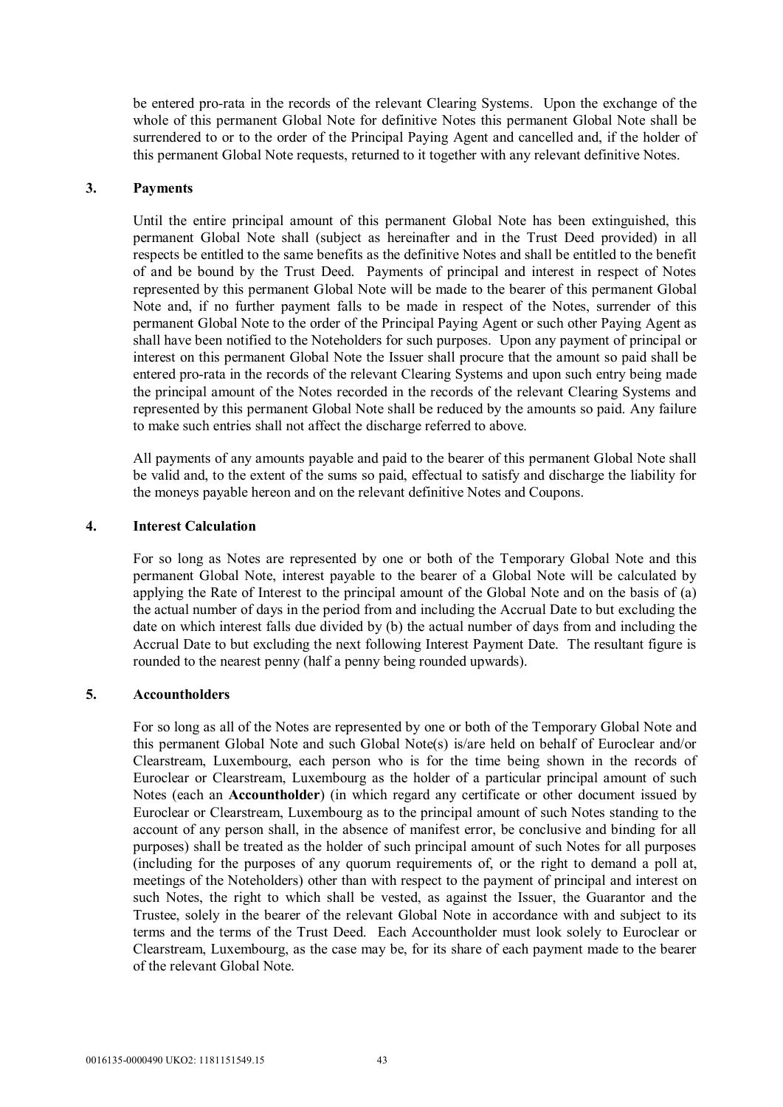be entered pro-rata in the records of the relevant Clearing Systems. Upon the exchange of the whole of this permanent Global Note for definitive Notes this permanent Global Note shall be surrendered to or to the order of the Principal Paying Agent and cancelled and, if the holder of this permanent Global Note requests, returned to it together with any relevant definitive Notes.

### **3. Payments**

Until the entire principal amount of this permanent Global Note has been extinguished, this permanent Global Note shall (subject as hereinafter and in the Trust Deed provided) in all respects be entitled to the same benefits as the definitive Notes and shall be entitled to the benefit of and be bound by the Trust Deed. Payments of principal and interest in respect of Notes represented by this permanent Global Note will be made to the bearer of this permanent Global Note and, if no further payment falls to be made in respect of the Notes, surrender of this permanent Global Note to the order of the Principal Paying Agent or such other Paying Agent as shall have been notified to the Noteholders for such purposes. Upon any payment of principal or interest on this permanent Global Note the Issuer shall procure that the amount so paid shall be entered pro-rata in the records of the relevant Clearing Systems and upon such entry being made the principal amount of the Notes recorded in the records of the relevant Clearing Systems and represented by this permanent Global Note shall be reduced by the amounts so paid. Any failure to make such entries shall not affect the discharge referred to above.

All payments of any amounts payable and paid to the bearer of this permanent Global Note shall be valid and, to the extent of the sums so paid, effectual to satisfy and discharge the liability for the moneys payable hereon and on the relevant definitive Notes and Coupons.

#### **4. Interest Calculation**

For so long as Notes are represented by one or both of the Temporary Global Note and this permanent Global Note, interest payable to the bearer of a Global Note will be calculated by applying the Rate of Interest to the principal amount of the Global Note and on the basis of (a) the actual number of days in the period from and including the Accrual Date to but excluding the date on which interest falls due divided by (b) the actual number of days from and including the Accrual Date to but excluding the next following Interest Payment Date. The resultant figure is rounded to the nearest penny (half a penny being rounded upwards).

## **5. Accountholders**

For so long as all of the Notes are represented by one or both of the Temporary Global Note and this permanent Global Note and such Global Note(s) is/are held on behalf of Euroclear and/or Clearstream, Luxembourg, each person who is for the time being shown in the records of Euroclear or Clearstream, Luxembourg as the holder of a particular principal amount of such Notes (each an **Accountholder**) (in which regard any certificate or other document issued by Euroclear or Clearstream, Luxembourg as to the principal amount of such Notes standing to the account of any person shall, in the absence of manifest error, be conclusive and binding for all purposes) shall be treated as the holder of such principal amount of such Notes for all purposes (including for the purposes of any quorum requirements of, or the right to demand a poll at, meetings of the Noteholders) other than with respect to the payment of principal and interest on such Notes, the right to which shall be vested, as against the Issuer, the Guarantor and the Trustee, solely in the bearer of the relevant Global Note in accordance with and subject to its terms and the terms of the Trust Deed. Each Accountholder must look solely to Euroclear or Clearstream, Luxembourg, as the case may be, for its share of each payment made to the bearer of the relevant Global Note.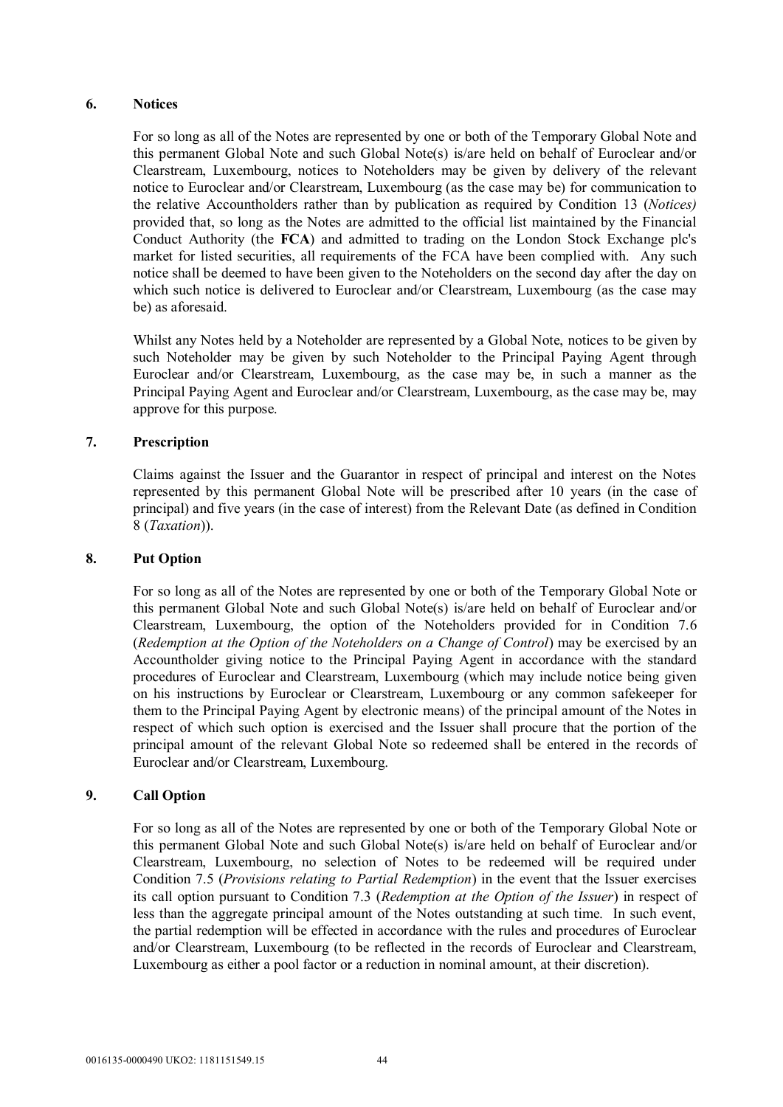## **6. Notices**

For so long as all of the Notes are represented by one or both of the Temporary Global Note and this permanent Global Note and such Global Note(s) is/are held on behalf of Euroclear and/or Clearstream, Luxembourg, notices to Noteholders may be given by delivery of the relevant notice to Euroclear and/or Clearstream, Luxembourg (as the case may be) for communication to the relative Accountholders rather than by publication as required by Condition 13 (*Notices)* provided that, so long as the Notes are admitted to the official list maintained by the Financial Conduct Authority (the **FCA**) and admitted to trading on the London Stock Exchange plc's market for listed securities, all requirements of the FCA have been complied with. Any such notice shall be deemed to have been given to the Noteholders on the second day after the day on which such notice is delivered to Euroclear and/or Clearstream, Luxembourg (as the case may be) as aforesaid.

Whilst any Notes held by a Noteholder are represented by a Global Note, notices to be given by such Noteholder may be given by such Noteholder to the Principal Paying Agent through Euroclear and/or Clearstream, Luxembourg, as the case may be, in such a manner as the Principal Paying Agent and Euroclear and/or Clearstream, Luxembourg, as the case may be, may approve for this purpose.

# **7. Prescription**

Claims against the Issuer and the Guarantor in respect of principal and interest on the Notes represented by this permanent Global Note will be prescribed after 10 years (in the case of principal) and five years (in the case of interest) from the Relevant Date (as defined in Condition 8 (*Taxation*)).

## **8. Put Option**

For so long as all of the Notes are represented by one or both of the Temporary Global Note or this permanent Global Note and such Global Note(s) is/are held on behalf of Euroclear and/or Clearstream, Luxembourg, the option of the Noteholders provided for in Condition 7.6 (*Redemption at the Option of the Noteholders on a Change of Control*) may be exercised by an Accountholder giving notice to the Principal Paying Agent in accordance with the standard procedures of Euroclear and Clearstream, Luxembourg (which may include notice being given on his instructions by Euroclear or Clearstream, Luxembourg or any common safekeeper for them to the Principal Paying Agent by electronic means) of the principal amount of the Notes in respect of which such option is exercised and the Issuer shall procure that the portion of the principal amount of the relevant Global Note so redeemed shall be entered in the records of Euroclear and/or Clearstream, Luxembourg.

## **9. Call Option**

For so long as all of the Notes are represented by one or both of the Temporary Global Note or this permanent Global Note and such Global Note(s) is/are held on behalf of Euroclear and/or Clearstream, Luxembourg, no selection of Notes to be redeemed will be required under Condition 7.5 (*Provisions relating to Partial Redemption*) in the event that the Issuer exercises its call option pursuant to Condition 7.3 (*Redemption at the Option of the Issuer*) in respect of less than the aggregate principal amount of the Notes outstanding at such time. In such event, the partial redemption will be effected in accordance with the rules and procedures of Euroclear and/or Clearstream, Luxembourg (to be reflected in the records of Euroclear and Clearstream, Luxembourg as either a pool factor or a reduction in nominal amount, at their discretion).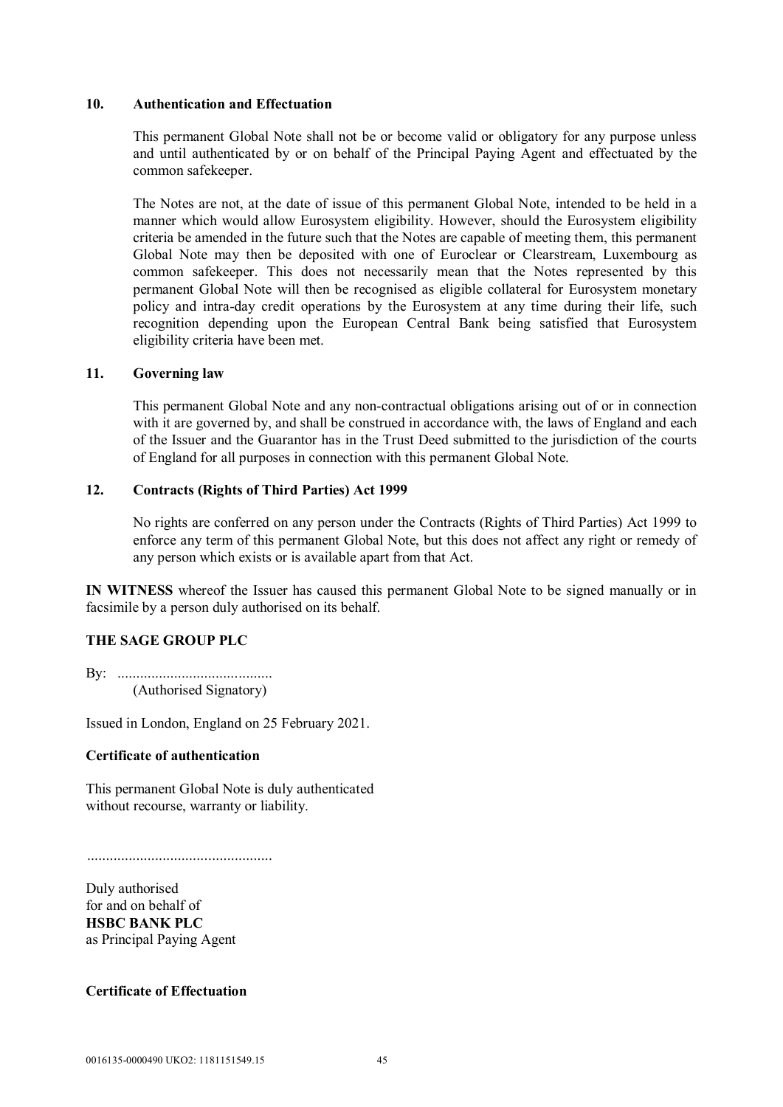#### **10. Authentication and Effectuation**

This permanent Global Note shall not be or become valid or obligatory for any purpose unless and until authenticated by or on behalf of the Principal Paying Agent and effectuated by the common safekeeper.

The Notes are not, at the date of issue of this permanent Global Note, intended to be held in a manner which would allow Eurosystem eligibility. However, should the Eurosystem eligibility criteria be amended in the future such that the Notes are capable of meeting them, this permanent Global Note may then be deposited with one of Euroclear or Clearstream, Luxembourg as common safekeeper. This does not necessarily mean that the Notes represented by this permanent Global Note will then be recognised as eligible collateral for Eurosystem monetary policy and intra-day credit operations by the Eurosystem at any time during their life, such recognition depending upon the European Central Bank being satisfied that Eurosystem eligibility criteria have been met.

## **11. Governing law**

This permanent Global Note and any non-contractual obligations arising out of or in connection with it are governed by, and shall be construed in accordance with, the laws of England and each of the Issuer and the Guarantor has in the Trust Deed submitted to the jurisdiction of the courts of England for all purposes in connection with this permanent Global Note.

## **12. Contracts (Rights of Third Parties) Act 1999**

No rights are conferred on any person under the Contracts (Rights of Third Parties) Act 1999 to enforce any term of this permanent Global Note, but this does not affect any right or remedy of any person which exists or is available apart from that Act.

**IN WITNESS** whereof the Issuer has caused this permanent Global Note to be signed manually or in facsimile by a person duly authorised on its behalf.

## **THE SAGE GROUP PLC**

By: ......................................... (Authorised Signatory)

Issued in London, England on 25 February 2021.

## **Certificate of authentication**

This permanent Global Note is duly authenticated without recourse, warranty or liability.

.................................................

Duly authorised for and on behalf of **HSBC BANK PLC** as Principal Paying Agent

**Certificate of Effectuation**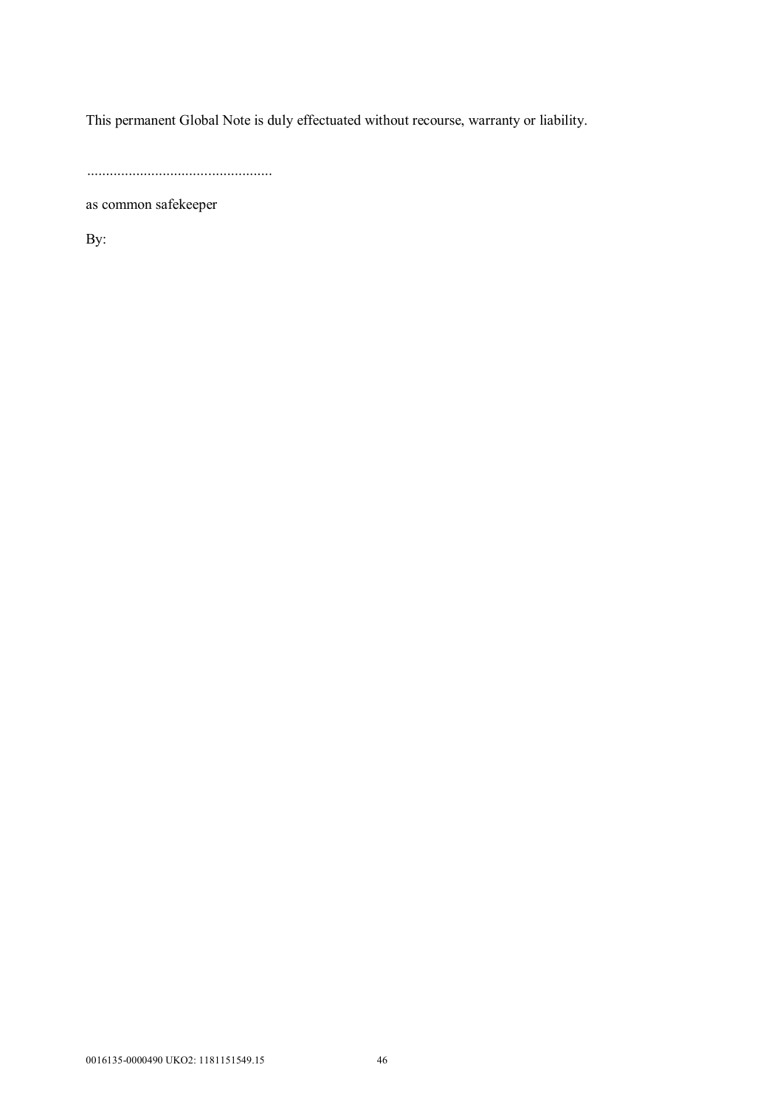This permanent Global Note is duly effectuated without recourse, warranty or liability.

.................................................

as common safekeeper

By: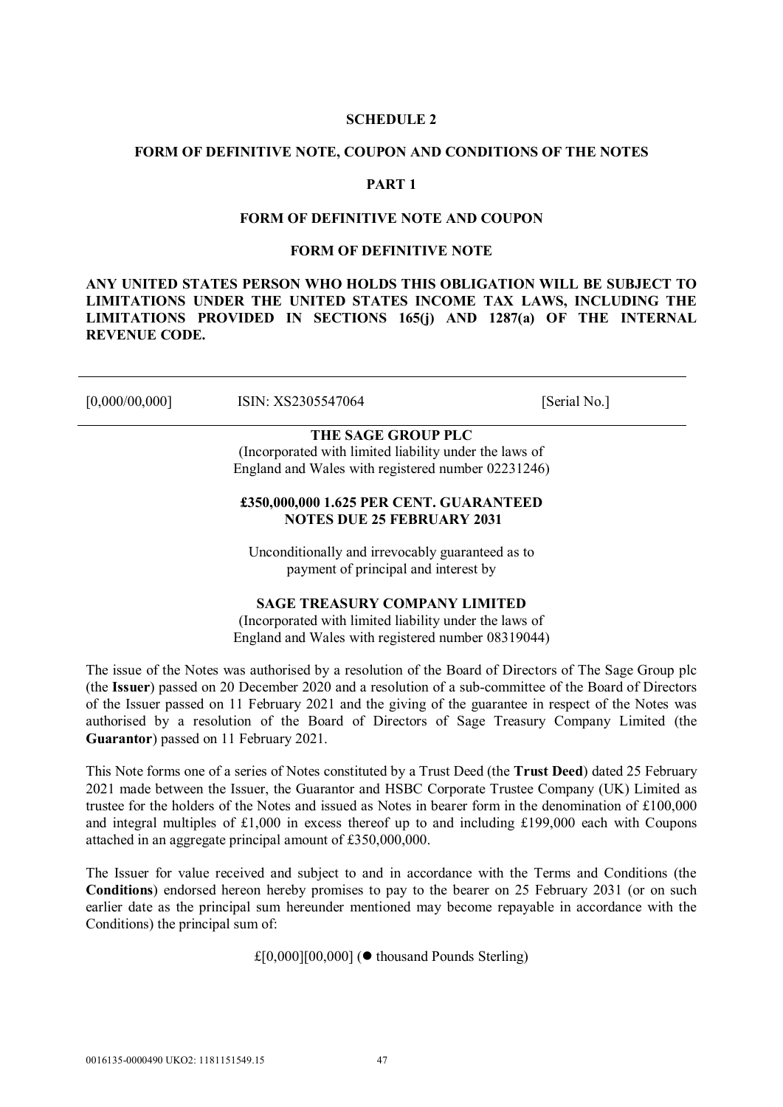#### **SCHEDULE 2**

#### **FORM OF DEFINITIVE NOTE, COUPON AND CONDITIONS OF THE NOTES**

## **PART 1**

#### **FORM OF DEFINITIVE NOTE AND COUPON**

#### **FORM OF DEFINITIVE NOTE**

**ANY UNITED STATES PERSON WHO HOLDS THIS OBLIGATION WILL BE SUBJECT TO LIMITATIONS UNDER THE UNITED STATES INCOME TAX LAWS, INCLUDING THE LIMITATIONS PROVIDED IN SECTIONS 165(j) AND 1287(a) OF THE INTERNAL REVENUE CODE.**

[0,000/00,000] ISIN: XS2305547064 [Serial No.]

# **THE SAGE GROUP PLC**

(Incorporated with limited liability under the laws of England and Wales with registered number 02231246)

## **£350,000,000 1.625 PER CENT. GUARANTEED NOTES DUE 25 FEBRUARY 2031**

Unconditionally and irrevocably guaranteed as to payment of principal and interest by

## **SAGE TREASURY COMPANY LIMITED**

(Incorporated with limited liability under the laws of England and Wales with registered number 08319044)

The issue of the Notes was authorised by a resolution of the Board of Directors of The Sage Group plc (the **Issuer**) passed on 20 December 2020 and a resolution of a sub-committee of the Board of Directors of the Issuer passed on 11 February 2021 and the giving of the guarantee in respect of the Notes was authorised by a resolution of the Board of Directors of Sage Treasury Company Limited (the **Guarantor**) passed on 11 February 2021.

This Note forms one of a series of Notes constituted by a Trust Deed (the **Trust Deed**) dated 25 February 2021 made between the Issuer, the Guarantor and HSBC Corporate Trustee Company (UK) Limited as trustee for the holders of the Notes and issued as Notes in bearer form in the denomination of £100,000 and integral multiples of £1,000 in excess thereof up to and including £199,000 each with Coupons attached in an aggregate principal amount of £350,000,000.

The Issuer for value received and subject to and in accordance with the Terms and Conditions (the **Conditions**) endorsed hereon hereby promises to pay to the bearer on 25 February 2031 (or on such earlier date as the principal sum hereunder mentioned may become repayable in accordance with the Conditions) the principal sum of:

 $£[0,000][00,000]$  ( $\bullet$  thousand Pounds Sterling)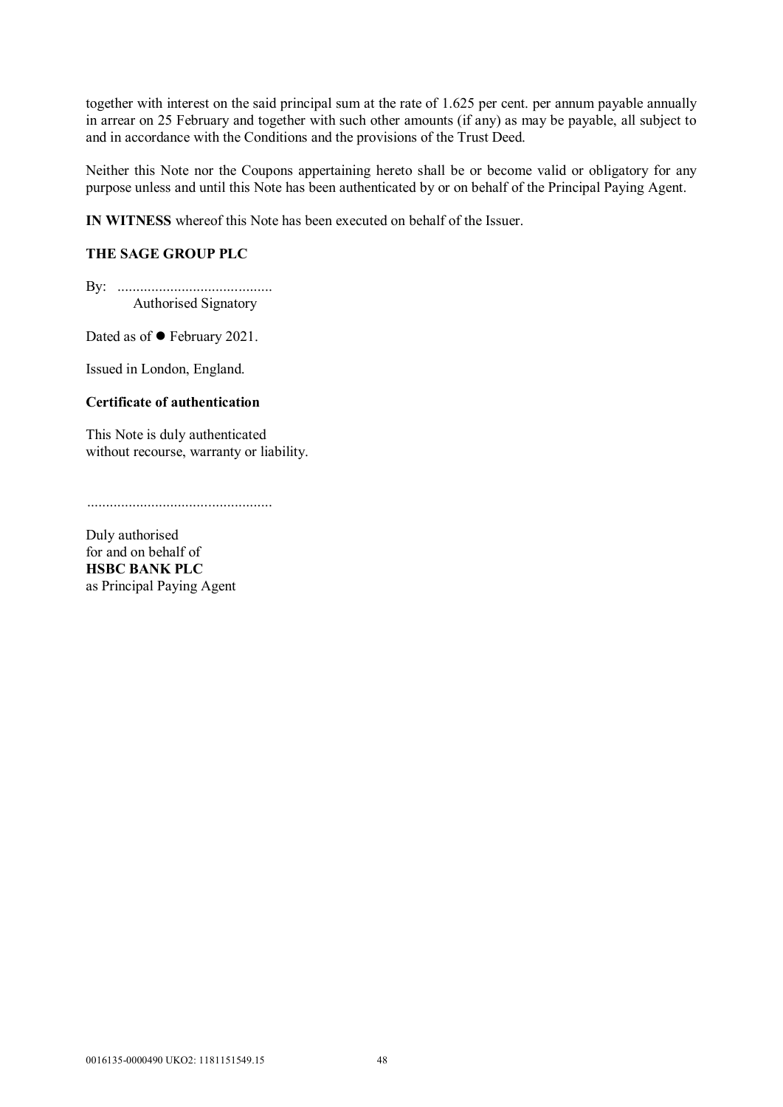together with interest on the said principal sum at the rate of 1.625 per cent. per annum payable annually in arrear on 25 February and together with such other amounts (if any) as may be payable, all subject to and in accordance with the Conditions and the provisions of the Trust Deed.

Neither this Note nor the Coupons appertaining hereto shall be or become valid or obligatory for any purpose unless and until this Note has been authenticated by or on behalf of the Principal Paying Agent.

**IN WITNESS** whereof this Note has been executed on behalf of the Issuer.

## **THE SAGE GROUP PLC**

By: ......................................... Authorised Signatory

Dated as of ● February 2021.

Issued in London, England.

## **Certificate of authentication**

This Note is duly authenticated without recourse, warranty or liability.

.................................................

Duly authorised for and on behalf of **HSBC BANK PLC** as Principal Paying Agent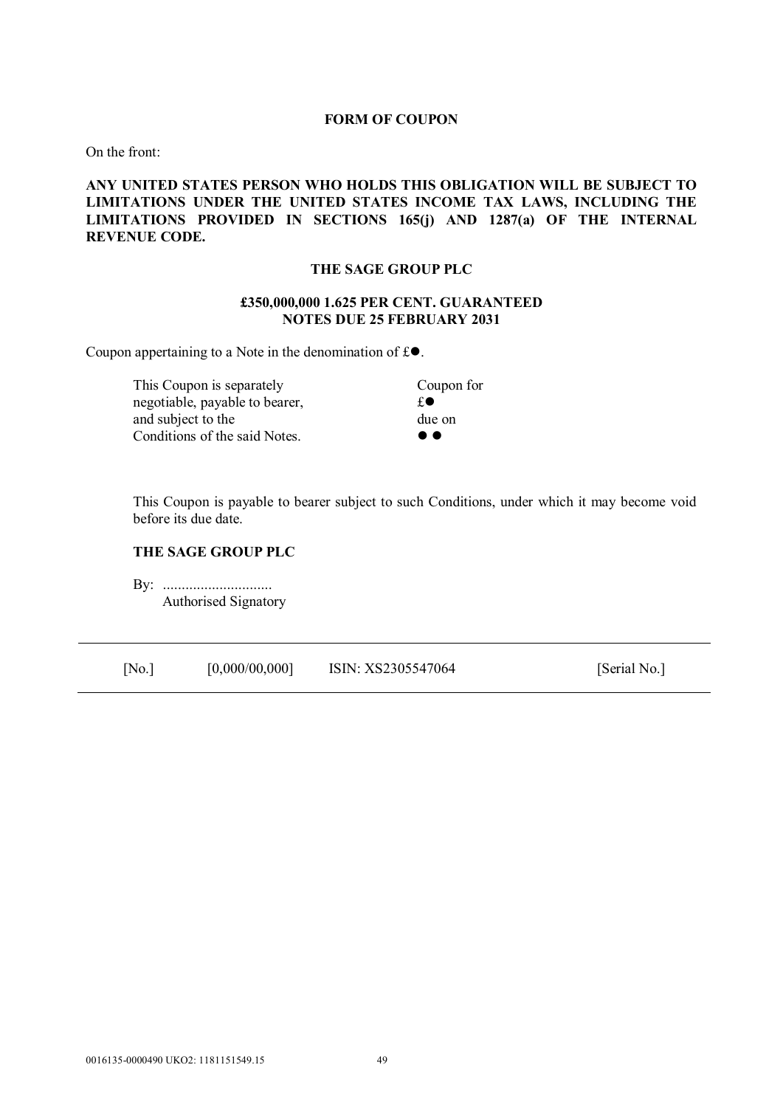#### **FORM OF COUPON**

On the front:

## **ANY UNITED STATES PERSON WHO HOLDS THIS OBLIGATION WILL BE SUBJECT TO LIMITATIONS UNDER THE UNITED STATES INCOME TAX LAWS, INCLUDING THE LIMITATIONS PROVIDED IN SECTIONS 165(j) AND 1287(a) OF THE INTERNAL REVENUE CODE.**

#### **THE SAGE GROUP PLC**

## **£350,000,000 1.625 PER CENT. GUARANTEED NOTES DUE 25 FEBRUARY 2031**

Coupon appertaining to a Note in the denomination of  $\mathfrak{g}_e$ .

This Coupon is separately Coupon for negotiable, payable to bearer,  $\mathbf{f} \bullet$ and subject to the due on Conditions of the said Notes. ● ●

This Coupon is payable to bearer subject to such Conditions, under which it may become void before its due date.

## **THE SAGE GROUP PLC**

**By: ............................** Authorised Signatory

| [No.] | [0,000/00,000] | ISIN: XS2305547064 | [Serial No.] |
|-------|----------------|--------------------|--------------|
|-------|----------------|--------------------|--------------|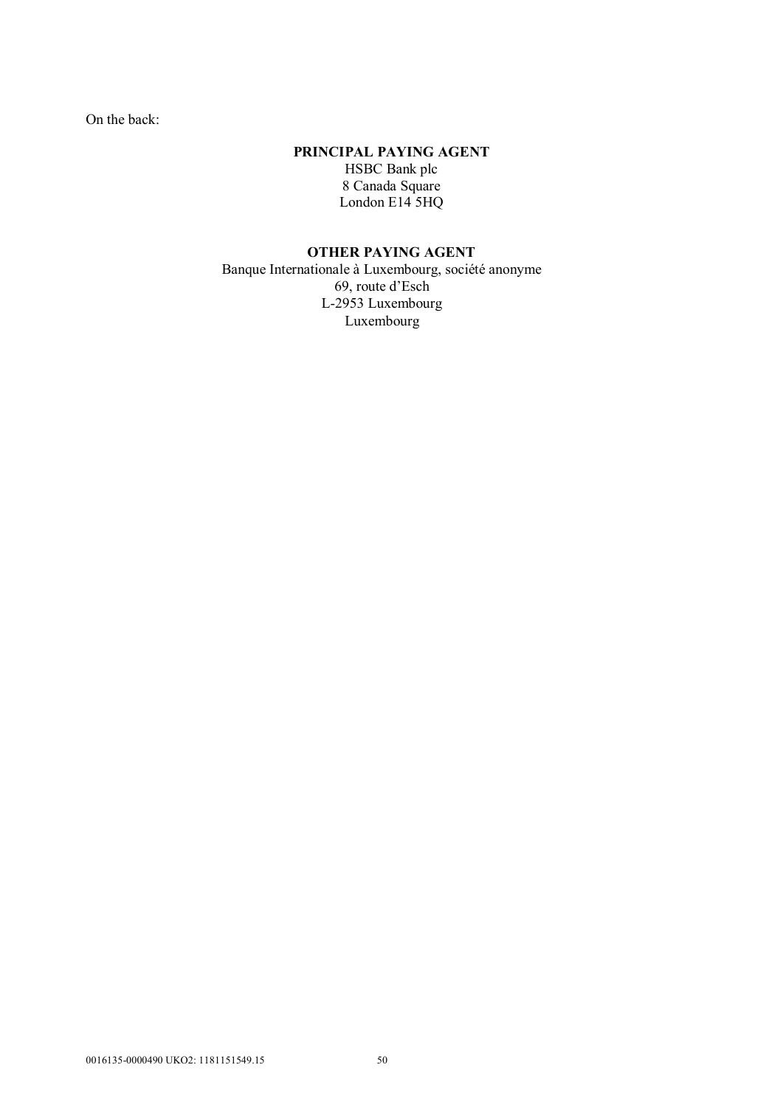On the back:

## **PRINCIPAL PAYING AGENT**

HSBC Bank plc 8 Canada Square London E14<sup>5</sup>HQ

# **OTHER PAYING AGENT**

Banque Internationale à Luxembourg, société anonyme 69, route d'Esch L-2953 Luxembourg Luxembourg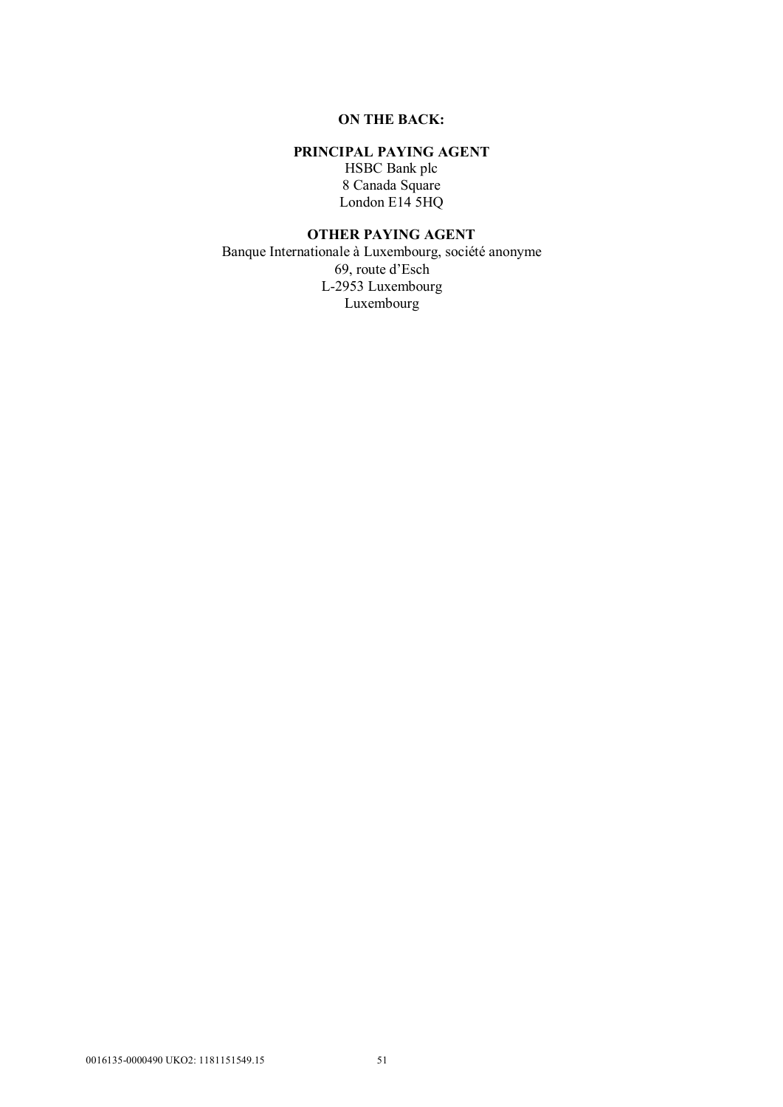## **ON THE BACK:**

## **PRINCIPAL PAYING AGENT**

HSBC Bank plc 8 Canada Square London E14 5HQ

## **OTHER PAYING AGENT**

Banque Internationale à Luxembourg, société anonyme 69, route d'Esch L-2953 Luxembourg Luxembourg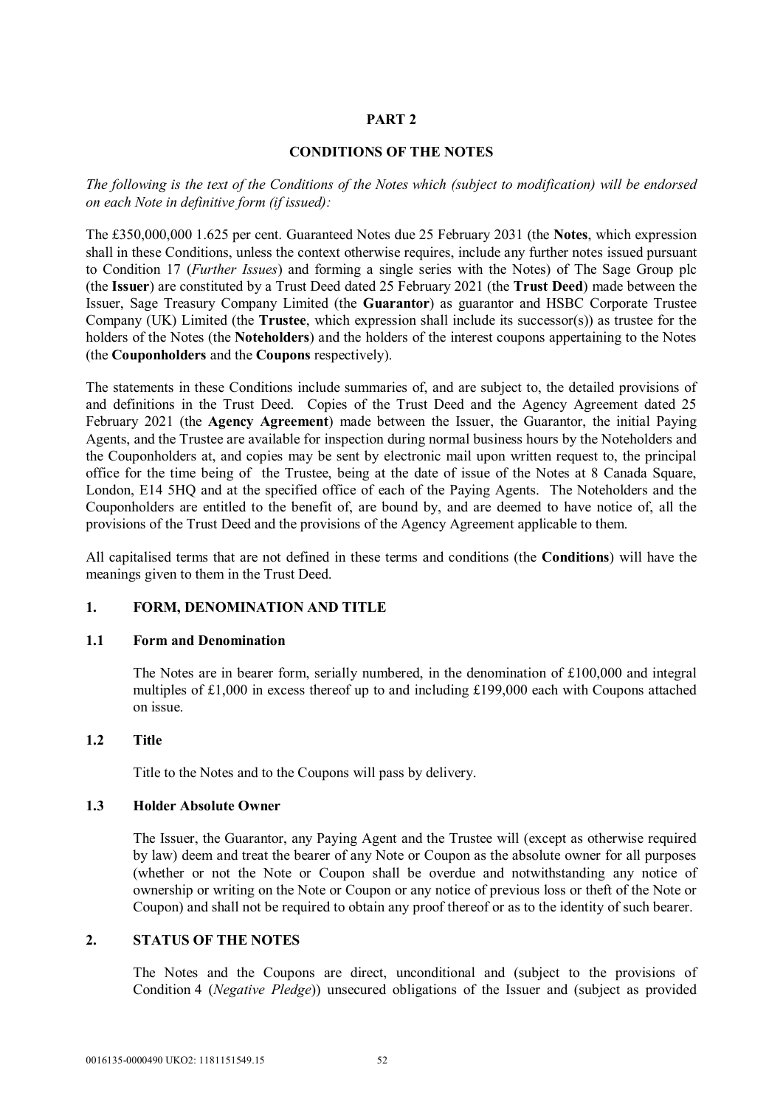## **PART 2**

### **CONDITIONS OF THE NOTES**

*The following is the text of the Conditions of the Notes which (subject to modification) will be endorsed on each Note in definitive form (if issued):*

The £350,000,000 1.625 per cent. Guaranteed Notes due 25 February 2031 (the **Notes**, which expression shall in these Conditions, unless the context otherwise requires, include any further notes issued pursuant to Condition 17 (*Further Issues*) and forming a single series with the Notes) of The Sage Group plc (the **Issuer**) are constituted by a Trust Deed dated 25 February 2021 (the **Trust Deed**) made between the Issuer, Sage Treasury Company Limited (the **Guarantor**) as guarantor and HSBC Corporate Trustee Company (UK) Limited (the **Trustee**, which expression shall include its successor(s)) as trustee for the holders of the Notes (the **Noteholders**) and the holders of the interest coupons appertaining to the Notes (the **Couponholders** and the **Coupons** respectively).

The statements in these Conditions include summaries of, and are subject to, the detailed provisions of and definitions in the Trust Deed. Copies of the Trust Deed and the Agency Agreement dated 25 February 2021 (the **Agency Agreement**) made between the Issuer, the Guarantor, the initial Paying Agents, and the Trustee are available for inspection during normal business hours by the Noteholders and the Couponholders at, and copies may be sent by electronic mail upon written request to, the principal office for the time being of the Trustee, being at the date of issue of the Notes at 8 Canada Square, London, E14 5HQ and at the specified office of each of the Paying Agents. The Noteholders and the Couponholders are entitled to the benefit of, are bound by, and are deemed to have notice of, all the provisions of the Trust Deed and the provisions of the Agency Agreement applicable to them.

All capitalised terms that are not defined in these terms and conditions (the **Conditions**) will have the meanings given to them in the Trust Deed.

## **1. FORM, DENOMINATION AND TITLE**

#### **1.1 Form and Denomination**

The Notes are in bearer form, serially numbered, in the denomination of £100,000 and integral multiples of £1,000 in excess thereof up to and including £199,000 each with Coupons attached on issue.

## **1.2 Title**

Title to the Notes and to the Coupons will pass by delivery.

#### **1.3 Holder Absolute Owner**

The Issuer, the Guarantor, any Paying Agent and the Trustee will (except as otherwise required by law) deem and treat the bearer of any Note or Coupon as the absolute owner for all purposes (whether or not the Note or Coupon shall be overdue and notwithstanding any notice of ownership or writing on the Note or Coupon or any notice of previous loss or theft of the Note or Coupon) and shall not be required to obtain any proof thereof or as to the identity of such bearer.

## **2. STATUS OF THE NOTES**

The Notes and the Coupons are direct, unconditional and (subject to the provisions of Condition 4 (*Negative Pledge*)) unsecured obligations of the Issuer and (subject as provided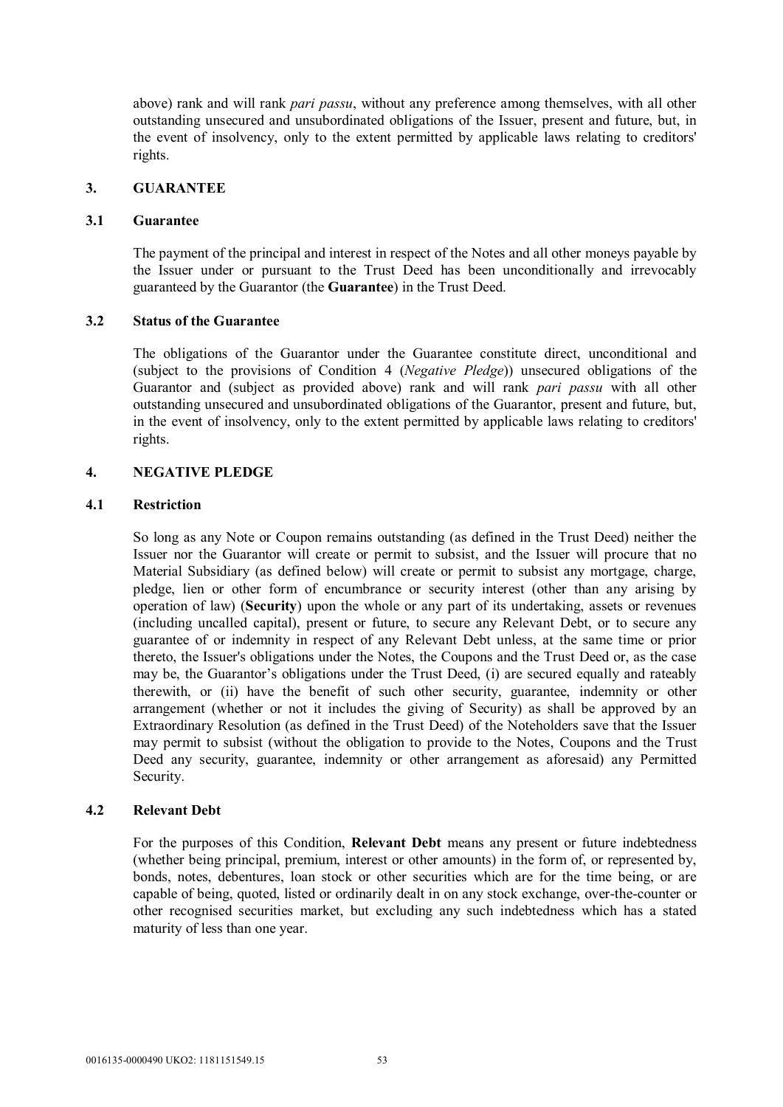above) rank and will rank *pari passu*, without any preference among themselves, with all other outstanding unsecured and unsubordinated obligations of the Issuer, present and future, but, in the event of insolvency, only to the extent permitted by applicable laws relating to creditors' rights.

### **3. GUARANTEE**

#### **3.1 Guarantee**

The payment of the principal and interest in respect of the Notes and all other moneys payable by the Issuer under or pursuant to the Trust Deed has been unconditionally and irrevocably guaranteed by the Guarantor (the **Guarantee**) in the Trust Deed.

## **3.2 Status of the Guarantee**

The obligations of the Guarantor under the Guarantee constitute direct, unconditional and (subject to the provisions of Condition 4 (*Negative Pledge*)) unsecured obligations of the Guarantor and (subject as provided above) rank and will rank *pari passu* with all other outstanding unsecured and unsubordinated obligations of the Guarantor, present and future, but, in the event of insolvency, only to the extent permitted by applicable laws relating to creditors' rights.

## **4. NEGATIVE PLEDGE**

#### **4.1 Restriction**

So long as any Note or Coupon remains outstanding (as defined in the Trust Deed) neither the Issuer nor the Guarantor will create or permit to subsist, and the Issuer will procure that no Material Subsidiary (as defined below) will create or permit to subsist any mortgage, charge, pledge, lien or other form of encumbrance or security interest (other than any arising by operation of law) (**Security**) upon the whole or any part of its undertaking, assets or revenues (including uncalled capital), present or future, to secure any Relevant Debt, or to secure any guarantee of or indemnity in respect of any Relevant Debt unless, at the same time or prior thereto, the Issuer's obligations under the Notes, the Coupons and the Trust Deed or, as the case may be, the Guarantor's obligations under the Trust Deed, (i) are secured equally and rateably therewith, or (ii) have the benefit of such other security, guarantee, indemnity or other arrangement (whether or not it includes the giving of Security) as shall be approved by an Extraordinary Resolution (as defined in the Trust Deed) of the Noteholders save that the Issuer may permit to subsist (without the obligation to provide to the Notes, Coupons and the Trust Deed any security, guarantee, indemnity or other arrangement as aforesaid) any Permitted Security.

## **4.2 Relevant Debt**

For the purposes of this Condition, **Relevant Debt** means any present or future indebtedness (whether being principal, premium, interest or other amounts) in the form of, or represented by, bonds, notes, debentures, loan stock or other securities which are for the time being, or are capable of being, quoted, listed or ordinarily dealt in on any stock exchange, over-the-counter or other recognised securities market, but excluding any such indebtedness which has a stated maturity of less than one year.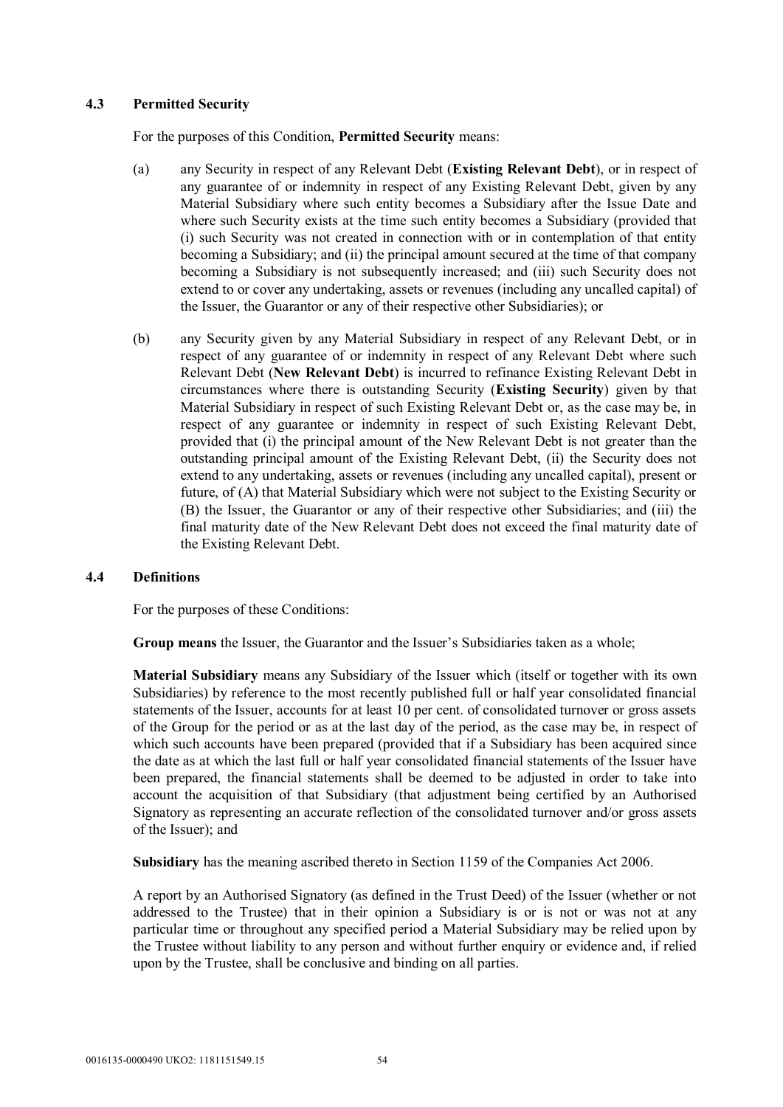## **4.3 Permitted Security**

For the purposes of this Condition, **Permitted Security** means:

- (a) any Security in respect of any Relevant Debt (**Existing Relevant Debt**), or in respect of any guarantee of or indemnity in respect of any Existing Relevant Debt, given by any Material Subsidiary where such entity becomes a Subsidiary after the Issue Date and where such Security exists at the time such entity becomes a Subsidiary (provided that (i) such Security was not created in connection with or in contemplation of that entity becoming a Subsidiary; and (ii) the principal amount secured at the time of that company becoming a Subsidiary is not subsequently increased; and (iii) such Security does not extend to or cover any undertaking, assets or revenues (including any uncalled capital) of the Issuer, the Guarantor or any of their respective other Subsidiaries); or
- (b) any Security given by any Material Subsidiary in respect of any Relevant Debt, or in respect of any guarantee of or indemnity in respect of any Relevant Debt where such Relevant Debt (**New Relevant Debt**) is incurred to refinance Existing Relevant Debt in circumstances where there is outstanding Security (**Existing Security**) given by that Material Subsidiary in respect of such Existing Relevant Debt or, as the case may be, in respect of any guarantee or indemnity in respect of such Existing Relevant Debt, provided that (i) the principal amount of the New Relevant Debt is not greater than the outstanding principal amount of the Existing Relevant Debt, (ii) the Security does not extend to any undertaking, assets or revenues (including any uncalled capital), present or future, of (A) that Material Subsidiary which were not subject to the Existing Security or (B) the Issuer, the Guarantor or any of their respective other Subsidiaries; and (iii) the final maturity date of the New Relevant Debt does not exceed the final maturity date of the Existing Relevant Debt.

## **4.4 Definitions**

For the purposes of these Conditions:

**Group means** the Issuer, the Guarantor and the Issuer's Subsidiaries taken as a whole;

**Material Subsidiary** means any Subsidiary of the Issuer which (itself or together with its own Subsidiaries) by reference to the most recently published full or half year consolidated financial statements of the Issuer, accounts for at least 10 per cent. of consolidated turnover or gross assets of the Group for the period or as at the last day of the period, as the case may be, in respect of which such accounts have been prepared (provided that if a Subsidiary has been acquired since the date as at which the last full or half year consolidated financial statements of the Issuer have been prepared, the financial statements shall be deemed to be adjusted in order to take into account the acquisition of that Subsidiary (that adjustment being certified by an Authorised Signatory as representing an accurate reflection of the consolidated turnover and/or gross assets of the Issuer); and

**Subsidiary** has the meaning ascribed thereto in Section 1159 of the Companies Act 2006.

A report by an Authorised Signatory (as defined in the Trust Deed) of the Issuer (whether or not addressed to the Trustee) that in their opinion a Subsidiary is or is not or was not at any particular time or throughout any specified period a Material Subsidiary may be relied upon by the Trustee without liability to any person and without further enquiry or evidence and, if relied upon by the Trustee, shall be conclusive and binding on all parties.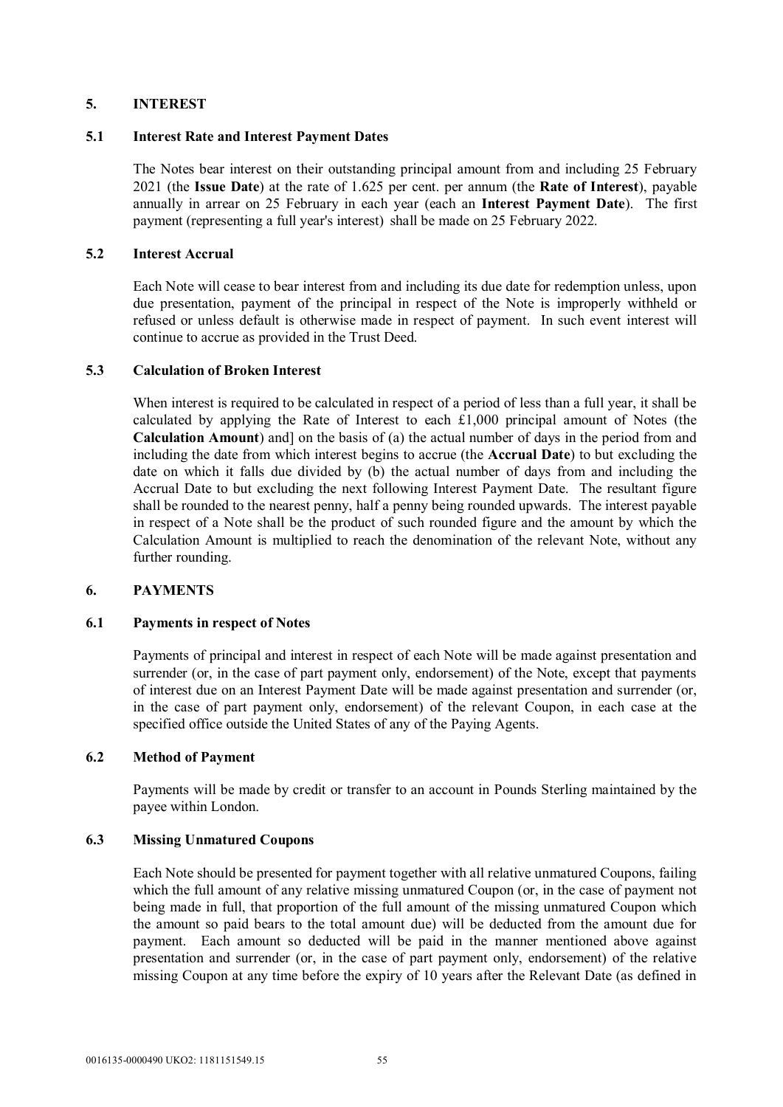## **5. INTEREST**

## **5.1 Interest Rate and Interest Payment Dates**

The Notes bear interest on their outstanding principal amount from and including 25 February 2021 (the **Issue Date**) at the rate of 1.625 per cent. per annum (the **Rate of Interest**), payable annually in arrear on 25 February in each year (each an **Interest Payment Date**). The first payment (representing a full year's interest) shall be made on 25 February 2022.

## **5.2 Interest Accrual**

Each Note will cease to bear interest from and including its due date for redemption unless, upon due presentation, payment of the principal in respect of the Note is improperly withheld or refused or unless default is otherwise made in respect of payment. In such event interest will continue to accrue as provided in the Trust Deed.

## **5.3 Calculation of Broken Interest**

When interest is required to be calculated in respect of a period of less than a full year, it shall be calculated by applying the Rate of Interest to each £1,000 principal amount of Notes (the **Calculation Amount**) and] on the basis of (a) the actual number of days in the period from and including the date from which interest begins to accrue (the **Accrual Date**) to but excluding the date on which it falls due divided by (b) the actual number of days from and including the Accrual Date to but excluding the next following Interest Payment Date. The resultant figure shall be rounded to the nearest penny, half a penny being rounded upwards. The interest payable in respect of a Note shall be the product of such rounded figure and the amount by which the Calculation Amount is multiplied to reach the denomination of the relevant Note, without any further rounding.

## **6. PAYMENTS**

## **6.1 Payments in respect of Notes**

Payments of principal and interest in respect of each Note will be made against presentation and surrender (or, in the case of part payment only, endorsement) of the Note, except that payments of interest due on an Interest Payment Date will be made against presentation and surrender (or, in the case of part payment only, endorsement) of the relevant Coupon, in each case at the specified office outside the United States of any of the Paying Agents.

## **6.2 Method of Payment**

Payments will be made by credit or transfer to an account in Pounds Sterling maintained by the payee within London.

## **6.3 Missing Unmatured Coupons**

Each Note should be presented for payment together with all relative unmatured Coupons, failing which the full amount of any relative missing unmatured Coupon (or, in the case of payment not being made in full, that proportion of the full amount of the missing unmatured Coupon which the amount so paid bears to the total amount due) will be deducted from the amount due for payment. Each amount so deducted will be paid in the manner mentioned above against presentation and surrender (or, in the case of part payment only, endorsement) of the relative missing Coupon at any time before the expiry of 10 years after the Relevant Date (as defined in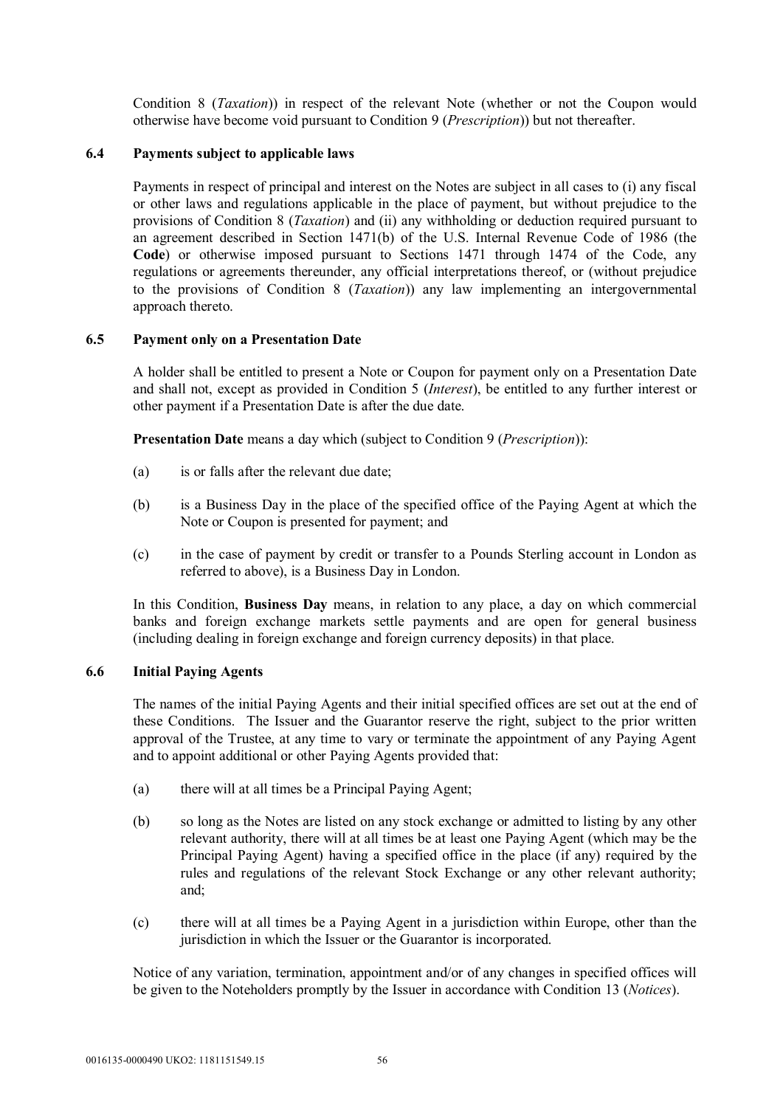Condition 8 (*Taxation*)) in respect of the relevant Note (whether or not the Coupon would otherwise have become void pursuant to Condition 9 (*Prescription*)) but not thereafter.

## **6.4 Payments subject to applicable laws**

Payments in respect of principal and interest on the Notes are subject in all cases to (i) any fiscal or other laws and regulations applicable in the place of payment, but without prejudice to the provisions of Condition 8 (*Taxation*) and (ii) any withholding or deduction required pursuant to an agreement described in Section 1471(b) of the U.S. Internal Revenue Code of 1986 (the **Code**) or otherwise imposed pursuant to Sections 1471 through 1474 of the Code, any regulations or agreements thereunder, any official interpretations thereof, or (without prejudice to the provisions of Condition 8 (*Taxation*)) any law implementing an intergovernmental approach thereto.

## **6.5 Payment only on a Presentation Date**

A holder shall be entitled to present a Note or Coupon for payment only on a Presentation Date and shall not, except as provided in Condition 5 (*Interest*), be entitled to any further interest or other payment if a Presentation Date is after the due date.

**Presentation Date** means a day which (subject to Condition 9 (*Prescription*)):

- (a) is or falls after the relevant due date;
- (b) is a Business Day in the place of the specified office of the Paying Agent at which the Note or Coupon is presented for payment; and
- (c) in the case of payment by credit or transfer to a Pounds Sterling account in London as referred to above), is a Business Day in London.

In this Condition, **Business Day** means, in relation to any place, a day on which commercial banks and foreign exchange markets settle payments and are open for general business (including dealing in foreign exchange and foreign currency deposits) in that place.

## **6.6 Initial Paying Agents**

The names of the initial Paying Agents and their initial specified offices are set out at the end of these Conditions. The Issuer and the Guarantor reserve the right, subject to the prior written approval of the Trustee, at any time to vary or terminate the appointment of any Paying Agent and to appoint additional or other Paying Agents provided that:

- (a) there will at all times be a Principal Paying Agent;
- (b) so long as the Notes are listed on any stock exchange or admitted to listing by any other relevant authority, there will at all times be at least one Paying Agent (which may be the Principal Paying Agent) having a specified office in the place (if any) required by the rules and regulations of the relevant Stock Exchange or any other relevant authority; and;
- (c) there will at all times be a Paying Agent in a jurisdiction within Europe, other than the jurisdiction in which the Issuer or the Guarantor is incorporated.

Notice of any variation, termination, appointment and/or of any changes in specified offices will be given to the Noteholders promptly by the Issuer in accordance with Condition 13 (*Notices*).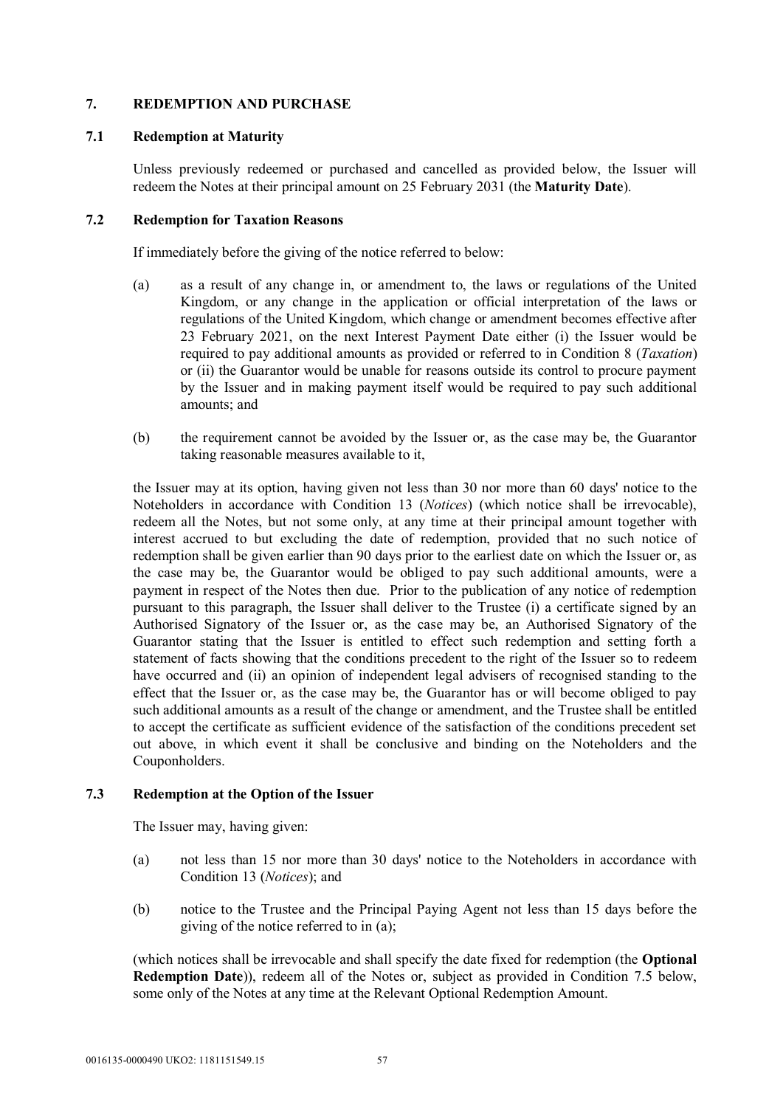## **7. REDEMPTION AND PURCHASE**

## **7.1 Redemption at Maturity**

Unless previously redeemed or purchased and cancelled as provided below, the Issuer will redeem the Notes at their principal amount on 25 February 2031 (the **Maturity Date**).

## **7.2 Redemption for Taxation Reasons**

If immediately before the giving of the notice referred to below:

- (a) as a result of any change in, or amendment to, the laws or regulations of the United Kingdom, or any change in the application or official interpretation of the laws or regulations of the United Kingdom, which change or amendment becomes effective after 23 February 2021, on the next Interest Payment Date either (i) the Issuer would be required to pay additional amounts as provided or referred to in Condition 8 (*Taxation*) or (ii) the Guarantor would be unable for reasons outside its control to procure payment by the Issuer and in making payment itself would be required to pay such additional amounts; and
- (b) the requirement cannot be avoided by the Issuer or, as the case may be, the Guarantor taking reasonable measures available to it,

the Issuer may at its option, having given not less than 30 nor more than 60 days' notice to the Noteholders in accordance with Condition 13 (*Notices*) (which notice shall be irrevocable), redeem all the Notes, but not some only, at any time at their principal amount together with interest accrued to but excluding the date of redemption, provided that no such notice of redemption shall be given earlier than 90 days prior to the earliest date on which the Issuer or, as the case may be, the Guarantor would be obliged to pay such additional amounts, were a payment in respect of the Notes then due. Prior to the publication of any notice of redemption pursuant to this paragraph, the Issuer shall deliver to the Trustee (i) a certificate signed by an Authorised Signatory of the Issuer or, as the case may be, an Authorised Signatory of the Guarantor stating that the Issuer is entitled to effect such redemption and setting forth a statement of facts showing that the conditions precedent to the right of the Issuer so to redeem have occurred and (ii) an opinion of independent legal advisers of recognised standing to the effect that the Issuer or, as the case may be, the Guarantor has or will become obliged to pay such additional amounts as a result of the change or amendment, and the Trustee shall be entitled to accept the certificate as sufficient evidence of the satisfaction of the conditions precedent set out above, in which event it shall be conclusive and binding on the Noteholders and the Couponholders.

## **7.3 Redemption at the Option of the Issuer**

The Issuer may, having given:

- (a) not less than 15 nor more than 30 days' notice to the Noteholders in accordance with Condition 13 (*Notices*); and
- (b) notice to the Trustee and the Principal Paying Agent not less than 15 days before the giving of the notice referred to in (a);

(which notices shall be irrevocable and shall specify the date fixed for redemption (the **Optional Redemption Date**)), redeem all of the Notes or, subject as provided in Condition 7.5 below, some only of the Notes at any time at the Relevant Optional Redemption Amount.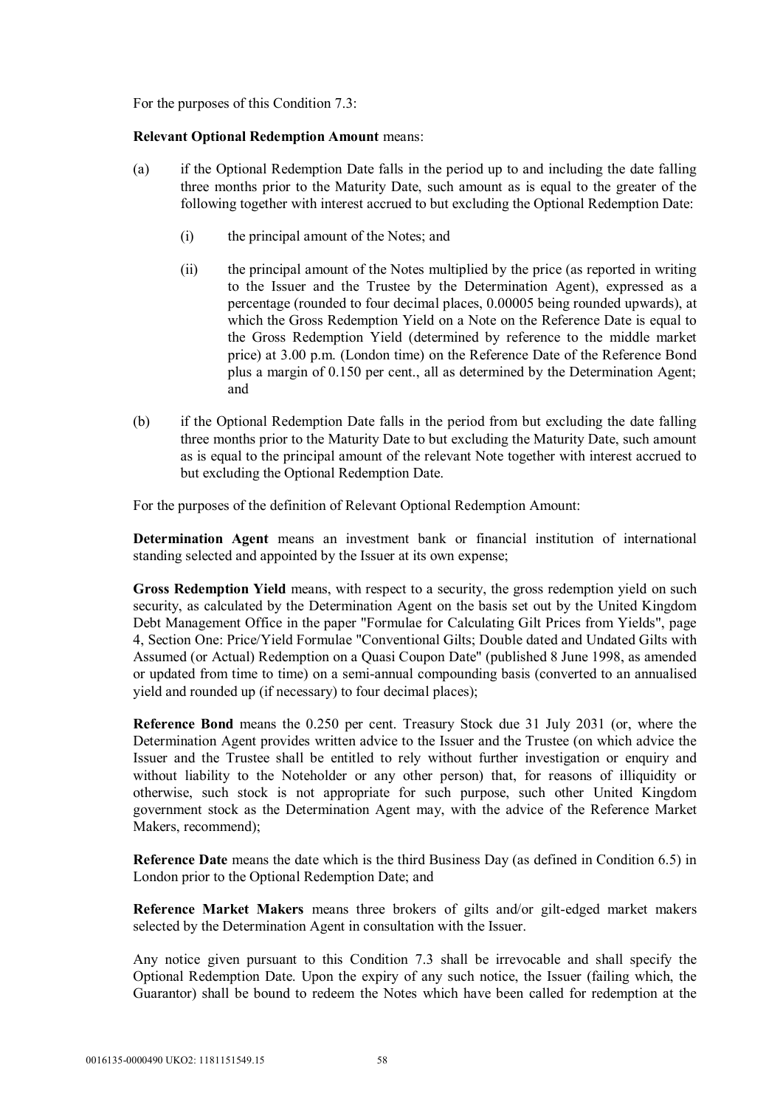For the purposes of this Condition 7.3:

### **Relevant Optional Redemption Amount** means:

- (a) if the Optional Redemption Date falls in the period up to and including the date falling three months prior to the Maturity Date, such amount as is equal to the greater of the following together with interest accrued to but excluding the Optional Redemption Date:
	- (i) the principal amount of the Notes; and
	- (ii) the principal amount of the Notes multiplied by the price (as reported in writing to the Issuer and the Trustee by the Determination Agent), expressed as a percentage (rounded to four decimal places, 0.00005 being rounded upwards), at which the Gross Redemption Yield on a Note on the Reference Date is equal to the Gross Redemption Yield (determined by reference to the middle market price) at 3.00 p.m. (London time) on the Reference Date of the Reference Bond plus a margin of 0.150 per cent., all as determined by the Determination Agent; and
- (b) if the Optional Redemption Date falls in the period from but excluding the date falling three months prior to the Maturity Date to but excluding the Maturity Date, such amount as is equal to the principal amount of the relevant Note together with interest accrued to but excluding the Optional Redemption Date.

For the purposes of the definition of Relevant Optional Redemption Amount:

**Determination Agent** means an investment bank or financial institution of international standing selected and appointed by the Issuer at its own expense;

**Gross Redemption Yield** means, with respect to a security, the gross redemption yield on such security, as calculated by the Determination Agent on the basis set out by the United Kingdom Debt Management Office in the paper "Formulae for Calculating Gilt Prices from Yields", page 4, Section One: Price/Yield Formulae "Conventional Gilts; Double dated and Undated Gilts with Assumed (or Actual) Redemption on a Quasi Coupon Date" (published 8 June 1998, as amended or updated from time to time) on a semi-annual compounding basis (converted to an annualised yield and rounded up (if necessary) to four decimal places);

**Reference Bond** means the 0.250 per cent. Treasury Stock due 31 July 2031 (or, where the Determination Agent provides written advice to the Issuer and the Trustee (on which advice the Issuer and the Trustee shall be entitled to rely without further investigation or enquiry and without liability to the Noteholder or any other person) that, for reasons of illiquidity or otherwise, such stock is not appropriate for such purpose, such other United Kingdom government stock as the Determination Agent may, with the advice of the Reference Market Makers, recommend);

**Reference Date** means the date which is the third Business Day (as defined in Condition 6.5) in London prior to the Optional Redemption Date; and

**Reference Market Makers** means three brokers of gilts and/or gilt-edged market makers selected by the Determination Agent in consultation with the Issuer.

Any notice given pursuant to this Condition 7.3 shall be irrevocable and shall specify the Optional Redemption Date. Upon the expiry of any such notice, the Issuer (failing which, the Guarantor) shall be bound to redeem the Notes which have been called for redemption at the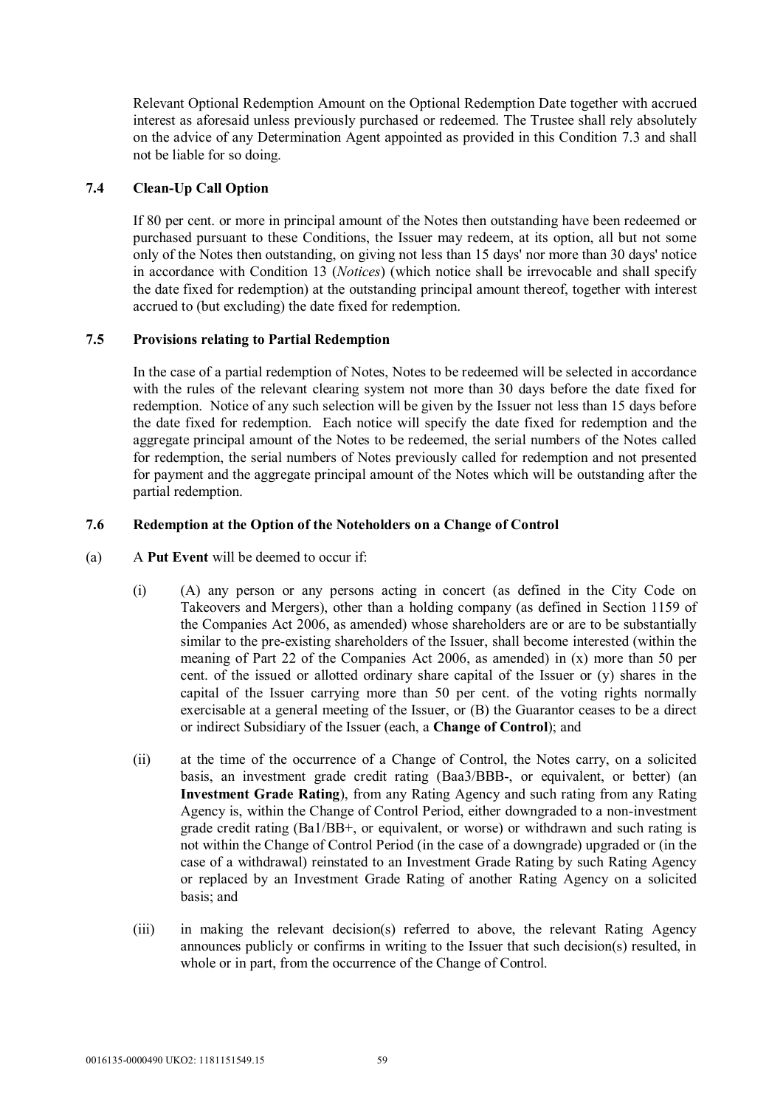Relevant Optional Redemption Amount on the Optional Redemption Date together with accrued interest as aforesaid unless previously purchased or redeemed. The Trustee shall rely absolutely on the advice of any Determination Agent appointed as provided in this Condition 7.3 and shall not be liable for so doing.

## **7.4 Clean-Up Call Option**

If 80 per cent. or more in principal amount of the Notes then outstanding have been redeemed or purchased pursuant to these Conditions, the Issuer may redeem, at its option, all but not some only of the Notes then outstanding, on giving not less than 15 days' nor more than 30 days' notice in accordance with Condition 13 (*Notices*) (which notice shall be irrevocable and shall specify the date fixed for redemption) at the outstanding principal amount thereof, together with interest accrued to (but excluding) the date fixed for redemption.

## **7.5 Provisions relating to Partial Redemption**

In the case of a partial redemption of Notes, Notes to be redeemed will be selected in accordance with the rules of the relevant clearing system not more than 30 days before the date fixed for redemption. Notice of any such selection will be given by the Issuer not less than 15 days before the date fixed for redemption. Each notice will specify the date fixed for redemption and the aggregate principal amount of the Notes to be redeemed, the serial numbers of the Notes called for redemption, the serial numbers of Notes previously called for redemption and not presented for payment and the aggregate principal amount of the Notes which will be outstanding after the partial redemption.

## **7.6 Redemption at the Option of the Noteholders on a Change of Control**

- (a) A **Put Event** will be deemed to occur if:
	- (i) (A) any person or any persons acting in concert (as defined in the City Code on Takeovers and Mergers), other than a holding company (as defined in Section 1159 of the Companies Act 2006, as amended) whose shareholders are or are to be substantially similar to the pre-existing shareholders of the Issuer, shall become interested (within the meaning of Part 22 of the Companies Act 2006, as amended) in (x) more than 50 per cent. of the issued or allotted ordinary share capital of the Issuer or  $(v)$  shares in the capital of the Issuer carrying more than 50 per cent. of the voting rights normally exercisable at a general meeting of the Issuer, or (B) the Guarantor ceases to be a direct or indirect Subsidiary of the Issuer (each, a **Change of Control**); and
	- (ii) at the time of the occurrence of a Change of Control, the Notes carry, on a solicited basis, an investment grade credit rating (Baa3/BBB-, or equivalent, or better) (an **Investment Grade Rating**), from any Rating Agency and such rating from any Rating Agency is, within the Change of Control Period, either downgraded to a non-investment grade credit rating (Ba1/BB+, or equivalent, or worse) or withdrawn and such rating is not within the Change of Control Period (in the case of a downgrade) upgraded or (in the case of a withdrawal) reinstated to an Investment Grade Rating by such Rating Agency or replaced by an Investment Grade Rating of another Rating Agency on a solicited basis; and
	- (iii) in making the relevant decision(s) referred to above, the relevant Rating Agency announces publicly or confirms in writing to the Issuer that such decision(s) resulted, in whole or in part, from the occurrence of the Change of Control.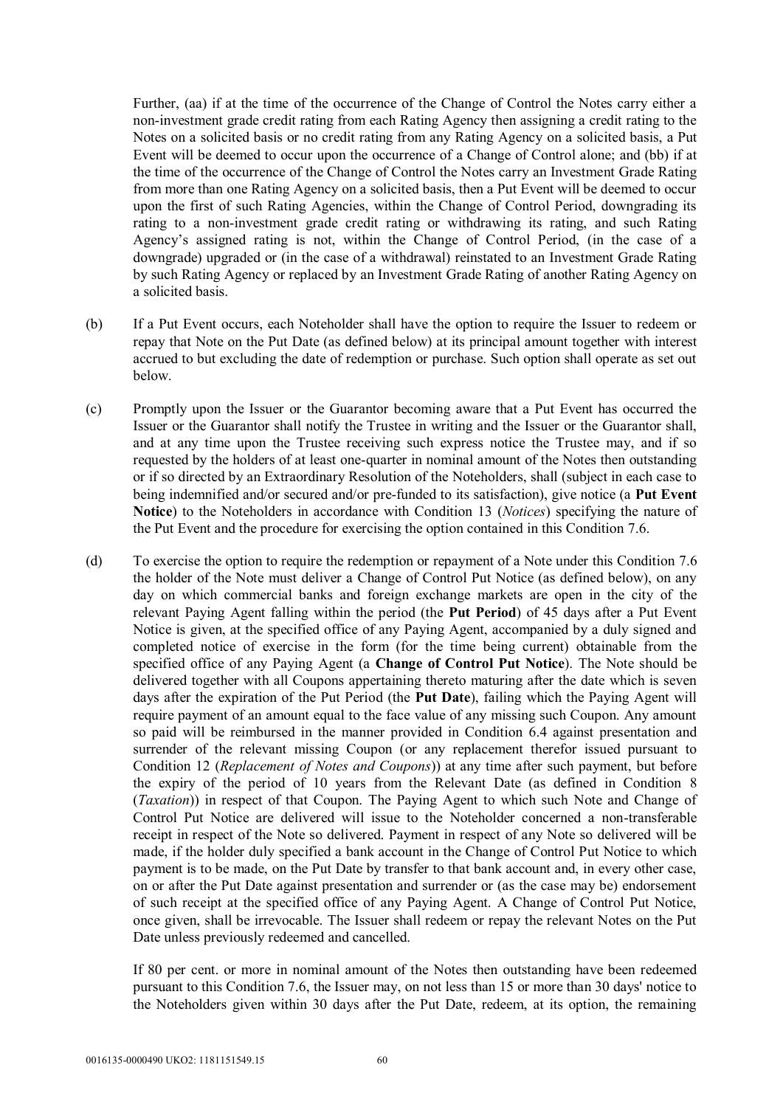Further, (aa) if at the time of the occurrence of the Change of Control the Notes carry either a non-investment grade credit rating from each Rating Agency then assigning a credit rating to the Notes on a solicited basis or no credit rating from any Rating Agency on a solicited basis, a Put Event will be deemed to occur upon the occurrence of a Change of Control alone; and (bb) if at the time of the occurrence of the Change of Control the Notes carry an Investment Grade Rating from more than one Rating Agency on a solicited basis, then a Put Event will be deemed to occur upon the first of such Rating Agencies, within the Change of Control Period, downgrading its rating to a non-investment grade credit rating or withdrawing its rating, and such Rating Agency's assigned rating is not, within the Change of Control Period, (in the case of a downgrade) upgraded or (in the case of a withdrawal) reinstated to an Investment Grade Rating by such Rating Agency or replaced by an Investment Grade Rating of another Rating Agency on a solicited basis.

- (b) If a Put Event occurs, each Noteholder shall have the option to require the Issuer to redeem or repay that Note on the Put Date (as defined below) at its principal amount together with interest accrued to but excluding the date of redemption or purchase. Such option shall operate as set out below.
- (c) Promptly upon the Issuer or the Guarantor becoming aware that a Put Event has occurred the Issuer or the Guarantor shall notify the Trustee in writing and the Issuer or the Guarantor shall, and at any time upon the Trustee receiving such express notice the Trustee may, and if so requested by the holders of at least one-quarter in nominal amount of the Notes then outstanding or if so directed by an Extraordinary Resolution of the Noteholders, shall (subject in each case to being indemnified and/or secured and/or pre-funded to its satisfaction), give notice (a **Put Event Notice**) to the Noteholders in accordance with Condition 13 (*Notices*) specifying the nature of the Put Event and the procedure for exercising the option contained in this Condition 7.6.
- (d) To exercise the option to require the redemption or repayment of a Note under this Condition 7.6 the holder of the Note must deliver a Change of Control Put Notice (as defined below), on any day on which commercial banks and foreign exchange markets are open in the city of the relevant Paying Agent falling within the period (the **Put Period**) of 45 days after a Put Event Notice is given, at the specified office of any Paying Agent, accompanied by a duly signed and completed notice of exercise in the form (for the time being current) obtainable from the specified office of any Paying Agent (a **Change of Control Put Notice**). The Note should be delivered together with all Coupons appertaining thereto maturing after the date which is seven days after the expiration of the Put Period (the **Put Date**), failing which the Paying Agent will require payment of an amount equal to the face value of any missing such Coupon. Any amount so paid will be reimbursed in the manner provided in Condition 6.4 against presentation and surrender of the relevant missing Coupon (or any replacement therefor issued pursuant to Condition 12 (*Replacement of Notes and Coupons*)) at any time after such payment, but before the expiry of the period of 10 years from the Relevant Date (as defined in Condition 8 (*Taxation*)) in respect of that Coupon. The Paying Agent to which such Note and Change of Control Put Notice are delivered will issue to the Noteholder concerned a non-transferable receipt in respect of the Note so delivered. Payment in respect of any Note so delivered will be made, if the holder duly specified a bank account in the Change of Control Put Notice to which payment is to be made, on the Put Date by transfer to that bank account and, in every other case, on or after the Put Date against presentation and surrender or (as the case may be) endorsement of such receipt at the specified office of any Paying Agent. A Change of Control Put Notice, once given, shall be irrevocable. The Issuer shall redeem or repay the relevant Notes on the Put Date unless previously redeemed and cancelled.

If 80 per cent. or more in nominal amount of the Notes then outstanding have been redeemed pursuant to this Condition 7.6, the Issuer may, on not less than 15 or more than 30 days' notice to the Noteholders given within 30 days after the Put Date, redeem, at its option, the remaining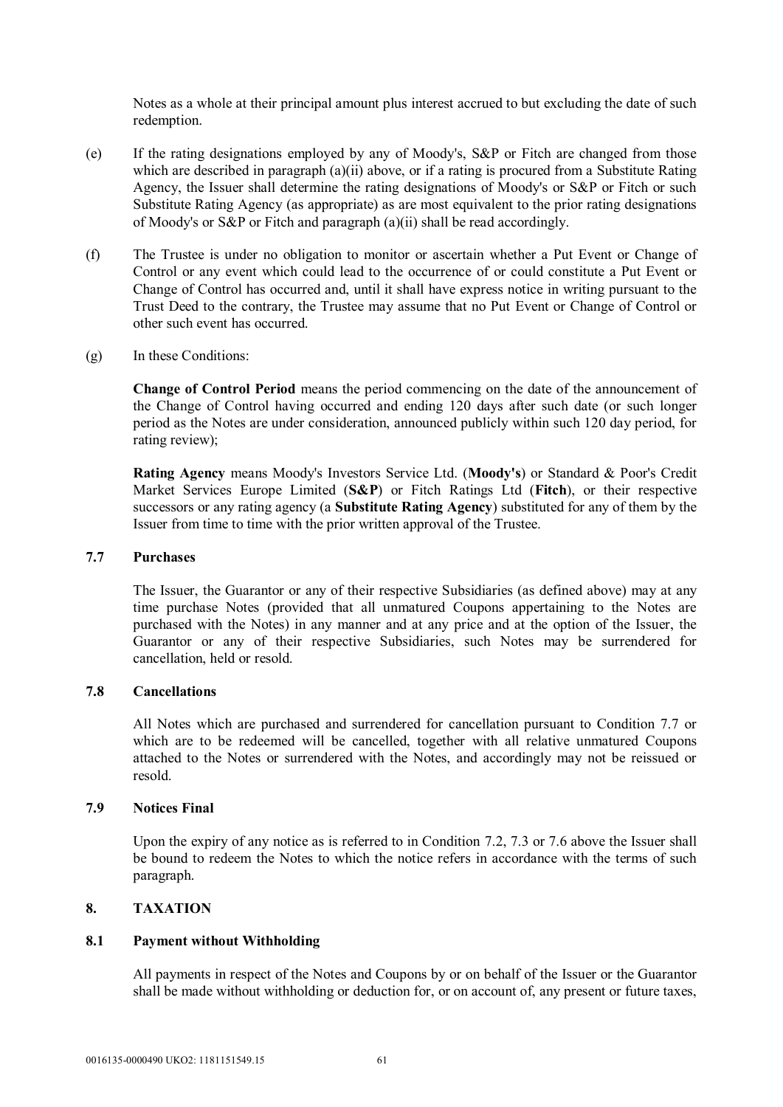Notes as a whole at their principal amount plus interest accrued to but excluding the date of such redemption.

- (e) If the rating designations employed by any of Moody's, S&P or Fitch are changed from those which are described in paragraph (a)(ii) above, or if a rating is procured from a Substitute Rating Agency, the Issuer shall determine the rating designations of Moody's or S&P or Fitch or such Substitute Rating Agency (as appropriate) as are most equivalent to the prior rating designations of Moody's or S&P or Fitch and paragraph (a)(ii) shall be read accordingly.
- (f) The Trustee is under no obligation to monitor or ascertain whether a Put Event or Change of Control or any event which could lead to the occurrence of or could constitute a Put Event or Change of Control has occurred and, until it shall have express notice in writing pursuant to the Trust Deed to the contrary, the Trustee may assume that no Put Event or Change of Control or other such event has occurred.
- (g) In these Conditions:

**Change of Control Period** means the period commencing on the date of the announcement of the Change of Control having occurred and ending 120 days after such date (or such longer period as the Notes are under consideration, announced publicly within such 120 day period, for rating review);

**Rating Agency** means Moody's Investors Service Ltd. (**Moody's**) or Standard & Poor's Credit Market Services Europe Limited (**S&P**) or Fitch Ratings Ltd (**Fitch**), or their respective successors or any rating agency (a **Substitute Rating Agency**) substituted for any of them by the Issuer from time to time with the prior written approval of the Trustee.

### **7.7 Purchases**

The Issuer, the Guarantor or any of their respective Subsidiaries (as defined above) may at any time purchase Notes (provided that all unmatured Coupons appertaining to the Notes are purchased with the Notes) in any manner and at any price and at the option of the Issuer, the Guarantor or any of their respective Subsidiaries, such Notes may be surrendered for cancellation, held or resold.

## **7.8 Cancellations**

All Notes which are purchased and surrendered for cancellation pursuant to Condition 7.7 or which are to be redeemed will be cancelled, together with all relative unmatured Coupons attached to the Notes or surrendered with the Notes, and accordingly may not be reissued or resold.

## **7.9 Notices Final**

Upon the expiry of any notice as is referred to in Condition 7.2, 7.3 or 7.6 above the Issuer shall be bound to redeem the Notes to which the notice refers in accordance with the terms of such paragraph.

## **8. TAXATION**

## **8.1 Payment without Withholding**

All payments in respect of the Notes and Coupons by or on behalf of the Issuer or the Guarantor shall be made without withholding or deduction for, or on account of, any present or future taxes,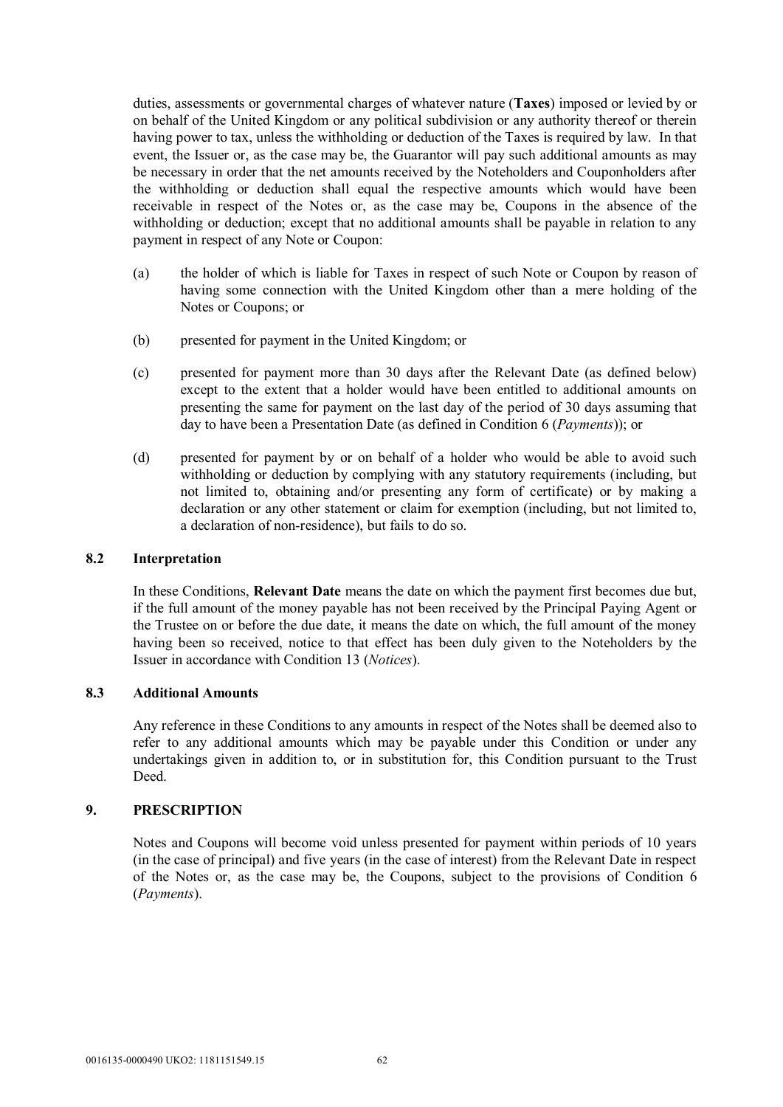duties, assessments or governmental charges of whatever nature (**Taxes**) imposed or levied by or on behalf of the United Kingdom or any political subdivision or any authority thereof or therein having power to tax, unless the withholding or deduction of the Taxes is required by law. In that event, the Issuer or, as the case may be, the Guarantor will pay such additional amounts as may be necessary in order that the net amounts received by the Noteholders and Couponholders after the withholding or deduction shall equal the respective amounts which would have been receivable in respect of the Notes or, as the case may be, Coupons in the absence of the withholding or deduction; except that no additional amounts shall be payable in relation to any payment in respect of any Note or Coupon:

- (a) the holder of which is liable for Taxes in respect of such Note or Coupon by reason of having some connection with the United Kingdom other than a mere holding of the Notes or Coupons; or
- (b) presented for payment in the United Kingdom; or
- (c) presented for payment more than 30 days after the Relevant Date (as defined below) except to the extent that a holder would have been entitled to additional amounts on presenting the same for payment on the last day of the period of 30 days assuming that day to have been a Presentation Date (as defined in Condition 6 (*Payments*)); or
- (d) presented for payment by or on behalf of a holder who would be able to avoid such withholding or deduction by complying with any statutory requirements (including, but not limited to, obtaining and/or presenting any form of certificate) or by making a declaration or any other statement or claim for exemption (including, but not limited to, a declaration of non-residence), but fails to do so.

## **8.2 Interpretation**

In these Conditions, **Relevant Date** means the date on which the payment first becomes due but, if the full amount of the money payable has not been received by the Principal Paying Agent or the Trustee on or before the due date, it means the date on which, the full amount of the money having been so received, notice to that effect has been duly given to the Noteholders by the Issuer in accordance with Condition 13 (*Notices*).

## **8.3 Additional Amounts**

Any reference in these Conditions to any amounts in respect of the Notes shall be deemed also to refer to any additional amounts which may be payable under this Condition or under any undertakings given in addition to, or in substitution for, this Condition pursuant to the Trust **Deed** 

## **9. PRESCRIPTION**

Notes and Coupons will become void unless presented for payment within periods of 10 years (in the case of principal) and five years (in the case of interest) from the Relevant Date in respect of the Notes or, as the case may be, the Coupons, subject to the provisions of Condition 6 (*Payments*).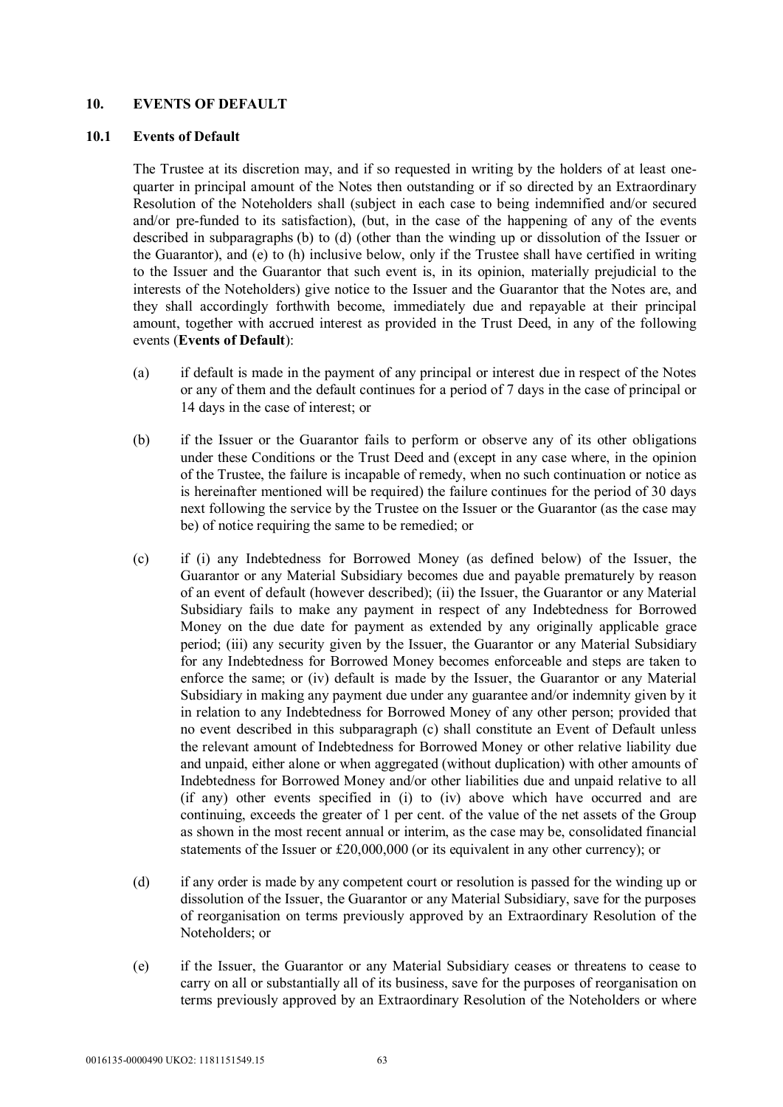## **10. EVENTS OF DEFAULT**

## **10.1 Events of Default**

The Trustee at its discretion may, and if so requested in writing by the holders of at least onequarter in principal amount of the Notes then outstanding or if so directed by an Extraordinary Resolution of the Noteholders shall (subject in each case to being indemnified and/or secured and/or pre-funded to its satisfaction), (but, in the case of the happening of any of the events described in subparagraphs (b) to (d) (other than the winding up or dissolution of the Issuer or the Guarantor), and (e) to (h) inclusive below, only if the Trustee shall have certified in writing to the Issuer and the Guarantor that such event is, in its opinion, materially prejudicial to the interests of the Noteholders) give notice to the Issuer and the Guarantor that the Notes are, and they shall accordingly forthwith become, immediately due and repayable at their principal amount, together with accrued interest as provided in the Trust Deed, in any of the following events (**Events of Default**):

- (a) if default is made in the payment of any principal or interest due in respect of the Notes or any of them and the default continues for a period of 7 days in the case of principal or 14 days in the case of interest; or
- (b) if the Issuer or the Guarantor fails to perform or observe any of its other obligations under these Conditions or the Trust Deed and (except in any case where, in the opinion of the Trustee, the failure is incapable of remedy, when no such continuation or notice as is hereinafter mentioned will be required) the failure continues for the period of 30 days next following the service by the Trustee on the Issuer or the Guarantor (as the case may be) of notice requiring the same to be remedied; or
- (c) if (i) any Indebtedness for Borrowed Money (as defined below) of the Issuer, the Guarantor or any Material Subsidiary becomes due and payable prematurely by reason of an event of default (however described); (ii) the Issuer, the Guarantor or any Material Subsidiary fails to make any payment in respect of any Indebtedness for Borrowed Money on the due date for payment as extended by any originally applicable grace period; (iii) any security given by the Issuer, the Guarantor or any Material Subsidiary for any Indebtedness for Borrowed Money becomes enforceable and steps are taken to enforce the same; or (iv) default is made by the Issuer, the Guarantor or any Material Subsidiary in making any payment due under any guarantee and/or indemnity given by it in relation to any Indebtedness for Borrowed Money of any other person; provided that no event described in this subparagraph (c) shall constitute an Event of Default unless the relevant amount of Indebtedness for Borrowed Money or other relative liability due and unpaid, either alone or when aggregated (without duplication) with other amounts of Indebtedness for Borrowed Money and/or other liabilities due and unpaid relative to all (if any) other events specified in (i) to (iv) above which have occurred and are continuing, exceeds the greater of 1 per cent. of the value of the net assets of the Group as shown in the most recent annual or interim, as the case may be, consolidated financial statements of the Issuer or £20,000,000 (or its equivalent in any other currency); or
- (d) if any order is made by any competent court or resolution is passed for the winding up or dissolution of the Issuer, the Guarantor or any Material Subsidiary, save for the purposes of reorganisation on terms previously approved by an Extraordinary Resolution of the Noteholders; or
- (e) if the Issuer, the Guarantor or any Material Subsidiary ceases or threatens to cease to carry on all or substantially all of its business, save for the purposes of reorganisation on terms previously approved by an Extraordinary Resolution of the Noteholders or where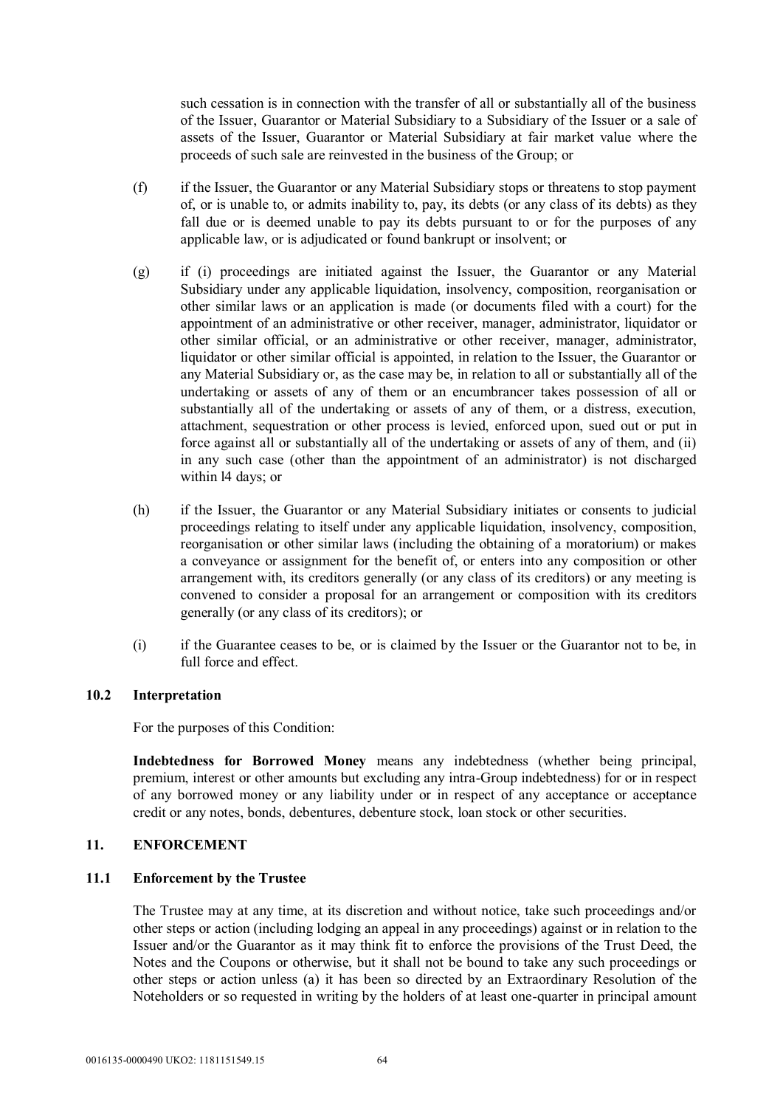such cessation is in connection with the transfer of all or substantially all of the business of the Issuer, Guarantor or Material Subsidiary to a Subsidiary of the Issuer or a sale of assets of the Issuer, Guarantor or Material Subsidiary at fair market value where the proceeds of such sale are reinvested in the business of the Group; or

- (f) if the Issuer, the Guarantor or any Material Subsidiary stops or threatens to stop payment of, or is unable to, or admits inability to, pay, its debts (or any class of its debts) as they fall due or is deemed unable to pay its debts pursuant to or for the purposes of any applicable law, or is adjudicated or found bankrupt or insolvent; or
- (g) if (i) proceedings are initiated against the Issuer, the Guarantor or any Material Subsidiary under any applicable liquidation, insolvency, composition, reorganisation or other similar laws or an application is made (or documents filed with a court) for the appointment of an administrative or other receiver, manager, administrator, liquidator or other similar official, or an administrative or other receiver, manager, administrator, liquidator or other similar official is appointed, in relation to the Issuer, the Guarantor or any Material Subsidiary or, as the case may be, in relation to all or substantially all of the undertaking or assets of any of them or an encumbrancer takes possession of all or substantially all of the undertaking or assets of any of them, or a distress, execution, attachment, sequestration or other process is levied, enforced upon, sued out or put in force against all or substantially all of the undertaking or assets of any of them, and (ii) in any such case (other than the appointment of an administrator) is not discharged within l4 days; or
- (h) if the Issuer, the Guarantor or any Material Subsidiary initiates or consents to judicial proceedings relating to itself under any applicable liquidation, insolvency, composition, reorganisation or other similar laws (including the obtaining of a moratorium) or makes a conveyance or assignment for the benefit of, or enters into any composition or other arrangement with, its creditors generally (or any class of its creditors) or any meeting is convened to consider a proposal for an arrangement or composition with its creditors generally (or any class of its creditors); or
- (i) if the Guarantee ceases to be, or is claimed by the Issuer or the Guarantor not to be, in full force and effect.

## **10.2 Interpretation**

For the purposes of this Condition:

**Indebtedness for Borrowed Money** means any indebtedness (whether being principal, premium, interest or other amounts but excluding any intra-Group indebtedness) for or in respect of any borrowed money or any liability under or in respect of any acceptance or acceptance credit or any notes, bonds, debentures, debenture stock, loan stock or other securities.

## **11. ENFORCEMENT**

#### **11.1 Enforcement by the Trustee**

The Trustee may at any time, at its discretion and without notice, take such proceedings and/or other steps or action (including lodging an appeal in any proceedings) against or in relation to the Issuer and/or the Guarantor as it may think fit to enforce the provisions of the Trust Deed, the Notes and the Coupons or otherwise, but it shall not be bound to take any such proceedings or other steps or action unless (a) it has been so directed by an Extraordinary Resolution of the Noteholders or so requested in writing by the holders of at least one-quarter in principal amount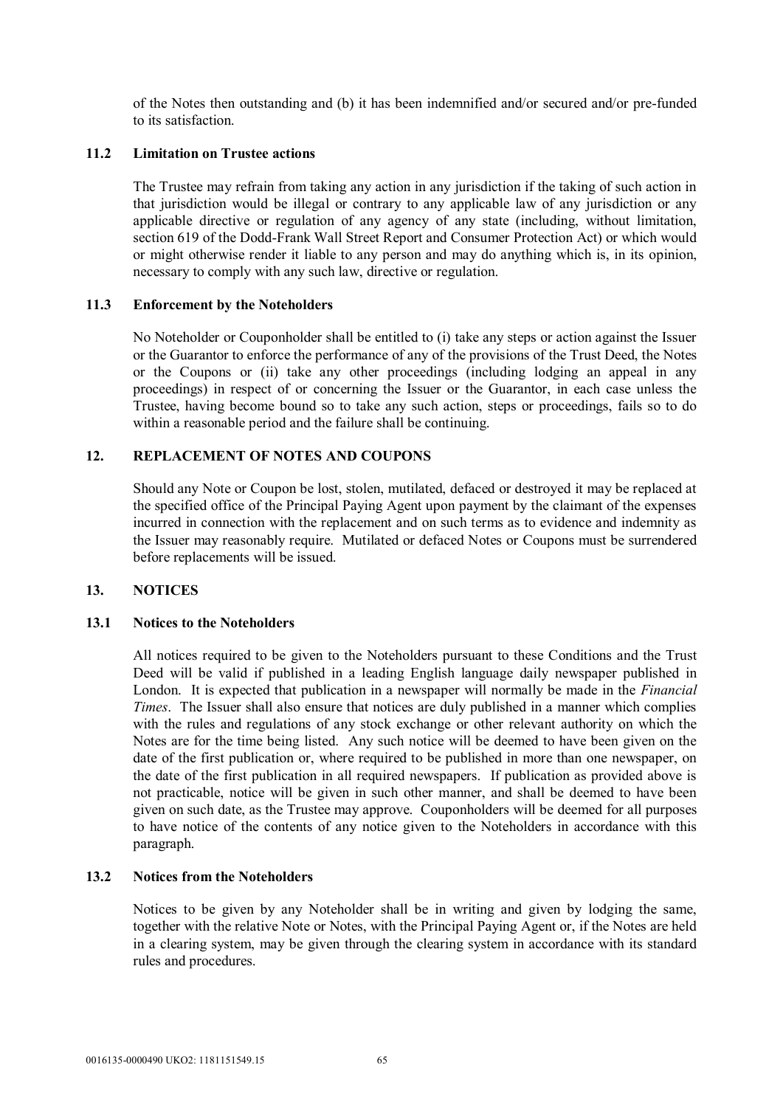of the Notes then outstanding and (b) it has been indemnified and/or secured and/or pre-funded to its satisfaction.

### **11.2 Limitation on Trustee actions**

The Trustee may refrain from taking any action in any jurisdiction if the taking of such action in that jurisdiction would be illegal or contrary to any applicable law of any jurisdiction or any applicable directive or regulation of any agency of any state (including, without limitation, section 619 of the Dodd-Frank Wall Street Report and Consumer Protection Act) or which would or might otherwise render it liable to any person and may do anything which is, in its opinion, necessary to comply with any such law, directive or regulation.

## **11.3 Enforcement by the Noteholders**

No Noteholder or Couponholder shall be entitled to (i) take any steps or action against the Issuer or the Guarantor to enforce the performance of any of the provisions of the Trust Deed, the Notes or the Coupons or (ii) take any other proceedings (including lodging an appeal in any proceedings) in respect of or concerning the Issuer or the Guarantor, in each case unless the Trustee, having become bound so to take any such action, steps or proceedings, fails so to do within a reasonable period and the failure shall be continuing.

## **12. REPLACEMENT OF NOTES AND COUPONS**

Should any Note or Coupon be lost, stolen, mutilated, defaced or destroyed it may be replaced at the specified office of the Principal Paying Agent upon payment by the claimant of the expenses incurred in connection with the replacement and on such terms as to evidence and indemnity as the Issuer may reasonably require. Mutilated or defaced Notes or Coupons must be surrendered before replacements will be issued.

#### **13. NOTICES**

#### **13.1 Notices to the Noteholders**

All notices required to be given to the Noteholders pursuant to these Conditions and the Trust Deed will be valid if published in a leading English language daily newspaper published in London. It is expected that publication in a newspaper will normally be made in the *Financial Times*. The Issuer shall also ensure that notices are duly published in a manner which complies with the rules and regulations of any stock exchange or other relevant authority on which the Notes are for the time being listed. Any such notice will be deemed to have been given on the date of the first publication or, where required to be published in more than one newspaper, on the date of the first publication in all required newspapers. If publication as provided above is not practicable, notice will be given in such other manner, and shall be deemed to have been given on such date, as the Trustee may approve. Couponholders will be deemed for all purposes to have notice of the contents of any notice given to the Noteholders in accordance with this paragraph.

### **13.2 Notices from the Noteholders**

Notices to be given by any Noteholder shall be in writing and given by lodging the same, together with the relative Note or Notes, with the Principal Paying Agent or, if the Notes are held in a clearing system, may be given through the clearing system in accordance with its standard rules and procedures.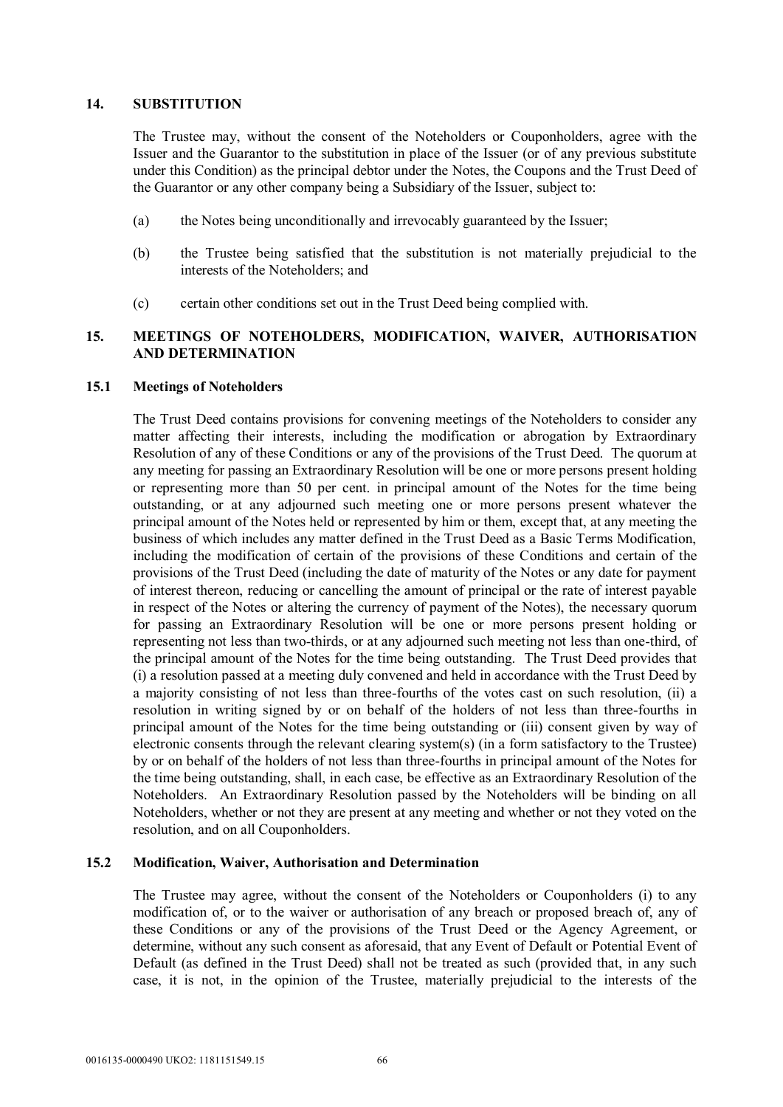### **14. SUBSTITUTION**

The Trustee may, without the consent of the Noteholders or Couponholders, agree with the Issuer and the Guarantor to the substitution in place of the Issuer (or of any previous substitute under this Condition) as the principal debtor under the Notes, the Coupons and the Trust Deed of the Guarantor or any other company being a Subsidiary of the Issuer, subject to:

- (a) the Notes being unconditionally and irrevocably guaranteed by the Issuer;
- (b) the Trustee being satisfied that the substitution is not materially prejudicial to the interests of the Noteholders; and
- (c) certain other conditions set out in the Trust Deed being complied with.

## **15. MEETINGS OF NOTEHOLDERS, MODIFICATION, WAIVER, AUTHORISATION AND DETERMINATION**

## **15.1 Meetings of Noteholders**

The Trust Deed contains provisions for convening meetings of the Noteholders to consider any matter affecting their interests, including the modification or abrogation by Extraordinary Resolution of any of these Conditions or any of the provisions of the Trust Deed. The quorum at any meeting for passing an Extraordinary Resolution will be one or more persons present holding or representing more than 50 per cent. in principal amount of the Notes for the time being outstanding, or at any adjourned such meeting one or more persons present whatever the principal amount of the Notes held or represented by him or them, except that, at any meeting the business of which includes any matter defined in the Trust Deed as a Basic Terms Modification, including the modification of certain of the provisions of these Conditions and certain of the provisions of the Trust Deed (including the date of maturity of the Notes or any date for payment of interest thereon, reducing or cancelling the amount of principal or the rate of interest payable in respect of the Notes or altering the currency of payment of the Notes), the necessary quorum for passing an Extraordinary Resolution will be one or more persons present holding or representing not less than two-thirds, or at any adjourned such meeting not less than one-third, of the principal amount of the Notes for the time being outstanding. The Trust Deed provides that (i) a resolution passed at a meeting duly convened and held in accordance with the Trust Deed by a majority consisting of not less than three-fourths of the votes cast on such resolution, (ii) a resolution in writing signed by or on behalf of the holders of not less than three-fourths in principal amount of the Notes for the time being outstanding or (iii) consent given by way of electronic consents through the relevant clearing system(s) (in a form satisfactory to the Trustee) by or on behalf of the holders of not less than three-fourths in principal amount of the Notes for the time being outstanding, shall, in each case, be effective as an Extraordinary Resolution of the Noteholders. An Extraordinary Resolution passed by the Noteholders will be binding on all Noteholders, whether or not they are present at any meeting and whether or not they voted on the resolution, and on all Couponholders.

## **15.2 Modification, Waiver, Authorisation and Determination**

The Trustee may agree, without the consent of the Noteholders or Couponholders (i) to any modification of, or to the waiver or authorisation of any breach or proposed breach of, any of these Conditions or any of the provisions of the Trust Deed or the Agency Agreement, or determine, without any such consent as aforesaid, that any Event of Default or Potential Event of Default (as defined in the Trust Deed) shall not be treated as such (provided that, in any such case, it is not, in the opinion of the Trustee, materially prejudicial to the interests of the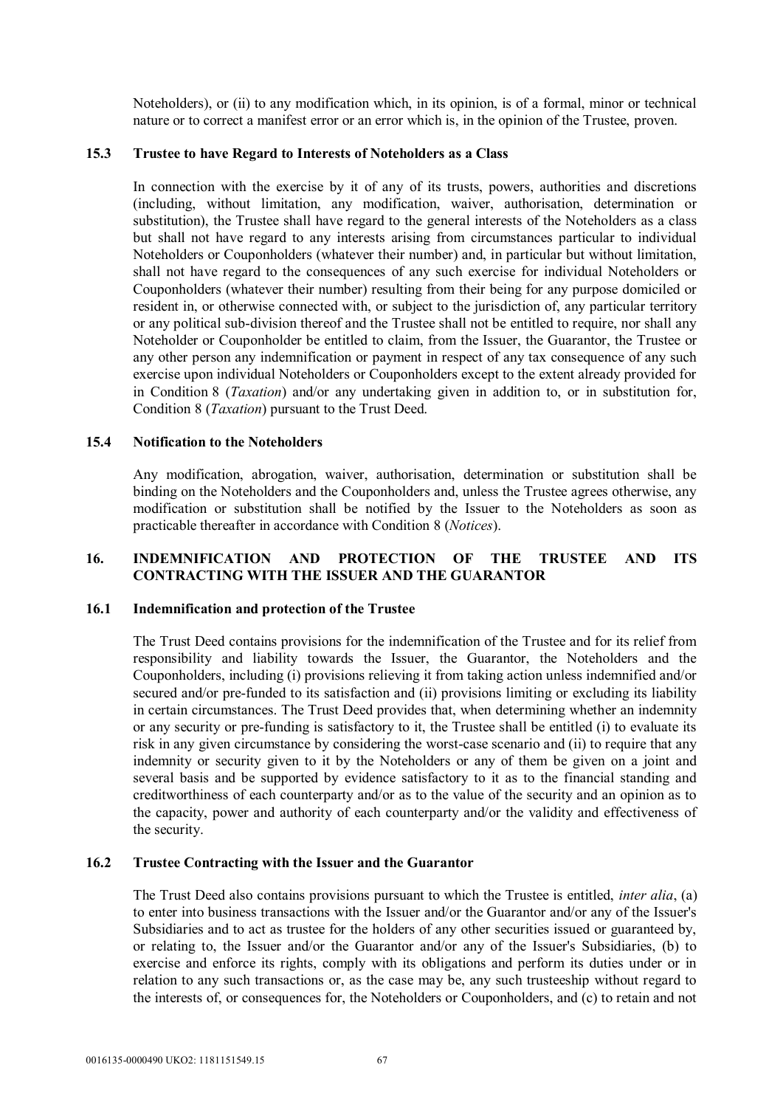Noteholders), or (ii) to any modification which, in its opinion, is of a formal, minor or technical nature or to correct a manifest error or an error which is, in the opinion of the Trustee, proven.

## **15.3 Trustee to have Regard to Interests of Noteholders as a Class**

In connection with the exercise by it of any of its trusts, powers, authorities and discretions (including, without limitation, any modification, waiver, authorisation, determination or substitution), the Trustee shall have regard to the general interests of the Noteholders as a class but shall not have regard to any interests arising from circumstances particular to individual Noteholders or Couponholders (whatever their number) and, in particular but without limitation, shall not have regard to the consequences of any such exercise for individual Noteholders or Couponholders (whatever their number) resulting from their being for any purpose domiciled or resident in, or otherwise connected with, or subject to the jurisdiction of, any particular territory or any political sub-division thereof and the Trustee shall not be entitled to require, nor shall any Noteholder or Couponholder be entitled to claim, from the Issuer, the Guarantor, the Trustee or any other person any indemnification or payment in respect of any tax consequence of any such exercise upon individual Noteholders or Couponholders except to the extent already provided for in Condition 8 (*Taxation*) and/or any undertaking given in addition to, or in substitution for, Condition 8 (*Taxation*) pursuant to the Trust Deed.

## **15.4 Notification to the Noteholders**

Any modification, abrogation, waiver, authorisation, determination or substitution shall be binding on the Noteholders and the Couponholders and, unless the Trustee agrees otherwise, any modification or substitution shall be notified by the Issuer to the Noteholders as soon as practicable thereafter in accordance with Condition 8 (*Notices*).

## **16. INDEMNIFICATION AND PROTECTION OF THE TRUSTEE AND ITS CONTRACTING WITH THE ISSUER AND THE GUARANTOR**

## **16.1 Indemnification and protection of the Trustee**

The Trust Deed contains provisions for the indemnification of the Trustee and for its relief from responsibility and liability towards the Issuer, the Guarantor, the Noteholders and the Couponholders, including (i) provisions relieving it from taking action unless indemnified and/or secured and/or pre-funded to its satisfaction and (ii) provisions limiting or excluding its liability in certain circumstances. The Trust Deed provides that, when determining whether an indemnity or any security or pre-funding is satisfactory to it, the Trustee shall be entitled (i) to evaluate its risk in any given circumstance by considering the worst-case scenario and (ii) to require that any indemnity or security given to it by the Noteholders or any of them be given on a joint and several basis and be supported by evidence satisfactory to it as to the financial standing and creditworthiness of each counterparty and/or as to the value of the security and an opinion as to the capacity, power and authority of each counterparty and/or the validity and effectiveness of the security.

## **16.2 Trustee Contracting with the Issuer and the Guarantor**

The Trust Deed also contains provisions pursuant to which the Trustee is entitled, *inter alia*, (a) to enter into business transactions with the Issuer and/or the Guarantor and/or any of the Issuer's Subsidiaries and to act as trustee for the holders of any other securities issued or guaranteed by, or relating to, the Issuer and/or the Guarantor and/or any of the Issuer's Subsidiaries, (b) to exercise and enforce its rights, comply with its obligations and perform its duties under or in relation to any such transactions or, as the case may be, any such trusteeship without regard to the interests of, or consequences for, the Noteholders or Couponholders, and (c) to retain and not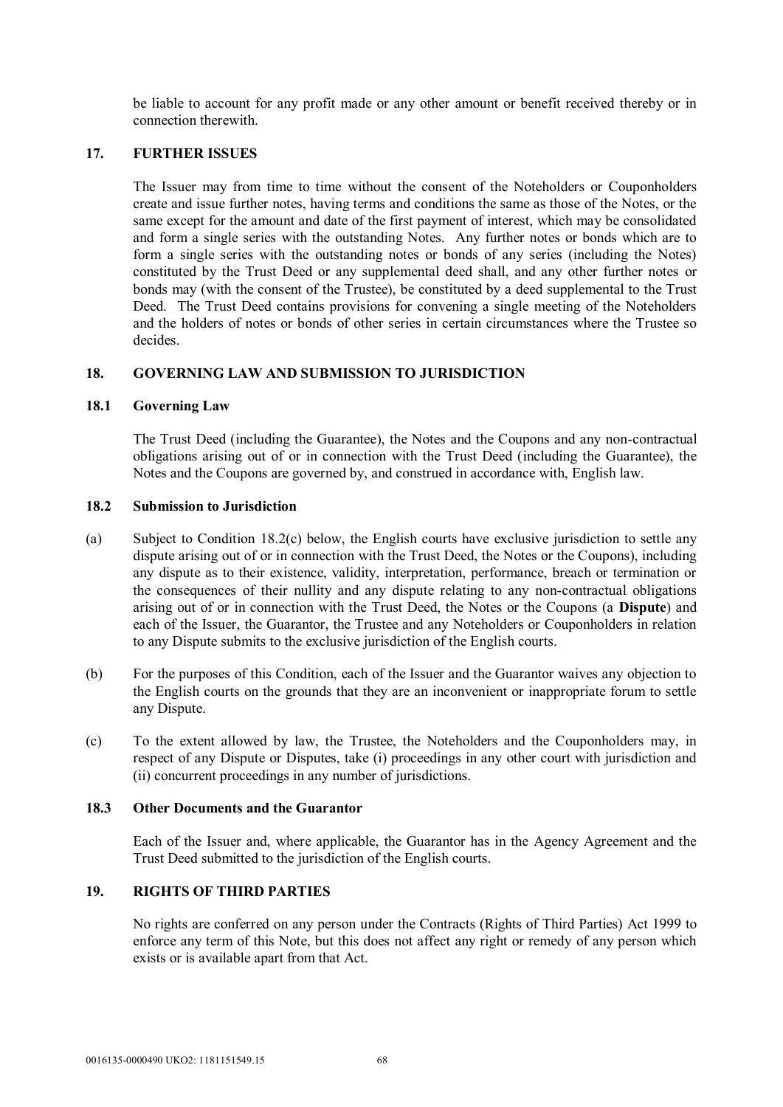be liable to account for any profit made or any other amount or benefit received thereby or in connection therewith.

# **17. FURTHER ISSUES**

The Issuer may from time to time without the consent of the Noteholders or Couponholders create and issue further notes, having terms and conditions the same as those of the Notes, or the same except for the amount and date of the first payment of interest, which may be consolidated and form a single series with the outstanding Notes. Any further notes or bonds which are to form a single series with the outstanding notes or bonds of any series (including the Notes) constituted by the Trust Deed or any supplemental deed shall, and any other further notes or bonds may (with the consent of the Trustee), be constituted by a deed supplemental to the Trust Deed. The Trust Deed contains provisions for convening a single meeting of the Noteholders and the holders of notes or bonds of other series in certain circumstances where the Trustee so decides.

## **18. GOVERNING LAW AND SUBMISSION TO JURISDICTION**

## **18.1 Governing Law**

The Trust Deed (including the Guarantee), the Notes and the Coupons and any non-contractual obligations arising out of or in connection with the Trust Deed (including the Guarantee), the Notes and the Coupons are governed by, and construed in accordance with, English law.

## **18.2 Submission to Jurisdiction**

- (a) Subject to Condition 18.2(c) below, the English courts have exclusive jurisdiction to settle any dispute arising out of or in connection with the Trust Deed, the Notes or the Coupons), including any dispute as to their existence, validity, interpretation, performance, breach or termination or the consequences of their nullity and any dispute relating to any non-contractual obligations arising out of or in connection with the Trust Deed, the Notes or the Coupons (a **Dispute**) and each of the Issuer, the Guarantor, the Trustee and any Noteholders or Couponholders in relation to any Dispute submits to the exclusive jurisdiction of the English courts.
- (b) For the purposes of this Condition, each of the Issuer and the Guarantor waives any objection to the English courts on the grounds that they are an inconvenient or inappropriate forum to settle any Dispute.
- (c) To the extent allowed by law, the Trustee, the Noteholders and the Couponholders may, in respect of any Dispute or Disputes, take (i) proceedings in any other court with jurisdiction and (ii) concurrent proceedings in any number of jurisdictions.

## **18.3 Other Documents and the Guarantor**

Each of the Issuer and, where applicable, the Guarantor has in the Agency Agreement and the Trust Deed submitted to the jurisdiction of the English courts.

## **19. RIGHTS OF THIRD PARTIES**

No rights are conferred on any person under the Contracts (Rights of Third Parties) Act 1999 to enforce any term of this Note, but this does not affect any right or remedy of any person which exists or is available apart from that Act.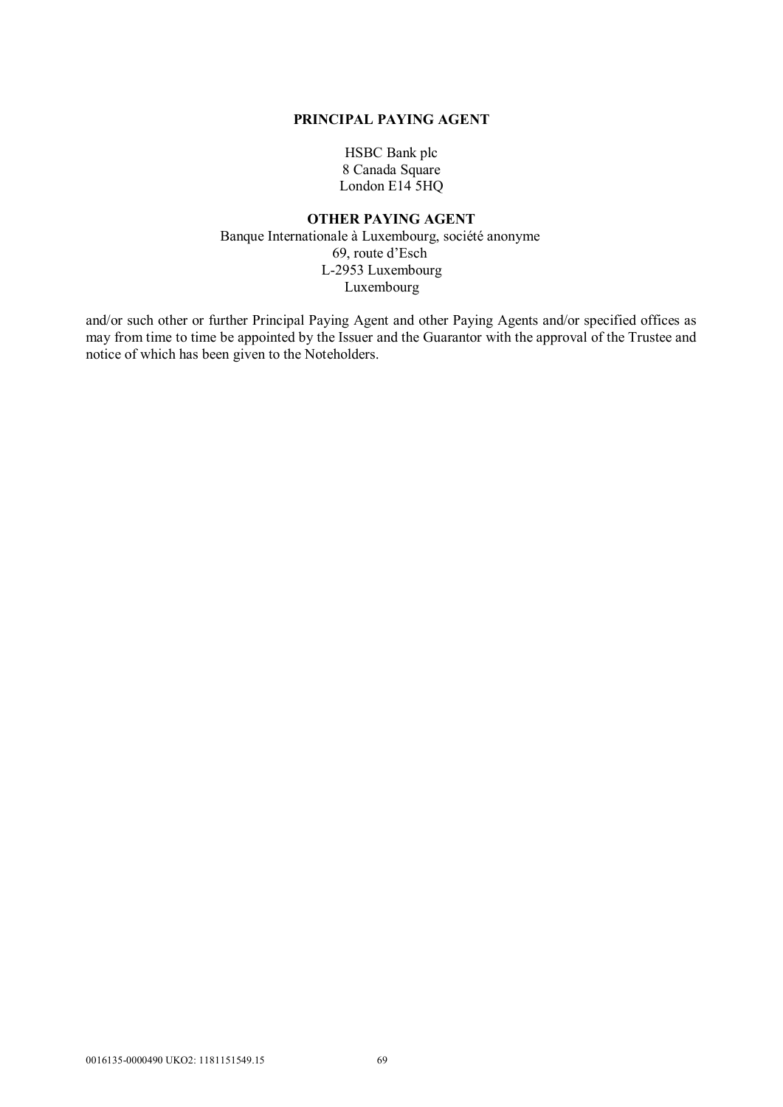#### **PRINCIPAL PAYING AGENT**

HSBC Bank plc 8 Canada Square London E14 5HQ

## **OTHER PAYING AGENT** Banque Internationale à Luxembourg, société anonyme 69, route d'Esch L-2953 Luxembourg Luxembourg

and/or such other or further Principal Paying Agent and other Paying Agents and/or specified offices as may from time to time be appointed by the Issuer and the Guarantor with the approval of the Trustee and notice of which has been given to the Noteholders.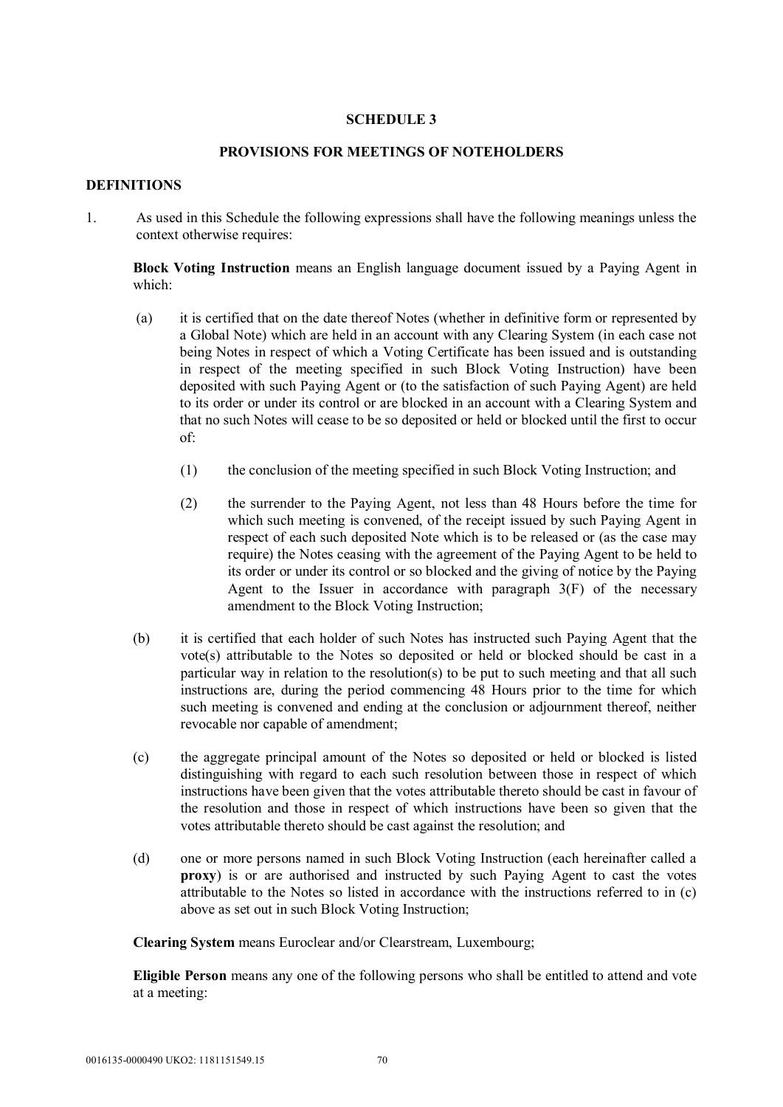## **SCHEDULE 3**

## **PROVISIONS FOR MEETINGS OF NOTEHOLDERS**

## **DEFINITIONS**

1. As used in this Schedule the following expressions shall have the following meanings unless the context otherwise requires:

**Block Voting Instruction** means an English language document issued by a Paying Agent in which:

- (a) it is certified that on the date thereof Notes (whether in definitive form or represented by a Global Note) which are held in an account with any Clearing System (in each case not being Notes in respect of which a Voting Certificate has been issued and is outstanding in respect of the meeting specified in such Block Voting Instruction) have been deposited with such Paying Agent or (to the satisfaction of such Paying Agent) are held to its order or under its control or are blocked in an account with a Clearing System and that no such Notes will cease to be so deposited or held or blocked until the first to occur of:
	- (1) the conclusion of the meeting specified in such Block Voting Instruction; and
	- (2) the surrender to the Paying Agent, not less than 48 Hours before the time for which such meeting is convened, of the receipt issued by such Paying Agent in respect of each such deposited Note which is to be released or (as the case may require) the Notes ceasing with the agreement of the Paying Agent to be held to its order or under its control or so blocked and the giving of notice by the Paying Agent to the Issuer in accordance with paragraph  $3(F)$  of the necessary amendment to the Block Voting Instruction;
- (b) it is certified that each holder of such Notes has instructed such Paying Agent that the vote(s) attributable to the Notes so deposited or held or blocked should be cast in a particular way in relation to the resolution(s) to be put to such meeting and that all such instructions are, during the period commencing 48 Hours prior to the time for which such meeting is convened and ending at the conclusion or adjournment thereof, neither revocable nor capable of amendment;
- (c) the aggregate principal amount of the Notes so deposited or held or blocked is listed distinguishing with regard to each such resolution between those in respect of which instructions have been given that the votes attributable thereto should be cast in favour of the resolution and those in respect of which instructions have been so given that the votes attributable thereto should be cast against the resolution; and
- (d) one or more persons named in such Block Voting Instruction (each hereinafter called a **proxy**) is or are authorised and instructed by such Paying Agent to cast the votes attributable to the Notes so listed in accordance with the instructions referred to in (c) above as set out in such Block Voting Instruction;

**Clearing System** means Euroclear and/or Clearstream, Luxembourg;

**Eligible Person** means any one of the following persons who shall be entitled to attend and vote at a meeting: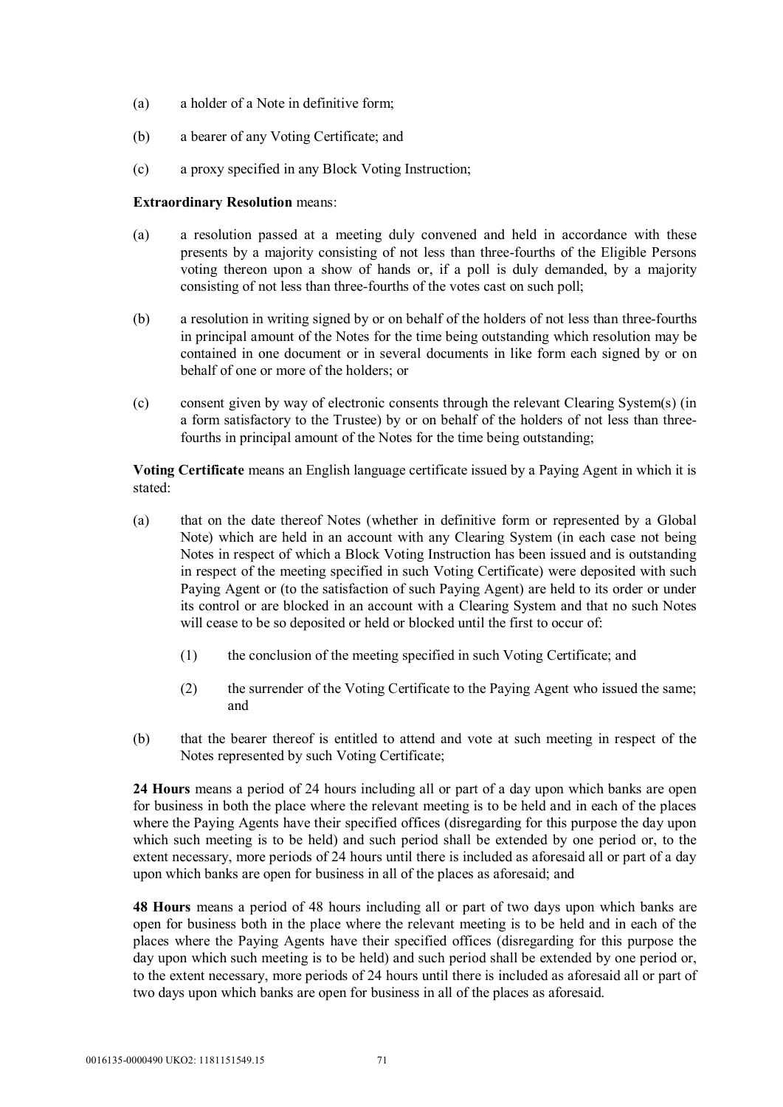- (a) a holder of a Note in definitive form;
- (b) a bearer of any Voting Certificate; and
- (c) a proxy specified in any Block Voting Instruction;

#### **Extraordinary Resolution** means:

- (a) a resolution passed at a meeting duly convened and held in accordance with these presents by a majority consisting of not less than three-fourths of the Eligible Persons voting thereon upon a show of hands or, if a poll is duly demanded, by a majority consisting of not less than three-fourths of the votes cast on such poll;
- (b) a resolution in writing signed by or on behalf of the holders of not less than three-fourths in principal amount of the Notes for the time being outstanding which resolution may be contained in one document or in several documents in like form each signed by or on behalf of one or more of the holders; or
- (c) consent given by way of electronic consents through the relevant Clearing System(s) (in a form satisfactory to the Trustee) by or on behalf of the holders of not less than threefourths in principal amount of the Notes for the time being outstanding;

**Voting Certificate** means an English language certificate issued by a Paying Agent in which it is stated:

- (a) that on the date thereof Notes (whether in definitive form or represented by a Global Note) which are held in an account with any Clearing System (in each case not being Notes in respect of which a Block Voting Instruction has been issued and is outstanding in respect of the meeting specified in such Voting Certificate) were deposited with such Paying Agent or (to the satisfaction of such Paying Agent) are held to its order or under its control or are blocked in an account with a Clearing System and that no such Notes will cease to be so deposited or held or blocked until the first to occur of:
	- (1) the conclusion of the meeting specified in such Voting Certificate; and
	- (2) the surrender of the Voting Certificate to the Paying Agent who issued the same; and
- (b) that the bearer thereof is entitled to attend and vote at such meeting in respect of the Notes represented by such Voting Certificate;

**24 Hours** means a period of 24 hours including all or part of a day upon which banks are open for business in both the place where the relevant meeting is to be held and in each of the places where the Paying Agents have their specified offices (disregarding for this purpose the day upon which such meeting is to be held) and such period shall be extended by one period or, to the extent necessary, more periods of 24 hours until there is included as aforesaid all or part of a day upon which banks are open for business in all of the places as aforesaid; and

**48 Hours** means a period of 48 hours including all or part of two days upon which banks are open for business both in the place where the relevant meeting is to be held and in each of the places where the Paying Agents have their specified offices (disregarding for this purpose the day upon which such meeting is to be held) and such period shall be extended by one period or, to the extent necessary, more periods of 24 hours until there is included as aforesaid all or part of two days upon which banks are open for business in all of the places as aforesaid.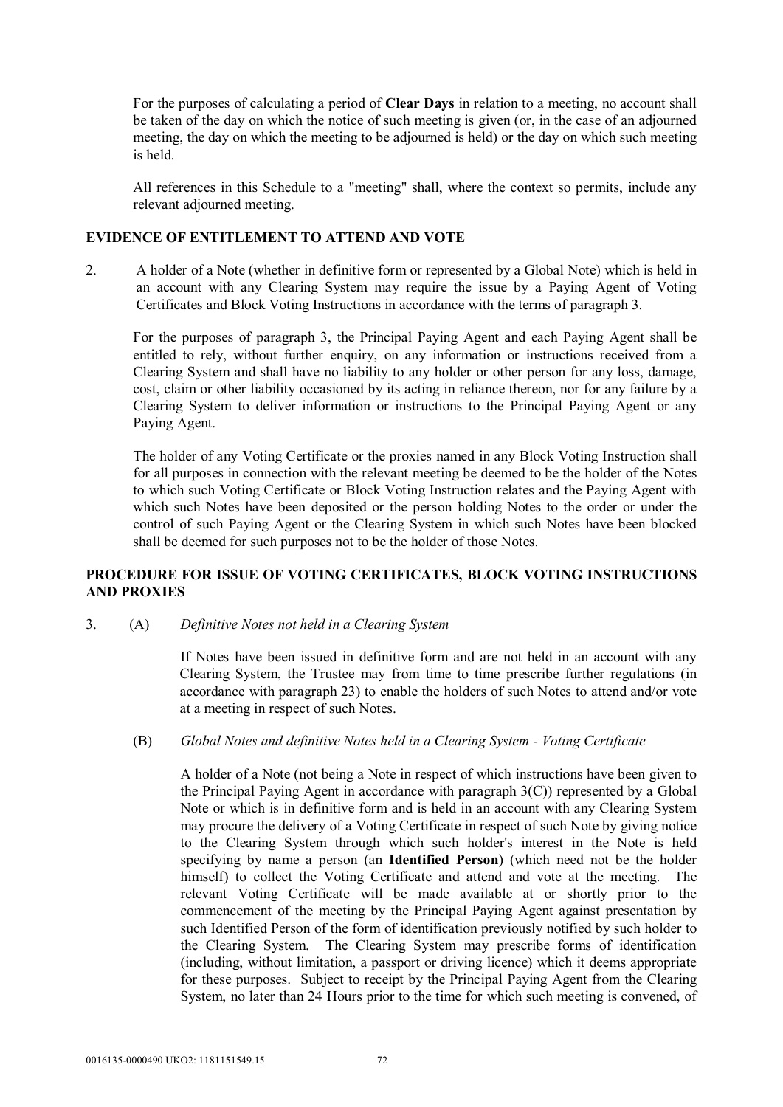For the purposes of calculating a period of **Clear Days** in relation to a meeting, no account shall be taken of the day on which the notice of such meeting is given (or, in the case of an adjourned meeting, the day on which the meeting to be adjourned is held) or the day on which such meeting is held.

All references in this Schedule to a "meeting" shall, where the context so permits, include any relevant adjourned meeting.

## **EVIDENCE OF ENTITLEMENT TO ATTEND AND VOTE**

2. A holder of a Note (whether in definitive form or represented by a Global Note) which is held in an account with any Clearing System may require the issue by a Paying Agent of Voting Certificates and Block Voting Instructions in accordance with the terms of paragraph 3.

For the purposes of paragraph 3, the Principal Paying Agent and each Paying Agent shall be entitled to rely, without further enquiry, on any information or instructions received from a Clearing System and shall have no liability to any holder or other person for any loss, damage, cost, claim or other liability occasioned by its acting in reliance thereon, nor for any failure by a Clearing System to deliver information or instructions to the Principal Paying Agent or any Paying Agent.

The holder of any Voting Certificate or the proxies named in any Block Voting Instruction shall for all purposes in connection with the relevant meeting be deemed to be the holder of the Notes to which such Voting Certificate or Block Voting Instruction relates and the Paying Agent with which such Notes have been deposited or the person holding Notes to the order or under the control of such Paying Agent or the Clearing System in which such Notes have been blocked shall be deemed for such purposes not to be the holder of those Notes.

## **PROCEDURE FOR ISSUE OF VOTING CERTIFICATES, BLOCK VOTING INSTRUCTIONS AND PROXIES**

3. (A) *Definitive Notes not held in a Clearing System*

If Notes have been issued in definitive form and are not held in an account with any Clearing System, the Trustee may from time to time prescribe further regulations (in accordance with paragraph 23) to enable the holders of such Notes to attend and/or vote at a meeting in respect of such Notes.

## (B) *Global Notes and definitive Notes held in a Clearing System - Voting Certificate*

A holder of a Note (not being a Note in respect of which instructions have been given to the Principal Paying Agent in accordance with paragraph 3(C)) represented by a Global Note or which is in definitive form and is held in an account with any Clearing System may procure the delivery of a Voting Certificate in respect of such Note by giving notice to the Clearing System through which such holder's interest in the Note is held specifying by name a person (an **Identified Person**) (which need not be the holder himself) to collect the Voting Certificate and attend and vote at the meeting. The relevant Voting Certificate will be made available at or shortly prior to the commencement of the meeting by the Principal Paying Agent against presentation by such Identified Person of the form of identification previously notified by such holder to the Clearing System. The Clearing System may prescribe forms of identification (including, without limitation, a passport or driving licence) which it deems appropriate for these purposes. Subject to receipt by the Principal Paying Agent from the Clearing System, no later than 24 Hours prior to the time for which such meeting is convened, of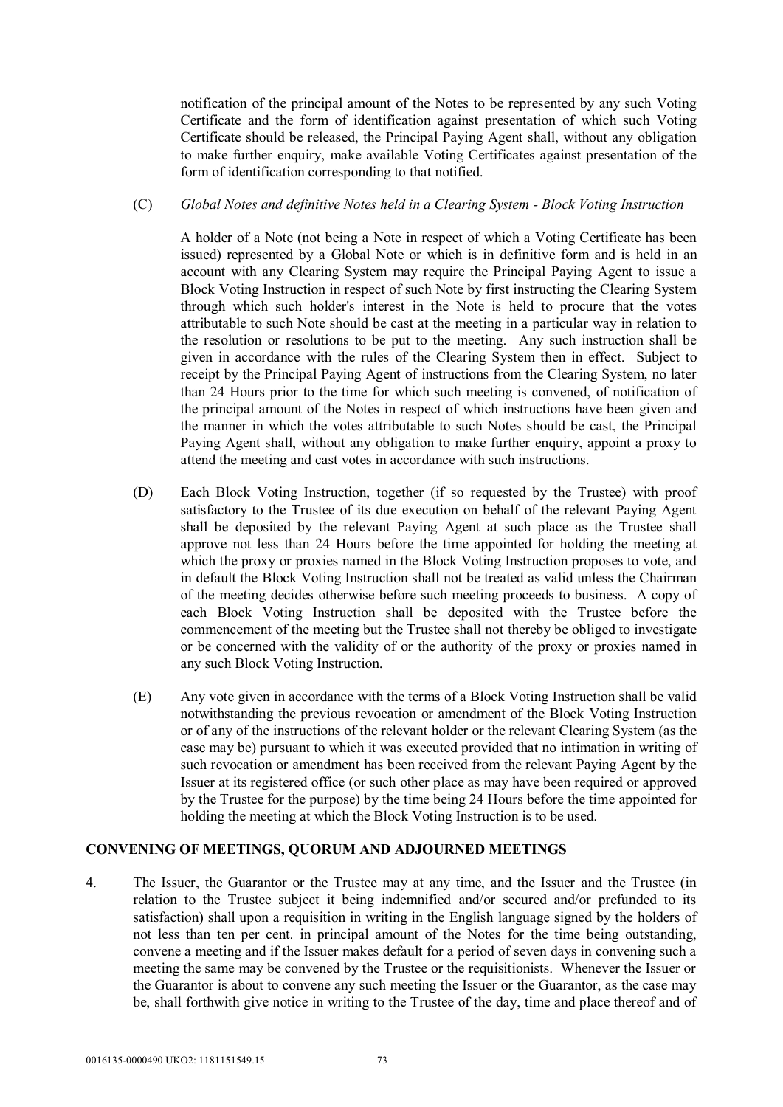notification of the principal amount of the Notes to be represented by any such Voting Certificate and the form of identification against presentation of which such Voting Certificate should be released, the Principal Paying Agent shall, without any obligation to make further enquiry, make available Voting Certificates against presentation of the form of identification corresponding to that notified.

#### (C) *Global Notes and definitive Notes held in a Clearing System - Block Voting Instruction*

A holder of a Note (not being a Note in respect of which a Voting Certificate has been issued) represented by a Global Note or which is in definitive form and is held in an account with any Clearing System may require the Principal Paying Agent to issue a Block Voting Instruction in respect of such Note by first instructing the Clearing System through which such holder's interest in the Note is held to procure that the votes attributable to such Note should be cast at the meeting in a particular way in relation to the resolution or resolutions to be put to the meeting. Any such instruction shall be given in accordance with the rules of the Clearing System then in effect. Subject to receipt by the Principal Paying Agent of instructions from the Clearing System, no later than 24 Hours prior to the time for which such meeting is convened, of notification of the principal amount of the Notes in respect of which instructions have been given and the manner in which the votes attributable to such Notes should be cast, the Principal Paying Agent shall, without any obligation to make further enquiry, appoint a proxy to attend the meeting and cast votes in accordance with such instructions.

- (D) Each Block Voting Instruction, together (if so requested by the Trustee) with proof satisfactory to the Trustee of its due execution on behalf of the relevant Paying Agent shall be deposited by the relevant Paying Agent at such place as the Trustee shall approve not less than 24 Hours before the time appointed for holding the meeting at which the proxy or proxies named in the Block Voting Instruction proposes to vote, and in default the Block Voting Instruction shall not be treated as valid unless the Chairman of the meeting decides otherwise before such meeting proceeds to business. A copy of each Block Voting Instruction shall be deposited with the Trustee before the commencement of the meeting but the Trustee shall not thereby be obliged to investigate or be concerned with the validity of or the authority of the proxy or proxies named in any such Block Voting Instruction.
- (E) Any vote given in accordance with the terms of a Block Voting Instruction shall be valid notwithstanding the previous revocation or amendment of the Block Voting Instruction or of any of the instructions of the relevant holder or the relevant Clearing System (as the case may be) pursuant to which it was executed provided that no intimation in writing of such revocation or amendment has been received from the relevant Paying Agent by the Issuer at its registered office (or such other place as may have been required or approved by the Trustee for the purpose) by the time being 24 Hours before the time appointed for holding the meeting at which the Block Voting Instruction is to be used.

## **CONVENING OF MEETINGS, QUORUM AND ADJOURNED MEETINGS**

4. The Issuer, the Guarantor or the Trustee may at any time, and the Issuer and the Trustee (in relation to the Trustee subject it being indemnified and/or secured and/or prefunded to its satisfaction) shall upon a requisition in writing in the English language signed by the holders of not less than ten per cent. in principal amount of the Notes for the time being outstanding, convene a meeting and if the Issuer makes default for a period of seven days in convening such a meeting the same may be convened by the Trustee or the requisitionists. Whenever the Issuer or the Guarantor is about to convene any such meeting the Issuer or the Guarantor, as the case may be, shall forthwith give notice in writing to the Trustee of the day, time and place thereof and of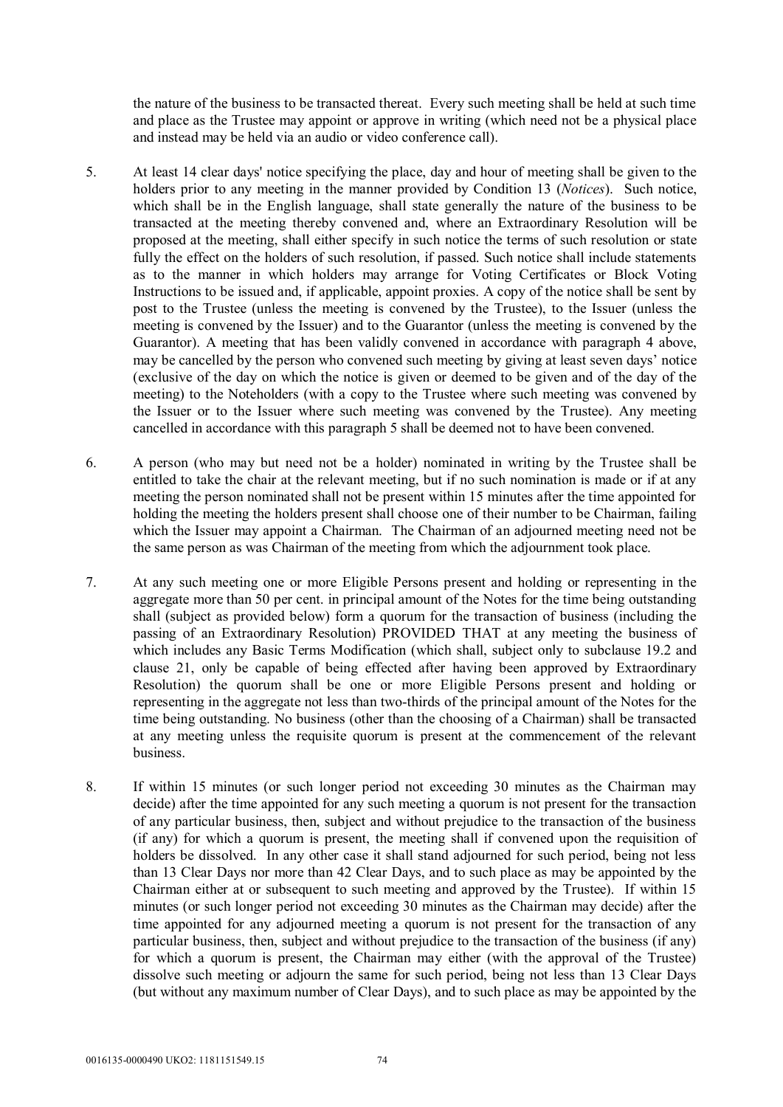the nature of the business to be transacted thereat. Every such meeting shall be held at such time and place as the Trustee may appoint or approve in writing (which need not be a physical place and instead may be held via an audio or video conference call).

- 5. At least 14 clear days' notice specifying the place, day and hour of meeting shall be given to the holders prior to any meeting in the manner provided by Condition 13 (*Notices*). Such notice, which shall be in the English language, shall state generally the nature of the business to be transacted at the meeting thereby convened and, where an Extraordinary Resolution will be proposed at the meeting, shall either specify in such notice the terms of such resolution or state fully the effect on the holders of such resolution, if passed. Such notice shall include statements as to the manner in which holders may arrange for Voting Certificates or Block Voting Instructions to be issued and, if applicable, appoint proxies. A copy of the notice shall be sent by post to the Trustee (unless the meeting is convened by the Trustee), to the Issuer (unless the meeting is convened by the Issuer) and to the Guarantor (unless the meeting is convened by the Guarantor). A meeting that has been validly convened in accordance with paragraph 4 above, may be cancelled by the person who convened such meeting by giving at least seven days' notice (exclusive of the day on which the notice is given or deemed to be given and of the day of the meeting) to the Noteholders (with a copy to the Trustee where such meeting was convened by the Issuer or to the Issuer where such meeting was convened by the Trustee). Any meeting cancelled in accordance with this paragraph 5 shall be deemed not to have been convened.
- 6. A person (who may but need not be a holder) nominated in writing by the Trustee shall be entitled to take the chair at the relevant meeting, but if no such nomination is made or if at any meeting the person nominated shall not be present within 15 minutes after the time appointed for holding the meeting the holders present shall choose one of their number to be Chairman, failing which the Issuer may appoint a Chairman. The Chairman of an adjourned meeting need not be the same person as was Chairman of the meeting from which the adjournment took place.
- 7. At any such meeting one or more Eligible Persons present and holding or representing in the aggregate more than 50 per cent. in principal amount of the Notes for the time being outstanding shall (subject as provided below) form a quorum for the transaction of business (including the passing of an Extraordinary Resolution) PROVIDED THAT at any meeting the business of which includes any Basic Terms Modification (which shall, subject only to subclause 19.2 and clause 21, only be capable of being effected after having been approved by Extraordinary Resolution) the quorum shall be one or more Eligible Persons present and holding or representing in the aggregate not less than two-thirds of the principal amount of the Notes for the time being outstanding. No business (other than the choosing of a Chairman) shall be transacted at any meeting unless the requisite quorum is present at the commencement of the relevant business.
- 8. If within 15 minutes (or such longer period not exceeding 30 minutes as the Chairman may decide) after the time appointed for any such meeting a quorum is not present for the transaction of any particular business, then, subject and without prejudice to the transaction of the business (if any) for which a quorum is present, the meeting shall if convened upon the requisition of holders be dissolved. In any other case it shall stand adjourned for such period, being not less than 13 Clear Days nor more than 42 Clear Days, and to such place as may be appointed by the Chairman either at or subsequent to such meeting and approved by the Trustee). If within 15 minutes (or such longer period not exceeding 30 minutes as the Chairman may decide) after the time appointed for any adjourned meeting a quorum is not present for the transaction of any particular business, then, subject and without prejudice to the transaction of the business (if any) for which a quorum is present, the Chairman may either (with the approval of the Trustee) dissolve such meeting or adjourn the same for such period, being not less than 13 Clear Days (but without any maximum number of Clear Days), and to such place as may be appointed by the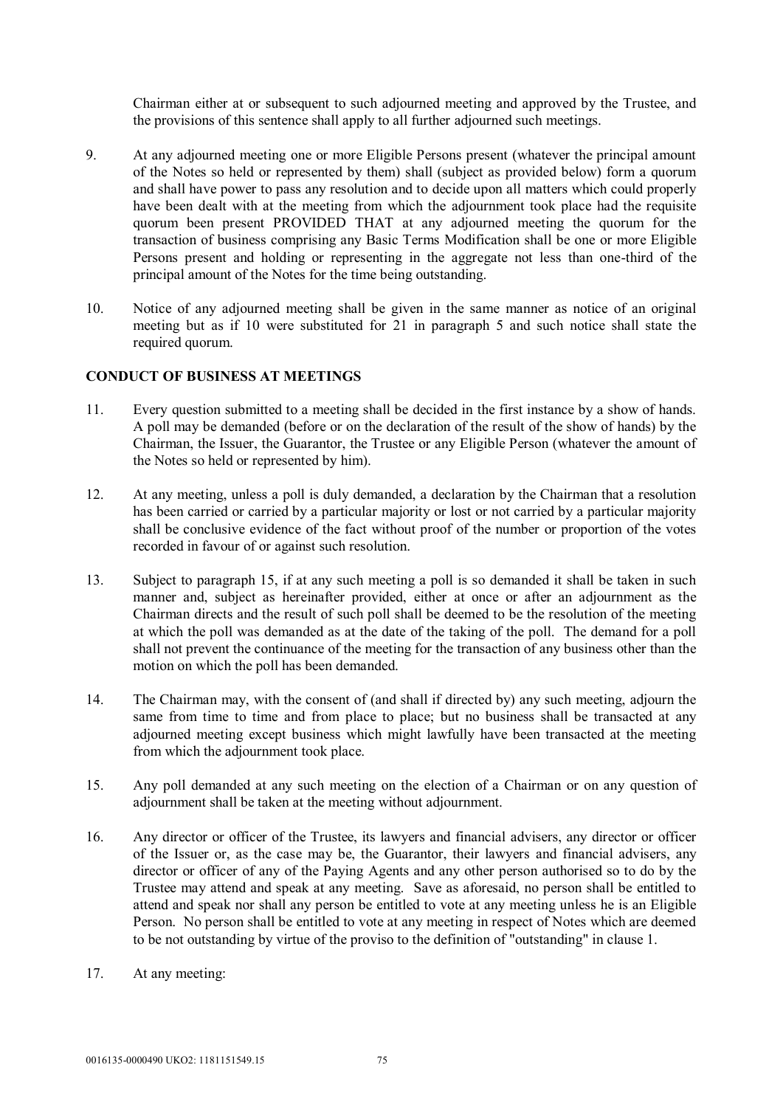Chairman either at or subsequent to such adjourned meeting and approved by the Trustee, and the provisions of this sentence shall apply to all further adjourned such meetings.

- 9. At any adjourned meeting one or more Eligible Persons present (whatever the principal amount of the Notes so held or represented by them) shall (subject as provided below) form a quorum and shall have power to pass any resolution and to decide upon all matters which could properly have been dealt with at the meeting from which the adjournment took place had the requisite quorum been present PROVIDED THAT at any adjourned meeting the quorum for the transaction of business comprising any Basic Terms Modification shall be one or more Eligible Persons present and holding or representing in the aggregate not less than one-third of the principal amount of the Notes for the time being outstanding.
- 10. Notice of any adjourned meeting shall be given in the same manner as notice of an original meeting but as if 10 were substituted for 21 in paragraph 5 and such notice shall state the required quorum.

#### **CONDUCT OF BUSINESS AT MEETINGS**

- 11. Every question submitted to a meeting shall be decided in the first instance by a show of hands. A poll may be demanded (before or on the declaration of the result of the show of hands) by the Chairman, the Issuer, the Guarantor, the Trustee or any Eligible Person (whatever the amount of the Notes so held or represented by him).
- 12. At any meeting, unless a poll is duly demanded, a declaration by the Chairman that a resolution has been carried or carried by a particular majority or lost or not carried by a particular majority shall be conclusive evidence of the fact without proof of the number or proportion of the votes recorded in favour of or against such resolution.
- 13. Subject to paragraph 15, if at any such meeting a poll is so demanded it shall be taken in such manner and, subject as hereinafter provided, either at once or after an adjournment as the Chairman directs and the result of such poll shall be deemed to be the resolution of the meeting at which the poll was demanded as at the date of the taking of the poll. The demand for a poll shall not prevent the continuance of the meeting for the transaction of any business other than the motion on which the poll has been demanded.
- 14. The Chairman may, with the consent of (and shall if directed by) any such meeting, adjourn the same from time to time and from place to place; but no business shall be transacted at any adjourned meeting except business which might lawfully have been transacted at the meeting from which the adjournment took place.
- 15. Any poll demanded at any such meeting on the election of a Chairman or on any question of adjournment shall be taken at the meeting without adjournment.
- 16. Any director or officer of the Trustee, its lawyers and financial advisers, any director or officer of the Issuer or, as the case may be, the Guarantor, their lawyers and financial advisers, any director or officer of any of the Paying Agents and any other person authorised so to do by the Trustee may attend and speak at any meeting. Save as aforesaid, no person shall be entitled to attend and speak nor shall any person be entitled to vote at any meeting unless he is an Eligible Person. No person shall be entitled to vote at any meeting in respect of Notes which are deemed to be not outstanding by virtue of the proviso to the definition of "outstanding" in clause 1.
- 17. At any meeting: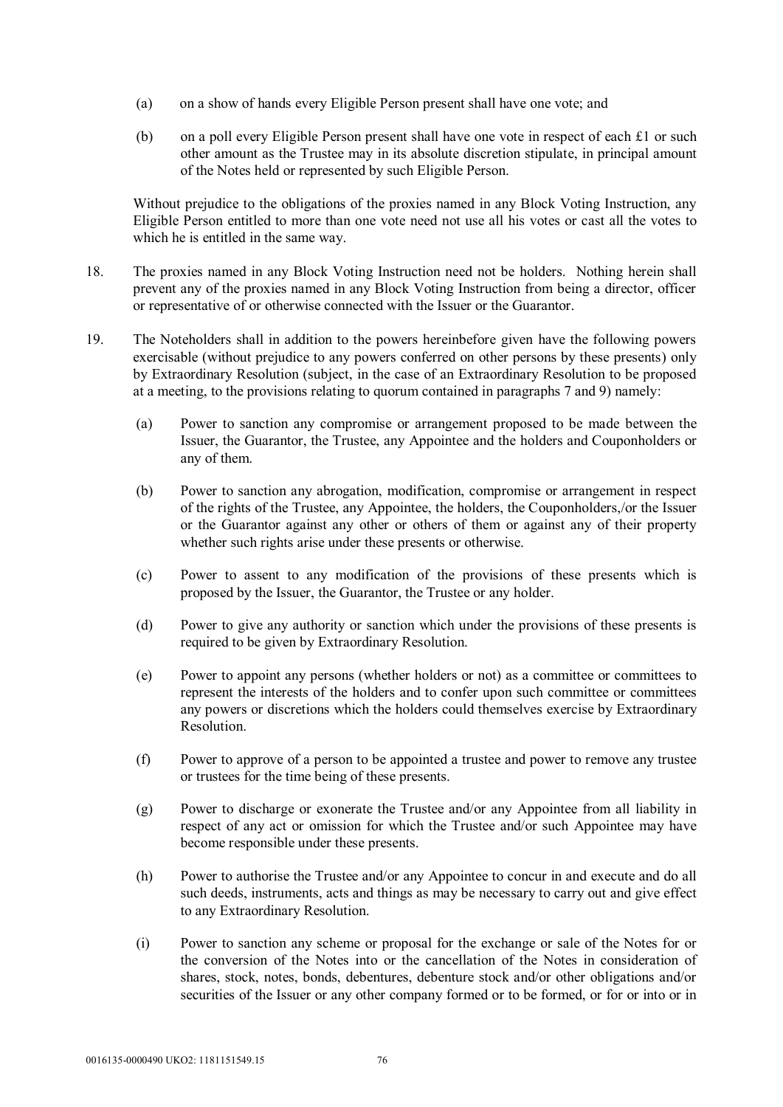- (a) on a show of hands every Eligible Person present shall have one vote; and
- (b) on a poll every Eligible Person present shall have one vote in respect of each £1 or such other amount as the Trustee may in its absolute discretion stipulate, in principal amount of the Notes held or represented by such Eligible Person.

Without prejudice to the obligations of the proxies named in any Block Voting Instruction, any Eligible Person entitled to more than one vote need not use all his votes or cast all the votes to which he is entitled in the same way.

- 18. The proxies named in any Block Voting Instruction need not be holders. Nothing herein shall prevent any of the proxies named in any Block Voting Instruction from being a director, officer or representative of or otherwise connected with the Issuer or the Guarantor.
- 19. The Noteholders shall in addition to the powers hereinbefore given have the following powers exercisable (without prejudice to any powers conferred on other persons by these presents) only by Extraordinary Resolution (subject, in the case of an Extraordinary Resolution to be proposed at a meeting, to the provisions relating to quorum contained in paragraphs 7 and 9) namely:
	- (a) Power to sanction any compromise or arrangement proposed to be made between the Issuer, the Guarantor, the Trustee, any Appointee and the holders and Couponholders or any of them.
	- (b) Power to sanction any abrogation, modification, compromise or arrangement in respect of the rights of the Trustee, any Appointee, the holders, the Couponholders,/or the Issuer or the Guarantor against any other or others of them or against any of their property whether such rights arise under these presents or otherwise.
	- (c) Power to assent to any modification of the provisions of these presents which is proposed by the Issuer, the Guarantor, the Trustee or any holder.
	- (d) Power to give any authority or sanction which under the provisions of these presents is required to be given by Extraordinary Resolution.
	- (e) Power to appoint any persons (whether holders or not) as a committee or committees to represent the interests of the holders and to confer upon such committee or committees any powers or discretions which the holders could themselves exercise by Extraordinary Resolution.
	- (f) Power to approve of a person to be appointed a trustee and power to remove any trustee or trustees for the time being of these presents.
	- (g) Power to discharge or exonerate the Trustee and/or any Appointee from all liability in respect of any act or omission for which the Trustee and/or such Appointee may have become responsible under these presents.
	- (h) Power to authorise the Trustee and/or any Appointee to concur in and execute and do all such deeds, instruments, acts and things as may be necessary to carry out and give effect to any Extraordinary Resolution.
	- (i) Power to sanction any scheme or proposal for the exchange or sale of the Notes for or the conversion of the Notes into or the cancellation of the Notes in consideration of shares, stock, notes, bonds, debentures, debenture stock and/or other obligations and/or securities of the Issuer or any other company formed or to be formed, or for or into or in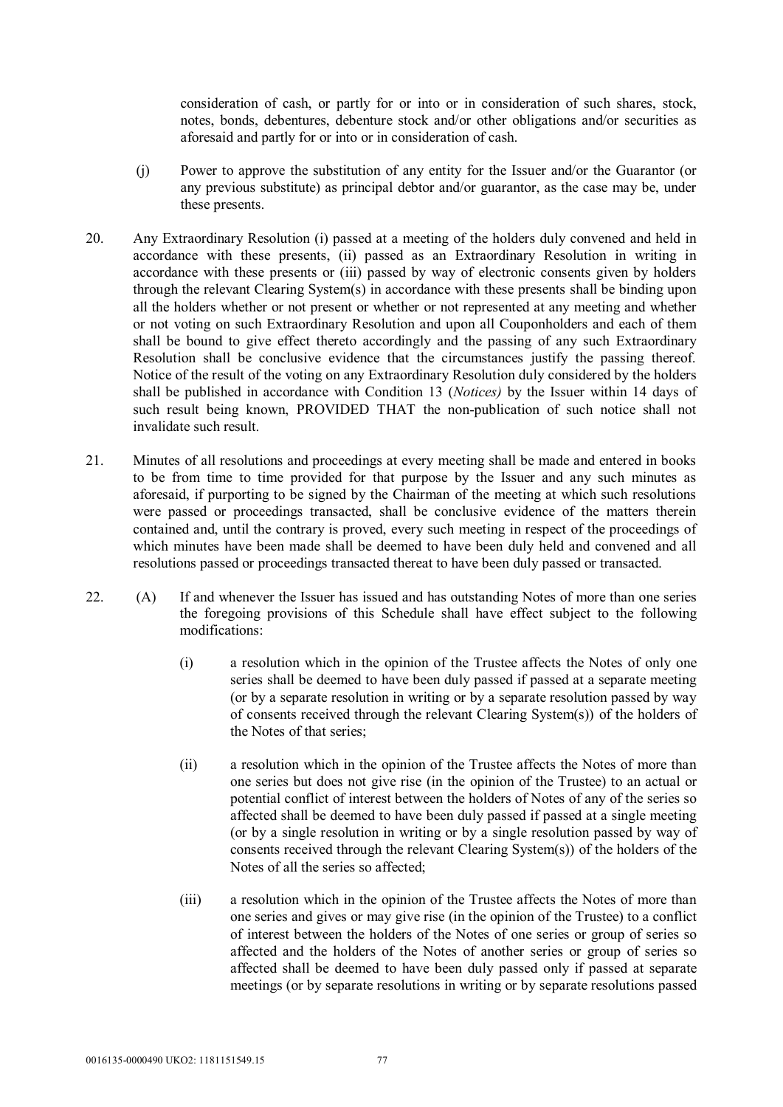consideration of cash, or partly for or into or in consideration of such shares, stock, notes, bonds, debentures, debenture stock and/or other obligations and/or securities as aforesaid and partly for or into or in consideration of cash.

- (j) Power to approve the substitution of any entity for the Issuer and/or the Guarantor (or any previous substitute) as principal debtor and/or guarantor, as the case may be, under these presents.
- 20. Any Extraordinary Resolution (i) passed at a meeting of the holders duly convened and held in accordance with these presents, (ii) passed as an Extraordinary Resolution in writing in accordance with these presents or (iii) passed by way of electronic consents given by holders through the relevant Clearing System(s) in accordance with these presents shall be binding upon all the holders whether or not present or whether or not represented at any meeting and whether or not voting on such Extraordinary Resolution and upon all Couponholders and each of them shall be bound to give effect thereto accordingly and the passing of any such Extraordinary Resolution shall be conclusive evidence that the circumstances justify the passing thereof. Notice of the result of the voting on any Extraordinary Resolution duly considered by the holders shall be published in accordance with Condition 13 (*Notices)* by the Issuer within 14 days of such result being known, PROVIDED THAT the non-publication of such notice shall not invalidate such result.
- 21. Minutes of all resolutions and proceedings at every meeting shall be made and entered in books to be from time to time provided for that purpose by the Issuer and any such minutes as aforesaid, if purporting to be signed by the Chairman of the meeting at which such resolutions were passed or proceedings transacted, shall be conclusive evidence of the matters therein contained and, until the contrary is proved, every such meeting in respect of the proceedings of which minutes have been made shall be deemed to have been duly held and convened and all resolutions passed or proceedings transacted thereat to have been duly passed or transacted.
- 22. (A) If and whenever the Issuer has issued and has outstanding Notes of more than one series the foregoing provisions of this Schedule shall have effect subject to the following modifications:
	- (i) a resolution which in the opinion of the Trustee affects the Notes of only one series shall be deemed to have been duly passed if passed at a separate meeting (or by a separate resolution in writing or by a separate resolution passed by way of consents received through the relevant Clearing System(s)) of the holders of the Notes of that series;
	- (ii) a resolution which in the opinion of the Trustee affects the Notes of more than one series but does not give rise (in the opinion of the Trustee) to an actual or potential conflict of interest between the holders of Notes of any of the series so affected shall be deemed to have been duly passed if passed at a single meeting (or by a single resolution in writing or by a single resolution passed by way of consents received through the relevant Clearing System(s)) of the holders of the Notes of all the series so affected;
	- (iii) a resolution which in the opinion of the Trustee affects the Notes of more than one series and gives or may give rise (in the opinion of the Trustee) to a conflict of interest between the holders of the Notes of one series or group of series so affected and the holders of the Notes of another series or group of series so affected shall be deemed to have been duly passed only if passed at separate meetings (or by separate resolutions in writing or by separate resolutions passed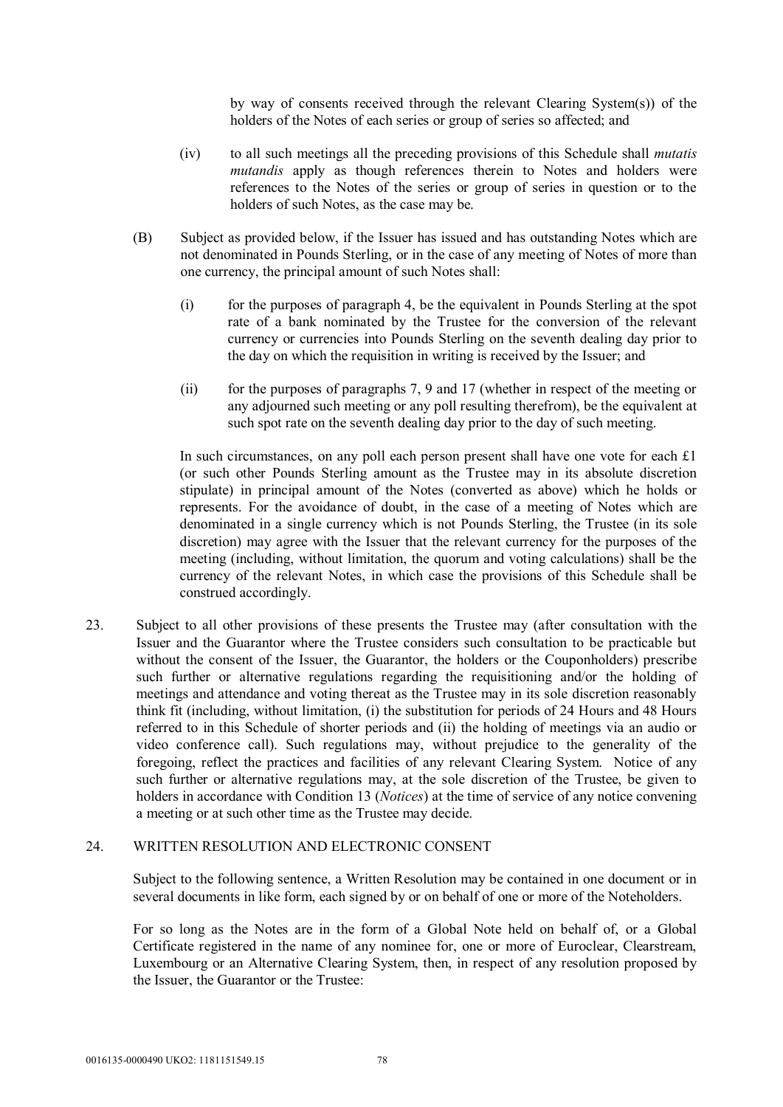by way of consents received through the relevant Clearing System(s)) of the holders of the Notes of each series or group of series so affected; and

- (iv) to all such meetings all the preceding provisions of this Schedule shall *mutatis mutandis* apply as though references therein to Notes and holders were references to the Notes of the series or group of series in question or to the holders of such Notes, as the case may be.
- (B) Subject as provided below, if the Issuer has issued and has outstanding Notes which are not denominated in Pounds Sterling, or in the case of any meeting of Notes of more than one currency, the principal amount of such Notes shall:
	- (i) for the purposes of paragraph 4, be the equivalent in Pounds Sterling at the spot rate of a bank nominated by the Trustee for the conversion of the relevant currency or currencies into Pounds Sterling on the seventh dealing day prior to the day on which the requisition in writing is received by the Issuer; and
	- (ii) for the purposes of paragraphs 7, 9 and 17 (whether in respect of the meeting or any adjourned such meeting or any poll resulting therefrom), be the equivalent at such spot rate on the seventh dealing day prior to the day of such meeting.

In such circumstances, on any poll each person present shall have one vote for each £1 (or such other Pounds Sterling amount as the Trustee may in its absolute discretion stipulate) in principal amount of the Notes (converted as above) which he holds or represents. For the avoidance of doubt, in the case of a meeting of Notes which are denominated in a single currency which is not Pounds Sterling, the Trustee (in its sole discretion) may agree with the Issuer that the relevant currency for the purposes of the meeting (including, without limitation, the quorum and voting calculations) shall be the currency of the relevant Notes, in which case the provisions of this Schedule shall be construed accordingly.

23. Subject to all other provisions of these presents the Trustee may (after consultation with the Issuer and the Guarantor where the Trustee considers such consultation to be practicable but without the consent of the Issuer, the Guarantor, the holders or the Couponholders) prescribe such further or alternative regulations regarding the requisitioning and/or the holding of meetings and attendance and voting thereat as the Trustee may in its sole discretion reasonably think fit (including, without limitation, (i) the substitution for periods of 24 Hours and 48 Hours referred to in this Schedule of shorter periods and (ii) the holding of meetings via an audio or video conference call). Such regulations may, without prejudice to the generality of the foregoing, reflect the practices and facilities of any relevant Clearing System. Notice of any such further or alternative regulations may, at the sole discretion of the Trustee, be given to holders in accordance with Condition 13 (*Notices*) at the time of service of any notice convening a meeting or at such other time as the Trustee may decide.

#### 24. WRITTEN RESOLUTION AND ELECTRONIC CONSENT

Subject to the following sentence, a Written Resolution may be contained in one document or in several documents in like form, each signed by or on behalf of one or more of the Noteholders.

For so long as the Notes are in the form of a Global Note held on behalf of, or a Global Certificate registered in the name of any nominee for, one or more of Euroclear, Clearstream, Luxembourg or an Alternative Clearing System, then, in respect of any resolution proposed by the Issuer, the Guarantor or the Trustee: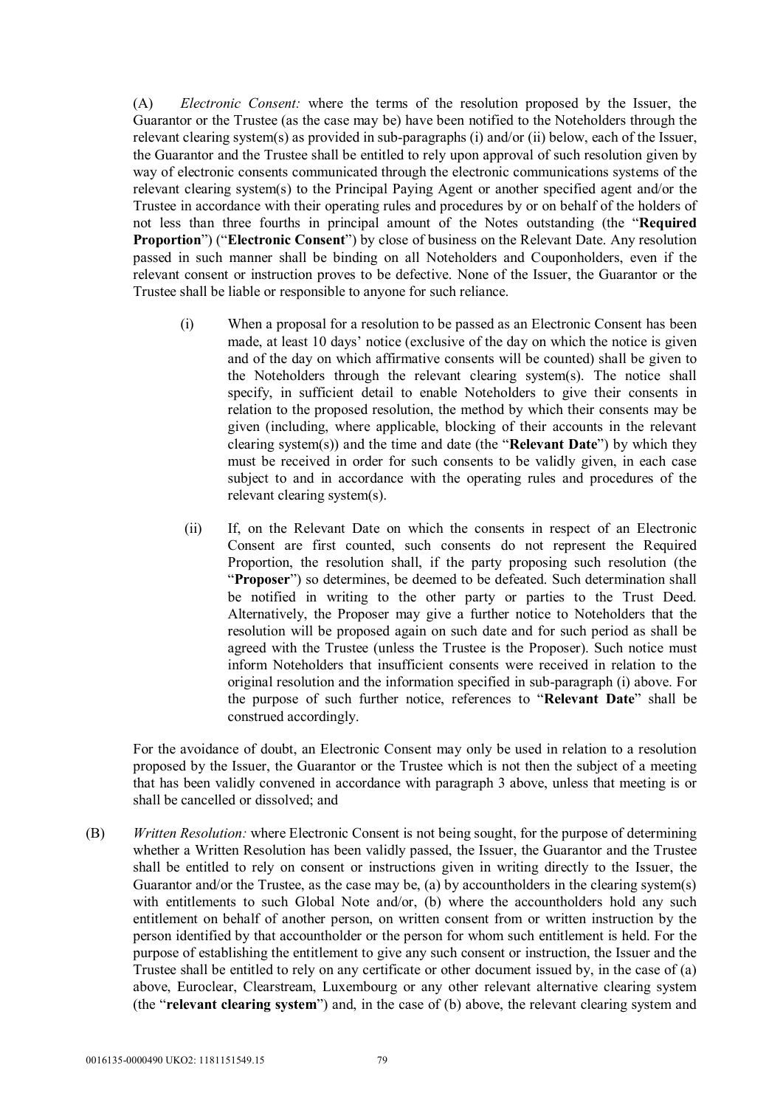(A) *Electronic Consent:* where the terms of the resolution proposed by the Issuer, the Guarantor or the Trustee (as the case may be) have been notified to the Noteholders through the relevant clearing system(s) as provided in sub-paragraphs (i) and/or (ii) below, each of the Issuer, the Guarantor and the Trustee shall be entitled to rely upon approval of such resolution given by way of electronic consents communicated through the electronic communications systems of the relevant clearing system(s) to the Principal Paying Agent or another specified agent and/or the Trustee in accordance with their operating rules and procedures by or on behalf of the holders of not less than three fourths in principal amount of the Notes outstanding (the "**Required Proportion**") ("**Electronic Consent**") by close of business on the Relevant Date. Any resolution passed in such manner shall be binding on all Noteholders and Couponholders, even if the relevant consent or instruction proves to be defective. None of the Issuer, the Guarantor or the Trustee shall be liable or responsible to anyone for such reliance.

- (i) When a proposal for a resolution to be passed as an Electronic Consent has been made, at least 10 days' notice (exclusive of the day on which the notice is given and of the day on which affirmative consents will be counted) shall be given to the Noteholders through the relevant clearing system(s). The notice shall specify, in sufficient detail to enable Noteholders to give their consents in relation to the proposed resolution, the method by which their consents may be given (including, where applicable, blocking of their accounts in the relevant clearing system(s)) and the time and date (the "**Relevant Date**") by which they must be received in order for such consents to be validly given, in each case subject to and in accordance with the operating rules and procedures of the relevant clearing system(s).
- (ii) If, on the Relevant Date on which the consents in respect of an Electronic Consent are first counted, such consents do not represent the Required Proportion, the resolution shall, if the party proposing such resolution (the "**Proposer**") so determines, be deemed to be defeated. Such determination shall be notified in writing to the other party or parties to the Trust Deed. Alternatively, the Proposer may give a further notice to Noteholders that the resolution will be proposed again on such date and for such period as shall be agreed with the Trustee (unless the Trustee is the Proposer). Such notice must inform Noteholders that insufficient consents were received in relation to the original resolution and the information specified in sub-paragraph (i) above. For the purpose of such further notice, references to "**Relevant Date**" shall be construed accordingly.

For the avoidance of doubt, an Electronic Consent may only be used in relation to a resolution proposed by the Issuer, the Guarantor or the Trustee which is not then the subject of a meeting that has been validly convened in accordance with paragraph 3 above, unless that meeting is or shall be cancelled or dissolved; and

(B) *Written Resolution:* where Electronic Consent is not being sought, for the purpose of determining whether a Written Resolution has been validly passed, the Issuer, the Guarantor and the Trustee shall be entitled to rely on consent or instructions given in writing directly to the Issuer, the Guarantor and/or the Trustee, as the case may be, (a) by accountholders in the clearing system(s) with entitlements to such Global Note and/or, (b) where the accountholders hold any such entitlement on behalf of another person, on written consent from or written instruction by the person identified by that accountholder or the person for whom such entitlement is held. For the purpose of establishing the entitlement to give any such consent or instruction, the Issuer and the Trustee shall be entitled to rely on any certificate or other document issued by, in the case of (a) above, Euroclear, Clearstream, Luxembourg or any other relevant alternative clearing system (the "**relevant clearing system**") and, in the case of (b) above, the relevant clearing system and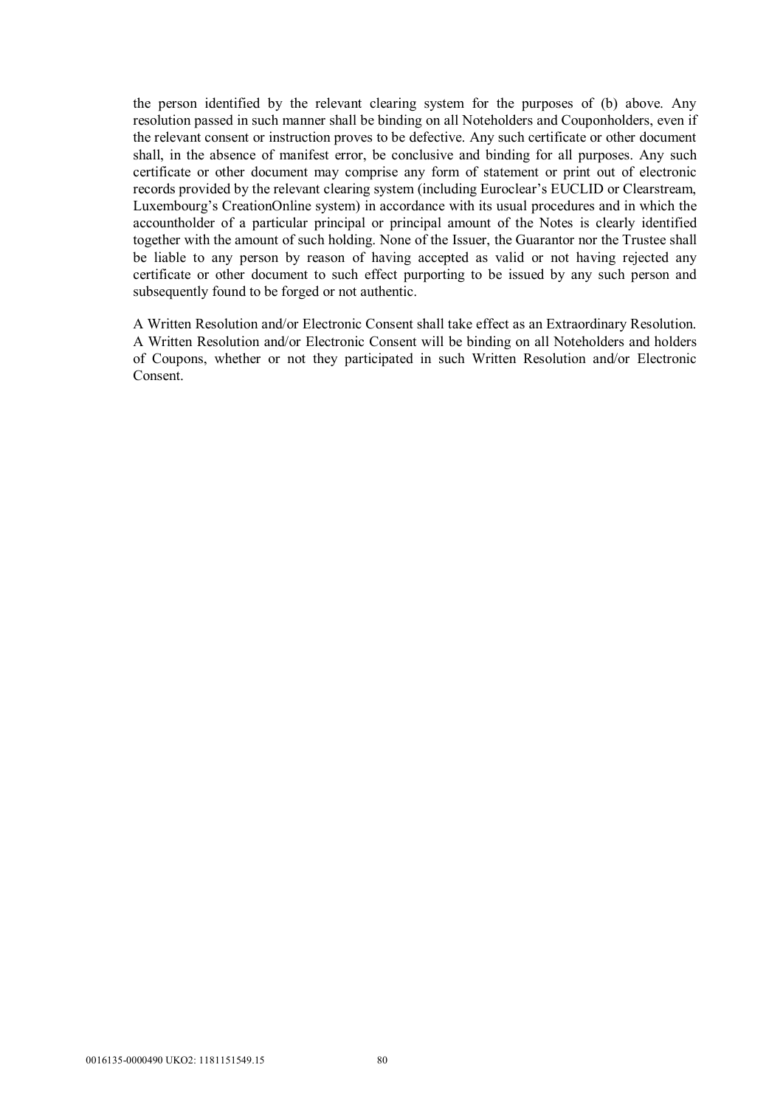the person identified by the relevant clearing system for the purposes of (b) above. Any resolution passed in such manner shall be binding on all Noteholders and Couponholders, even if the relevant consent or instruction proves to be defective. Any such certificate or other document shall, in the absence of manifest error, be conclusive and binding for all purposes. Any such certificate or other document may comprise any form of statement or print out of electronic records provided by the relevant clearing system (including Euroclear's EUCLID or Clearstream, Luxembourg's CreationOnline system) in accordance with its usual procedures and in which the accountholder of a particular principal or principal amount of the Notes is clearly identified together with the amount of such holding. None of the Issuer, the Guarantor nor the Trustee shall be liable to any person by reason of having accepted as valid or not having rejected any certificate or other document to such effect purporting to be issued by any such person and subsequently found to be forged or not authentic.

A Written Resolution and/or Electronic Consent shall take effect as an Extraordinary Resolution. A Written Resolution and/or Electronic Consent will be binding on all Noteholders and holders of Coupons, whether or not they participated in such Written Resolution and/or Electronic Consent.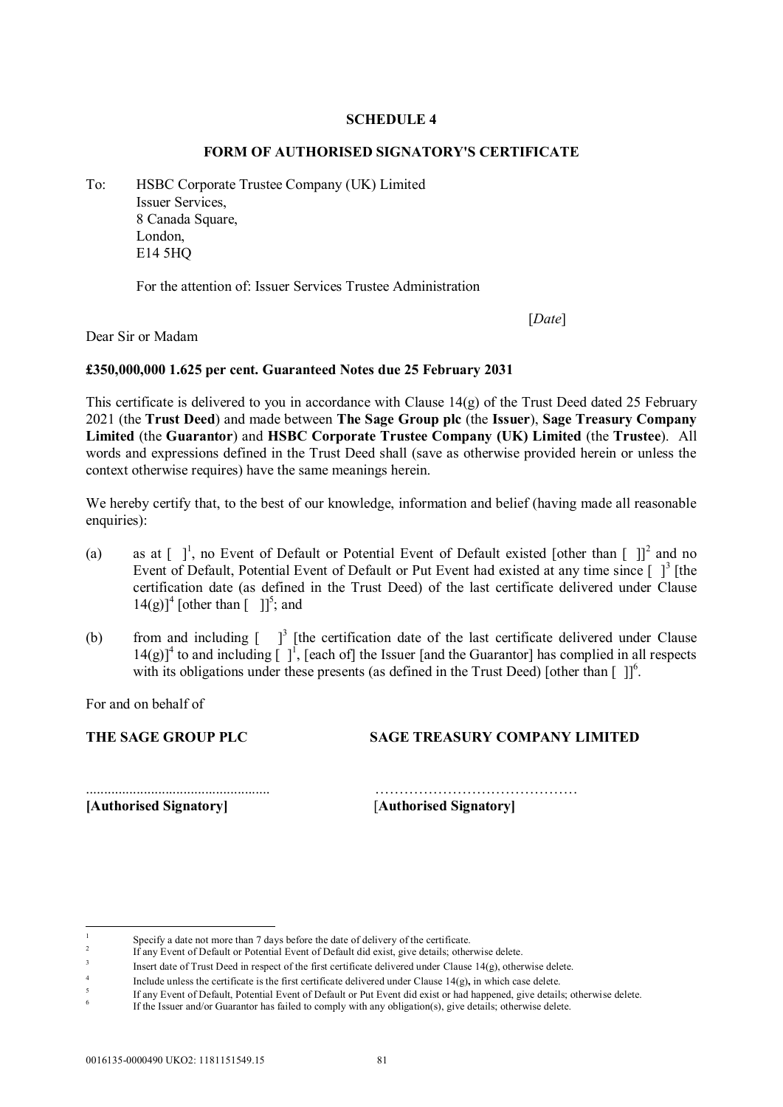#### **SCHEDULE 4**

#### **FORM OF AUTHORISED SIGNATORY'S CERTIFICATE**

To: HSBC Corporate Trustee Company (UK) Limited Issuer Services, 8 Canada Square, London, E14 5HQ

For the attention of: Issuer Services Trustee Administration

[*Date*]

Dear Sir or Madam

#### **£350,000,000 1.625 per cent. Guaranteed Notes due 25 February 2031**

This certificate is delivered to you in accordance with Clause 14(g) of the Trust Deed dated 25 February 2021 (the **Trust Deed**) and made between **The Sage Group plc** (the **Issuer**), **Sage Treasury Company Limited** (the **Guarantor**) and **HSBC Corporate Trustee Company (UK) Limited** (the **Trustee**). All words and expressions defined in the Trust Deed shall (save as otherwise provided herein or unless the context otherwise requires) have the same meanings herein.

We hereby certify that, to the best of our knowledge, information and belief (having made all reasonable enquiries):

- (a) as at  $\begin{bmatrix} 1 \\ 1 \end{bmatrix}$ , no Event of Default or Potential Event of Default existed [other than  $\begin{bmatrix} 1 \\ 1 \end{bmatrix}^2$  and no Event of Default, Potential Event of Default or Put Event had existed at any time since  $\lceil \,\rceil^3$  [the certification date (as defined in the Trust Deed) of the last certificate delivered under Clause  $14(g)$ <sup>1</sup> [other than  $\begin{bmatrix} 1 \end{bmatrix}^5$ ; and
- (b) from and including  $\int_{0}^{3}$  [the certification date of the last certificate delivered under Clause  $14(g)$ <sup>4</sup> to and including  $\lceil \cdot \rceil^1$ , [each of] the Issuer [and the Guarantor] has complied in all respects with its obligations under these presents (as defined in the Trust Deed) [other than  $[ ] ]^6$ .

For and on behalf of

**THE SAGE GROUP PLC SAGE TREASURY COMPANY LIMITED**

**[Authorised Signatory]** [**Authorised Signatory]**

-

................................................... ……………………………………

<sup>1</sup> Specify a date not more than 7 days before the date of delivery of the certificate.

<sup>2</sup> If any Event of Default or Potential Event of Default did exist, give details; otherwise delete.

<sup>3</sup> Insert date of Trust Deed in respect of the first certificate delivered under Clause 14(g), otherwise delete.

<sup>4</sup> Include unless the certificate is the first certificate delivered under Clause 14(g)**,** in which case delete.

 $\overline{\mathbf{5}}$ If any Event of Default, Potential Event of Default or Put Event did exist or had happened, give details; otherwise delete. 6

If the Issuer and/or Guarantor has failed to comply with any obligation(s), give details; otherwise delete.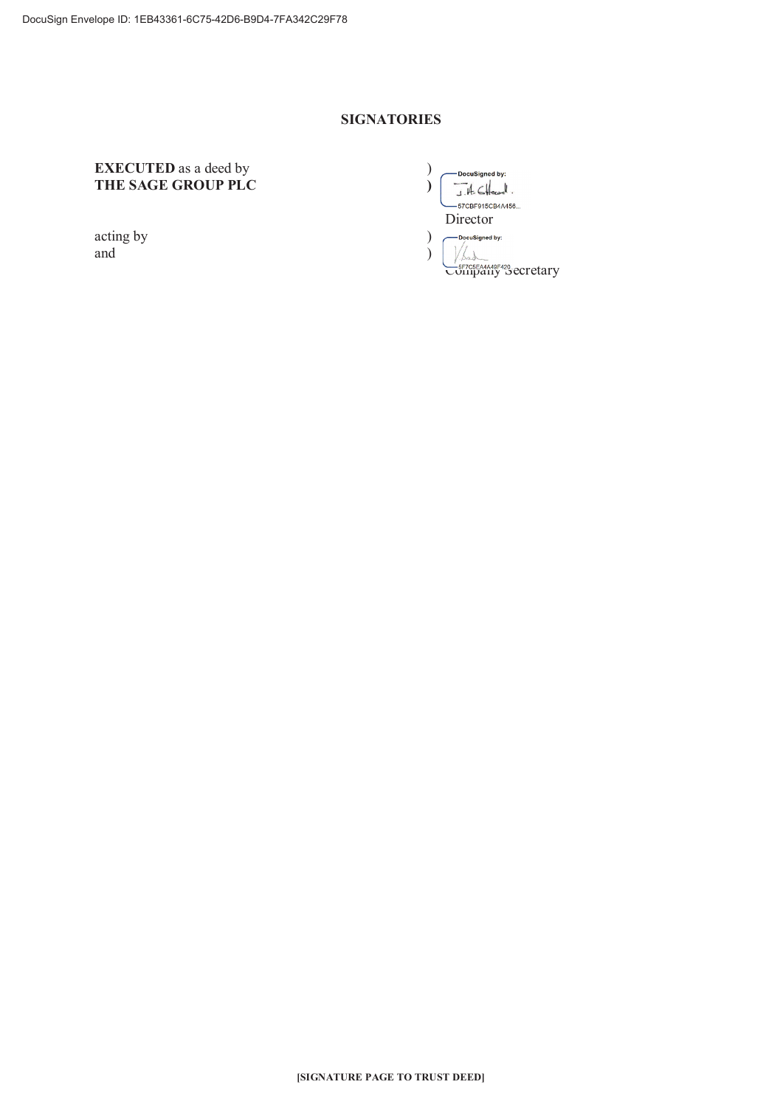#### **SIGNATORIES**

# **EXECUTED** as a deed by THE SAGE GROUP PLC

acting by and

 $\lambda$ -DocuSigned by:  $\mathcal{L}$  $J.H.$   $CHecol.$ -<br>- 57CBF915CB4A456... Director  $\mathcal{L}$ — DocuSigned by:  $\sqrt{k_{\rm sh}}$  $\mathcal{E}$ COLLUDGEAAA49F420\_ecretary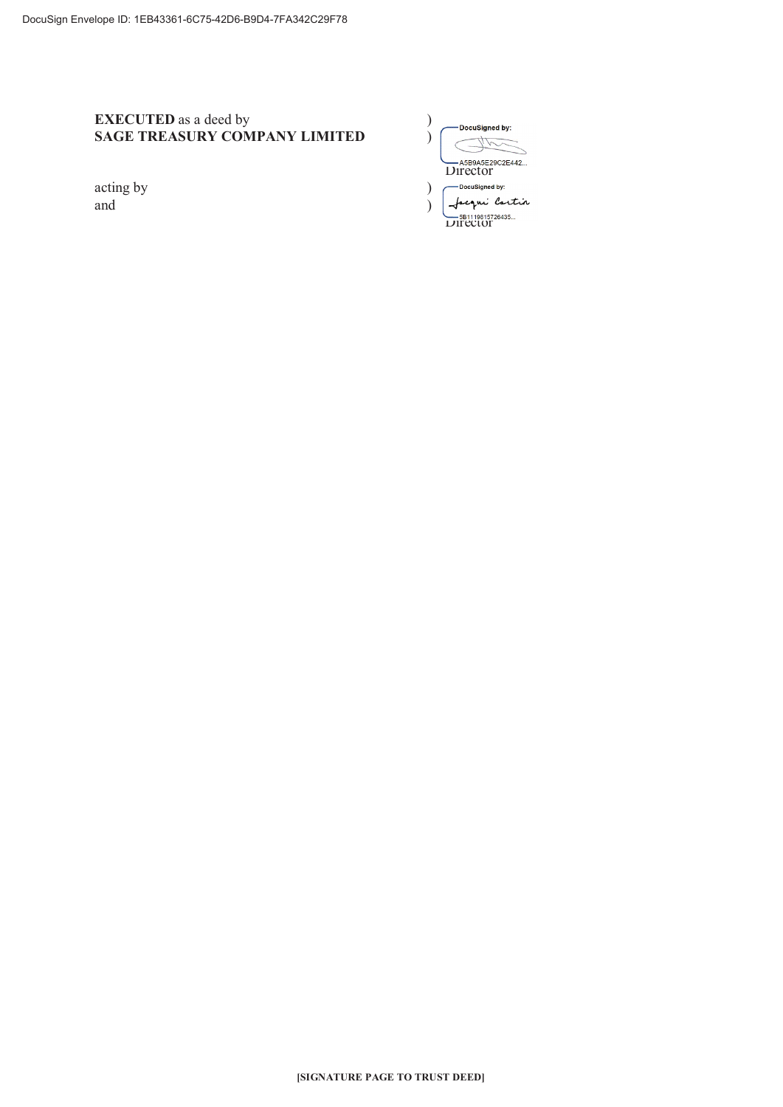# **EXECUTED** as a deed by SAGE TREASURY COMPANY LIMITED

acting by and

| DocuSigned by:              |
|-----------------------------|
| A5B9A5E29C2E442<br>Director |
| <b>DocuSianed by:</b>       |
| cqui lortin                 |
| 5B1119815726435<br>LIFECLOF |